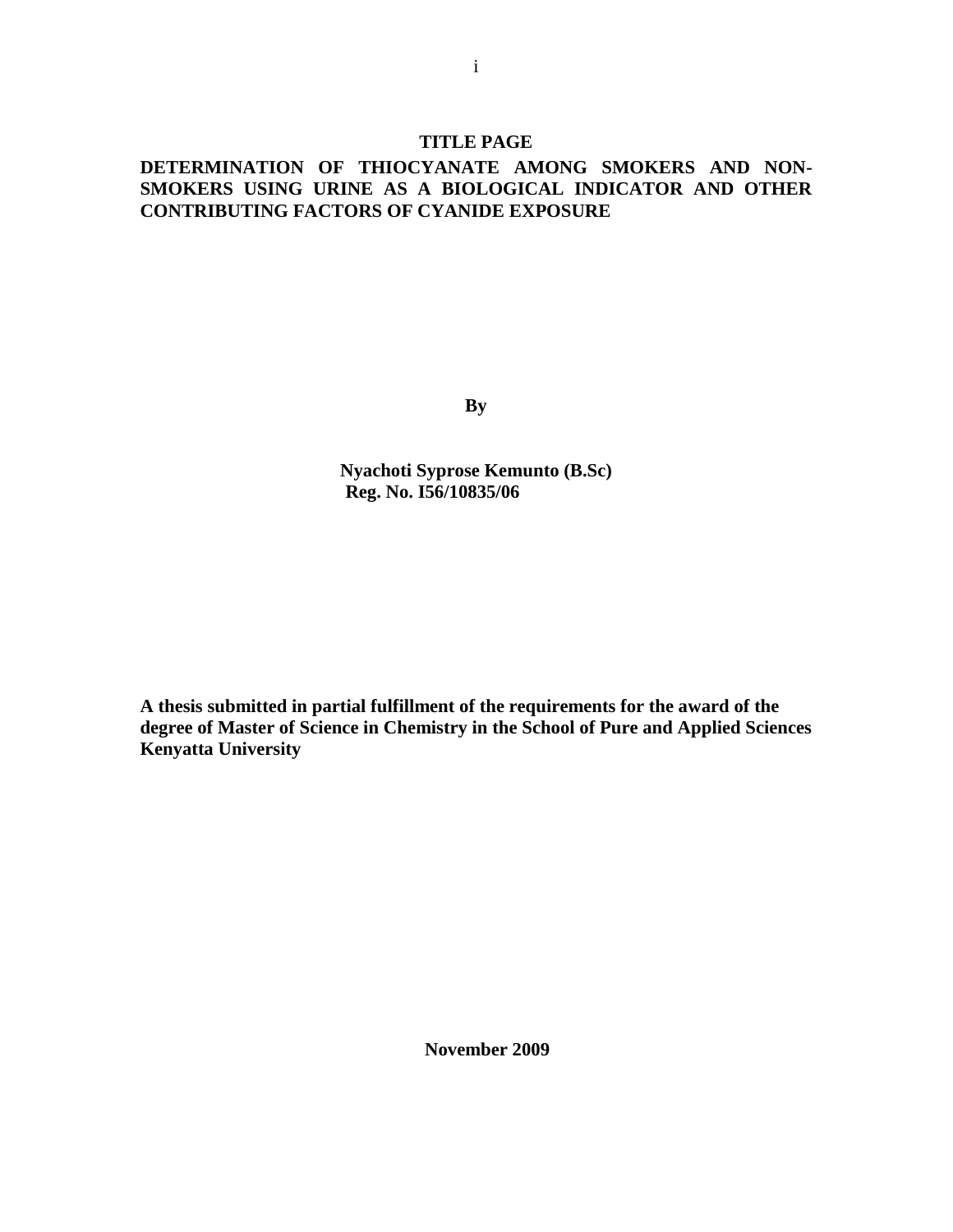# **TITLE PAGE**

# <span id="page-0-0"></span>**DETERMINATION OF THIOCYANATE AMONG SMOKERS AND NON-SMOKERS USING URINE AS A BIOLOGICAL INDICATOR AND OTHER CONTRIBUTING FACTORS OF CYANIDE EXPOSURE**

**By**

**Nyachoti Syprose Kemunto (B.Sc) Reg. No. I56/10835/06**

**A thesis submitted in partial fulfillment of the requirements for the award of the degree of Master of Science in Chemistry in the School of Pure and Applied Sciences Kenyatta University**

 **November 2009**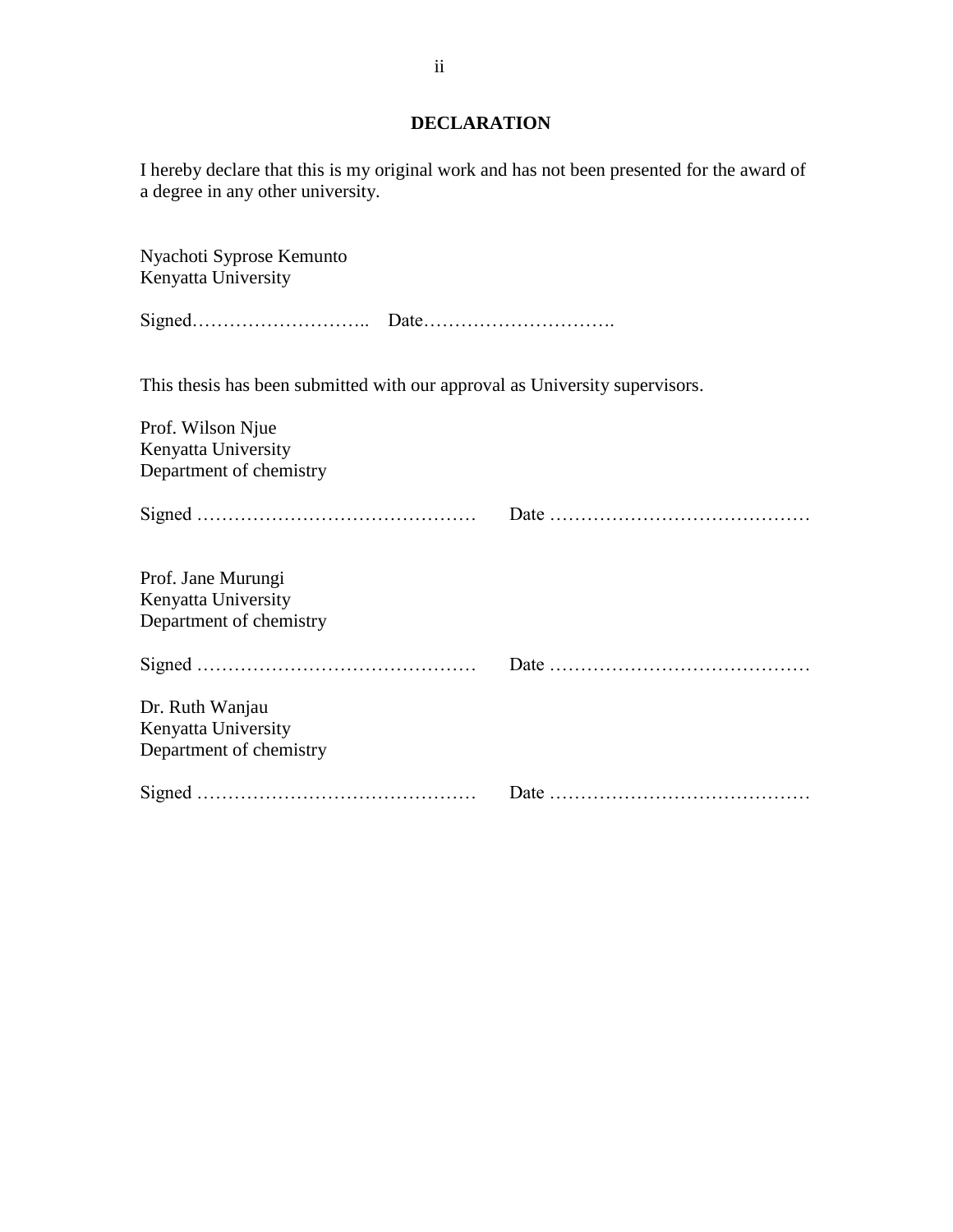# <span id="page-1-0"></span>**DECLARATION**

I hereby declare that this is my original work and has not been presented for the award of a degree in any other university.

| Nyachoti Syprose Kemunto<br>Kenyatta University                             |  |
|-----------------------------------------------------------------------------|--|
|                                                                             |  |
| This thesis has been submitted with our approval as University supervisors. |  |
| Prof. Wilson Njue<br>Kenyatta University<br>Department of chemistry         |  |
|                                                                             |  |
| Prof. Jane Murungi<br>Kenyatta University<br>Department of chemistry        |  |
|                                                                             |  |
| Dr. Ruth Wanjau<br>Kenyatta University<br>Department of chemistry           |  |
|                                                                             |  |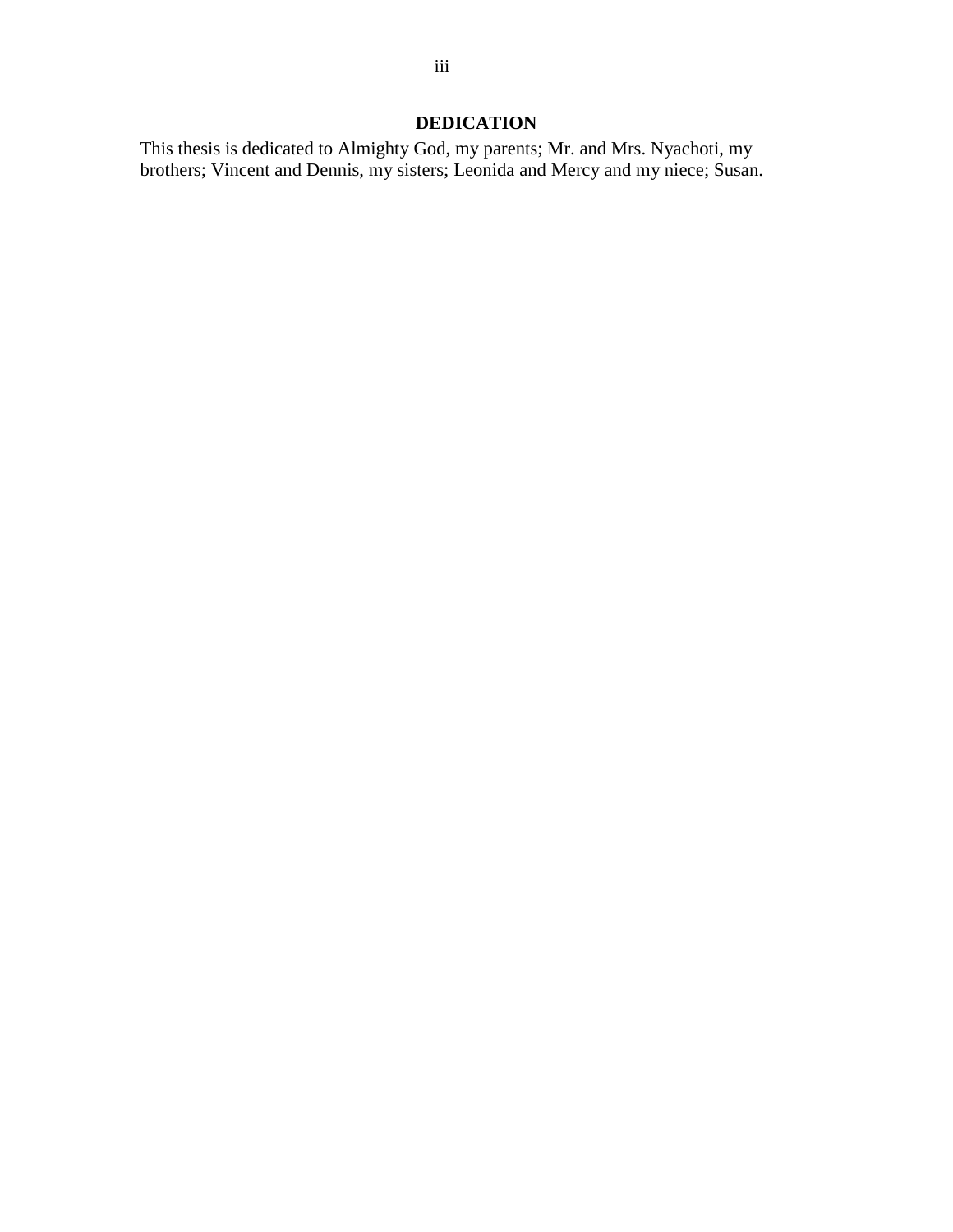# **DEDICATION**

<span id="page-2-0"></span>This thesis is dedicated to Almighty God, my parents; Mr. and Mrs. Nyachoti, my brothers; Vincent and Dennis, my sisters; Leonida and Mercy and my niece; Susan.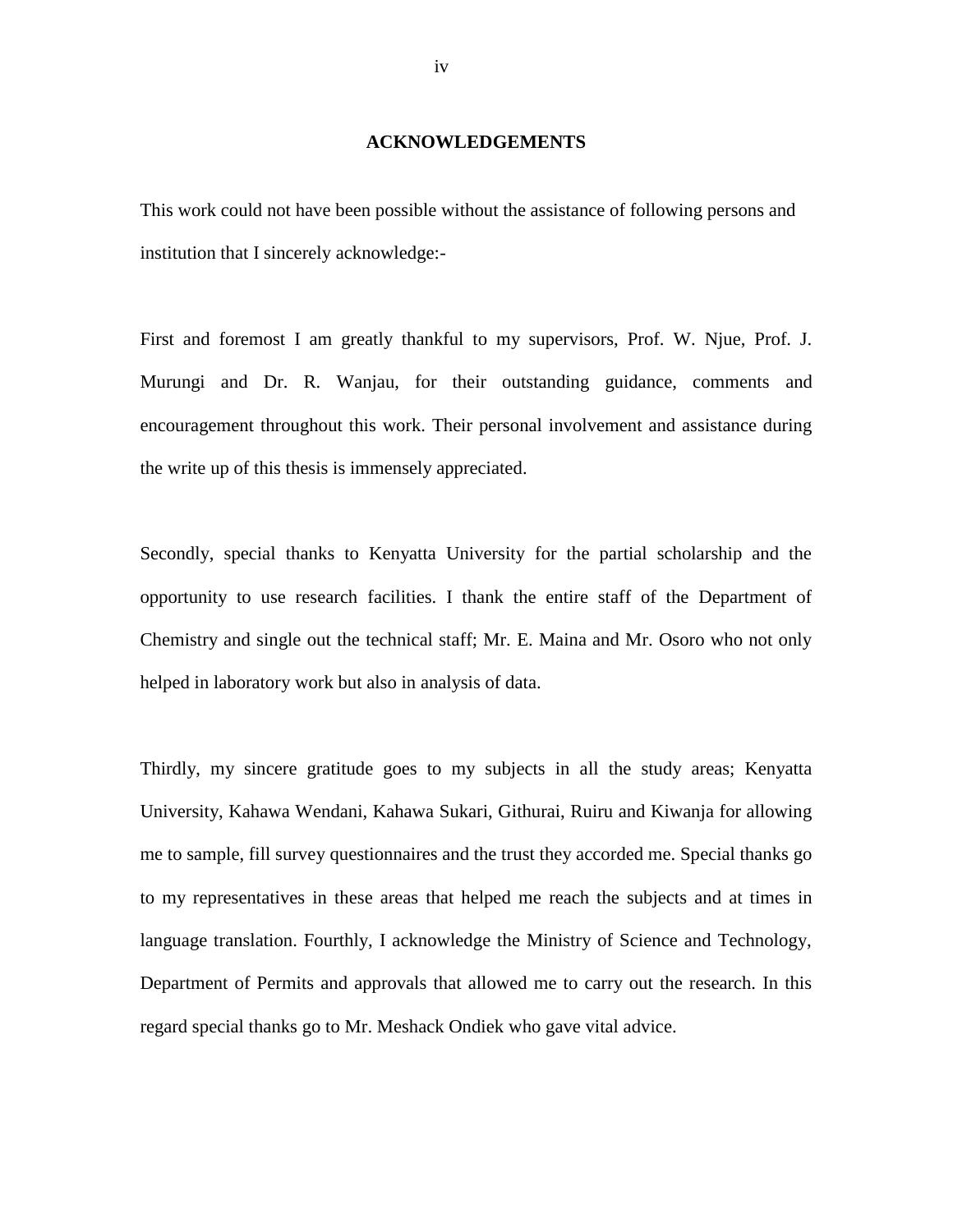#### **ACKNOWLEDGEMENTS**

<span id="page-3-0"></span>This work could not have been possible without the assistance of following persons and institution that I sincerely acknowledge:-

First and foremost I am greatly thankful to my supervisors, Prof. W. Njue, Prof. J. Murungi and Dr. R. Wanjau, for their outstanding guidance, comments and encouragement throughout this work. Their personal involvement and assistance during the write up of this thesis is immensely appreciated.

Secondly, special thanks to Kenyatta University for the partial scholarship and the opportunity to use research facilities. I thank the entire staff of the Department of Chemistry and single out the technical staff; Mr. E. Maina and Mr. Osoro who not only helped in laboratory work but also in analysis of data.

Thirdly, my sincere gratitude goes to my subjects in all the study areas; Kenyatta University, Kahawa Wendani, Kahawa Sukari, Githurai, Ruiru and Kiwanja for allowing me to sample, fill survey questionnaires and the trust they accorded me. Special thanks go to my representatives in these areas that helped me reach the subjects and at times in language translation. Fourthly, I acknowledge the Ministry of Science and Technology, Department of Permits and approvals that allowed me to carry out the research. In this regard special thanks go to Mr. Meshack Ondiek who gave vital advice.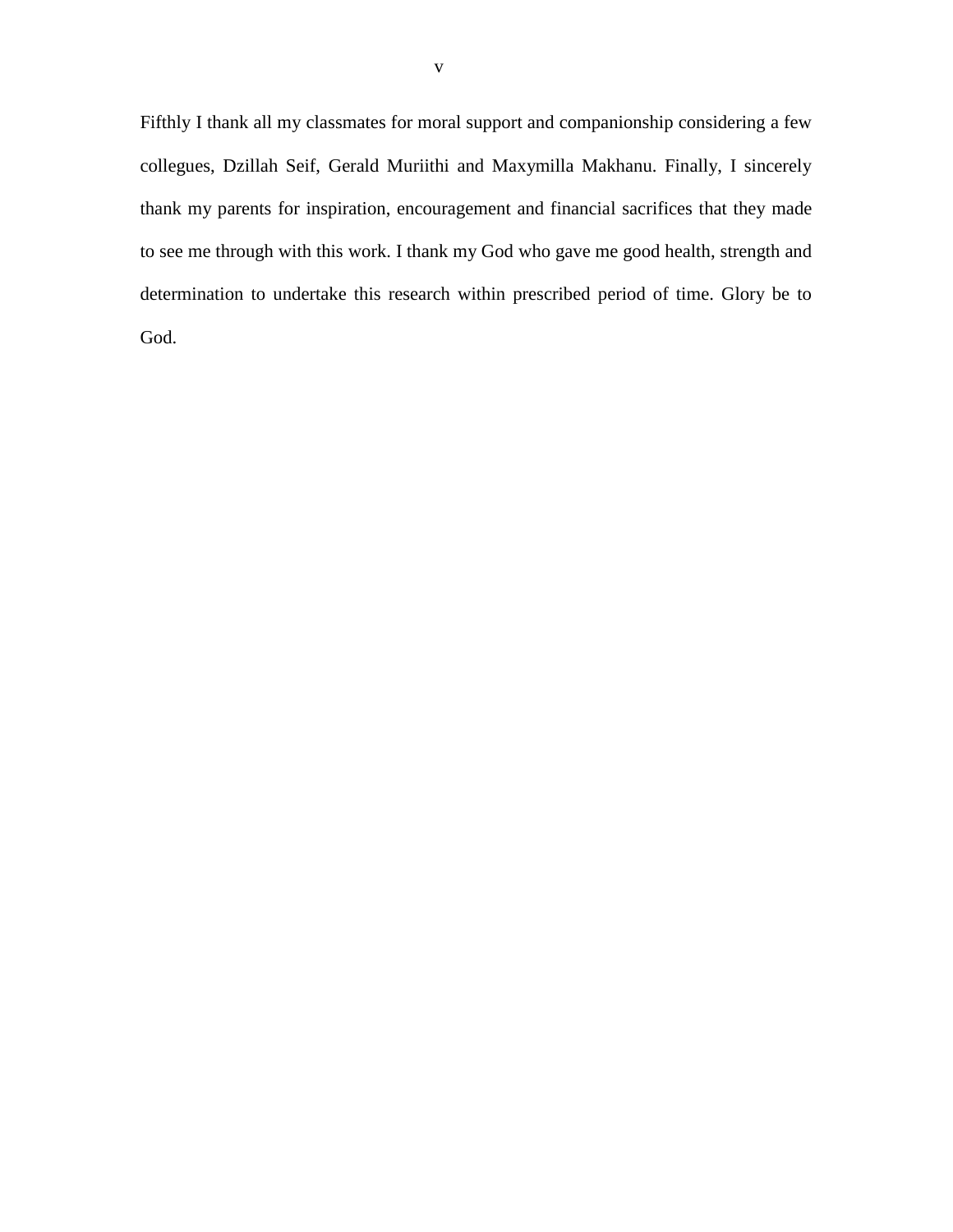Fifthly I thank all my classmates for moral support and companionship considering a few collegues, Dzillah Seif, Gerald Muriithi and Maxymilla Makhanu. Finally, I sincerely thank my parents for inspiration, encouragement and financial sacrifices that they made to see me through with this work. I thank my God who gave me good health, strength and determination to undertake this research within prescribed period of time. Glory be to God.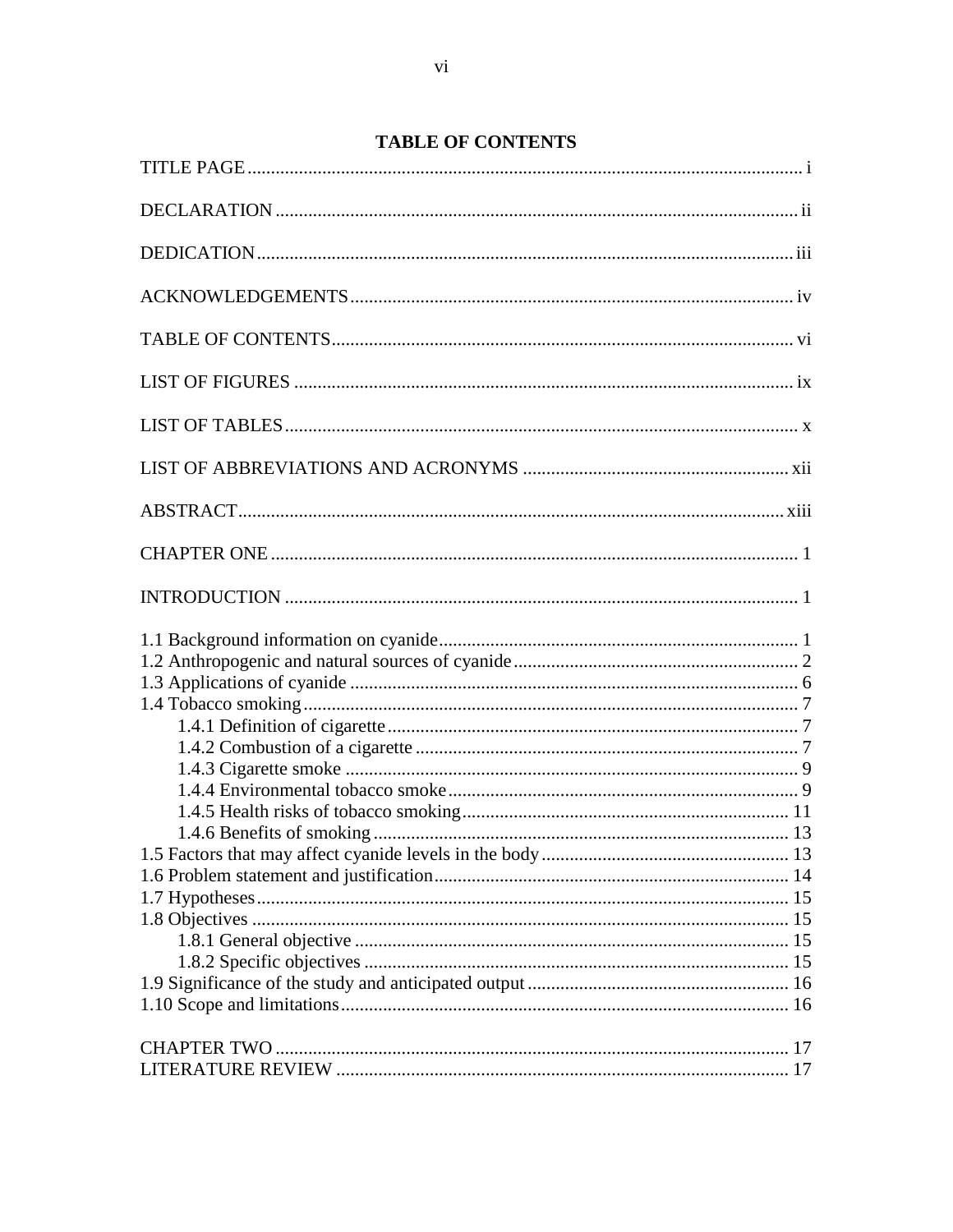<span id="page-5-0"></span>

# **TABLE OF CONTENTS**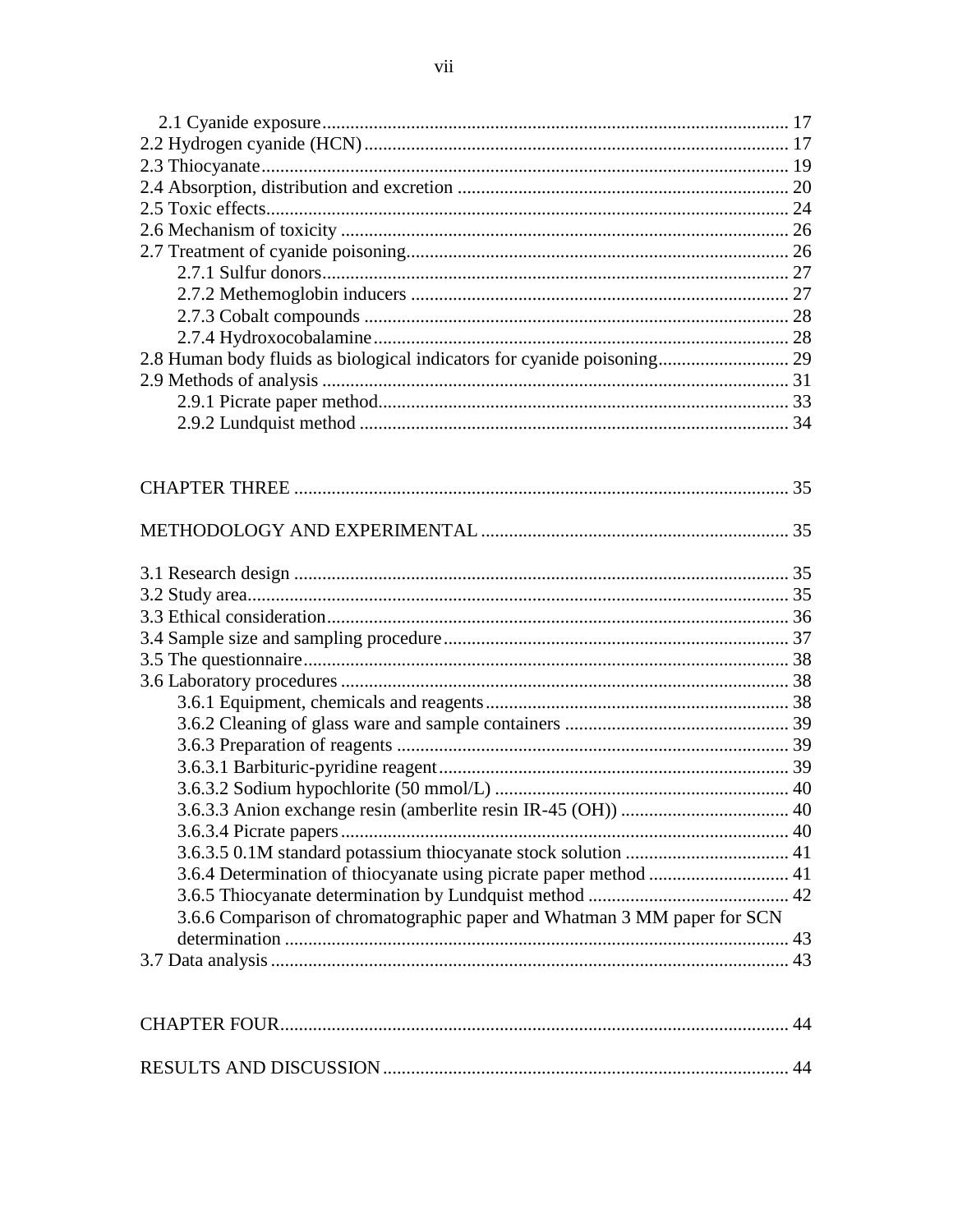| 2.8 Human body fluids as biological indicators for cyanide poisoning 29  |  |
|--------------------------------------------------------------------------|--|
|                                                                          |  |
|                                                                          |  |
|                                                                          |  |
|                                                                          |  |
|                                                                          |  |
|                                                                          |  |
|                                                                          |  |
|                                                                          |  |
|                                                                          |  |
|                                                                          |  |
|                                                                          |  |
|                                                                          |  |
|                                                                          |  |
|                                                                          |  |
|                                                                          |  |
|                                                                          |  |
|                                                                          |  |
|                                                                          |  |
|                                                                          |  |
|                                                                          |  |
|                                                                          |  |
|                                                                          |  |
|                                                                          |  |
|                                                                          |  |
|                                                                          |  |
| 3.6.6 Comparison of chromatographic paper and Whatman 3 MM paper for SCN |  |
|                                                                          |  |
|                                                                          |  |
|                                                                          |  |
|                                                                          |  |
|                                                                          |  |
|                                                                          |  |
|                                                                          |  |

vii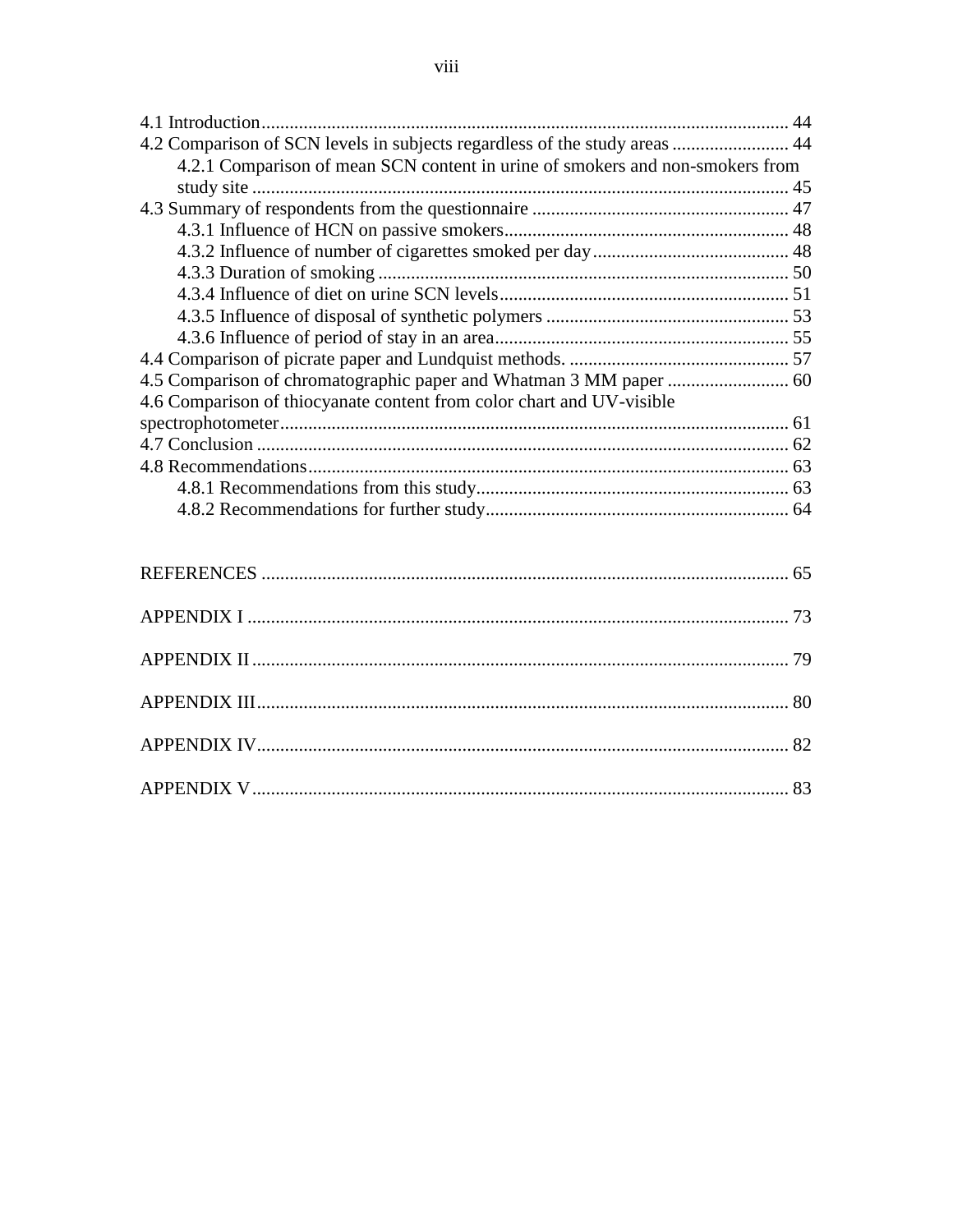| 4.2 Comparison of SCN levels in subjects regardless of the study areas  44    |  |
|-------------------------------------------------------------------------------|--|
| 4.2.1 Comparison of mean SCN content in urine of smokers and non-smokers from |  |
|                                                                               |  |
|                                                                               |  |
|                                                                               |  |
|                                                                               |  |
|                                                                               |  |
|                                                                               |  |
|                                                                               |  |
|                                                                               |  |
|                                                                               |  |
|                                                                               |  |
| 4.6 Comparison of thiocyanate content from color chart and UV-visible         |  |
|                                                                               |  |
|                                                                               |  |
|                                                                               |  |
|                                                                               |  |
|                                                                               |  |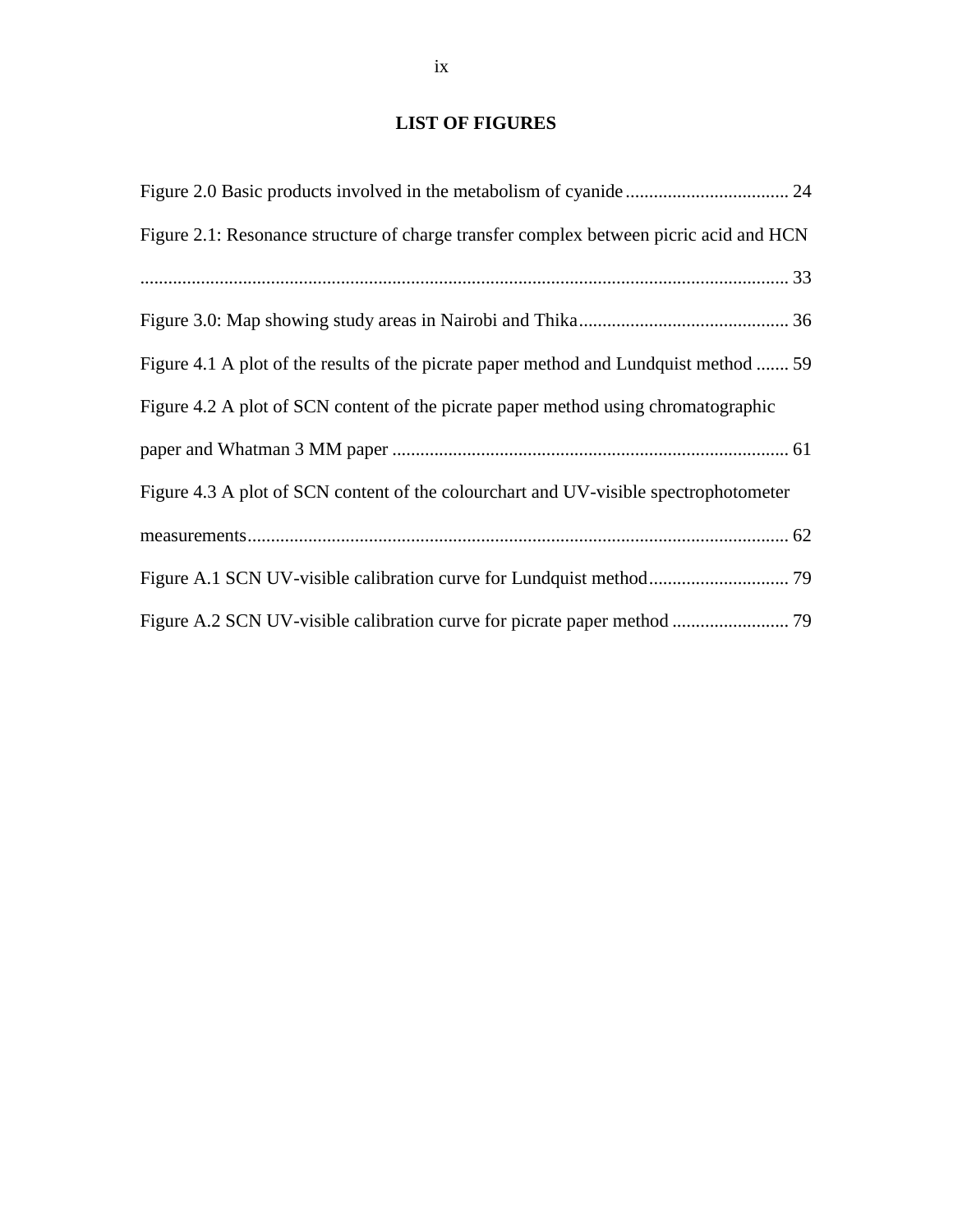# **LIST OF FIGURES**

<span id="page-8-0"></span>

| Figure 2.1: Resonance structure of charge transfer complex between picric acid and HCN |
|----------------------------------------------------------------------------------------|
|                                                                                        |
|                                                                                        |
| Figure 4.1 A plot of the results of the picrate paper method and Lundquist method  59  |
| Figure 4.2 A plot of SCN content of the picrate paper method using chromatographic     |
|                                                                                        |
| Figure 4.3 A plot of SCN content of the colourchart and UV-visible spectrophotometer   |
|                                                                                        |
|                                                                                        |
|                                                                                        |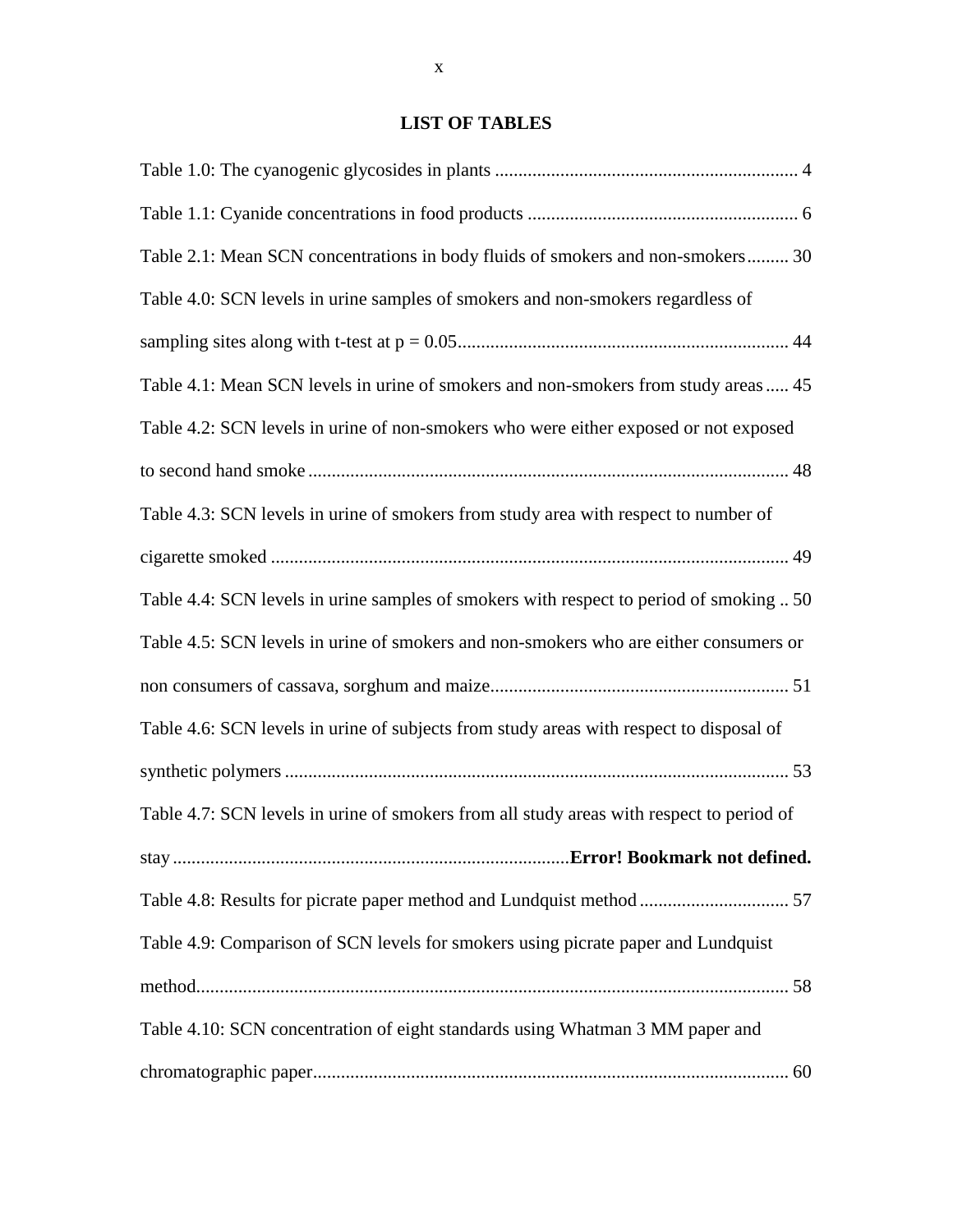# **LIST OF TABLES**

<span id="page-9-0"></span>

| Table 2.1: Mean SCN concentrations in body fluids of smokers and non-smokers 30          |
|------------------------------------------------------------------------------------------|
| Table 4.0: SCN levels in urine samples of smokers and non-smokers regardless of          |
|                                                                                          |
| Table 4.1: Mean SCN levels in urine of smokers and non-smokers from study areas 45       |
| Table 4.2: SCN levels in urine of non-smokers who were either exposed or not exposed     |
|                                                                                          |
| Table 4.3: SCN levels in urine of smokers from study area with respect to number of      |
|                                                                                          |
| Table 4.4: SCN levels in urine samples of smokers with respect to period of smoking  50  |
| Table 4.5: SCN levels in urine of smokers and non-smokers who are either consumers or    |
|                                                                                          |
| Table 4.6: SCN levels in urine of subjects from study areas with respect to disposal of  |
|                                                                                          |
| Table 4.7: SCN levels in urine of smokers from all study areas with respect to period of |
|                                                                                          |
| Table 4.8: Results for picrate paper method and Lundquist method  57                     |
| Table 4.9: Comparison of SCN levels for smokers using picrate paper and Lundquist        |
|                                                                                          |
| Table 4.10: SCN concentration of eight standards using Whatman 3 MM paper and            |
|                                                                                          |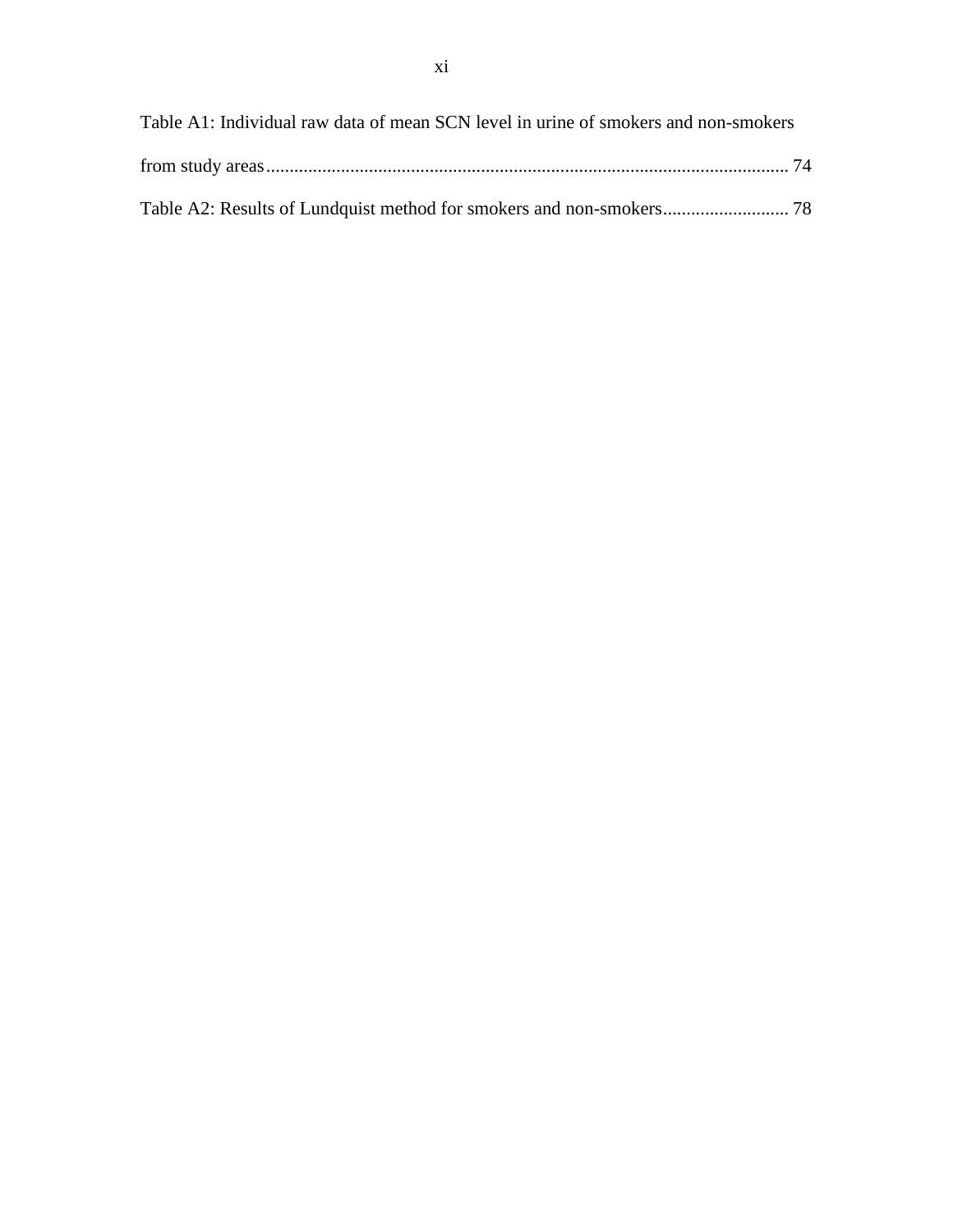| Table A1: Individual raw data of mean SCN level in urine of smokers and non-smokers |  |
|-------------------------------------------------------------------------------------|--|
|                                                                                     |  |
|                                                                                     |  |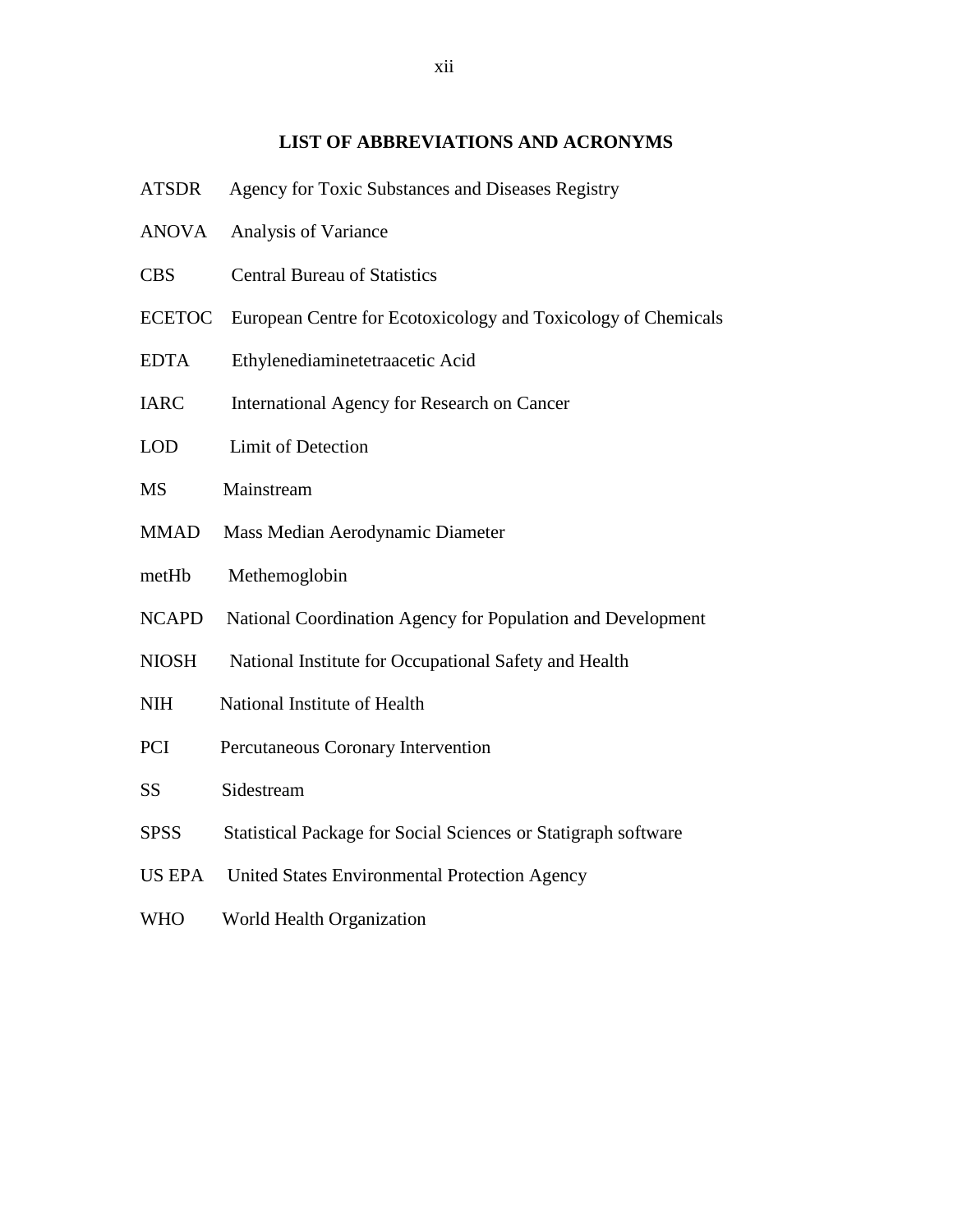# **LIST OF ABBREVIATIONS AND ACRONYMS**

- <span id="page-11-0"></span>ATSDR Agency for Toxic Substances and Diseases Registry
- ANOVA Analysis of Variance
- CBS Central Bureau of Statistics
- ECETOC European Centre for Ecotoxicology and Toxicology of Chemicals
- EDTA Ethylenediaminetetraacetic Acid
- IARC International Agency for Research on Cancer
- LOD Limit of Detection
- MS Mainstream
- MMAD Mass Median Aerodynamic Diameter
- metHb Methemoglobin
- NCAPD National Coordination Agency for Population and Development
- NIOSH National Institute for Occupational Safety and Health
- NIH National Institute of Health
- PCI Percutaneous Coronary Intervention
- SS Sidestream
- SPSS Statistical Package for Social Sciences or Statigraph software
- US EPA United States Environmental Protection Agency
- WHO World Health Organization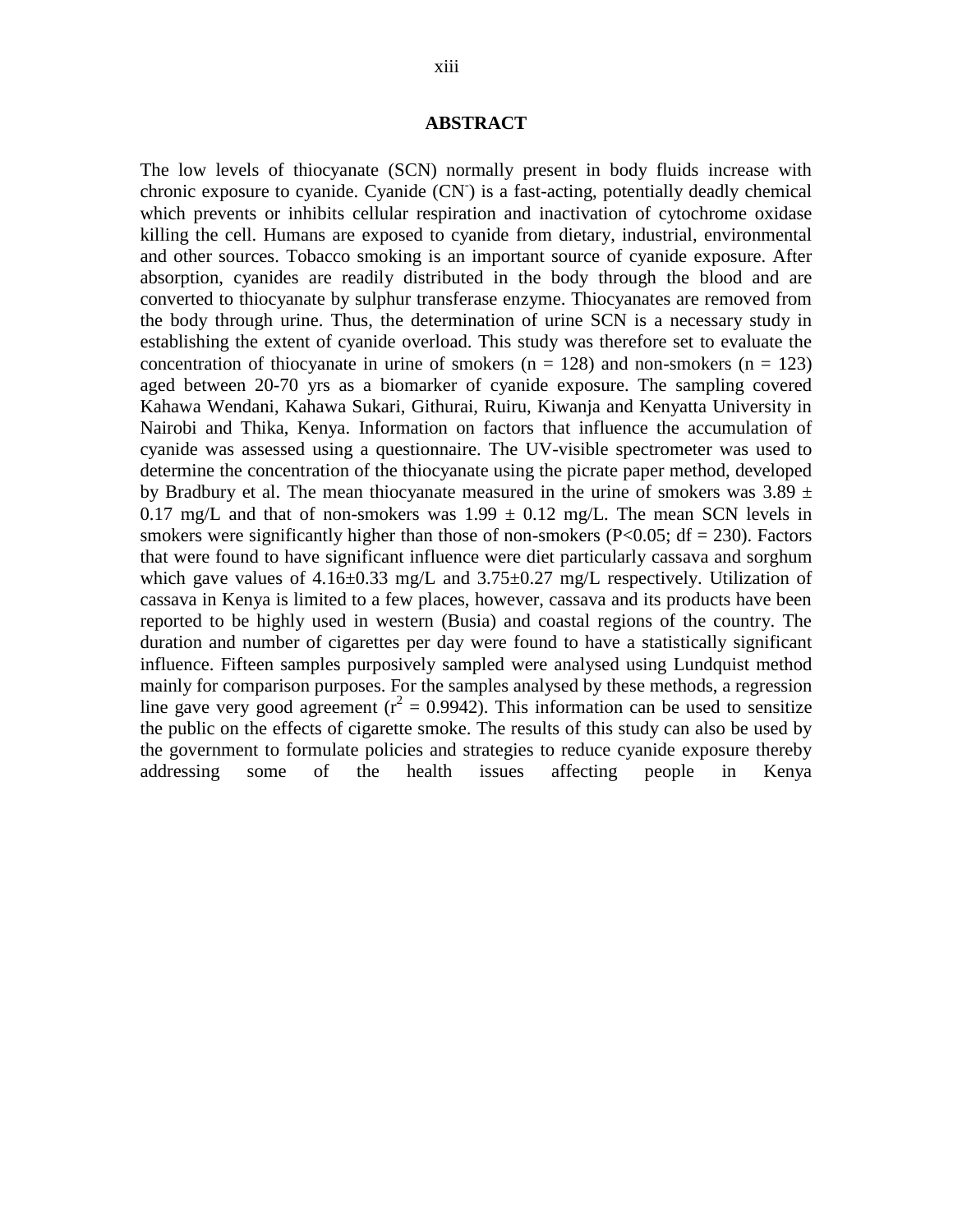#### **ABSTRACT**

<span id="page-12-0"></span>The low levels of thiocyanate (SCN) normally present in body fluids increase with chronic exposure to cyanide. Cyanide (CN) is a fast-acting, potentially deadly chemical which prevents or inhibits cellular respiration and inactivation of cytochrome oxidase killing the cell. Humans are exposed to cyanide from dietary, industrial, environmental and other sources. Tobacco smoking is an important source of cyanide exposure. After absorption, cyanides are readily distributed in the body through the blood and are converted to thiocyanate by sulphur transferase enzyme. Thiocyanates are removed from the body through urine. Thus, the determination of urine SCN is a necessary study in establishing the extent of cyanide overload. This study was therefore set to evaluate the concentration of thiocyanate in urine of smokers  $(n = 128)$  and non-smokers  $(n = 123)$ aged between 20-70 yrs as a biomarker of cyanide exposure. The sampling covered Kahawa Wendani, Kahawa Sukari, Githurai, Ruiru, Kiwanja and Kenyatta University in Nairobi and Thika, Kenya. Information on factors that influence the accumulation of cyanide was assessed using a questionnaire. The UV-visible spectrometer was used to determine the concentration of the thiocyanate using the picrate paper method, developed by Bradbury et al. The mean thiocyanate measured in the urine of smokers was  $3.89 \pm$ 0.17 mg/L and that of non-smokers was  $1.99 \pm 0.12$  mg/L. The mean SCN levels in smokers were significantly higher than those of non-smokers ( $P < 0.05$ ; df = 230). Factors that were found to have significant influence were diet particularly cassava and sorghum which gave values of  $4.16\pm0.33$  mg/L and  $3.75\pm0.27$  mg/L respectively. Utilization of cassava in Kenya is limited to a few places, however, cassava and its products have been reported to be highly used in western (Busia) and coastal regions of the country. The duration and number of cigarettes per day were found to have a statistically significant influence. Fifteen samples purposively sampled were analysed using Lundquist method mainly for comparison purposes. For the samples analysed by these methods, a regression line gave very good agreement ( $r^2 = 0.9942$ ). This information can be used to sensitize the public on the effects of cigarette smoke. The results of this study can also be used by the government to formulate policies and strategies to reduce cyanide exposure thereby addressing some of the health issues affecting people in Kenya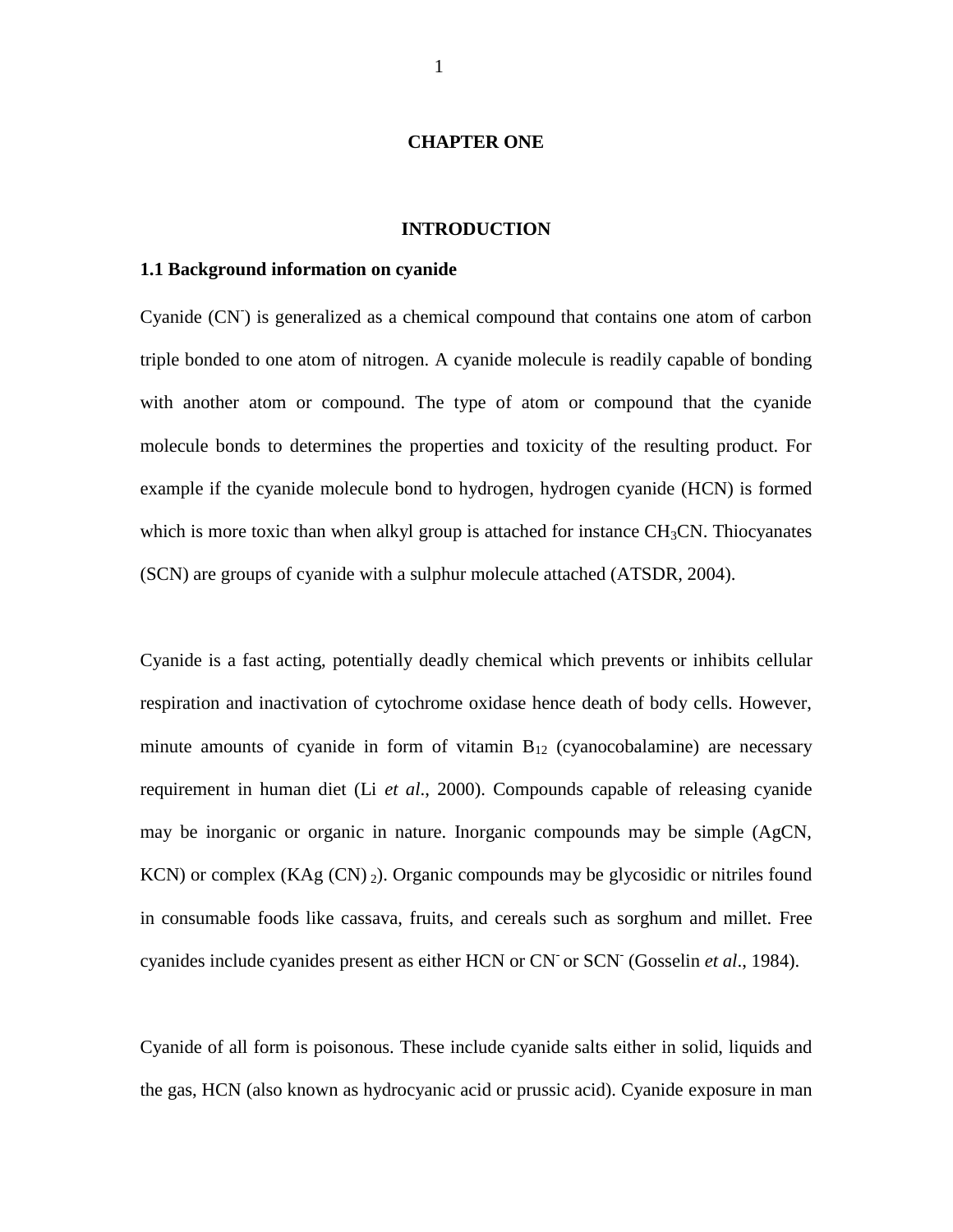#### **CHAPTER ONE**

#### **INTRODUCTION**

### <span id="page-13-2"></span><span id="page-13-1"></span><span id="page-13-0"></span>**1.1 Background information on cyanide**

Cyanide (CN) is generalized as a chemical compound that contains one atom of carbon triple bonded to one atom of nitrogen. A cyanide molecule is readily capable of bonding with another atom or compound. The type of atom or compound that the cyanide molecule bonds to determines the properties and toxicity of the resulting product. For example if the cyanide molecule bond to hydrogen, hydrogen cyanide (HCN) is formed which is more toxic than when alkyl group is attached for instance  $CH<sub>3</sub>CN$ . Thiocyanates (SCN) are groups of cyanide with a sulphur molecule attached (ATSDR, 2004).

Cyanide is a fast acting, potentially deadly chemical which prevents or inhibits cellular respiration and inactivation of cytochrome oxidase hence death of body cells. However, minute amounts of cyanide in form of vitamin  $B_{12}$  (cyanocobalamine) are necessary requirement in human diet (Li *et al*., 2000). Compounds capable of releasing cyanide may be inorganic or organic in nature. Inorganic compounds may be simple (AgCN, KCN) or complex  $(KAg (CN)_{2})$ . Organic compounds may be glycosidic or nitriles found in consumable foods like cassava, fruits, and cereals such as sorghum and millet. Free cyanides include cyanides present as either HCN or CN or SCN (Gosselin *et al.*, 1984).

Cyanide of all form is poisonous. These include cyanide salts either in solid, liquids and the gas, HCN (also known as hydrocyanic acid or prussic acid). Cyanide exposure in man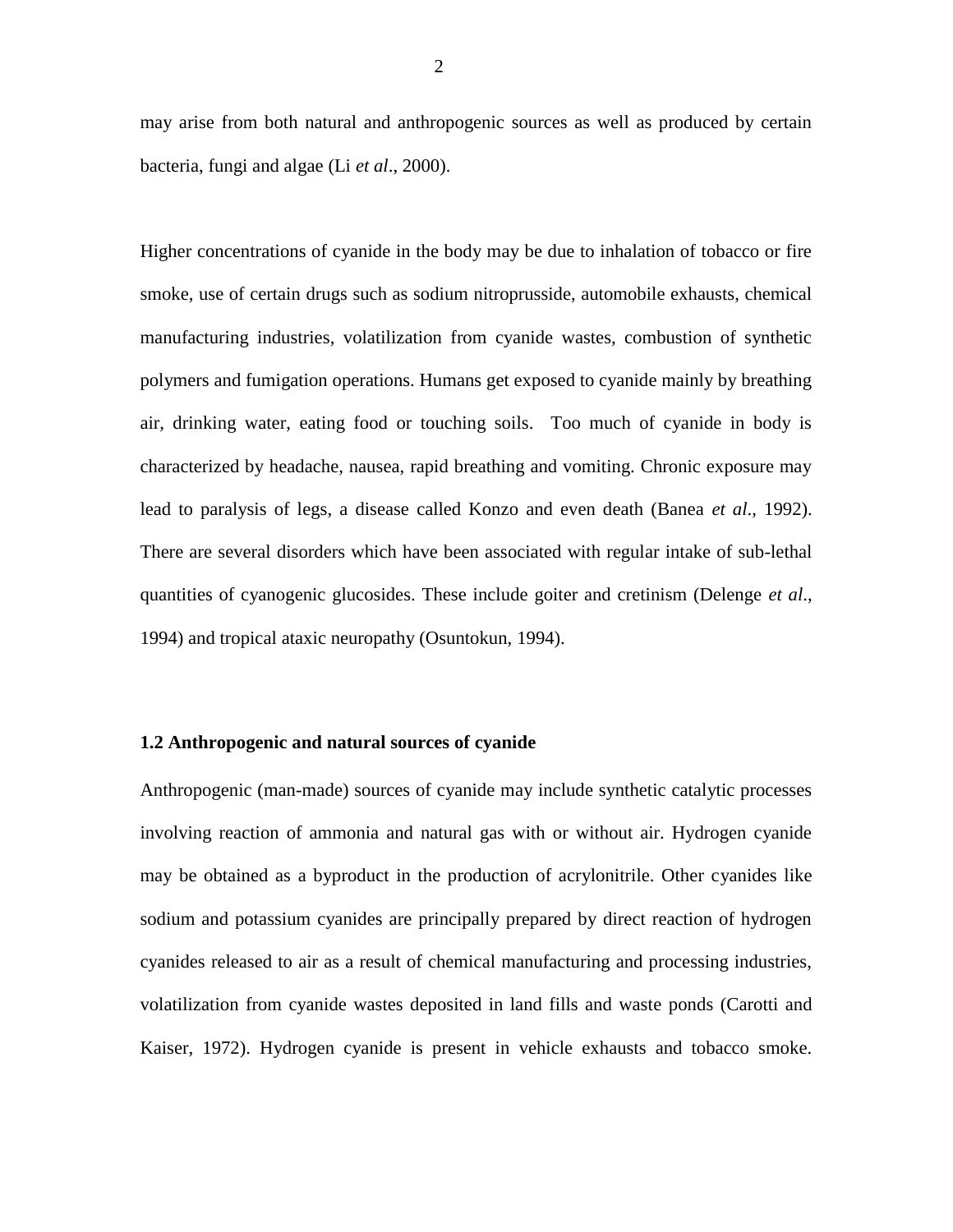may arise from both natural and anthropogenic sources as well as produced by certain bacteria, fungi and algae (Li *et al*., 2000).

Higher concentrations of cyanide in the body may be due to inhalation of tobacco or fire smoke, use of certain drugs such as sodium nitroprusside, automobile exhausts, chemical manufacturing industries, volatilization from cyanide wastes, combustion of synthetic polymers and fumigation operations. Humans get exposed to cyanide mainly by breathing air, drinking water, eating food or touching soils. Too much of cyanide in body is characterized by headache, nausea, rapid breathing and vomiting. Chronic exposure may lead to paralysis of legs, a disease called Konzo and even death (Banea *et al*., 1992). There are several disorders which have been associated with regular intake of sub-lethal quantities of cyanogenic glucosides. These include goiter and cretinism (Delenge *et al*., 1994) and tropical ataxic neuropathy (Osuntokun, 1994).

### <span id="page-14-0"></span>**1.2 Anthropogenic and natural sources of cyanide**

Anthropogenic (man-made) sources of cyanide may include synthetic catalytic processes involving reaction of ammonia and natural gas with or without air. Hydrogen cyanide may be obtained as a byproduct in the production of acrylonitrile. Other cyanides like sodium and potassium cyanides are principally prepared by direct reaction of hydrogen cyanides released to air as a result of chemical manufacturing and processing industries, volatilization from cyanide wastes deposited in land fills and waste ponds (Carotti and Kaiser, 1972). Hydrogen cyanide is present in vehicle exhausts and tobacco smoke.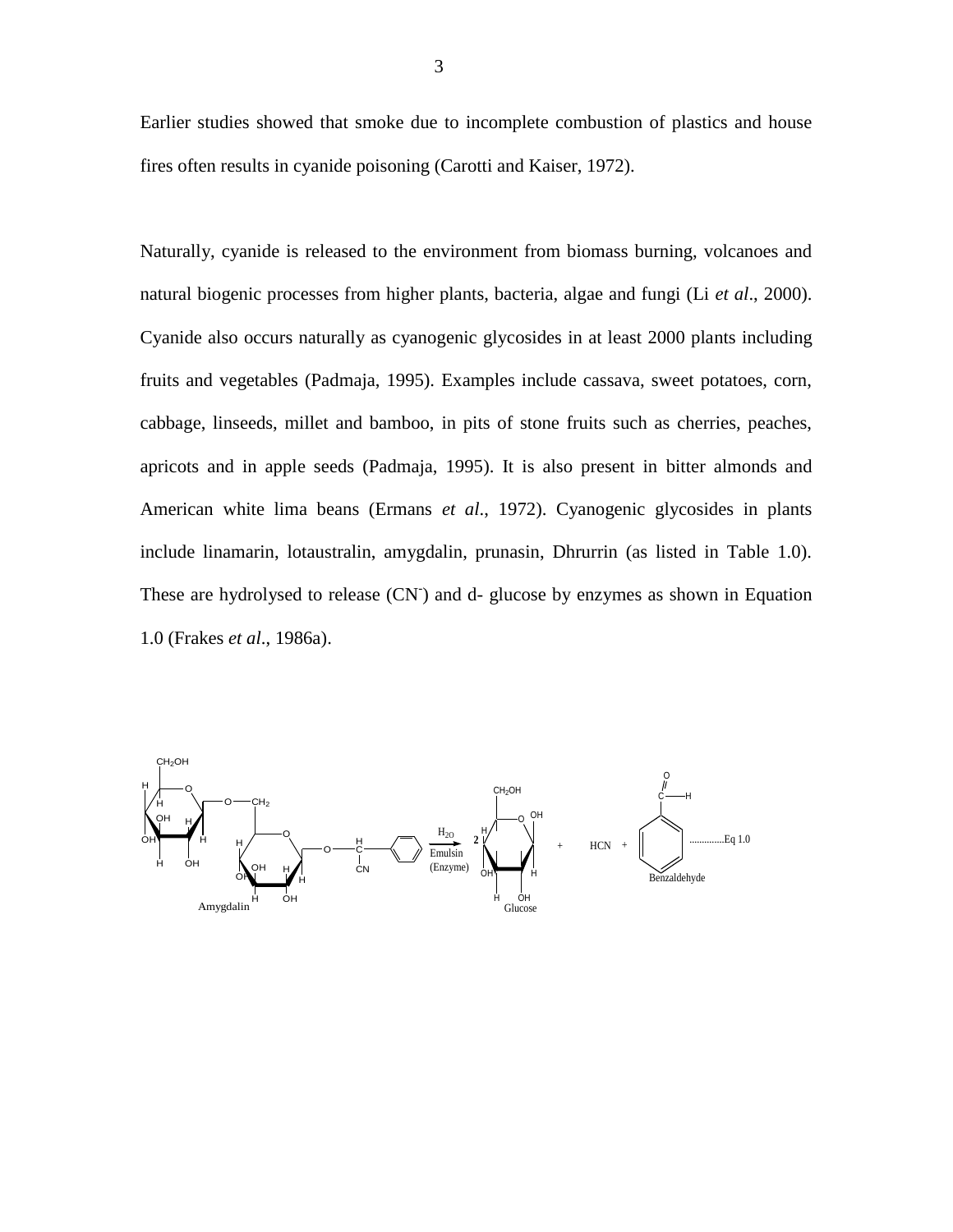Earlier studies showed that smoke due to incomplete combustion of plastics and house fires often results in cyanide poisoning (Carotti and Kaiser, 1972).

Naturally, cyanide is released to the environment from biomass burning, volcanoes and natural biogenic processes from higher plants, bacteria, algae and fungi (Li *et al*., 2000). Cyanide also occurs naturally as cyanogenic glycosides in at least 2000 plants including fruits and vegetables (Padmaja, 1995). Examples include cassava, sweet potatoes, corn, cabbage, linseeds, millet and bamboo, in pits of stone fruits such as cherries, peaches, apricots and in apple seeds (Padmaja, 1995). It is also present in bitter almonds and American white lima beans (Ermans *et al*., 1972). Cyanogenic glycosides in plants include linamarin, lotaustralin, amygdalin, prunasin, Dhrurrin (as listed in Table 1.0). These are hydrolysed to release (CN) and d- glucose by enzymes as shown in Equation 1.0 (Frakes *et al*., 1986a).

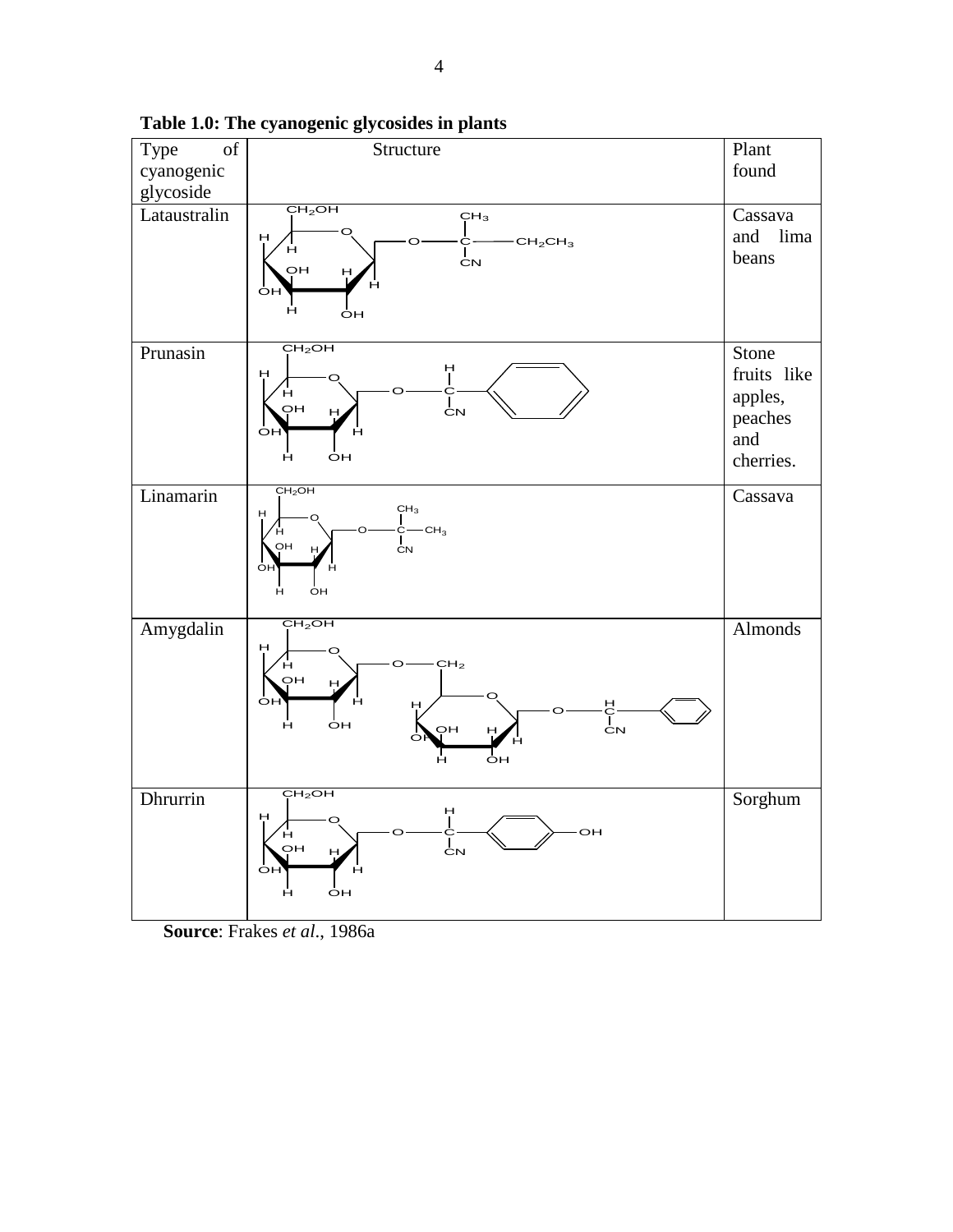<span id="page-16-0"></span>

**Table 1.0: The cyanogenic glycosides in plants**

 **Source**: Frakes *et al*., 1986a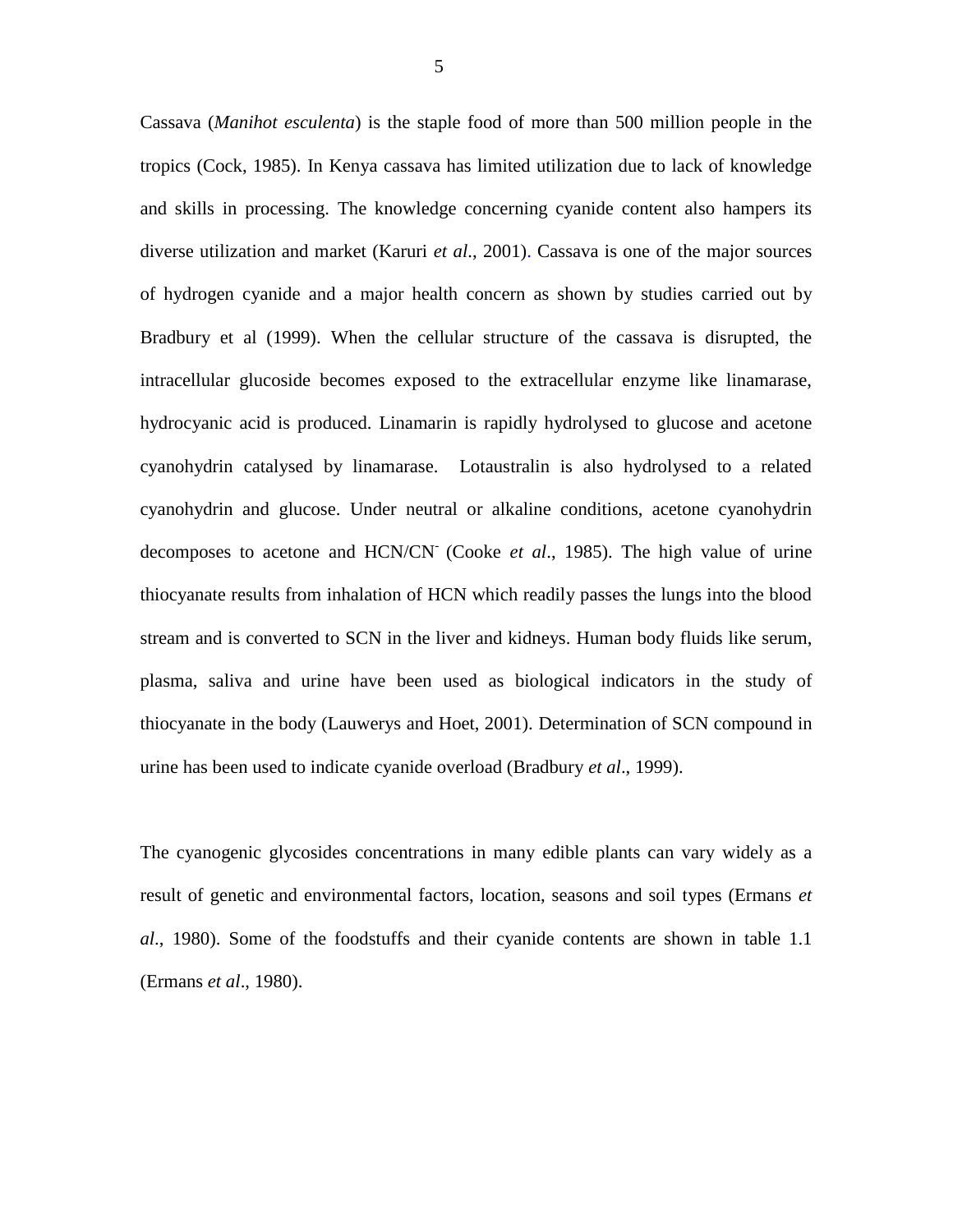Cassava (*Manihot esculenta*) is the staple food of more than 500 million people in the tropics (Cock, 1985). In Kenya cassava has limited utilization due to lack of knowledge and skills in processing. The knowledge concerning cyanide content also hampers its diverse utilization and market (Karuri *et al*., 2001). Cassava is one of the major sources of hydrogen cyanide and a major health concern as shown by studies carried out by Bradbury et al (1999). When the cellular structure of the cassava is disrupted, the intracellular glucoside becomes exposed to the extracellular enzyme like linamarase, hydrocyanic acid is produced. Linamarin is rapidly hydrolysed to glucose and acetone cyanohydrin catalysed by linamarase. Lotaustralin is also hydrolysed to a related cyanohydrin and glucose. Under neutral or alkaline conditions, acetone cyanohydrin decomposes to acetone and HCN/CN<sup>-</sup> (Cooke *et al.*, 1985). The high value of urine thiocyanate results from inhalation of HCN which readily passes the lungs into the blood stream and is converted to SCN in the liver and kidneys. Human body fluids like serum, plasma, saliva and urine have been used as biological indicators in the study of thiocyanate in the body (Lauwerys and Hoet, 2001). Determination of SCN compound in urine has been used to indicate cyanide overload (Bradbury *et al*., 1999).

The cyanogenic glycosides concentrations in many edible plants can vary widely as a result of genetic and environmental factors, location, seasons and soil types (Ermans *et al*., 1980). Some of the foodstuffs and their cyanide contents are shown in table 1.1 (Ermans *et al*., 1980).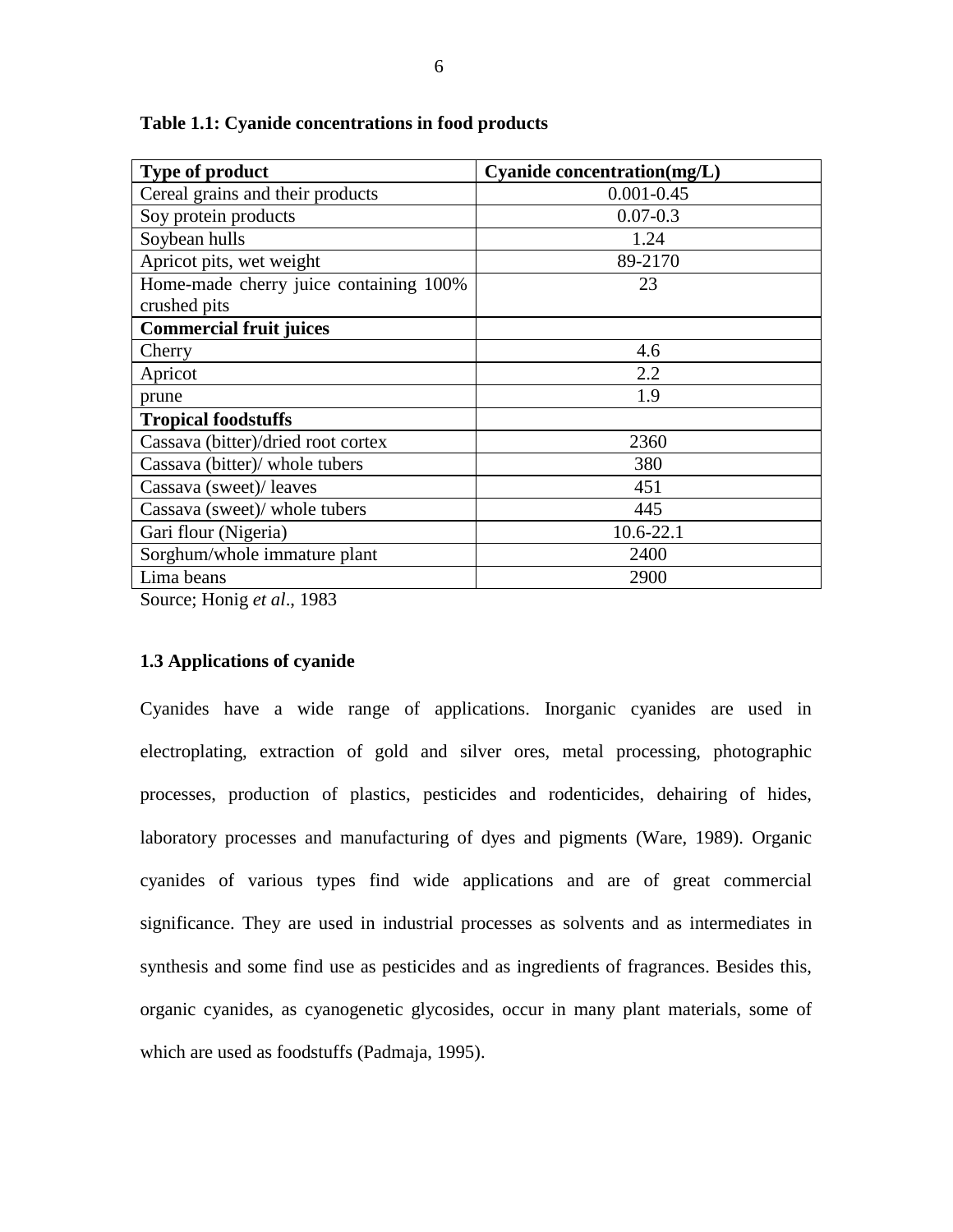| <b>Type of product</b>                 | Cyanide concentration(mg/L) |
|----------------------------------------|-----------------------------|
| Cereal grains and their products       | $0.001 - 0.45$              |
| Soy protein products                   | $0.07 - 0.3$                |
| Soybean hulls                          | 1.24                        |
| Apricot pits, wet weight               | 89-2170                     |
| Home-made cherry juice containing 100% | 23                          |
| crushed pits                           |                             |
| <b>Commercial fruit juices</b>         |                             |
| Cherry                                 | 4.6                         |
| Apricot                                | 2.2                         |
| prune                                  | 1.9                         |
| <b>Tropical foodstuffs</b>             |                             |
| Cassava (bitter)/dried root cortex     | 2360                        |
| Cassava (bitter)/ whole tubers         | 380                         |
| Cassava (sweet)/ leaves                | 451                         |
| Cassava (sweet)/ whole tubers          | 445                         |
| Gari flour (Nigeria)                   | $10.6 - 22.1$               |
| Sorghum/whole immature plant           | 2400                        |
| Lima beans                             | 2900                        |

<span id="page-18-1"></span>**Table 1.1: Cyanide concentrations in food products**

Source; Honig *et al*., 1983

# <span id="page-18-0"></span>**1.3 Applications of cyanide**

Cyanides have a wide range of applications. Inorganic cyanides are used in electroplating, extraction of gold and silver ores, metal processing, photographic processes, production of plastics, pesticides and rodenticides, dehairing of hides, laboratory processes and manufacturing of dyes and pigments (Ware, 1989). Organic cyanides of various types find wide applications and are of great commercial significance. They are used in industrial processes as solvents and as intermediates in synthesis and some find use as pesticides and as ingredients of fragrances. Besides this, organic cyanides, as cyanogenetic glycosides, occur in many plant materials, some of which are used as foodstuffs (Padmaja, 1995).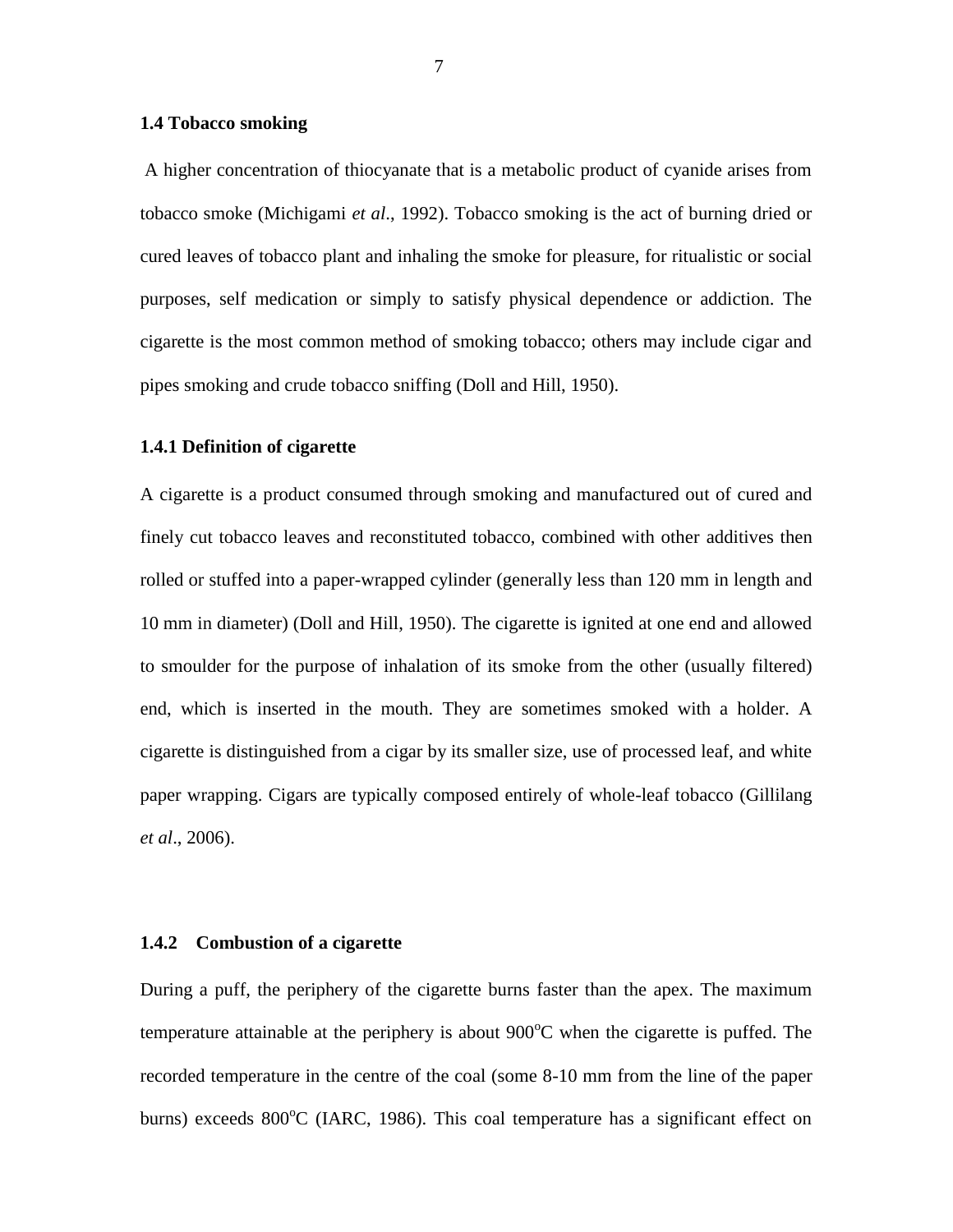#### <span id="page-19-0"></span>**1.4 Tobacco smoking**

A higher concentration of thiocyanate that is a metabolic product of cyanide arises from tobacco smoke (Michigami *et al*., 1992). Tobacco smoking is the act of burning dried or cured leaves of tobacco plant and inhaling the smoke for pleasure, for ritualistic or social purposes, self medication or simply to satisfy physical dependence or addiction. The cigarette is the most common method of smoking tobacco; others may include cigar and pipes smoking and crude tobacco sniffing (Doll and Hill, 1950).

#### <span id="page-19-1"></span>**1.4.1 Definition of cigarette**

A cigarette is a product consumed through [smoking](http://en.wikipedia.org/wiki/Smoking) and manufactured out of [cured](http://en.wikipedia.org/wiki/Curing) and finely cut [tobacco](http://en.wikipedia.org/wiki/Tobacco) leaves and reconstituted tobacco, combined with other [additives](http://en.wikipedia.org/wiki/List_of_additives_in_cigarettes) then rolled or stuffed into a paper-wrapped cylinder (generally less than 120 mm in length and 10 mm in diameter) (Doll and Hill, 1950). The cigarette is ignited at one end and allowed to smoulder for the purpose of inhalation of its smoke from the other (usually [filtered\)](http://en.wikipedia.org/wiki/Cigarette_filter) end, which is inserted in the mouth. They are sometimes smoked with a holder. A cigarette is distinguished from a [cigar](http://en.wikipedia.org/wiki/Cigar) by its smaller size, use of processed leaf, and white paper wrapping. Cigars are typically composed entirely of whole-leaf tobacco (Gillilang *et al*., 2006).

## <span id="page-19-2"></span>**1.4.2 Combustion of a cigarette**

During a puff, the periphery of the cigarette burns faster than the apex. The maximum temperature attainable at the periphery is about  $900^{\circ}$ C when the cigarette is puffed. The recorded temperature in the centre of the coal (some 8-10 mm from the line of the paper burns) exceeds  $800^{\circ}$ C (IARC, 1986). This coal temperature has a significant effect on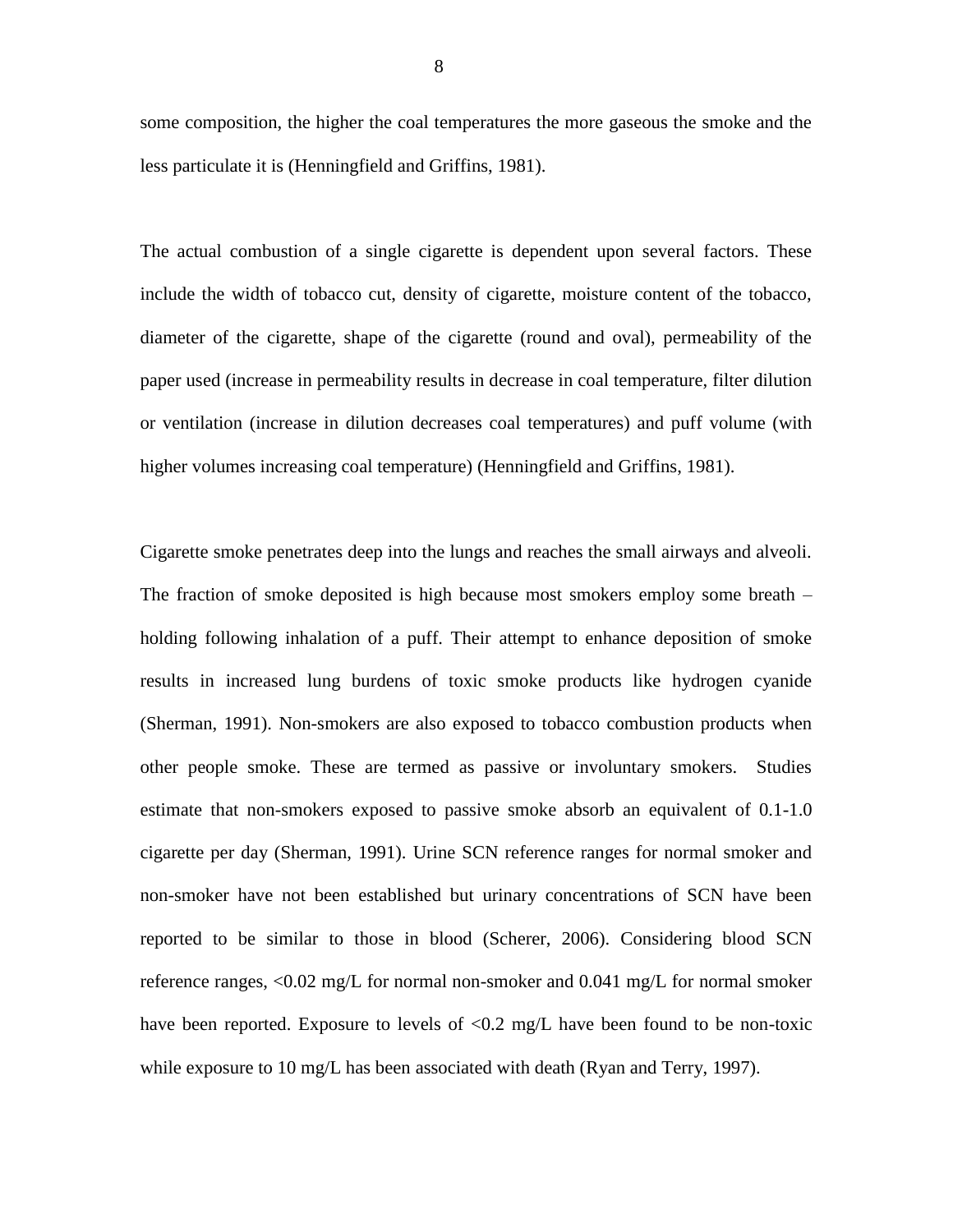some composition, the higher the coal temperatures the more gaseous the smoke and the less particulate it is (Henningfield and Griffins, 1981).

The actual combustion of a single cigarette is dependent upon several factors. These include the width of tobacco cut, density of cigarette, moisture content of the tobacco, diameter of the cigarette, shape of the cigarette (round and oval), permeability of the paper used (increase in permeability results in decrease in coal temperature, filter dilution or ventilation (increase in dilution decreases coal temperatures) and puff volume (with higher volumes increasing coal temperature) (Henningfield and Griffins, 1981).

Cigarette smoke penetrates deep into the lungs and reaches the small airways and alveoli. The fraction of smoke deposited is high because most smokers employ some breath – holding following inhalation of a puff. Their attempt to enhance deposition of smoke results in increased lung burdens of toxic smoke products like hydrogen cyanide (Sherman, 1991). Non-smokers are also exposed to tobacco combustion products when other people smoke. These are termed as passive or involuntary smokers. Studies estimate that non-smokers exposed to passive smoke absorb an equivalent of 0.1-1.0 cigarette per day (Sherman, 1991). Urine SCN reference ranges for normal smoker and non-smoker have not been established but urinary concentrations of SCN have been reported to be similar to those in blood (Scherer, 2006). Considering blood SCN reference ranges,  $\langle 0.02 \text{ mg/L}$  for normal non-smoker and  $0.041 \text{ mg/L}$  for normal smoker have been reported. Exposure to levels of  $\langle 0.2 \text{ mg/L} \rangle$  have been found to be non-toxic while exposure to 10 mg/L has been associated with death (Ryan and Terry, 1997).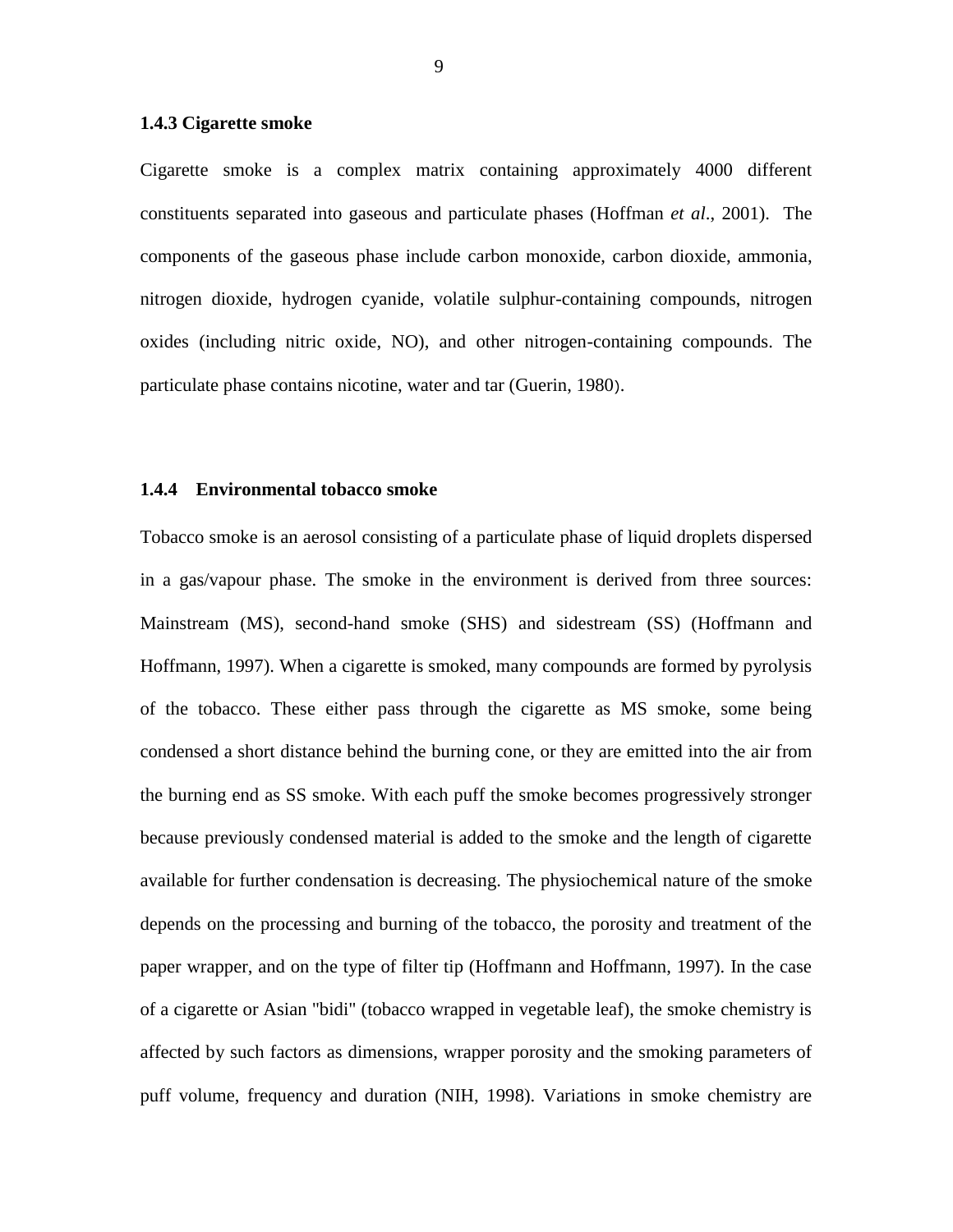#### <span id="page-21-0"></span>**1.4.3 Cigarette smoke**

Cigarette smoke is a complex matrix containing approximately 4000 different constituents separated into gaseous and particulate phases (Hoffman *et al*., 2001). The components of the gaseous phase include carbon monoxide, carbon dioxide, ammonia, nitrogen dioxide, hydrogen cyanide, volatile sulphur-containing compounds, nitrogen oxides (including nitric oxide, NO), and other nitrogen-containing compounds. The particulate phase contains nicotine, water and tar (Guerin, 1980).

### <span id="page-21-1"></span>**1.4.4 Environmental tobacco smoke**

Tobacco smoke is an aerosol consisting of a particulate phase of liquid droplets dispersed in a gas/vapour phase. The smoke in the environment is derived from three sources: Mainstream (MS), second-hand smoke (SHS) and sidestream (SS) (Hoffmann and Hoffmann, 1997). When a cigarette is smoked, many compounds are formed by pyrolysis of the tobacco. These either pass through the cigarette as MS smoke, some being condensed a short distance behind the burning cone, or they are emitted into the air from the burning end as SS smoke. With each puff the smoke becomes progressively stronger because previously condensed material is added to the smoke and the length of cigarette available for further condensation is decreasing. The physiochemical nature of the smoke depends on the processing and burning of the tobacco, the porosity and treatment of the paper wrapper, and on the type of filter tip (Hoffmann and Hoffmann, 1997). In the case of a cigarette or Asian "bidi" (tobacco wrapped in vegetable leaf), the smoke chemistry is affected by such factors as dimensions, wrapper porosity and the smoking parameters of puff volume, frequency and duration (NIH, 1998). Variations in smoke chemistry are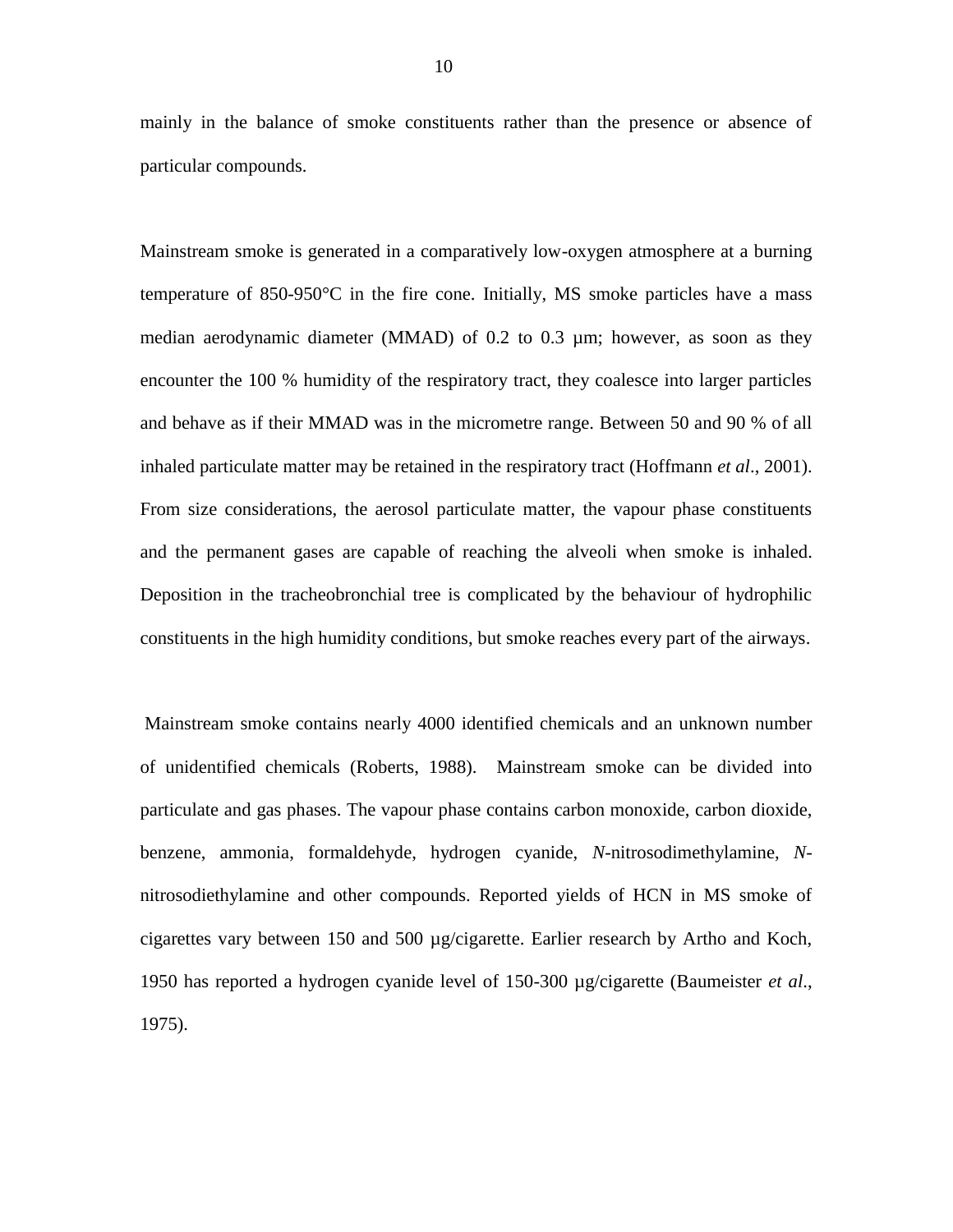mainly in the balance of smoke constituents rather than the presence or absence of particular compounds.

Mainstream smoke is generated in a comparatively low-oxygen atmosphere at a burning temperature of  $850-950^{\circ}$ C in the fire cone. Initially, MS smoke particles have a mass median aerodynamic diameter (MMAD) of 0.2 to 0.3 µm; however, as soon as they encounter the 100 % humidity of the respiratory tract, they coalesce into larger particles and behave as if their MMAD was in the micrometre range. Between 50 and 90 % of all inhaled particulate matter may be retained in the respiratory tract (Hoffmann *et al*., 2001). From size considerations, the aerosol particulate matter, the vapour phase constituents and the permanent gases are capable of reaching the alveoli when smoke is inhaled. Deposition in the tracheobronchial tree is complicated by the behaviour of hydrophilic constituents in the high humidity conditions, but smoke reaches every part of the airways.

Mainstream smoke contains nearly 4000 identified chemicals and an unknown number of unidentified chemicals (Roberts, 1988). Mainstream smoke can be divided into particulate and gas phases. The vapour phase contains carbon monoxide, carbon dioxide, benzene, ammonia, formaldehyde, hydrogen cyanide, *N*-nitrosodimethylamine, *N*nitrosodiethylamine and other compounds. Reported yields of HCN in MS smoke of cigarettes vary between 150 and 500 µg/cigarette. Earlier research by Artho and Koch, 1950 has reported a hydrogen cyanide level of 150-300 µg/cigarette (Baumeister *et al*., 1975).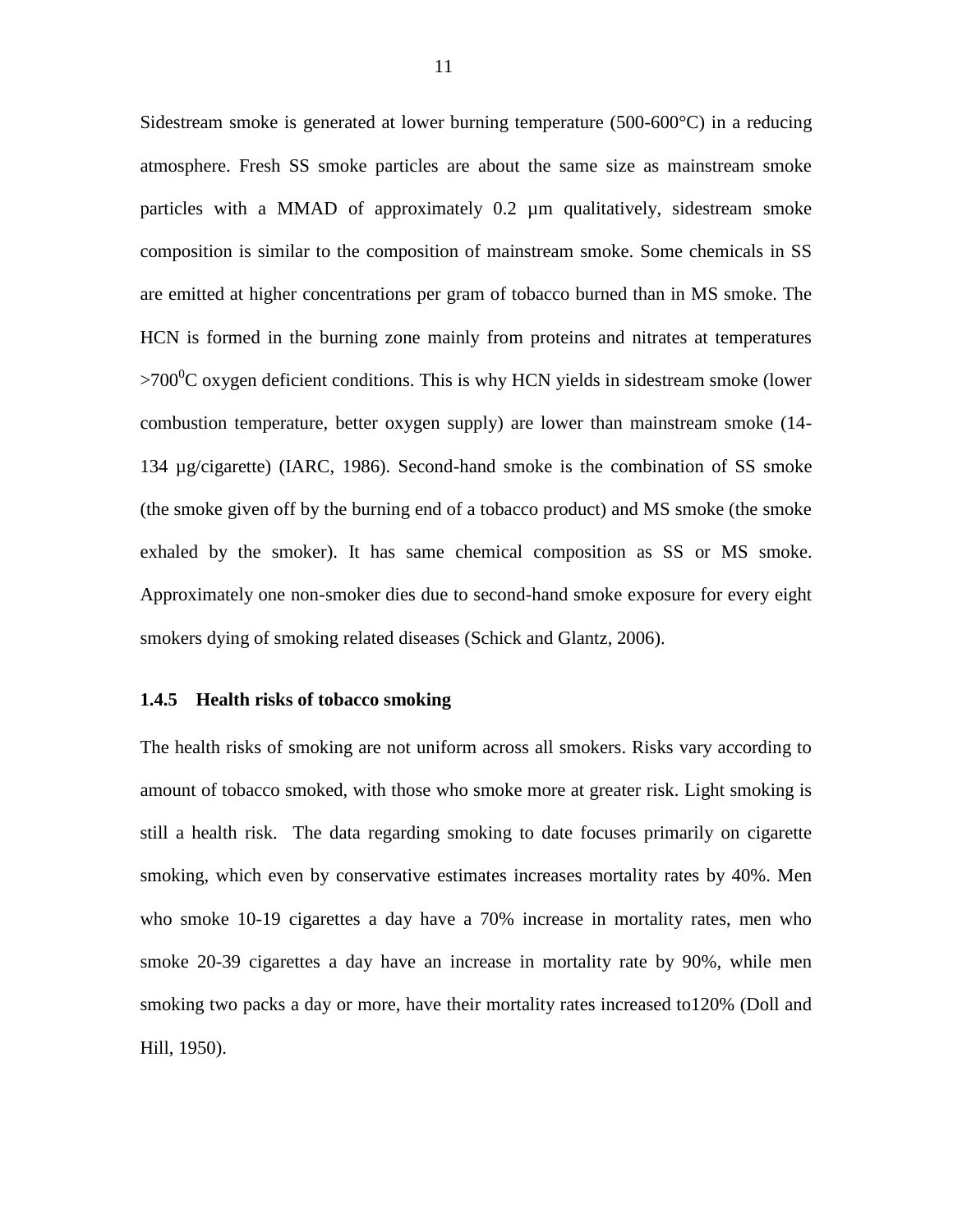Sidestream smoke is generated at lower burning temperature (500-600°C) in a reducing atmosphere. Fresh SS smoke particles are about the same size as mainstream smoke particles with a MMAD of approximately 0.2 µm qualitatively, sidestream smoke composition is similar to the composition of mainstream smoke. Some chemicals in SS are emitted at higher concentrations per gram of tobacco burned than in MS smoke. The HCN is formed in the burning zone mainly from proteins and nitrates at temperatures  $>700^0C$  oxygen deficient conditions. This is why HCN yields in sidestream smoke (lower combustion temperature, better oxygen supply) are lower than mainstream smoke (14- 134 µg/cigarette) (IARC, 1986). Second-hand smoke is the combination of SS smoke (the smoke given off by the burning end of a tobacco product) and MS smoke (the smoke exhaled by the smoker). It has same chemical composition as SS or MS smoke. Approximately one non-smoker dies due to second-hand smoke exposure for every eight smokers dying of smoking related diseases (Schick and Glantz, 2006).

### <span id="page-23-0"></span>**1.4.5 Health risks of tobacco smoking**

The health risks of smoking are not uniform across all smokers. Risks vary according to amount of tobacco smoked, with those who smoke more at greater risk. Light smoking is still a health risk. The data regarding smoking to date focuses primarily on cigarette smoking, which even by conservative estimates increases mortality rates by 40%. Men who smoke 10-19 cigarettes a day have a 70% increase in mortality rates, men who smoke 20-39 cigarettes a day have an increase in mortality rate by 90%, while men smoking two packs a day or more, have their mortality rates increased to120% (Doll and Hill, 1950).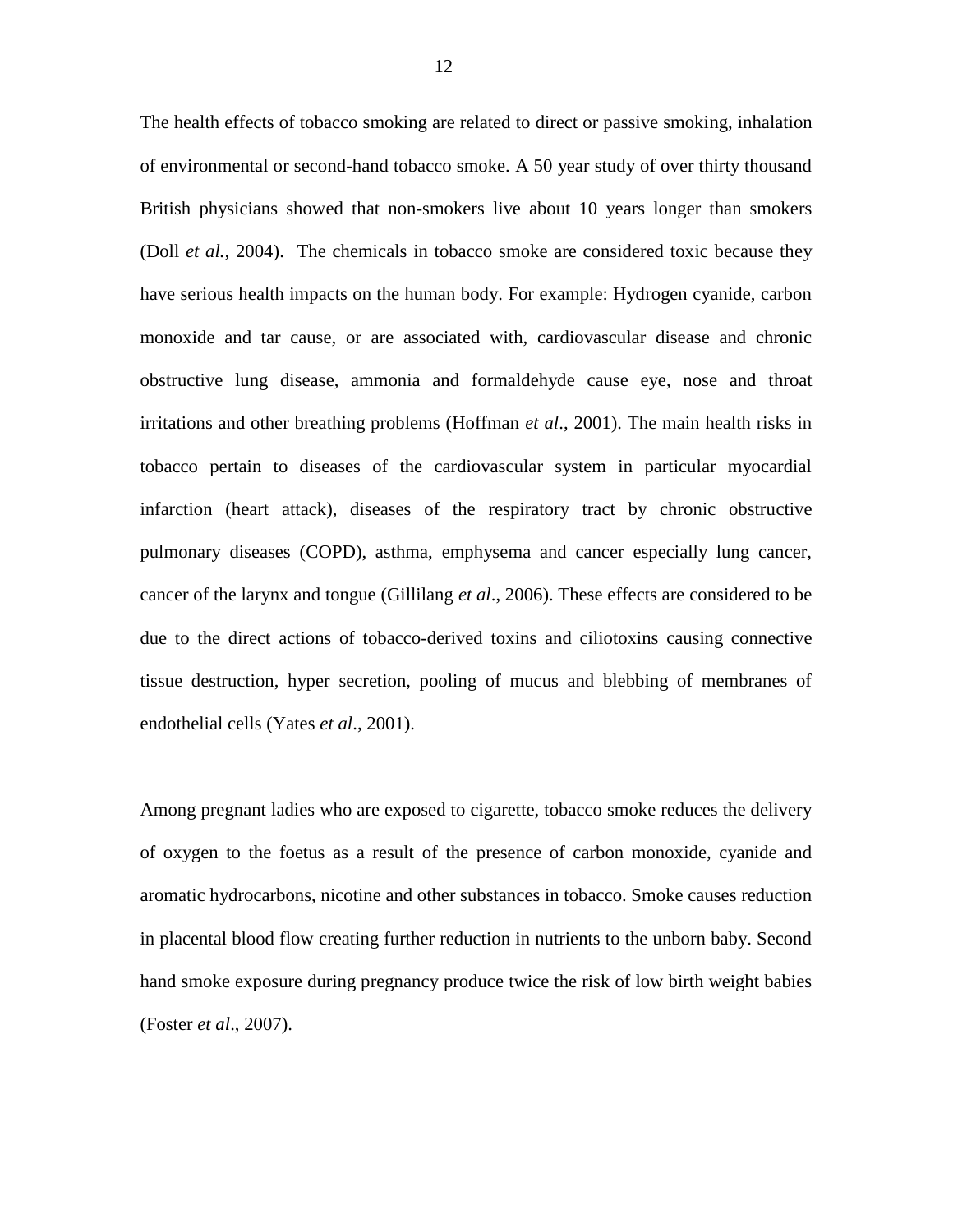The health effects of tobacco smoking are related to direct or passive smoking, inhalation of environmental or second-hand tobacco smoke. A 50 year study of over thirty thousand British physicians showed that non-smokers live about 10 years longer than smokers (Doll *et al.,* 2004). The chemicals in tobacco smoke are considered toxic because they have serious health impacts on the human body. For example: Hydrogen cyanide, carbon monoxide and tar cause, or are associated with, cardiovascular disease and chronic obstructive lung disease, ammonia and formaldehyde cause eye, nose and throat irritations and other breathing problems (Hoffman *et al*., 2001). The main health risks in tobacco pertain to diseases of the cardiovascular system in particular myocardial infarction (heart attack), diseases of the respiratory tract by chronic obstructive pulmonary diseases (COPD), asthma, emphysema and cancer especially lung cancer, cancer of the larynx and tongue (Gillilang *et al*., 2006). These effects are considered to be due to the direct actions of tobacco-derived toxins and ciliotoxins causing connective tissue destruction, hyper secretion, pooling of mucus and blebbing of membranes of endothelial cells (Yates *et al*., 2001).

Among pregnant ladies who are exposed to cigarette, tobacco smoke reduces the delivery of oxygen to the foetus as a result of the presence of carbon monoxide, cyanide and aromatic hydrocarbons, nicotine and other substances in tobacco. Smoke causes reduction in placental blood flow creating further reduction in nutrients to the unborn baby. Second hand smoke exposure during pregnancy produce twice the risk of low birth weight babies (Foster *et al*., 2007).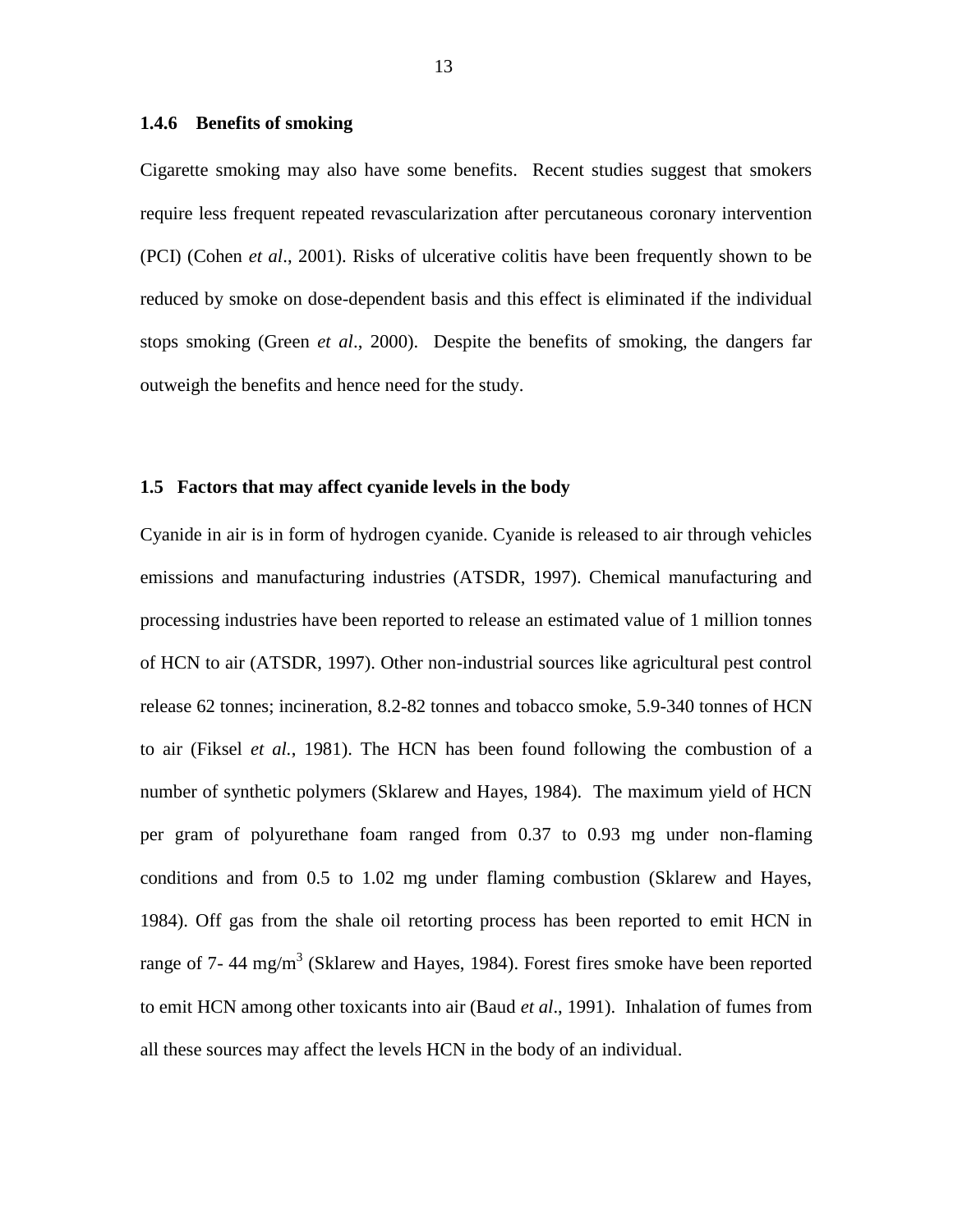## <span id="page-25-0"></span>**1.4.6 Benefits of smoking**

Cigarette smoking may also have some benefits. Recent studies suggest that smokers require less frequent repeated revascularization after percutaneous coronary intervention (PCI) (Cohen *et al*., 2001). Risks of ulcerative colitis have been frequently shown to be reduced by smoke on dose-dependent basis and this effect is eliminated if the individual stops smoking (Green *et al*., 2000). Despite the benefits of smoking, the dangers far outweigh the benefits and hence need for the study.

## <span id="page-25-1"></span>**1.5 Factors that may affect cyanide levels in the body**

Cyanide in air is in form of hydrogen cyanide. Cyanide is released to air through vehicles emissions and manufacturing industries (ATSDR, 1997). Chemical manufacturing and processing industries have been reported to release an estimated value of 1 million tonnes of HCN to air (ATSDR, 1997). Other non-industrial sources like agricultural pest control release 62 tonnes; incineration, 8.2-82 tonnes and tobacco smoke, 5.9-340 tonnes of HCN to air (Fiksel *et al.*, 1981). The HCN has been found following the combustion of a number of synthetic polymers (Sklarew and Hayes, 1984). The maximum yield of HCN per gram of polyurethane foam ranged from 0.37 to 0.93 mg under non-flaming conditions and from 0.5 to 1.02 mg under flaming combustion (Sklarew and Hayes, 1984). Off gas from the shale oil retorting process has been reported to emit HCN in range of 7-44 mg/m<sup>3</sup> (Sklarew and Hayes, 1984). Forest fires smoke have been reported to emit HCN among other toxicants into air (Baud *et al*., 1991). Inhalation of fumes from all these sources may affect the levels HCN in the body of an individual.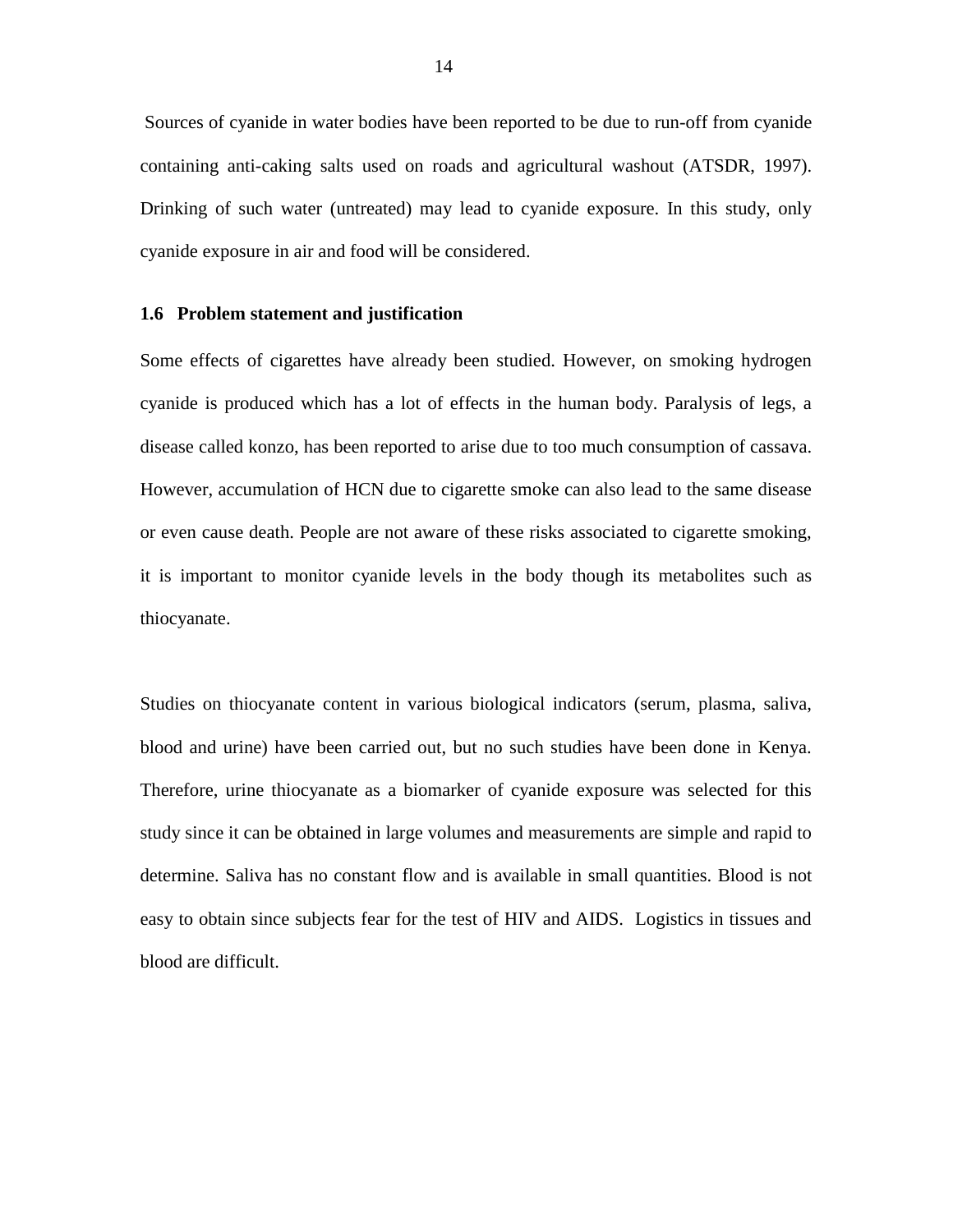Sources of cyanide in water bodies have been reported to be due to run-off from cyanide containing anti-caking salts used on roads and agricultural washout (ATSDR, 1997). Drinking of such water (untreated) may lead to cyanide exposure. In this study, only cyanide exposure in air and food will be considered.

### <span id="page-26-0"></span>**1.6 Problem statement and justification**

Some effects of cigarettes have already been studied. However, on smoking hydrogen cyanide is produced which has a lot of effects in the human body. Paralysis of legs, a disease called konzo, has been reported to arise due to too much consumption of cassava. However, accumulation of HCN due to cigarette smoke can also lead to the same disease or even cause death. People are not aware of these risks associated to cigarette smoking, it is important to monitor cyanide levels in the body though its metabolites such as thiocyanate.

Studies on thiocyanate content in various biological indicators (serum, plasma, saliva, blood and urine) have been carried out, but no such studies have been done in Kenya. Therefore, urine thiocyanate as a biomarker of cyanide exposure was selected for this study since it can be obtained in large volumes and measurements are simple and rapid to determine. Saliva has no constant flow and is available in small quantities. Blood is not easy to obtain since subjects fear for the test of HIV and AIDS. Logistics in tissues and blood are difficult.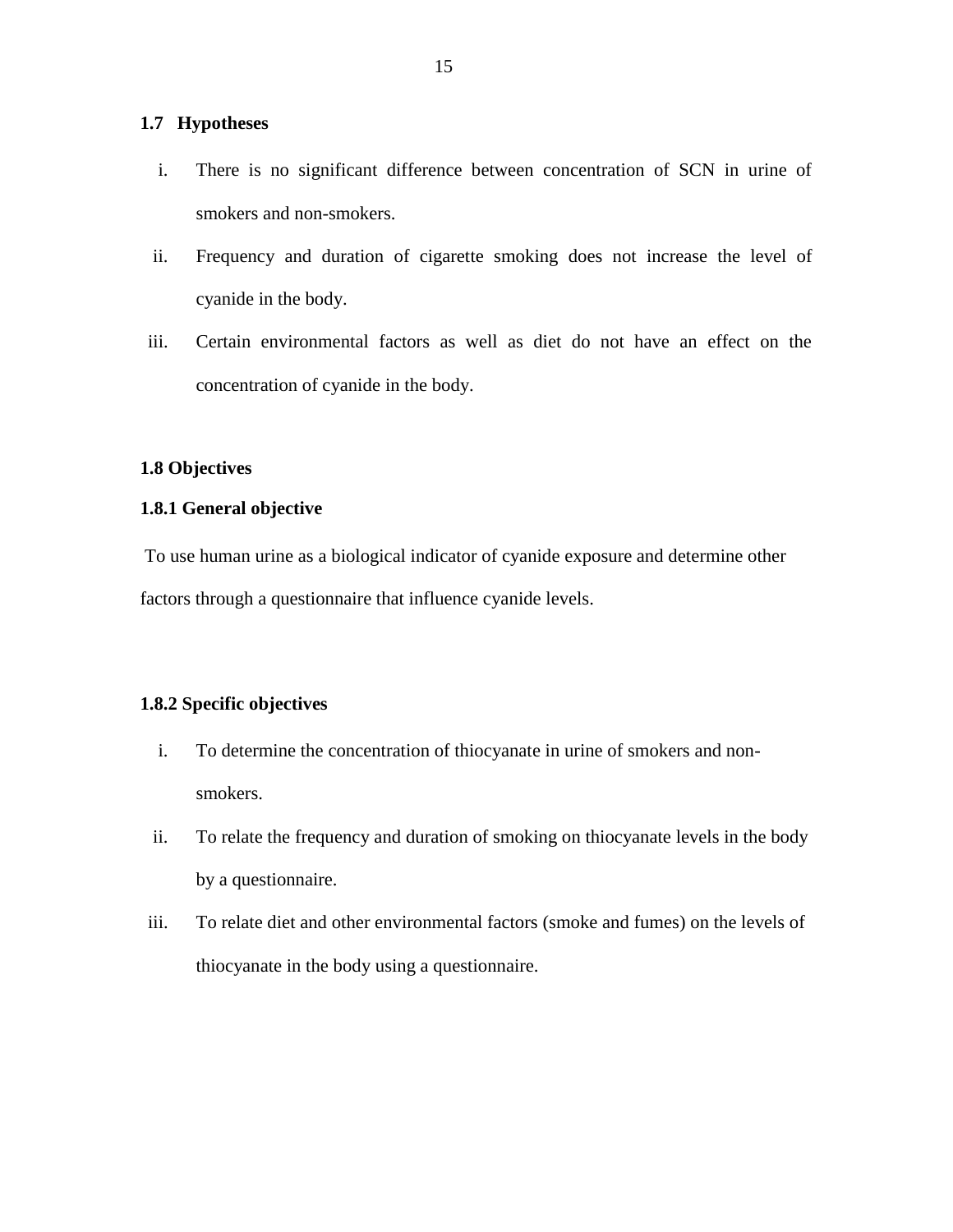## <span id="page-27-0"></span>**1.7 Hypotheses**

- i. There is no significant difference between concentration of SCN in urine of smokers and non-smokers.
- ii. Frequency and duration of cigarette smoking does not increase the level of cyanide in the body.
- iii. Certain environmental factors as well as diet do not have an effect on the concentration of cyanide in the body.

## <span id="page-27-1"></span>**1.8 Objectives**

## <span id="page-27-2"></span>**1.8.1 General objective**

To use human urine as a biological indicator of cyanide exposure and determine other factors through a questionnaire that influence cyanide levels.

## <span id="page-27-3"></span>**1.8.2 Specific objectives**

- i. To determine the concentration of thiocyanate in urine of smokers and nonsmokers.
- ii. To relate the frequency and duration of smoking on thiocyanate levels in the body by a questionnaire.
- iii. To relate diet and other environmental factors (smoke and fumes) on the levels of thiocyanate in the body using a questionnaire.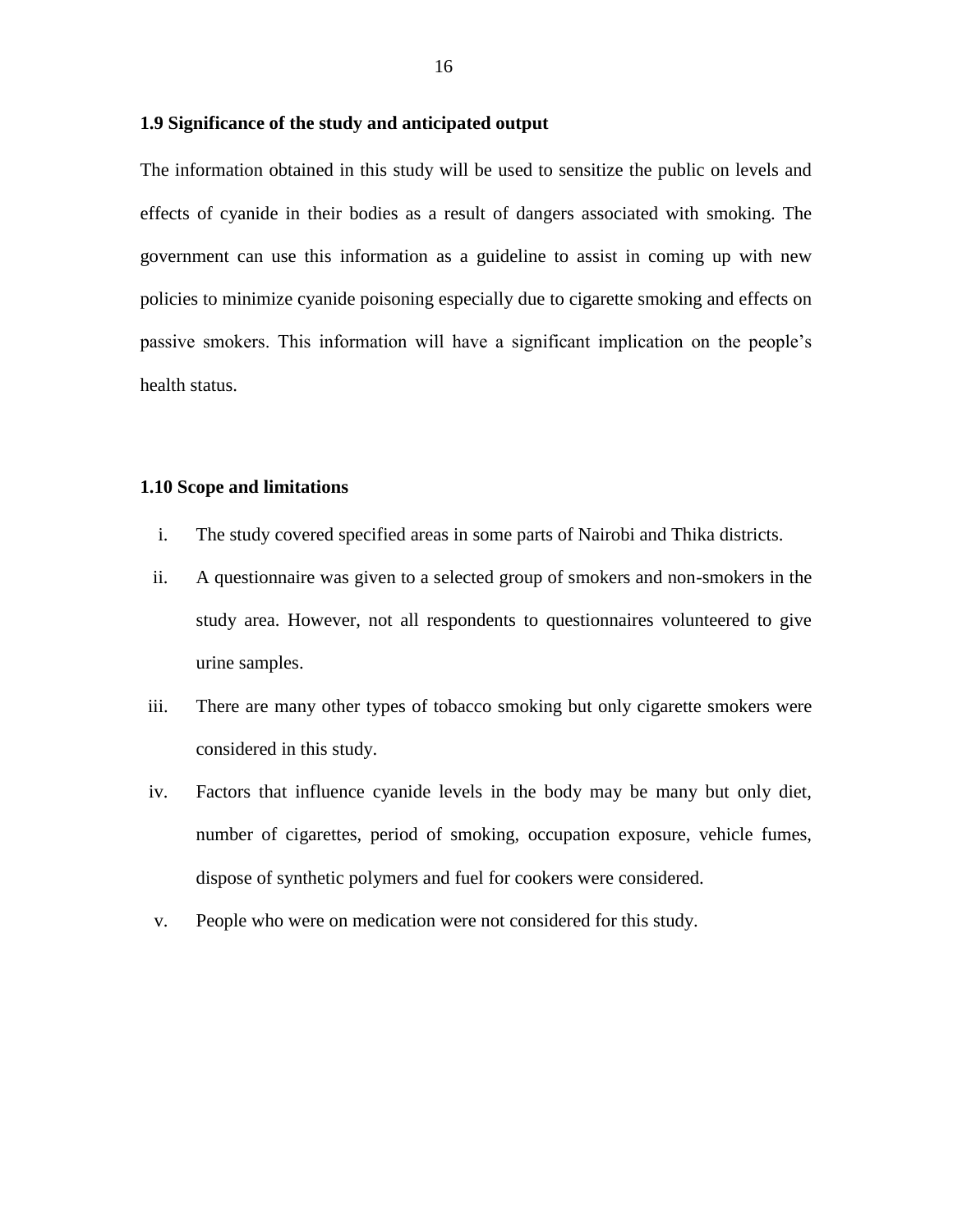### <span id="page-28-0"></span>**1.9 Significance of the study and anticipated output**

The information obtained in this study will be used to sensitize the public on levels and effects of cyanide in their bodies as a result of dangers associated with smoking. The government can use this information as a guideline to assist in coming up with new policies to minimize cyanide poisoning especially due to cigarette smoking and effects on passive smokers. This information will have a significant implication on the people"s health status.

## <span id="page-28-1"></span>**1.10 Scope and limitations**

- i. The study covered specified areas in some parts of Nairobi and Thika districts.
- ii. A questionnaire was given to a selected group of smokers and non-smokers in the study area. However, not all respondents to questionnaires volunteered to give urine samples.
- iii. There are many other types of tobacco smoking but only cigarette smokers were considered in this study.
- iv. Factors that influence cyanide levels in the body may be many but only diet, number of cigarettes, period of smoking, occupation exposure, vehicle fumes, dispose of synthetic polymers and fuel for cookers were considered.
- <span id="page-28-2"></span>v. People who were on medication were not considered for this study.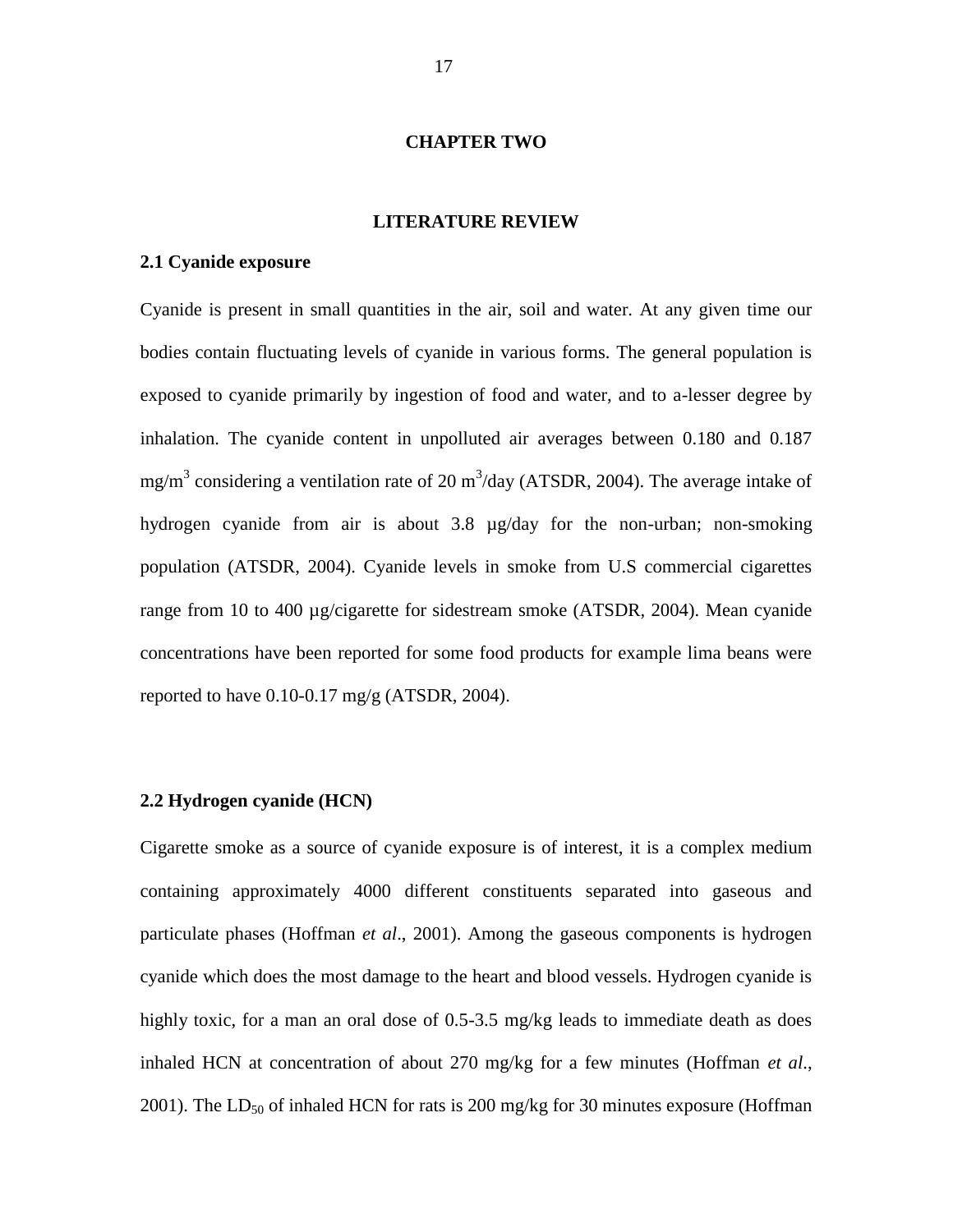#### **CHAPTER TWO**

#### **LITERATURE REVIEW**

#### <span id="page-29-1"></span><span id="page-29-0"></span>**2.1 Cyanide exposure**

Cyanide is present in small quantities in the air, soil and water. At any given time our bodies contain fluctuating levels of cyanide in various forms. The general population is exposed to cyanide primarily by ingestion of food and water, and to a-lesser degree by inhalation. The cyanide content in unpolluted air averages between 0.180 and 0.187 mg/m<sup>3</sup> considering a ventilation rate of 20 m<sup>3</sup>/day (ATSDR, 2004). The average intake of hydrogen cyanide from air is about 3.8 µg/day for the non-urban; non-smoking population (ATSDR, 2004). Cyanide levels in smoke from U.S commercial cigarettes range from 10 to 400 µg/cigarette for sidestream smoke (ATSDR, 2004). Mean cyanide concentrations have been reported for some food products for example lima beans were reported to have  $0.10$ - $0.17$  mg/g (ATSDR, 2004).

#### <span id="page-29-2"></span>**2.2 Hydrogen cyanide (HCN)**

Cigarette smoke as a source of cyanide exposure is of interest, it is a complex medium containing approximately 4000 different constituents separated into gaseous and particulate phases (Hoffman *et al*., 2001). Among the gaseous components is hydrogen cyanide which does the most damage to the heart and blood vessels. Hydrogen cyanide is highly toxic, for a man an oral dose of 0.5-3.5 mg/kg leads to immediate death as does inhaled HCN at concentration of about 270 mg/kg for a few minutes (Hoffman *et al*., 2001). The LD<sub>50</sub> of inhaled HCN for rats is 200 mg/kg for 30 minutes exposure (Hoffman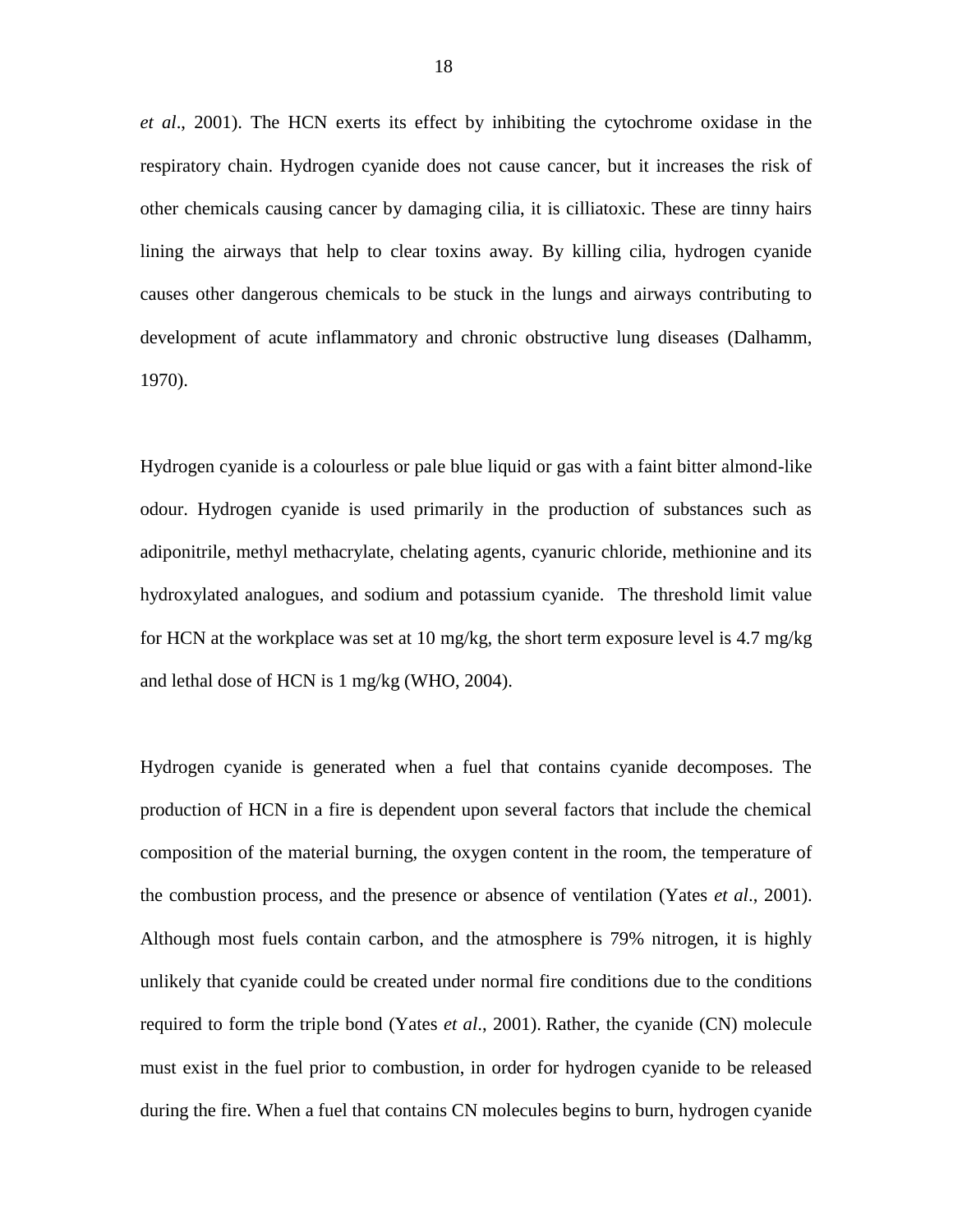*et al*., 2001). The HCN exerts its effect by inhibiting the cytochrome oxidase in the respiratory chain. Hydrogen cyanide does not cause cancer, but it increases the risk of other chemicals causing cancer by damaging cilia, it is cilliatoxic. These are tinny hairs lining the airways that help to clear toxins away. By killing cilia, hydrogen cyanide causes other dangerous chemicals to be stuck in the lungs and airways contributing to development of acute inflammatory and chronic obstructive lung diseases (Dalhamm, 1970).

Hydrogen cyanide is a colourless or pale blue liquid or gas with a faint bitter almond-like odour. Hydrogen cyanide is used primarily in the production of substances such as adiponitrile, methyl methacrylate, chelating agents, cyanuric chloride, methionine and its hydroxylated analogues, and sodium and potassium cyanide. The threshold limit value for HCN at the workplace was set at 10 mg/kg, the short term exposure level is 4.7 mg/kg and lethal dose of HCN is 1 mg/kg (WHO, 2004).

Hydrogen cyanide is generated when a fuel that contains cyanide decomposes. The production of HCN in a fire is dependent upon several factors that include the chemical composition of the material burning, the oxygen content in the room, the temperature of the combustion process, and the presence or absence of ventilation (Yates *et al*., 2001). Although most fuels contain carbon, and the atmosphere is 79% nitrogen, it is highly unlikely that cyanide could be created under normal fire conditions due to the conditions required to form the triple bond (Yates *et al*., 2001). Rather, the cyanide (CN) molecule must exist in the fuel prior to combustion, in order for hydrogen cyanide to be released during the fire. When a fuel that contains CN molecules begins to burn, hydrogen cyanide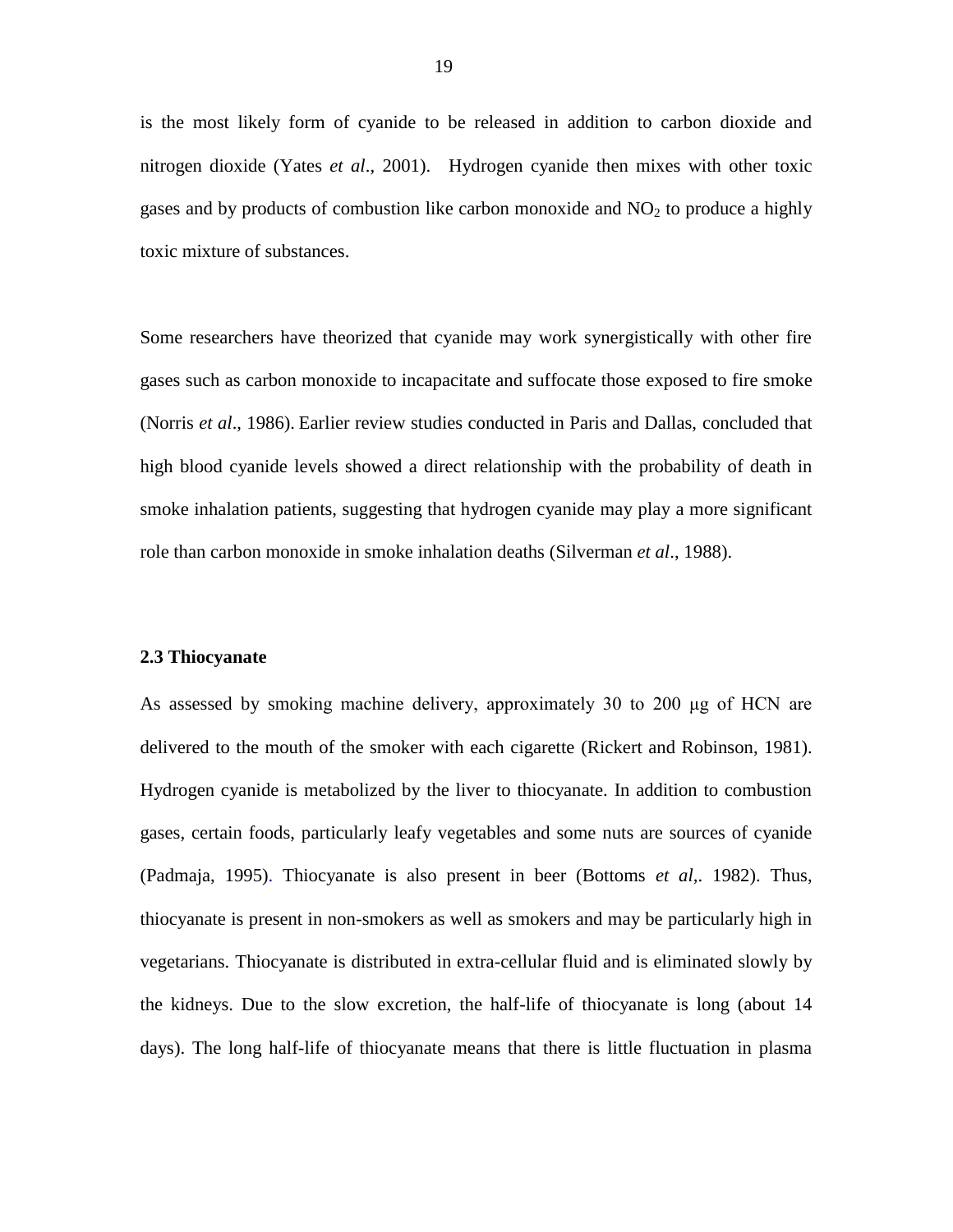is the most likely form of cyanide to be released in addition to carbon dioxide and nitrogen dioxide (Yates *et al*., 2001). Hydrogen cyanide then mixes with other toxic gases and by products of combustion like carbon monoxide and  $NO<sub>2</sub>$  to produce a highly toxic mixture of substances.

Some researchers have theorized that cyanide may work synergistically with other fire gases such as carbon monoxide to incapacitate and suffocate those exposed to fire smoke (Norris *et al*., 1986). Earlier review studies conducted in Paris and Dallas, concluded that high blood cyanide levels showed a direct relationship with the probability of death in smoke inhalation patients, suggesting that hydrogen cyanide may play a more significant role than carbon monoxide in smoke inhalation deaths (Silverman *et al*., 1988).

#### <span id="page-31-0"></span>**2.3 Thiocyanate**

As assessed by smoking machine delivery, approximately 30 to 200 μg of HCN are delivered to the mouth of the smoker with each cigarette (Rickert and Robinson, 1981). Hydrogen cyanide is metabolized by the liver to thiocyanate. In addition to combustion gases, certain foods, particularly leafy vegetables and some nuts are sources of cyanide (Padmaja, 1995). Thiocyanate is also present in beer (Bottoms *et al,*. 1982). Thus, thiocyanate is present in non-smokers as well as smokers and may be particularly high in vegetarians. Thiocyanate is distributed in extra-cellular fluid and is eliminated slowly by the kidneys. Due to the slow excretion, the half-life of thiocyanate is long (about 14 days). The long half-life of thiocyanate means that there is little fluctuation in plasma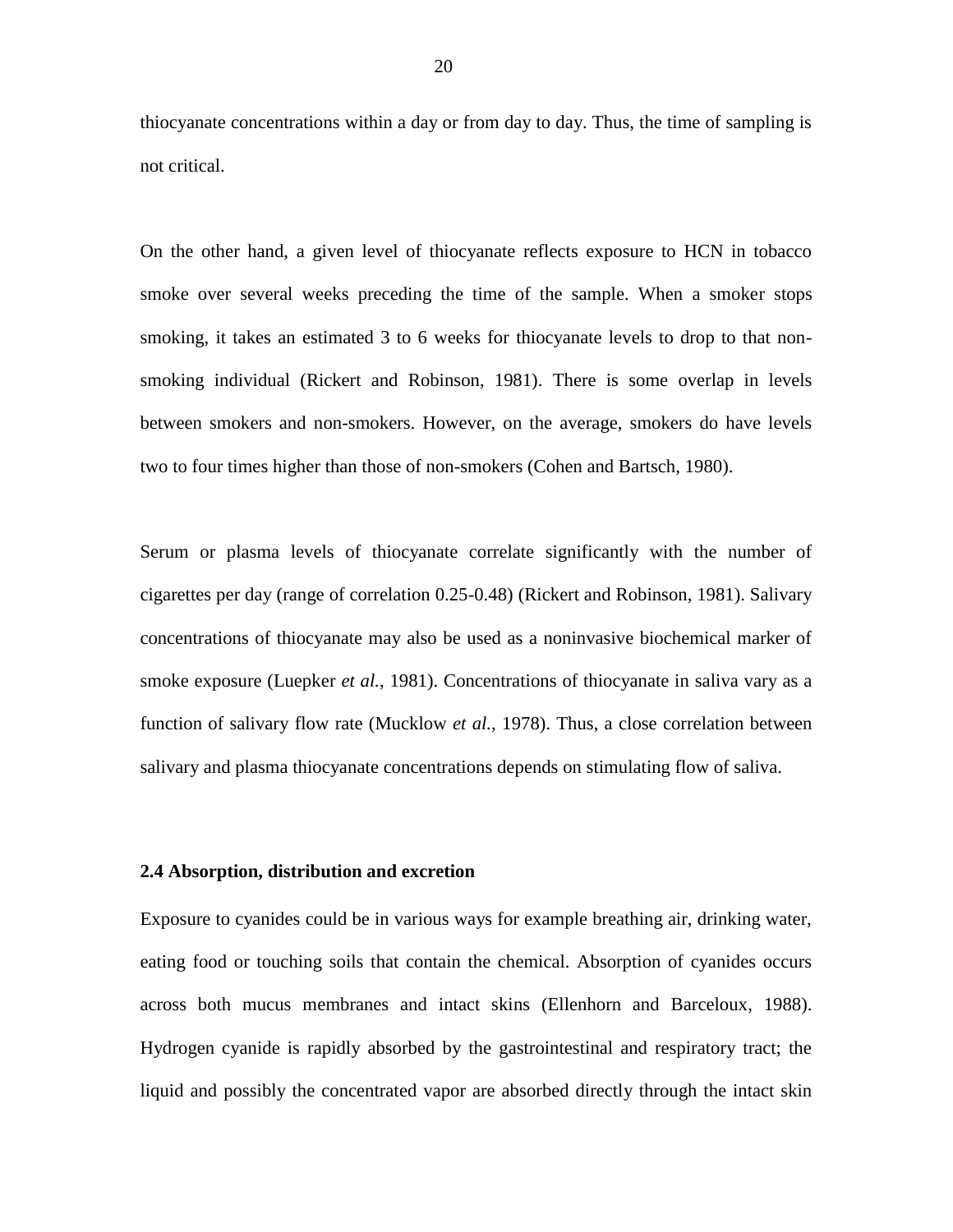thiocyanate concentrations within a day or from day to day. Thus, the time of sampling is not critical.

On the other hand, a given level of thiocyanate reflects exposure to HCN in tobacco smoke over several weeks preceding the time of the sample. When a smoker stops smoking, it takes an estimated 3 to 6 weeks for thiocyanate levels to drop to that nonsmoking individual (Rickert and Robinson, 1981). There is some overlap in levels between smokers and non-smokers. However, on the average, smokers do have levels two to four times higher than those of non-smokers (Cohen and Bartsch, 1980).

Serum or plasma levels of thiocyanate correlate significantly with the number of cigarettes per day (range of correlation 0.25-0.48) (Rickert and Robinson, 1981). Salivary concentrations of thiocyanate may also be used as a noninvasive biochemical marker of smoke exposure (Luepker *et al.*, 1981). Concentrations of thiocyanate in saliva vary as a function of salivary flow rate (Mucklow *et al.,* 1978). Thus, a close correlation between salivary and plasma thiocyanate concentrations depends on stimulating flow of saliva.

#### <span id="page-32-0"></span>**2.4 Absorption, distribution and excretion**

Exposure to cyanides could be in various ways for example breathing air, drinking water, eating food or touching soils that contain the chemical. Absorption of cyanides occurs across both mucus membranes and intact skins (Ellenhorn and Barceloux, 1988). Hydrogen cyanide is rapidly absorbed by the gastrointestinal and respiratory tract; the liquid and possibly the concentrated vapor are absorbed directly through the intact skin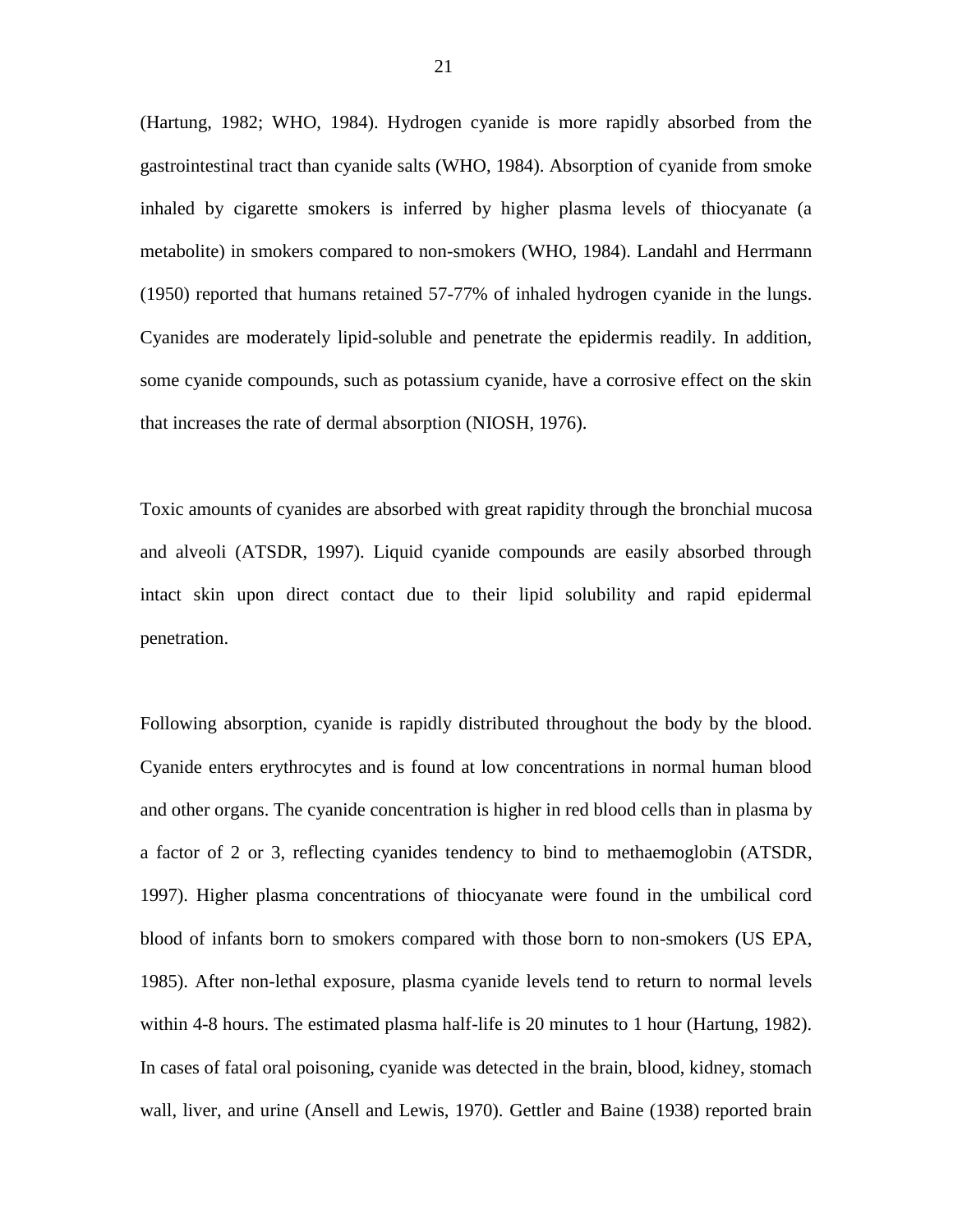(Hartung, 1982; WHO, 1984). Hydrogen cyanide is more rapidly absorbed from the gastrointestinal tract than cyanide salts (WHO, 1984). Absorption of cyanide from smoke inhaled by cigarette smokers is inferred by higher plasma levels of thiocyanate (a metabolite) in smokers compared to non-smokers (WHO, 1984). Landahl and Herrmann (1950) reported that humans retained 57-77% of inhaled hydrogen cyanide in the lungs. Cyanides are moderately lipid-soluble and penetrate the epidermis readily. In addition, some cyanide compounds, such as potassium cyanide, have a corrosive effect on the skin that increases the rate of dermal absorption (NIOSH, 1976).

Toxic amounts of cyanides are absorbed with great rapidity through the bronchial mucosa and alveoli (ATSDR, 1997). Liquid cyanide compounds are easily absorbed through intact skin upon direct contact due to their lipid solubility and rapid epidermal penetration.

Following absorption, cyanide is rapidly distributed throughout the body by the blood. Cyanide enters erythrocytes and is found at low concentrations in normal human blood and other organs. The cyanide concentration is higher in red blood cells than in plasma by a factor of 2 or 3, reflecting cyanides tendency to bind to methaemoglobin (ATSDR, 1997). Higher plasma concentrations of thiocyanate were found in the umbilical cord blood of infants born to smokers compared with those born to non-smokers (US EPA, 1985). After non-lethal exposure, plasma cyanide levels tend to return to normal levels within 4-8 hours. The estimated plasma half-life is 20 minutes to 1 hour (Hartung, 1982). In cases of fatal oral poisoning, cyanide was detected in the brain, blood, kidney, stomach wall, liver, and urine (Ansell and Lewis, 1970). Gettler and Baine (1938) reported brain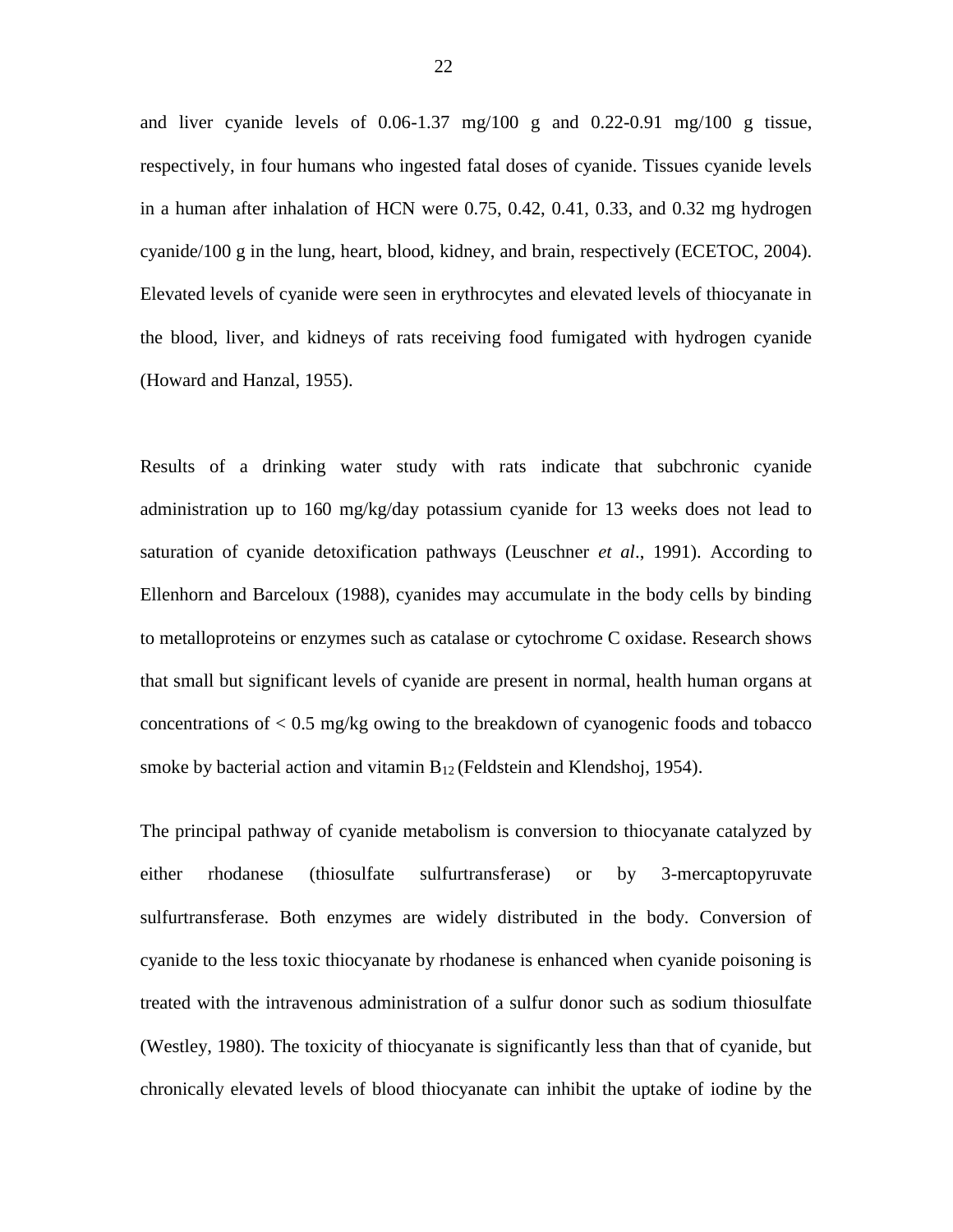and liver cyanide levels of 0.06-1.37 mg/100 g and 0.22-0.91 mg/100 g tissue, respectively, in four humans who ingested fatal doses of cyanide. Tissues cyanide levels in a human after inhalation of HCN were 0.75, 0.42, 0.41, 0.33, and 0.32 mg hydrogen cyanide/100 g in the lung, heart, blood, kidney, and brain, respectively (ECETOC, 2004). Elevated levels of cyanide were seen in erythrocytes and elevated levels of thiocyanate in the blood, liver, and kidneys of rats receiving food fumigated with hydrogen cyanide (Howard and Hanzal, 1955).

Results of a drinking water study with rats indicate that subchronic cyanide administration up to 160 mg/kg/day potassium cyanide for 13 weeks does not lead to saturation of cyanide detoxification pathways (Leuschner *et al*., 1991). According to Ellenhorn and Barceloux (1988), cyanides may accumulate in the body cells by binding to metalloproteins or enzymes such as catalase or cytochrome C oxidase. Research shows that small but significant levels of cyanide are present in normal, health human organs at concentrations of  $\lt 0.5$  mg/kg owing to the breakdown of cyanogenic foods and tobacco smoke by bacterial action and vitamin  $B_{12}$  (Feldstein and Klendshoj, 1954).

The principal pathway of cyanide metabolism is conversion to thiocyanate catalyzed by either rhodanese (thiosulfate sulfurtransferase) or by 3-mercaptopyruvate sulfurtransferase. Both enzymes are widely distributed in the body. Conversion of cyanide to the less toxic thiocyanate by rhodanese is enhanced when cyanide poisoning is treated with the intravenous administration of a sulfur donor such as sodium thiosulfate (Westley, 1980). The toxicity of thiocyanate is significantly less than that of cyanide, but chronically elevated levels of blood thiocyanate can inhibit the uptake of iodine by the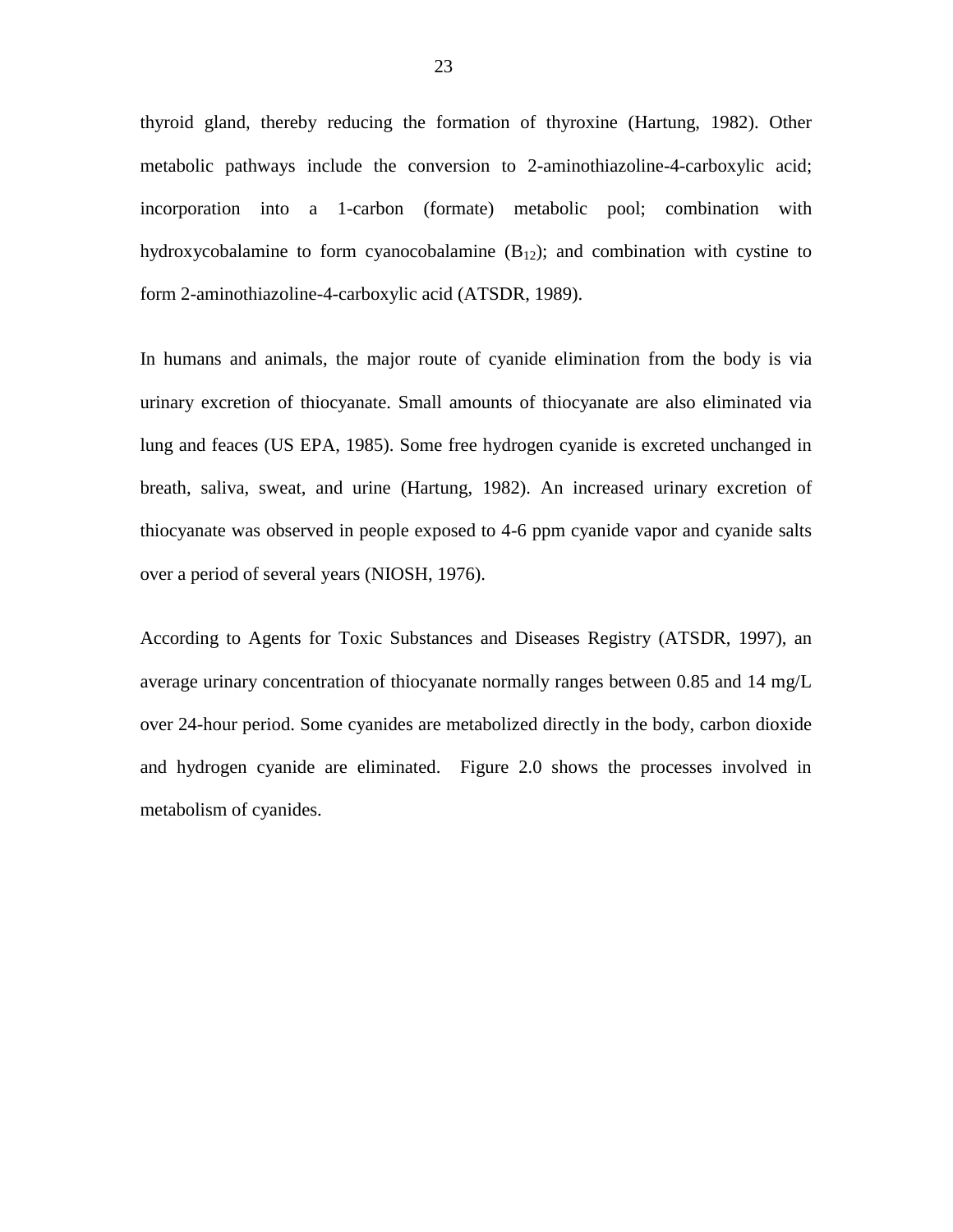thyroid gland, thereby reducing the formation of thyroxine (Hartung, 1982). Other metabolic pathways include the conversion to 2-aminothiazoline-4-carboxylic acid; incorporation into a 1-carbon (formate) metabolic pool; combination with hydroxycobalamine to form cyanocobalamine  $(B_{12})$ ; and combination with cystine to form 2-aminothiazoline-4-carboxylic acid (ATSDR, 1989).

In humans and animals, the major route of cyanide elimination from the body is via urinary excretion of thiocyanate. Small amounts of thiocyanate are also eliminated via lung and feaces (US EPA, 1985). Some free hydrogen cyanide is excreted unchanged in breath, saliva, sweat, and urine (Hartung, 1982). An increased urinary excretion of thiocyanate was observed in people exposed to 4-6 ppm cyanide vapor and cyanide salts over a period of several years (NIOSH, 1976).

According to Agents for Toxic Substances and Diseases Registry (ATSDR, 1997), an average urinary concentration of thiocyanate normally ranges between 0.85 and 14 mg/L over 24-hour period. Some cyanides are metabolized directly in the body, carbon dioxide and hydrogen cyanide are eliminated. Figure 2.0 shows the processes involved in metabolism of cyanides.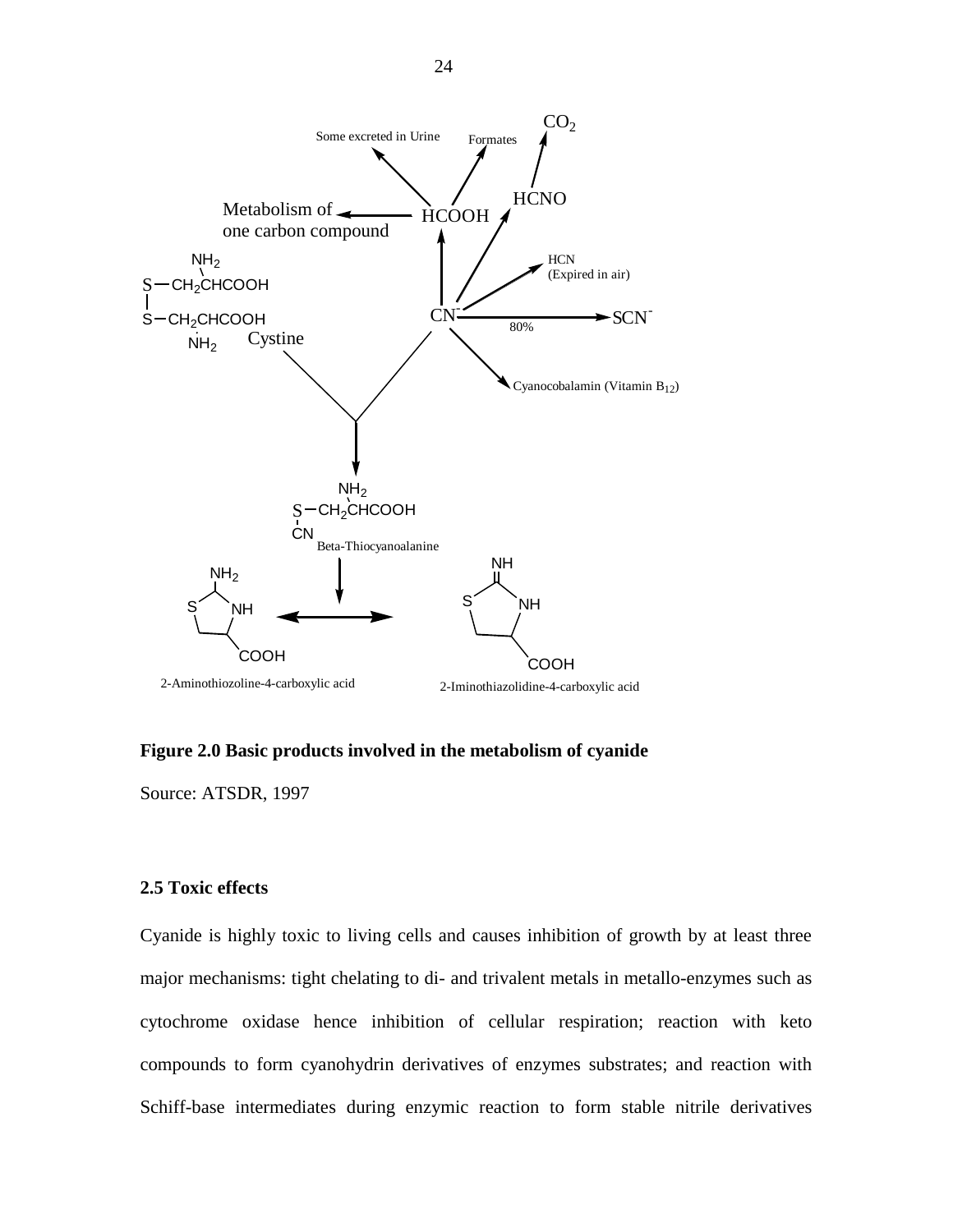

**Figure 2.0 Basic products involved in the metabolism of cyanide** 

Source: ATSDR, 1997

# **2.5 Toxic effects**

Cyanide is highly toxic to living cells and causes inhibition of growth by at least three major mechanisms: tight chelating to di- and trivalent metals in metallo-enzymes such as cytochrome oxidase hence inhibition of cellular respiration; reaction with keto compounds to form cyanohydrin derivatives of enzymes substrates; and reaction with Schiff-base intermediates during enzymic reaction to form stable nitrile derivatives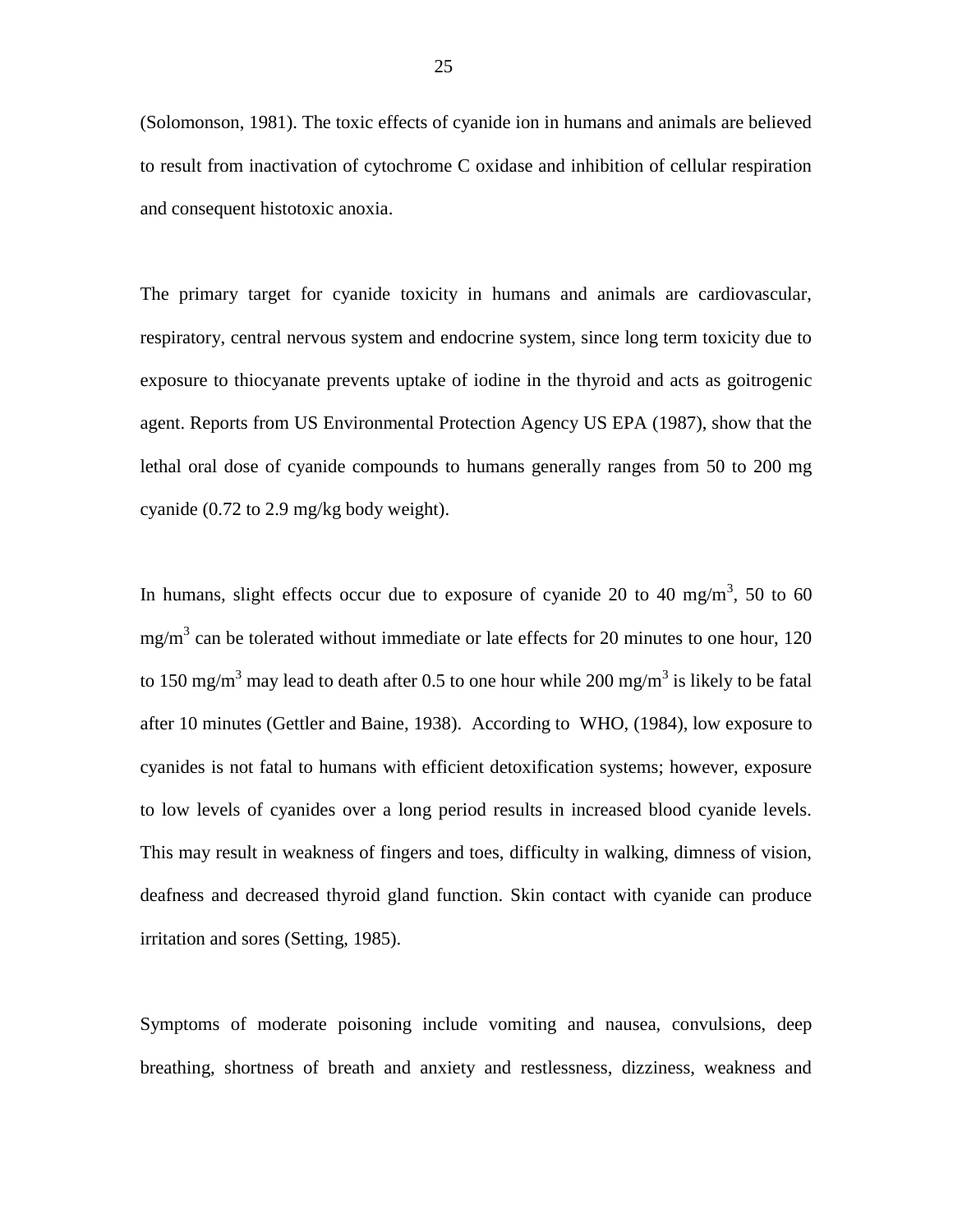(Solomonson, 1981). The toxic effects of cyanide ion in humans and animals are believed to result from inactivation of cytochrome C oxidase and inhibition of cellular respiration and consequent histotoxic anoxia.

The primary target for cyanide toxicity in humans and animals are cardiovascular, respiratory, central nervous system and endocrine system, since long term toxicity due to exposure to thiocyanate prevents uptake of iodine in the thyroid and acts as goitrogenic agent. Reports from US Environmental Protection Agency US EPA (1987), show that the lethal oral dose of cyanide compounds to humans generally ranges from 50 to 200 mg cyanide (0.72 to 2.9 mg/kg body weight).

In humans, slight effects occur due to exposure of cyanide 20 to 40 mg/m<sup>3</sup>, 50 to 60  $mg/m<sup>3</sup>$  can be tolerated without immediate or late effects for 20 minutes to one hour, 120 to 150 mg/m<sup>3</sup> may lead to death after 0.5 to one hour while 200 mg/m<sup>3</sup> is likely to be fatal after 10 minutes (Gettler and Baine, 1938). According to WHO, (1984), low exposure to cyanides is not fatal to humans with efficient detoxification systems; however, exposure to low levels of cyanides over a long period results in increased blood cyanide levels. This may result in weakness of fingers and toes, difficulty in walking, dimness of vision, deafness and decreased thyroid gland function. Skin contact with cyanide can produce irritation and sores (Setting, 1985).

Symptoms of moderate poisoning include vomiting and nausea, convulsions, deep breathing, shortness of breath and anxiety and restlessness, dizziness, weakness and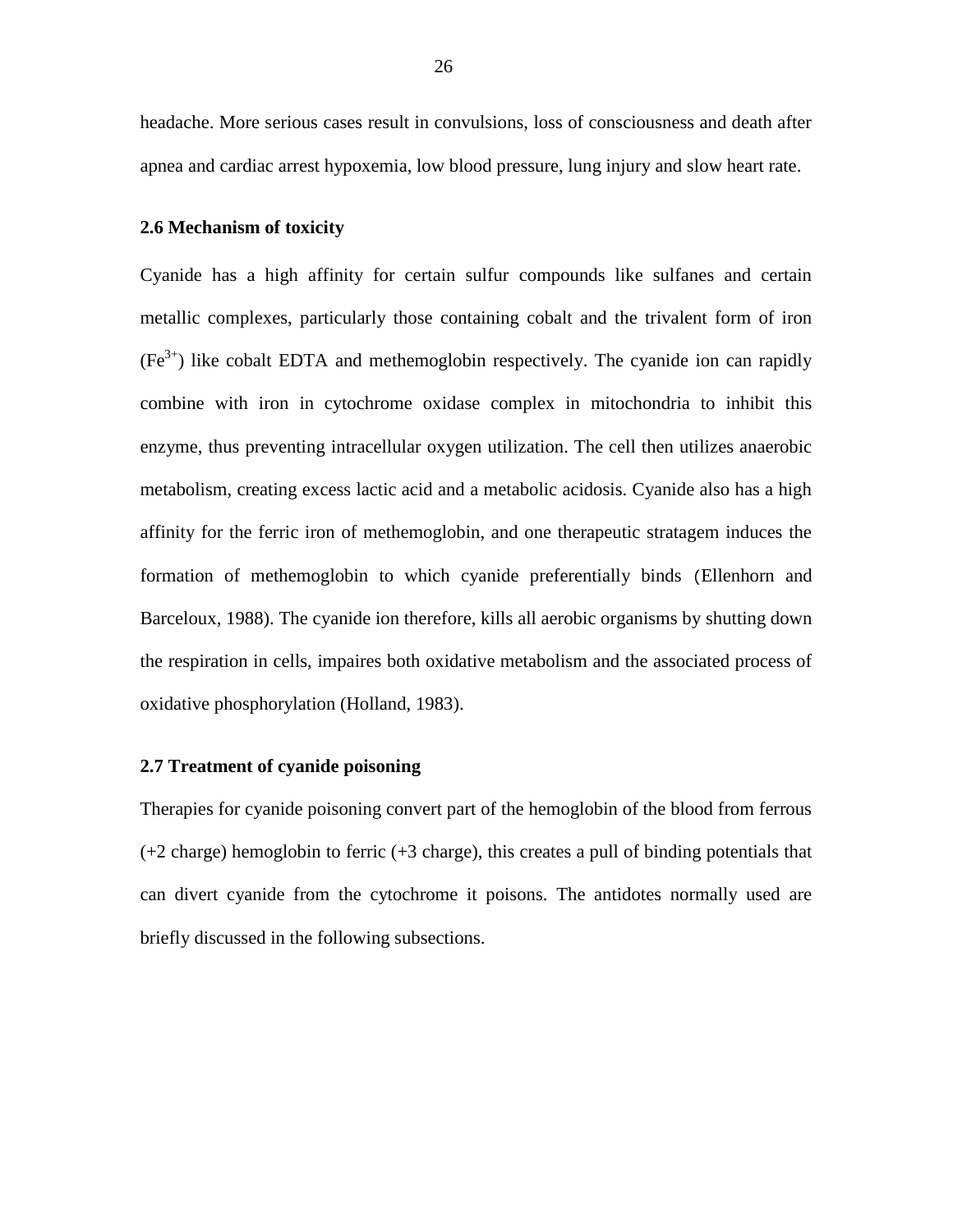headache. More serious cases result in convulsions, loss of consciousness and death after apnea and cardiac arrest hypoxemia, low blood pressure, lung injury and slow heart rate.

# **2.6 Mechanism of toxicity**

Cyanide has a high affinity for certain sulfur compounds like sulfanes and certain metallic complexes, particularly those containing cobalt and the trivalent form of iron  $(Fe^{3+})$  like cobalt EDTA and methemoglobin respectively. The cyanide ion can rapidly combine with iron in cytochrome oxidase complex in mitochondria to inhibit this enzyme, thus preventing intracellular oxygen utilization. The cell then utilizes anaerobic metabolism, creating excess lactic acid and a metabolic acidosis. Cyanide also has a high affinity for the ferric iron of methemoglobin, and one therapeutic stratagem induces the formation of methemoglobin to which cyanide preferentially binds (Ellenhorn and Barceloux, 1988). The cyanide ion therefore, kills all aerobic organisms by shutting down the respiration in cells, impaires both oxidative metabolism and the associated process of oxidative phosphorylation (Holland, 1983).

# **2.7 Treatment of cyanide poisoning**

Therapies for cyanide poisoning convert part of the hemoglobin of the blood from ferrous  $(+2 \text{ charge})$  hemoglobin to ferric  $(+3 \text{ charge})$ , this creates a pull of binding potentials that can divert cyanide from the cytochrome it poisons. The antidotes normally used are briefly discussed in the following subsections.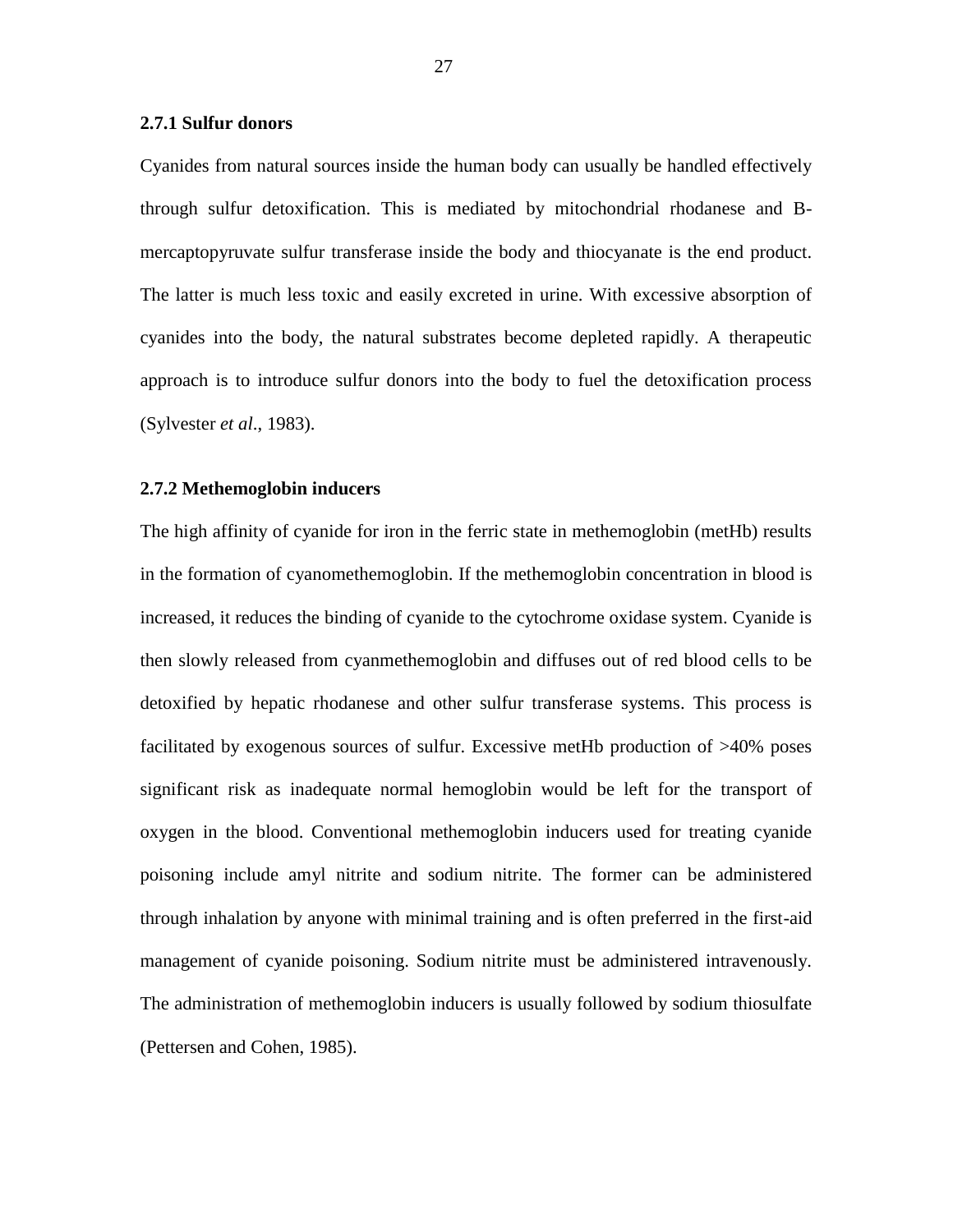# **2.7.1 Sulfur donors**

Cyanides from natural sources inside the human body can usually be handled effectively through sulfur detoxification. This is mediated by mitochondrial rhodanese and Bmercaptopyruvate sulfur transferase inside the body and thiocyanate is the end product. The latter is much less toxic and easily excreted in urine. With excessive absorption of cyanides into the body, the natural substrates become depleted rapidly. A therapeutic approach is to introduce sulfur donors into the body to fuel the detoxification process (Sylvester *et al*., 1983).

# **2.7.2 Methemoglobin inducers**

The high affinity of cyanide for iron in the ferric state in methemoglobin (metHb) results in the formation of cyanomethemoglobin. If the methemoglobin concentration in blood is increased, it reduces the binding of cyanide to the cytochrome oxidase system. Cyanide is then slowly released from cyanmethemoglobin and diffuses out of red blood cells to be detoxified by hepatic rhodanese and other sulfur transferase systems. This process is facilitated by exogenous sources of sulfur. Excessive metHb production of >40% poses significant risk as inadequate normal hemoglobin would be left for the transport of oxygen in the blood. Conventional methemoglobin inducers used for treating cyanide poisoning include amyl nitrite and sodium nitrite. The former can be administered through inhalation by anyone with minimal training and is often preferred in the first-aid management of cyanide poisoning. Sodium nitrite must be administered intravenously. The administration of methemoglobin inducers is usually followed by sodium thiosulfate (Pettersen and Cohen, 1985).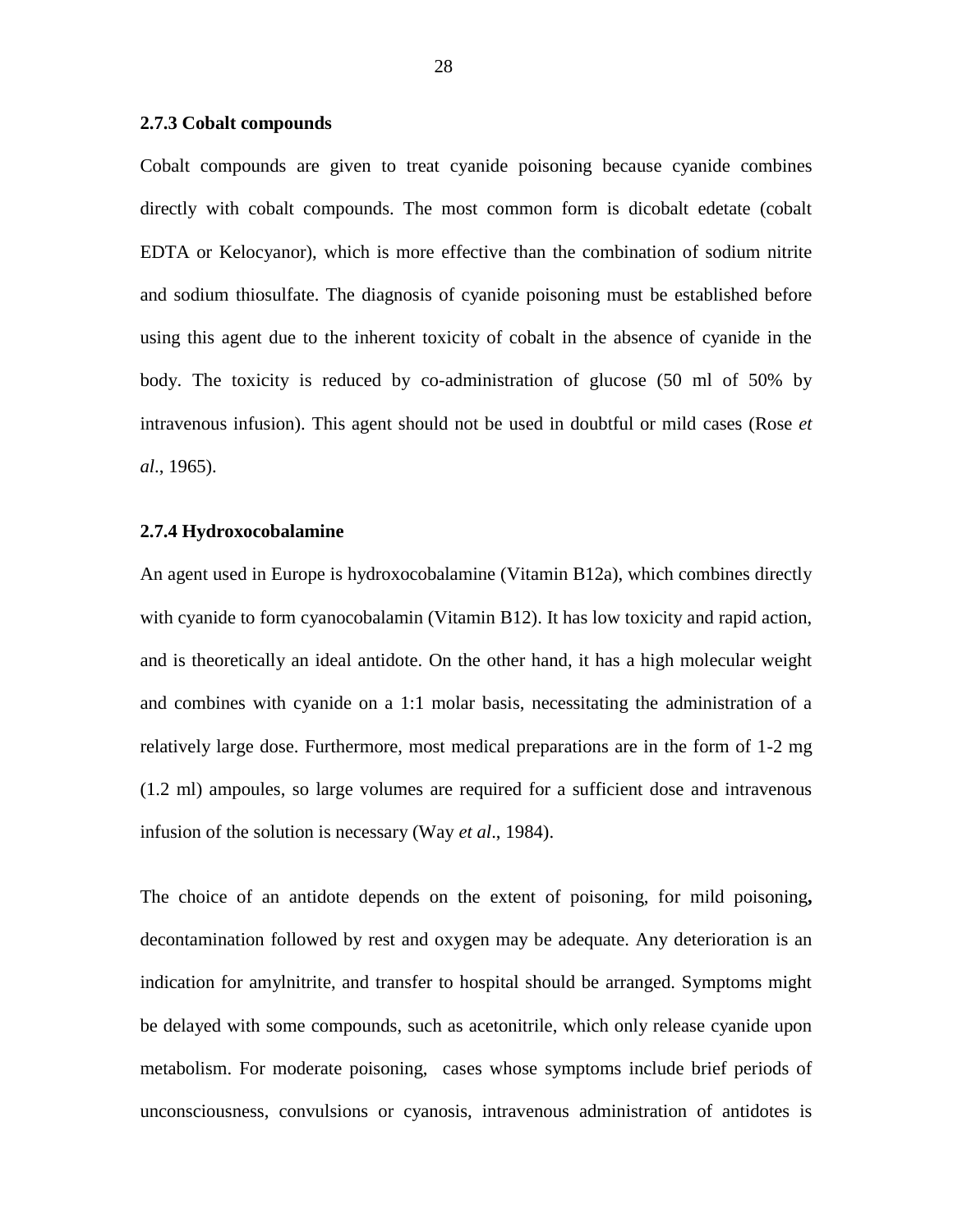#### **2.7.3 Cobalt compounds**

Cobalt compounds are given to treat cyanide poisoning because cyanide combines directly with cobalt compounds. The most common form is dicobalt edetate (cobalt EDTA or Kelocyanor), which is more effective than the combination of sodium nitrite and sodium thiosulfate. The diagnosis of cyanide poisoning must be established before using this agent due to the inherent toxicity of cobalt in the absence of cyanide in the body. The toxicity is reduced by co-administration of glucose (50 ml of 50% by intravenous infusion). This agent should not be used in doubtful or mild cases (Rose *et al*., 1965).

#### **2.7.4 Hydroxocobalamine**

An agent used in Europe is hydroxocobalamine (Vitamin B12a), which combines directly with cyanide to form cyanocobalamin (Vitamin B12). It has low toxicity and rapid action, and is theoretically an ideal antidote. On the other hand, it has a high molecular weight and combines with cyanide on a 1:1 molar basis, necessitating the administration of a relatively large dose. Furthermore, most medical preparations are in the form of 1-2 mg (1.2 ml) ampoules, so large volumes are required for a sufficient dose and intravenous infusion of the solution is necessary (Way *et al*., 1984).

The choice of an antidote depends on the extent of poisoning, for mild poisoning**,**  decontamination followed by rest and oxygen may be adequate. Any deterioration is an indication for amylnitrite, and transfer to hospital should be arranged. Symptoms might be delayed with some compounds, such as acetonitrile, which only release cyanide upon metabolism. For moderate poisoning, cases whose symptoms include brief periods of unconsciousness, convulsions or cyanosis, intravenous administration of antidotes is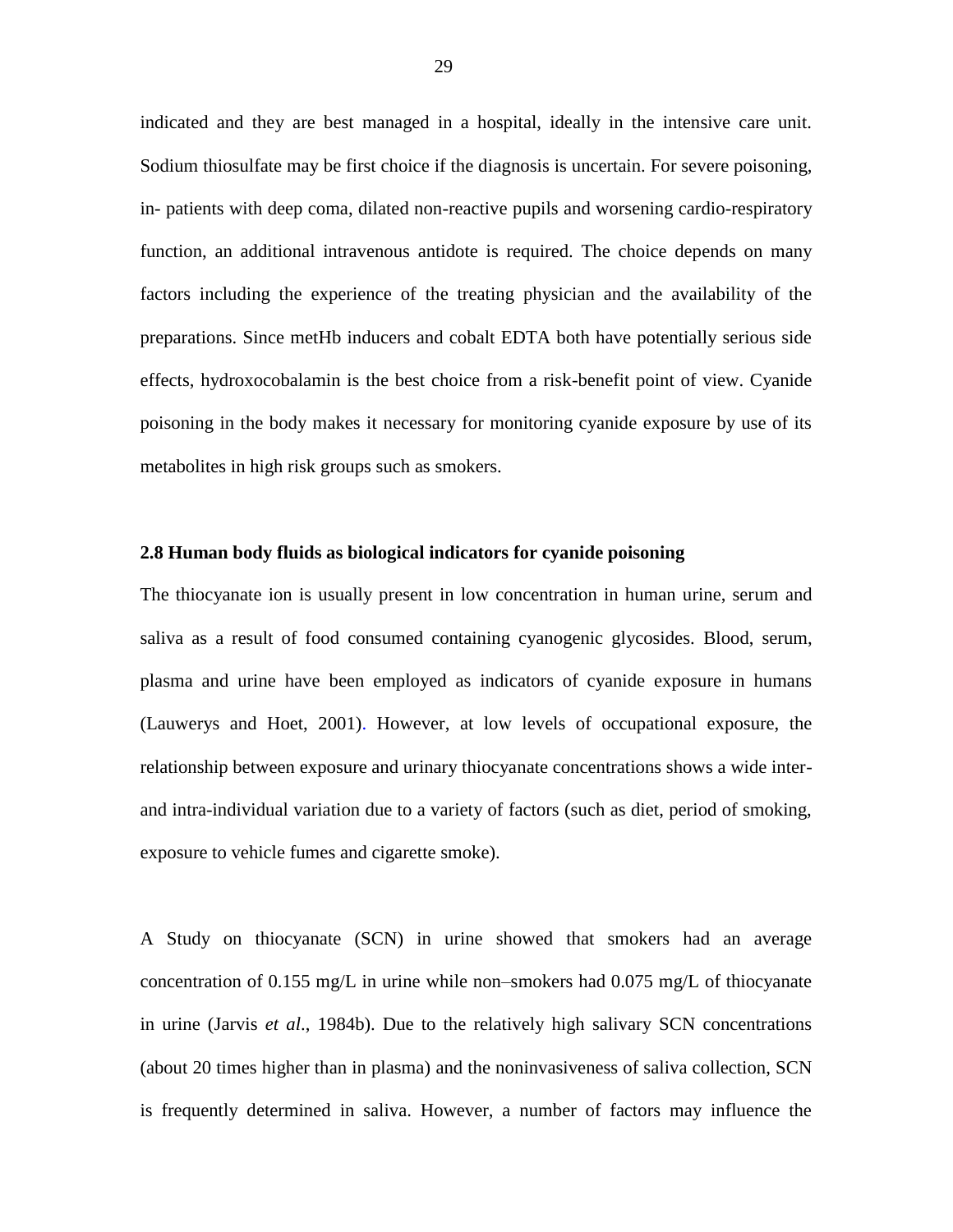indicated and they are best managed in a hospital, ideally in the intensive care unit. Sodium thiosulfate may be first choice if the diagnosis is uncertain. For severe poisoning, in- patients with deep coma, dilated non-reactive pupils and worsening cardio-respiratory function, an additional intravenous antidote is required. The choice depends on many factors including the experience of the treating physician and the availability of the preparations. Since metHb inducers and cobalt EDTA both have potentially serious side effects, hydroxocobalamin is the best choice from a risk-benefit point of view. Cyanide poisoning in the body makes it necessary for monitoring cyanide exposure by use of its metabolites in high risk groups such as smokers.

# **2.8 Human body fluids as biological indicators for cyanide poisoning**

The thiocyanate ion is usually present in low concentration in human urine, serum and saliva as a result of food consumed containing cyanogenic glycosides. Blood, serum, plasma and urine have been employed as indicators of cyanide exposure in humans (Lauwerys and Hoet, 2001). However, at low levels of occupational exposure, the relationship between exposure and urinary thiocyanate concentrations shows a wide interand intra-individual variation due to a variety of factors (such as diet, period of smoking, exposure to vehicle fumes and cigarette smoke).

A Study on thiocyanate (SCN) in urine showed that smokers had an average concentration of 0.155 mg/L in urine while non–smokers had 0.075 mg/L of thiocyanate in urine (Jarvis *et al*., 1984b). Due to the relatively high salivary SCN concentrations (about 20 times higher than in plasma) and the noninvasiveness of saliva collection, SCN is frequently determined in saliva. However, a number of factors may influence the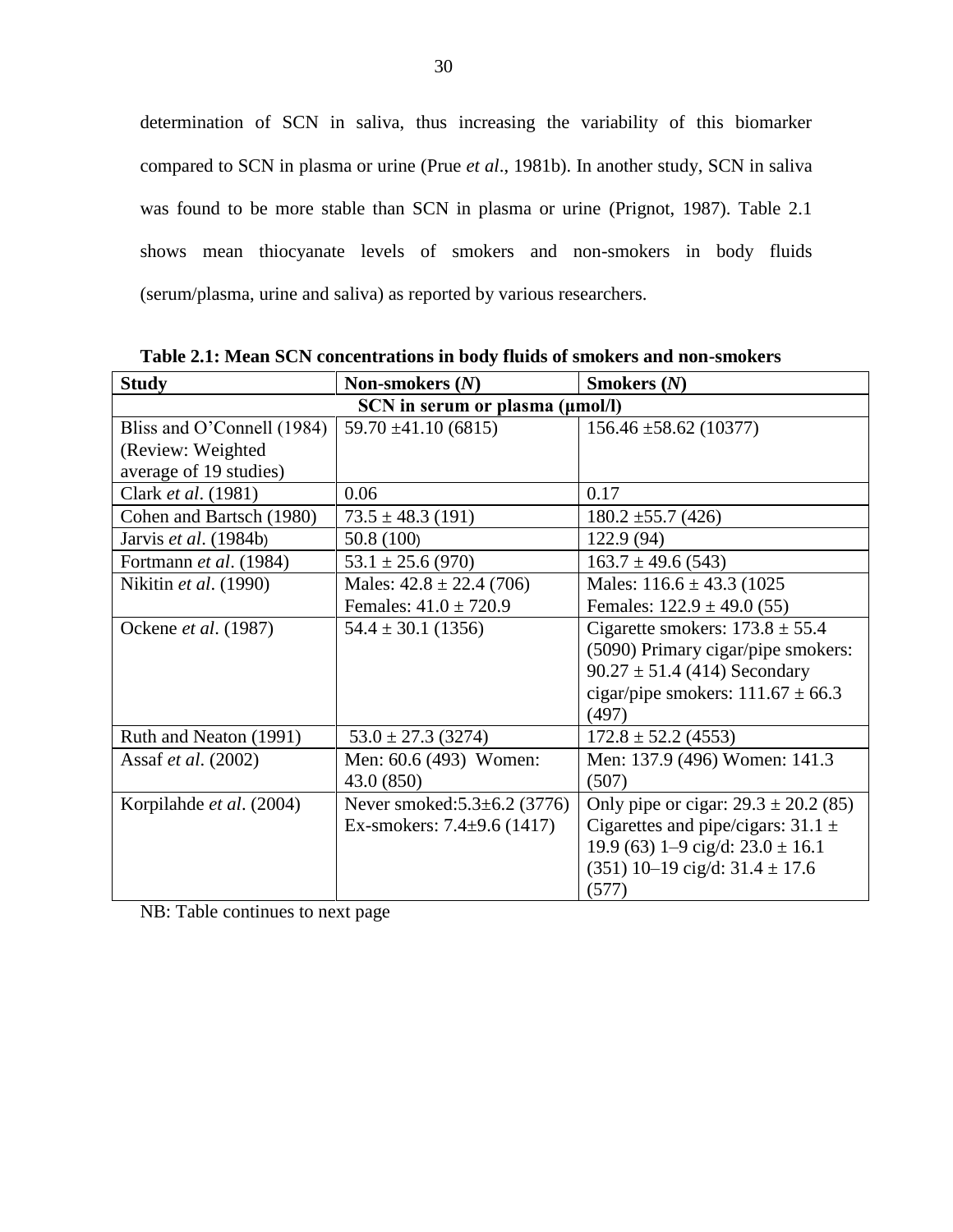determination of SCN in saliva, thus increasing the variability of this biomarker compared to SCN in plasma or urine (Prue *et al*., 1981b). In another study, SCN in saliva was found to be more stable than SCN in plasma or urine (Prignot, 1987). Table 2.1 shows mean thiocyanate levels of smokers and non-smokers in body fluids (serum/plasma, urine and saliva) as reported by various researchers.

| <b>Study</b>               | Non-smokers $(N)$                  | <b>Smokers</b> $(N)$                     |
|----------------------------|------------------------------------|------------------------------------------|
|                            | SCN in serum or plasma (µmol/l)    |                                          |
| Bliss and O'Connell (1984) | $59.70 \pm 41.10$ (6815)           | $156.46 \pm 58.62$ (10377)               |
| (Review: Weighted          |                                    |                                          |
| average of 19 studies)     |                                    |                                          |
| Clark et al. (1981)        | 0.06                               | 0.17                                     |
| Cohen and Bartsch (1980)   | $73.5 \pm 48.3$ (191)              | $180.2 \pm 55.7$ (426)                   |
| Jarvis et al. (1984b)      | 50.8 (100)                         | 122.9 (94)                               |
| Fortmann et al. (1984)     | $53.1 \pm 25.6$ (970)              | $163.7 \pm 49.6$ (543)                   |
| Nikitin et al. (1990)      | Males: $42.8 \pm 22.4$ (706)       | Males: $116.6 \pm 43.3$ (1025)           |
|                            | Females: $41.0 \pm 720.9$          | Females: $122.9 \pm 49.0$ (55)           |
| Ockene et al. (1987)       | $54.4 \pm 30.1$ (1356)             | Cigarette smokers: $173.8 \pm 55.4$      |
|                            |                                    | (5090) Primary cigar/pipe smokers:       |
|                            |                                    | $90.27 \pm 51.4$ (414) Secondary         |
|                            |                                    | cigar/pipe smokers: $111.67 \pm 66.3$    |
|                            |                                    | (497)                                    |
| Ruth and Neaton (1991)     | $53.0 \pm 27.3$ (3274)             | $172.8 \pm 52.2$ (4553)                  |
| Assaf et al. (2002)        | Men: 60.6 (493) Women:             | Men: 137.9 (496) Women: 141.3            |
|                            | 43.0(850)                          | (507)                                    |
| Korpilahde et al. (2004)   | Never smoked: $5.3 \pm 6.2$ (3776) | Only pipe or cigar: $29.3 \pm 20.2$ (85) |
|                            | Ex-smokers: $7.4\pm9.6$ (1417)     | Cigarettes and pipe/cigars: $31.1 \pm$   |
|                            |                                    | 19.9 (63) 1–9 cig/d: $23.0 \pm 16.1$     |
|                            |                                    | $(351)$ 10-19 cig/d: 31.4 $\pm$ 17.6     |
|                            |                                    | (577)                                    |

**Table 2.1: Mean SCN concentrations in body fluids of smokers and non-smokers**

NB: Table continues to next page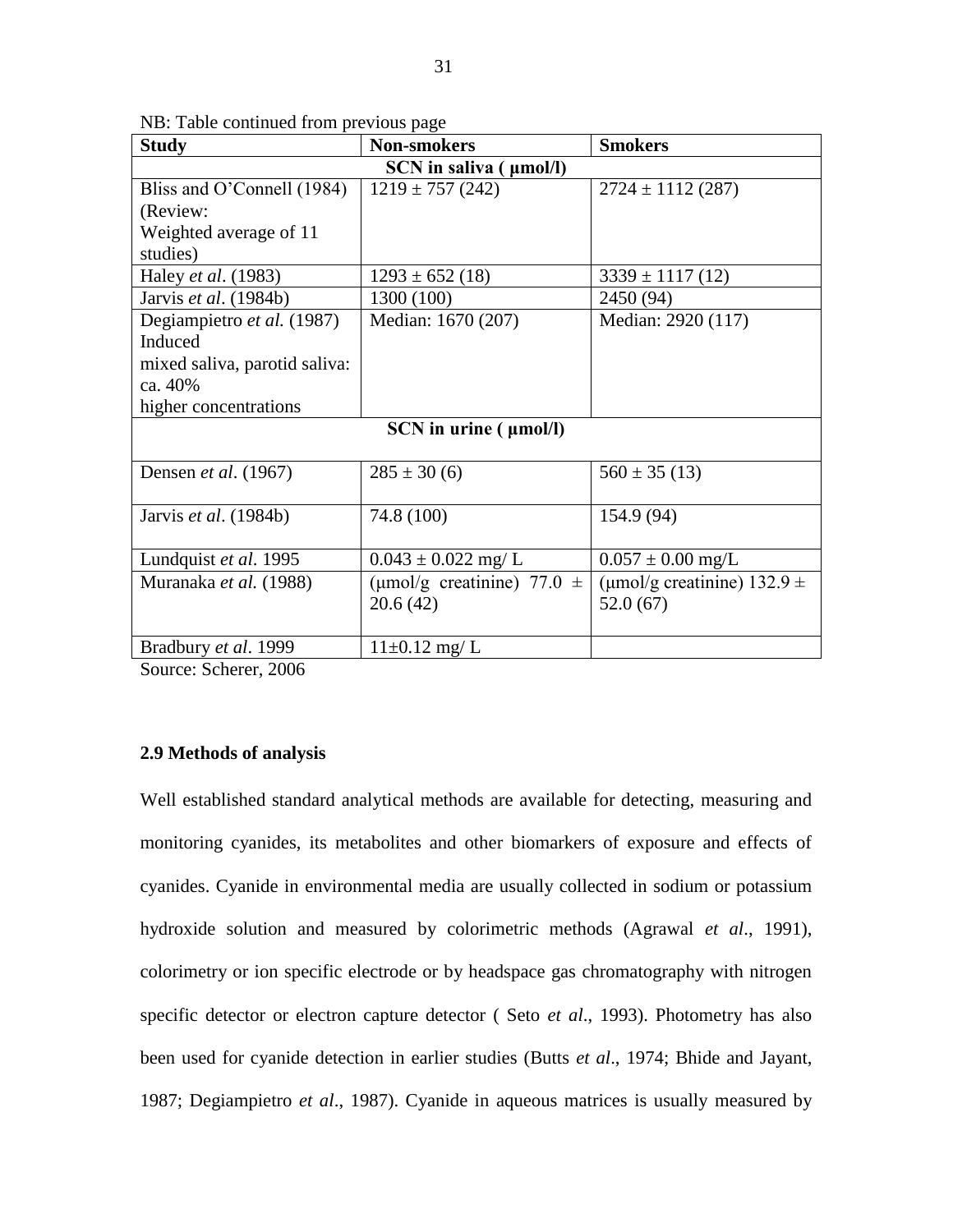31

|  |  | NB: Table continued from previous page |  |
|--|--|----------------------------------------|--|
|  |  |                                        |  |

| <b>Study</b>                  | <b>Non-smokers</b>             | <b>Smokers</b>                  |
|-------------------------------|--------------------------------|---------------------------------|
|                               | SCN in saliva ( $\mu$ mol/l)   |                                 |
| Bliss and O'Connell (1984)    | $1219 \pm 757$ (242)           | $2724 \pm 1112$ (287)           |
| (Review:                      |                                |                                 |
| Weighted average of 11        |                                |                                 |
| studies)                      |                                |                                 |
| Haley <i>et al.</i> (1983)    | $1293 \pm 652$ (18)            | $3339 \pm 1117$ (12)            |
| Jarvis et al. (1984b)         | 1300 (100)                     | 2450 (94)                       |
| Degiampietro et al. (1987)    | Median: 1670 (207)             | Median: 2920 (117)              |
| Induced                       |                                |                                 |
| mixed saliva, parotid saliva: |                                |                                 |
| ca. 40%                       |                                |                                 |
| higher concentrations         |                                |                                 |
|                               | $SCN$ in urine ( $\mu$ mol/l)  |                                 |
|                               |                                |                                 |
| Densen et al. (1967)          | $285 \pm 30(6)$                | $560 \pm 35(13)$                |
|                               |                                |                                 |
| Jarvis et al. (1984b)         | 74.8 (100)                     | 154.9 (94)                      |
|                               |                                |                                 |
| Lundquist et al. 1995         | $0.043 \pm 0.022$ mg/L         | $0.057 \pm 0.00$ mg/L           |
| Muranaka et al. (1988)        | (µmol/g creatinine) 77.0 $\pm$ | (µmol/g creatinine) $132.9 \pm$ |
|                               | 20.6(42)                       | 52.0(67)                        |
|                               |                                |                                 |
| Bradbury et al. 1999          | $11\pm0.12$ mg/L               |                                 |

Source: Scherer, 2006

# **2.9 Methods of analysis**

Well established standard analytical methods are available for detecting, measuring and monitoring cyanides, its metabolites and other biomarkers of exposure and effects of cyanides. Cyanide in environmental media are usually collected in sodium or potassium hydroxide solution and measured by colorimetric methods (Agrawal *et al*., 1991), colorimetry or ion specific electrode or by headspace gas chromatography with nitrogen specific detector or electron capture detector ( Seto *et al*., 1993). Photometry has also been used for cyanide detection in earlier studies (Butts *et al*., 1974; Bhide and Jayant, 1987; Degiampietro *et al*., 1987). Cyanide in aqueous matrices is usually measured by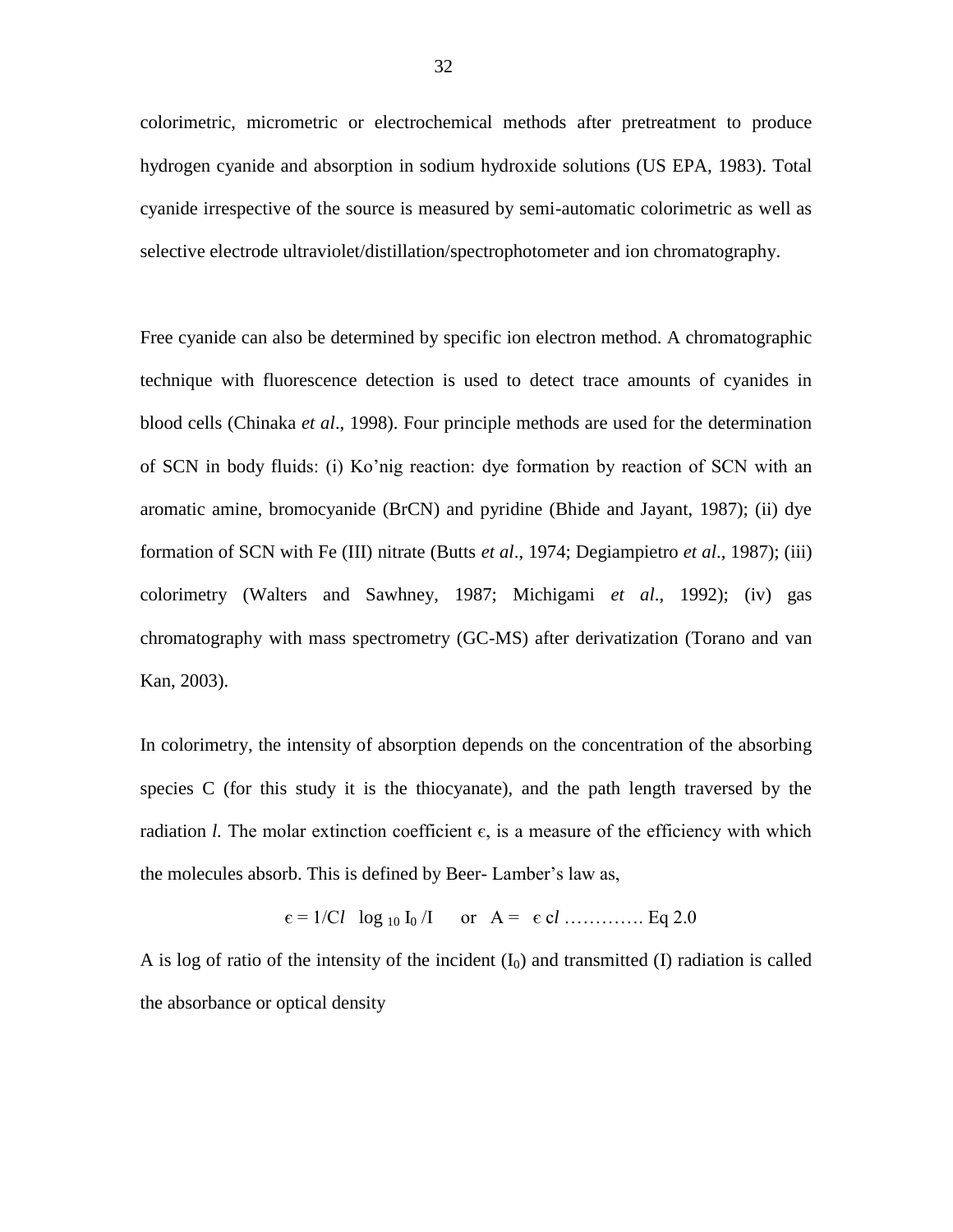colorimetric, micrometric or electrochemical methods after pretreatment to produce hydrogen cyanide and absorption in sodium hydroxide solutions (US EPA, 1983). Total cyanide irrespective of the source is measured by semi-automatic colorimetric as well as selective electrode ultraviolet/distillation/spectrophotometer and ion chromatography.

Free cyanide can also be determined by specific ion electron method. A chromatographic technique with fluorescence detection is used to detect trace amounts of cyanides in blood cells (Chinaka *et al*., 1998). Four principle methods are used for the determination of SCN in body fluids: (i) Ko"nig reaction: dye formation by reaction of SCN with an aromatic amine, bromocyanide (BrCN) and pyridine (Bhide and Jayant, 1987); (ii) dye formation of SCN with Fe (III) nitrate (Butts *et al*., 1974; Degiampietro *et al*., 1987); (iii) colorimetry (Walters and Sawhney, 1987; Michigami *et al*., 1992); (iv) gas chromatography with mass spectrometry (GC-MS) after derivatization (Torano and van Kan, 2003).

In colorimetry, the intensity of absorption depends on the concentration of the absorbing species C (for this study it is the thiocyanate), and the path length traversed by the radiation *l*. The molar extinction coefficient  $\epsilon$ , is a measure of the efficiency with which the molecules absorb. This is defined by Beer- Lamber"s law as,

$$
\epsilon = 1/Cl \log_{10} I_0 / I \quad \text{or} \quad A = \epsilon cl \dots \dots \dots \dots Eq \ 2.0
$$

A is log of ratio of the intensity of the incident  $(I_0)$  and transmitted (I) radiation is called the absorbance or optical density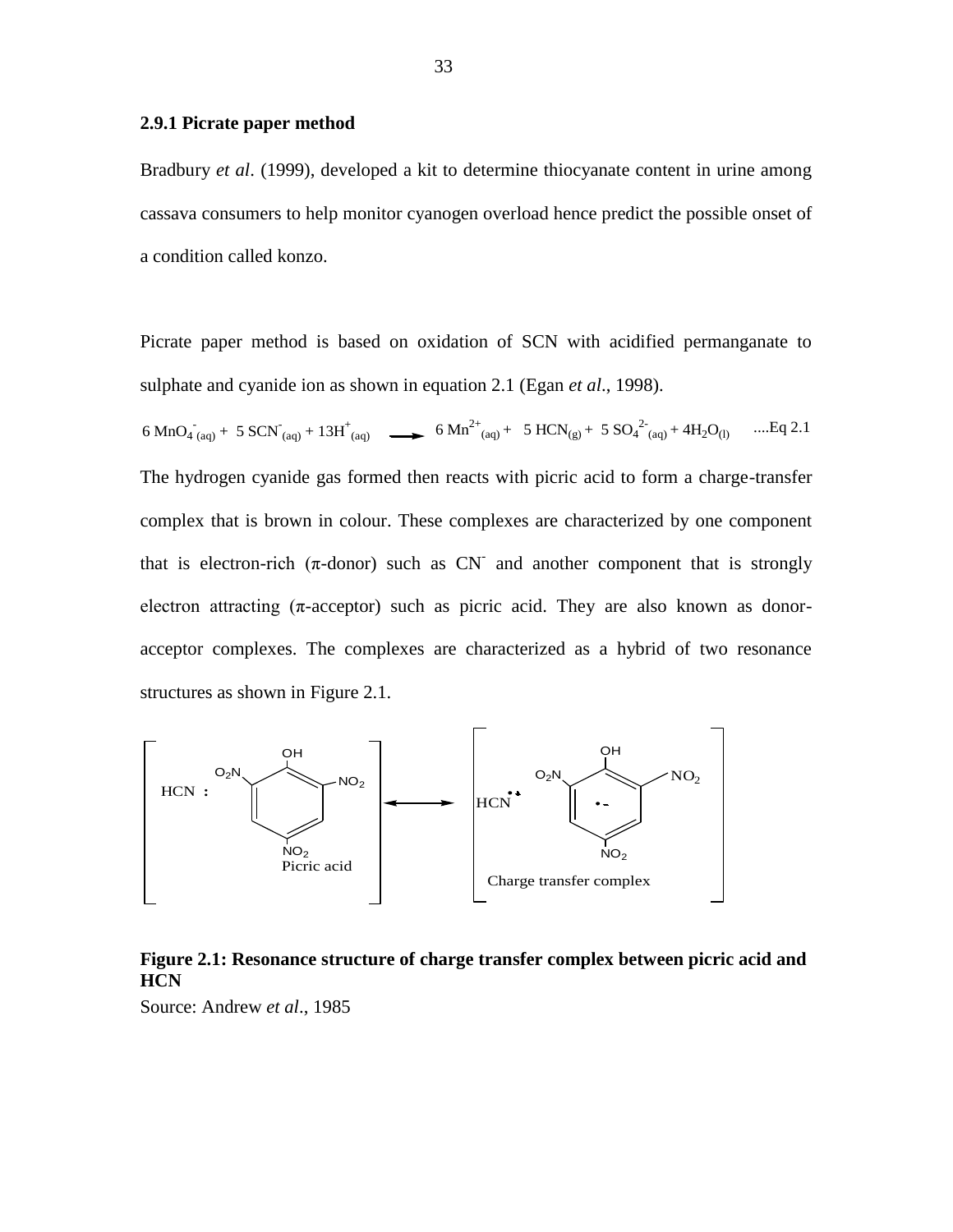# **2.9.1 Picrate paper method**

Bradbury *et al*. (1999), developed a kit to determine thiocyanate content in urine among cassava consumers to help monitor cyanogen overload hence predict the possible onset of a condition called konzo.

Picrate paper method is based on oxidation of SCN with acidified permanganate to sulphate and cyanide ion as shown in equation 2.1 (Egan *et al*., 1998).

$$
6 \text{ MnO}_{4\text{ (aq)}} + 5 \text{ SCN}_{\text{ (aq)}} + 13 \text{H}^+_{\text{ (aq)}} \quad \longrightarrow \quad 6 \text{ Mn}^{2+}{}_{\text{(aq)}} + 5 \text{ HCN}_{\text{(g)}} + 5 \text{ SO}_4{}^{2-}{}_{\text{(aq)}} + 4 \text{H}_2\text{O}_{\text{(l)}} \quad \dots \text{Eq 2.1}
$$

The hydrogen cyanide gas formed then reacts with picric acid to form a charge-transfer complex that is brown in colour. These complexes are characterized by one component that is electron-rich  $(π$ -donor) such as CN<sup>-</sup> and another component that is strongly electron attracting  $(\pi\text{-acceptor})$  such as picric acid. They are also known as donoracceptor complexes. The complexes are characterized as a hybrid of two resonance structures as shown in Figure 2.1.



# **Figure 2.1: Resonance structure of charge transfer complex between picric acid and HCN**

Source: Andrew *et al*., 1985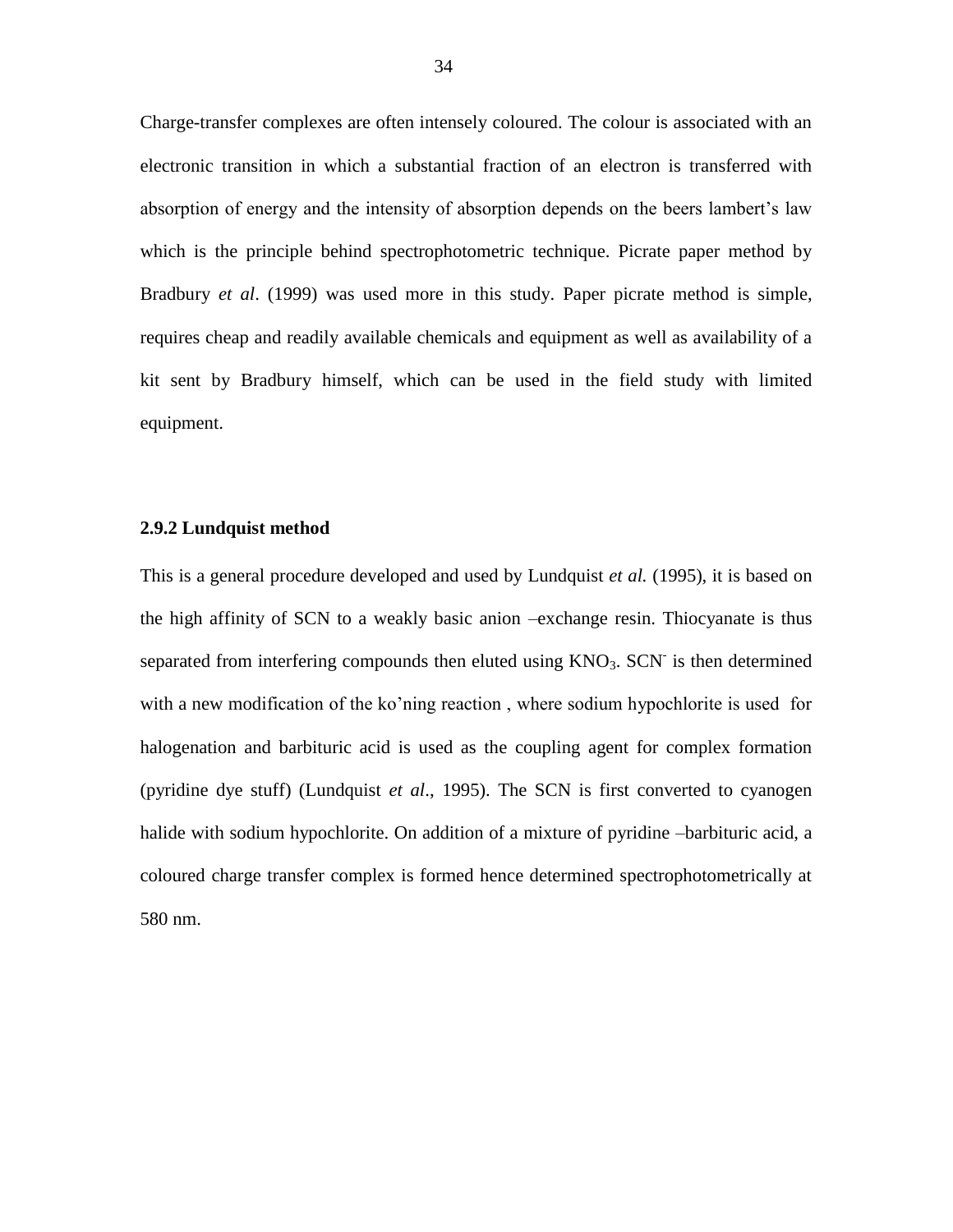Charge-transfer complexes are often intensely coloured. The colour is associated with an electronic transition in which a substantial fraction of an electron is transferred with absorption of energy and the intensity of absorption depends on the beers lambert"s law which is the principle behind spectrophotometric technique. Picrate paper method by Bradbury *et al*. (1999) was used more in this study. Paper picrate method is simple, requires cheap and readily available chemicals and equipment as well as availability of a kit sent by Bradbury himself, which can be used in the field study with limited equipment.

### **2.9.2 Lundquist method**

This is a general procedure developed and used by Lundquist *et al.* (1995), it is based on the high affinity of SCN to a weakly basic anion –exchange resin. Thiocyanate is thus separated from interfering compounds then eluted using  $KNO<sub>3</sub>$ .  $SCN<sup>-</sup>$  is then determined with a new modification of the ko'ning reaction, where sodium hypochlorite is used for halogenation and barbituric acid is used as the coupling agent for complex formation (pyridine dye stuff) (Lundquist *et al*., 1995). The SCN is first converted to cyanogen halide with sodium hypochlorite. On addition of a mixture of pyridine –barbituric acid, a coloured charge transfer complex is formed hence determined spectrophotometrically at 580 nm.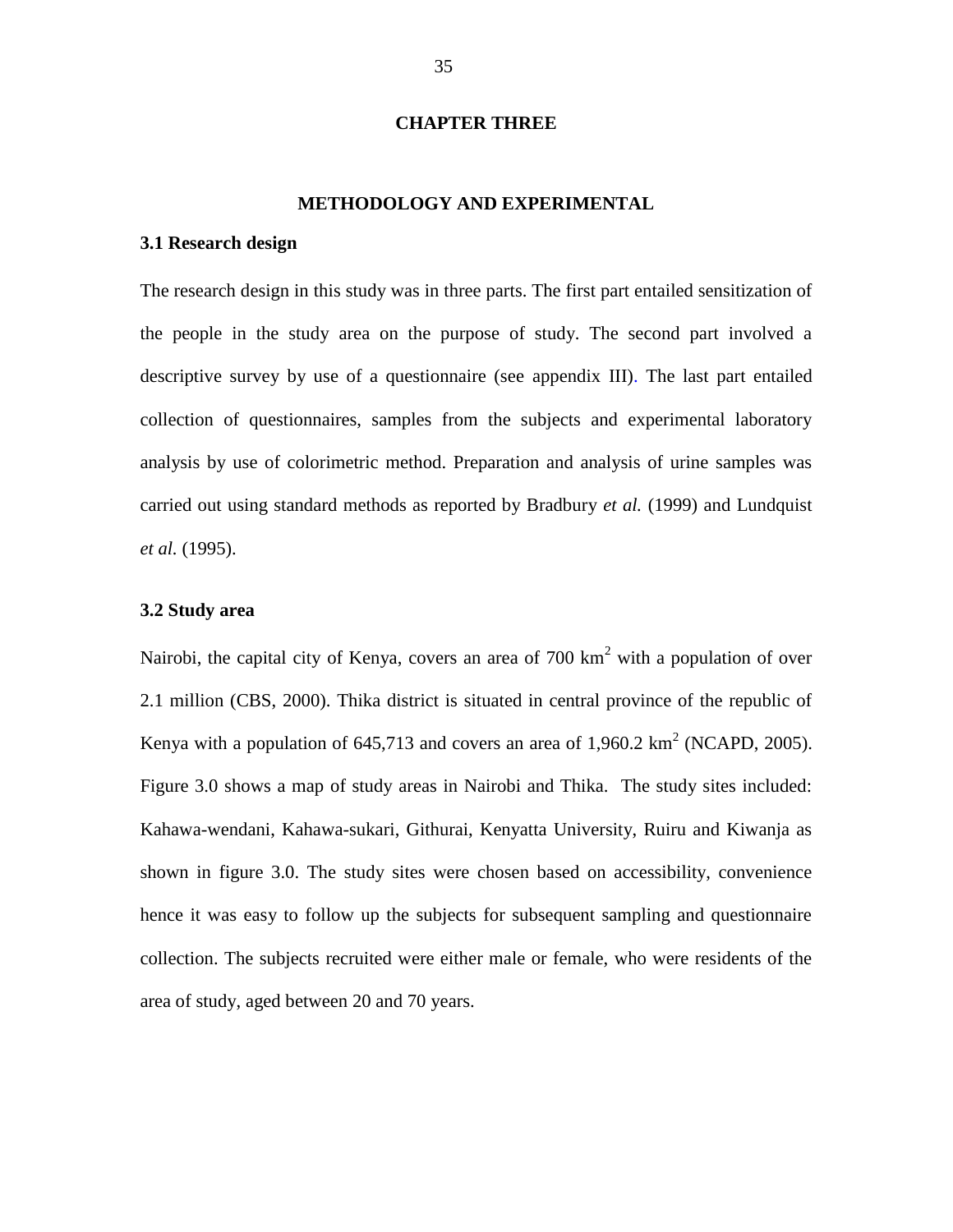# **CHAPTER THREE**

# **METHODOLOGY AND EXPERIMENTAL**

# **3.1 Research design**

The research design in this study was in three parts. The first part entailed sensitization of the people in the study area on the purpose of study. The second part involved a descriptive survey by use of a questionnaire (see appendix III). The last part entailed collection of questionnaires, samples from the subjects and experimental laboratory analysis by use of colorimetric method. Preparation and analysis of urine samples was carried out using standard methods as reported by Bradbury *et al.* (1999) and Lundquist *et al.* (1995).

# **3.2 Study area**

Nairobi, the capital city of Kenya, covers an area of 700  $km^2$  with a population of over 2.1 million (CBS, 2000). Thika district is situated in central province of the republic of Kenya with a population of 645,713 and covers an area of 1,960.2  $\text{km}^2$  (NCAPD, 2005). Figure 3.0 shows a map of study areas in Nairobi and Thika. The study sites included: Kahawa-wendani, Kahawa-sukari, Githurai, Kenyatta University, Ruiru and Kiwanja as shown in figure 3.0. The study sites were chosen based on accessibility, convenience hence it was easy to follow up the subjects for subsequent sampling and questionnaire collection. The subjects recruited were either male or female, who were residents of the area of study, aged between 20 and 70 years.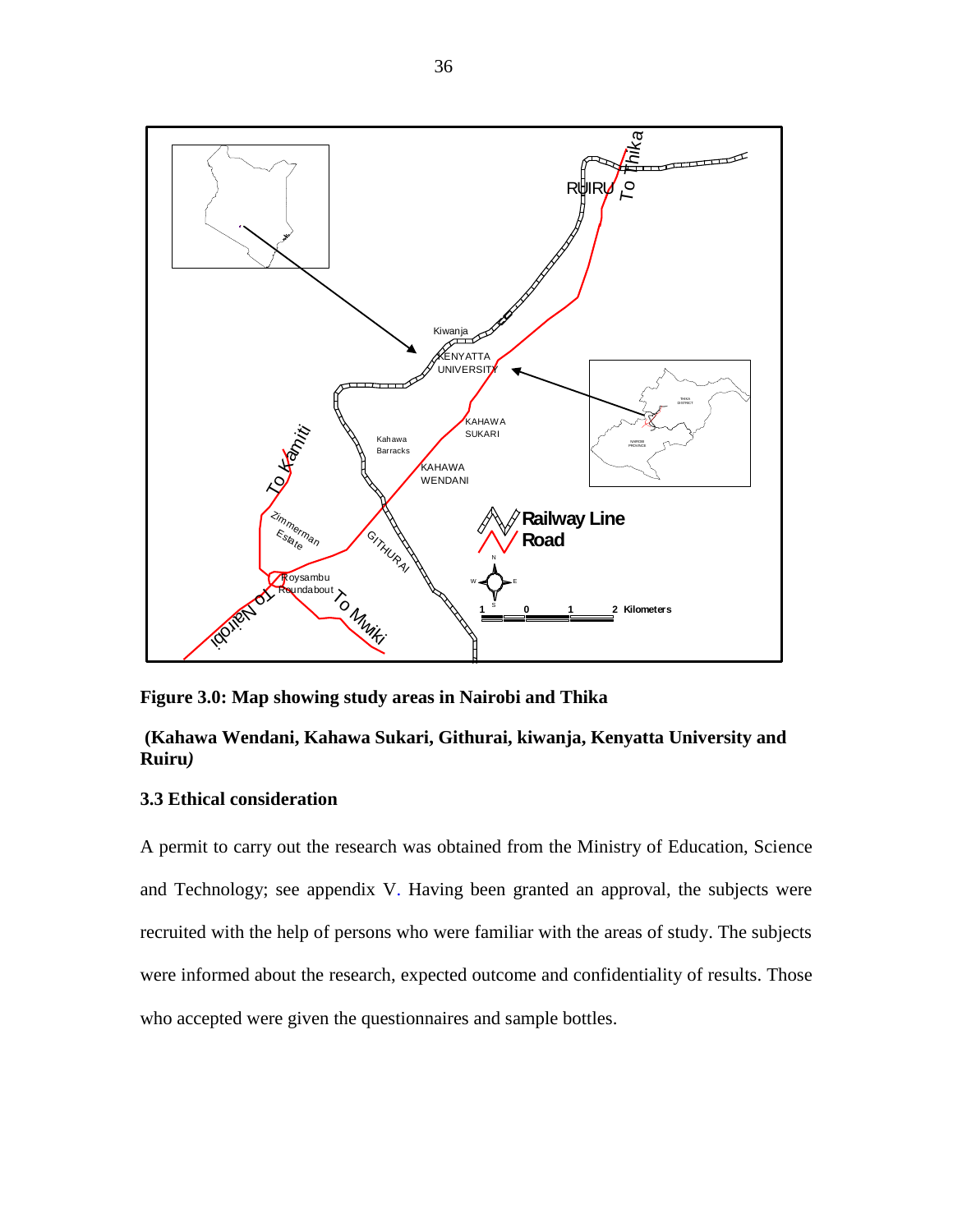

**Figure 3.0: Map showing study areas in Nairobi and Thika**

# **(Kahawa Wendani, Kahawa Sukari, Githurai, kiwanja, Kenyatta University and Ruiru***)*

# **3.3 Ethical consideration**

A permit to carry out the research was obtained from the Ministry of Education, Science and Technology; see appendix V. Having been granted an approval, the subjects were recruited with the help of persons who were familiar with the areas of study. The subjects were informed about the research, expected outcome and confidentiality of results. Those who accepted were given the questionnaires and sample bottles.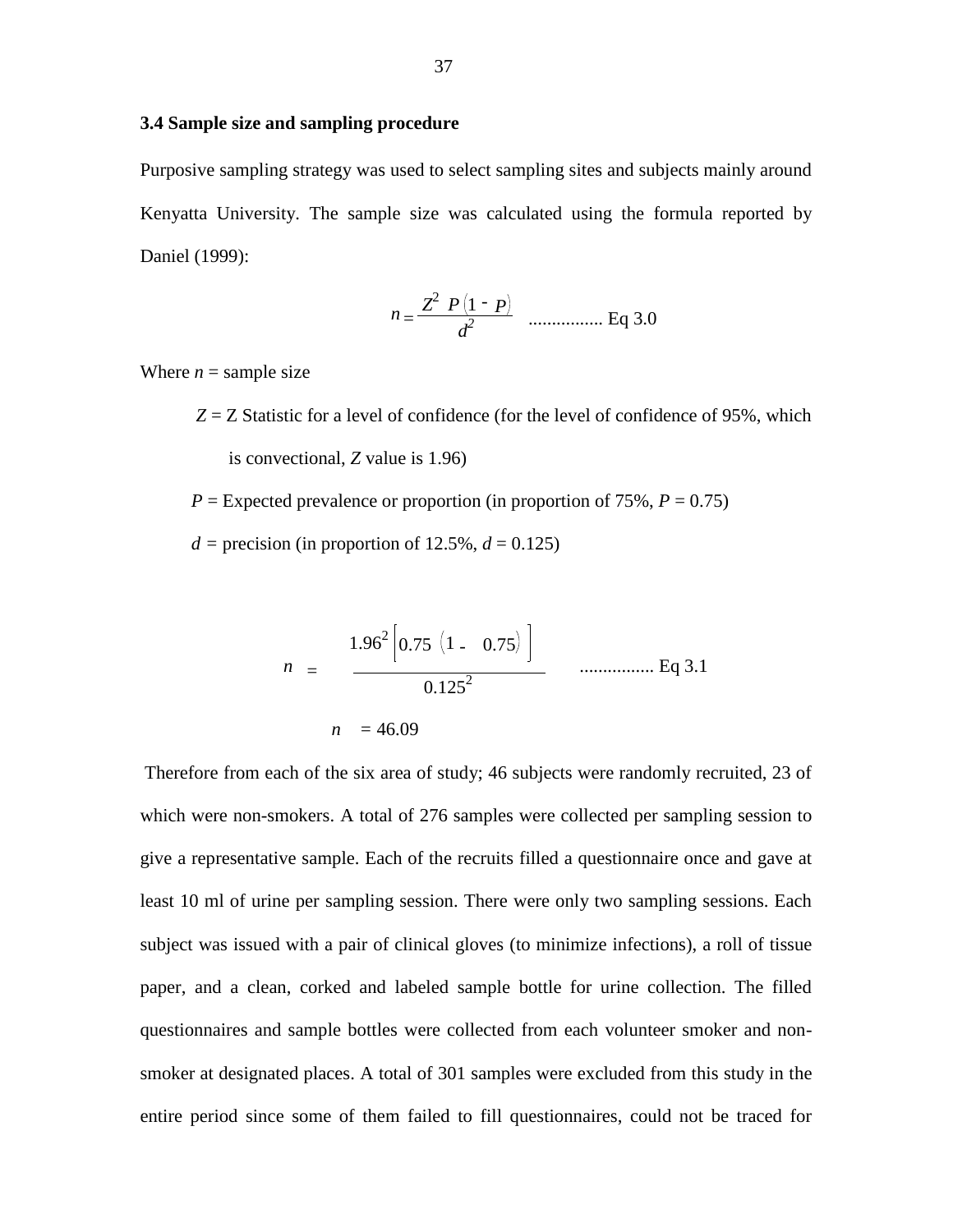# **3.4 Sample size and sampling procedure**

Purposive sampling strategy was used to select sampling sites and subjects mainly around Kenyatta University. The sample size was calculated using the formula reported by Daniel (1999):

$$
n = \frac{Z^2 \ P(1 - P)}{d^2} \quad \dots \dots \dots \dots \dots \dots \text{Eq 3.0}
$$

Where  $n =$  sample size

- *Z* = Z Statistic for a level of confidence (for the level of confidence of 95%, which is convectional, *Z* value is 1.96)
- $P =$  Expected prevalence or proportion (in proportion of 75%,  $P = 0.75$ )  $d =$  precision (in proportion of 12.5%,  $d = 0.125$ )

$$
n = \frac{1.96^{2} \left[ 0.75 \left( 1 - 0.75 \right) \right]}{0.125^{2}}
$$
 ................. Eq 3.1

Therefore from each of the six area of study; 46 subjects were randomly recruited, 23 of which were non-smokers. A total of 276 samples were collected per sampling session to give a representative sample. Each of the recruits filled a questionnaire once and gave at least 10 ml of urine per sampling session. There were only two sampling sessions. Each subject was issued with a pair of clinical gloves (to minimize infections), a roll of tissue paper, and a clean, corked and labeled sample bottle for urine collection. The filled questionnaires and sample bottles were collected from each volunteer smoker and nonsmoker at designated places. A total of 301 samples were excluded from this study in the entire period since some of them failed to fill questionnaires, could not be traced for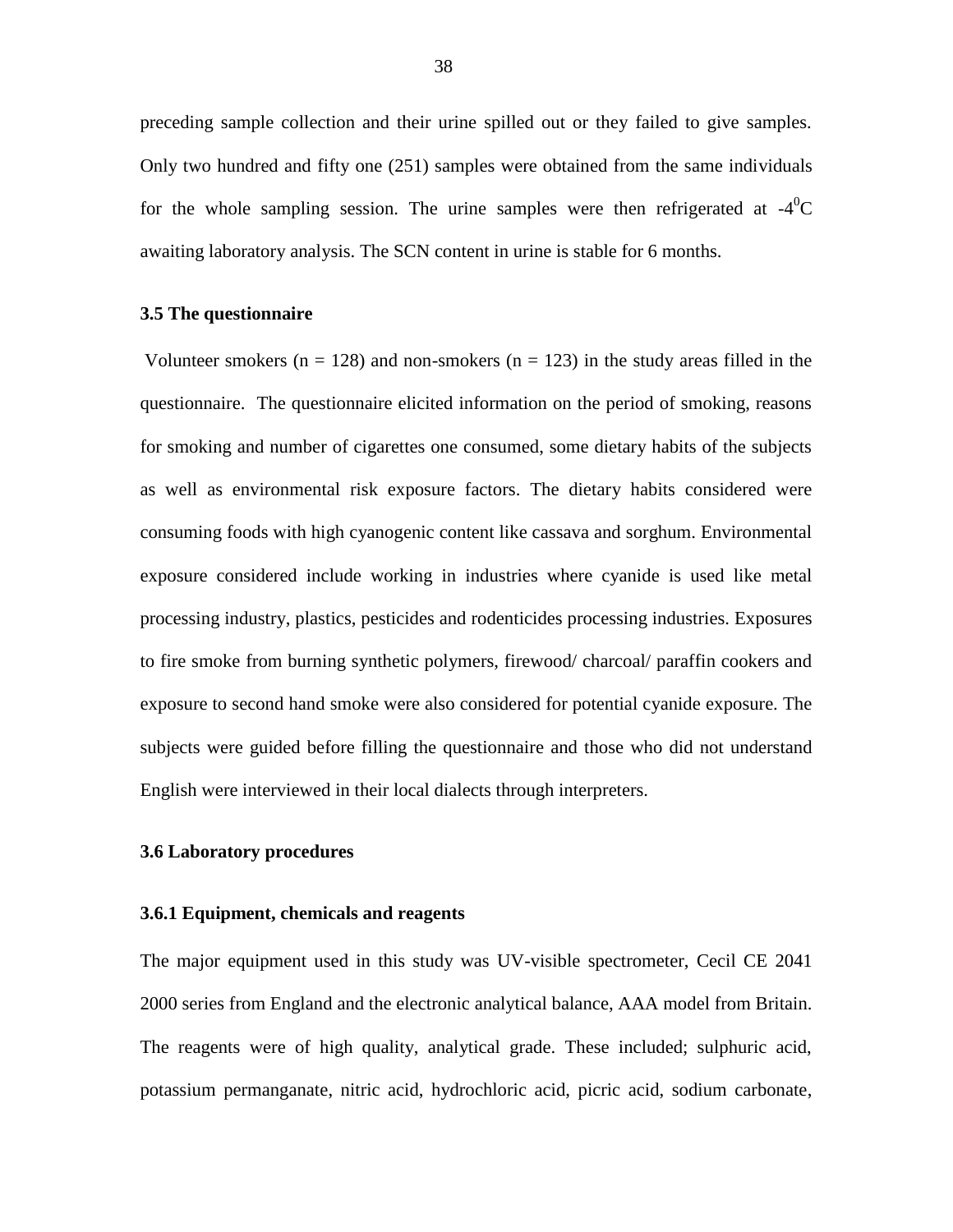preceding sample collection and their urine spilled out or they failed to give samples. Only two hundred and fifty one (251) samples were obtained from the same individuals for the whole sampling session. The urine samples were then refrigerated at  $-4^0C$ awaiting laboratory analysis. The SCN content in urine is stable for 6 months.

#### **3.5 The questionnaire**

Volunteer smokers ( $n = 128$ ) and non-smokers ( $n = 123$ ) in the study areas filled in the questionnaire. The questionnaire elicited information on the period of smoking, reasons for smoking and number of cigarettes one consumed, some dietary habits of the subjects as well as environmental risk exposure factors. The dietary habits considered were consuming foods with high cyanogenic content like cassava and sorghum. Environmental exposure considered include working in industries where cyanide is used like metal processing industry, plastics, pesticides and rodenticides processing industries. Exposures to fire smoke from burning synthetic polymers, firewood/ charcoal/ paraffin cookers and exposure to second hand smoke were also considered for potential cyanide exposure. The subjects were guided before filling the questionnaire and those who did not understand English were interviewed in their local dialects through interpreters.

# **3.6 Laboratory procedures**

# **3.6.1 Equipment, chemicals and reagents**

The major equipment used in this study was UV-visible spectrometer, Cecil CE 2041 2000 series from England and the electronic analytical balance, AAA model from Britain. The reagents were of high quality, analytical grade. These included; sulphuric acid, potassium permanganate, nitric acid, hydrochloric acid, picric acid, sodium carbonate,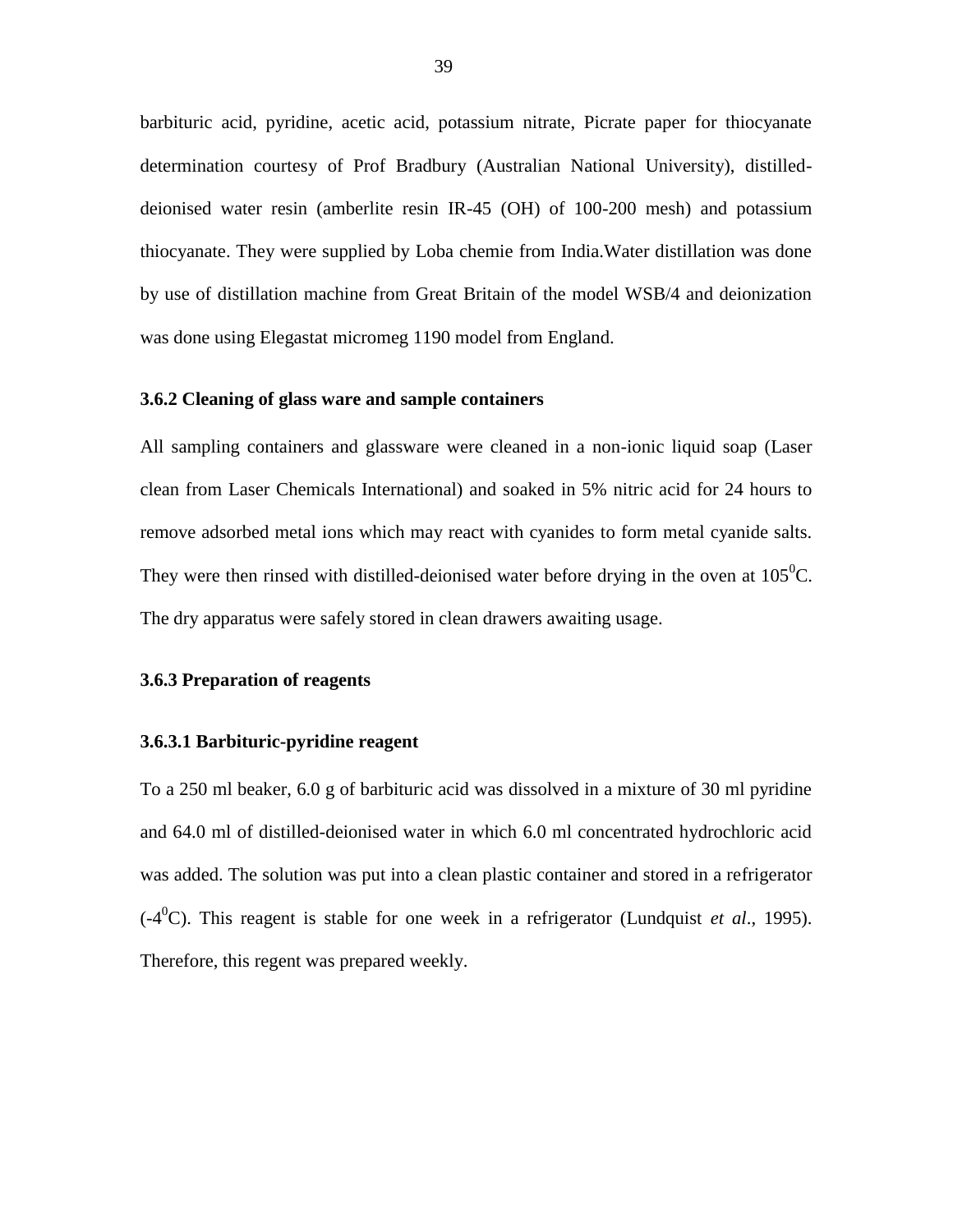barbituric acid, pyridine, acetic acid, potassium nitrate, Picrate paper for thiocyanate determination courtesy of Prof Bradbury (Australian National University), distilleddeionised water resin (amberlite resin IR-45 (OH) of 100-200 mesh) and potassium thiocyanate. They were supplied by Loba chemie from India.Water distillation was done by use of distillation machine from Great Britain of the model WSB/4 and deionization was done using Elegastat micromeg 1190 model from England.

# **3.6.2 Cleaning of glass ware and sample containers**

All sampling containers and glassware were cleaned in a non-ionic liquid soap (Laser clean from Laser Chemicals International) and soaked in 5% nitric acid for 24 hours to remove adsorbed metal ions which may react with cyanides to form metal cyanide salts. They were then rinsed with distilled-deionised water before drying in the oven at  $105^{\circ}$ C. The dry apparatus were safely stored in clean drawers awaiting usage.

# **3.6.3 Preparation of reagents**

#### **3.6.3.1 Barbituric-pyridine reagent**

To a 250 ml beaker, 6.0 g of barbituric acid was dissolved in a mixture of 30 ml pyridine and 64.0 ml of distilled-deionised water in which 6.0 ml concentrated hydrochloric acid was added. The solution was put into a clean plastic container and stored in a refrigerator  $(-4<sup>0</sup>C)$ . This reagent is stable for one week in a refrigerator (Lundquist *et al.*, 1995). Therefore, this regent was prepared weekly.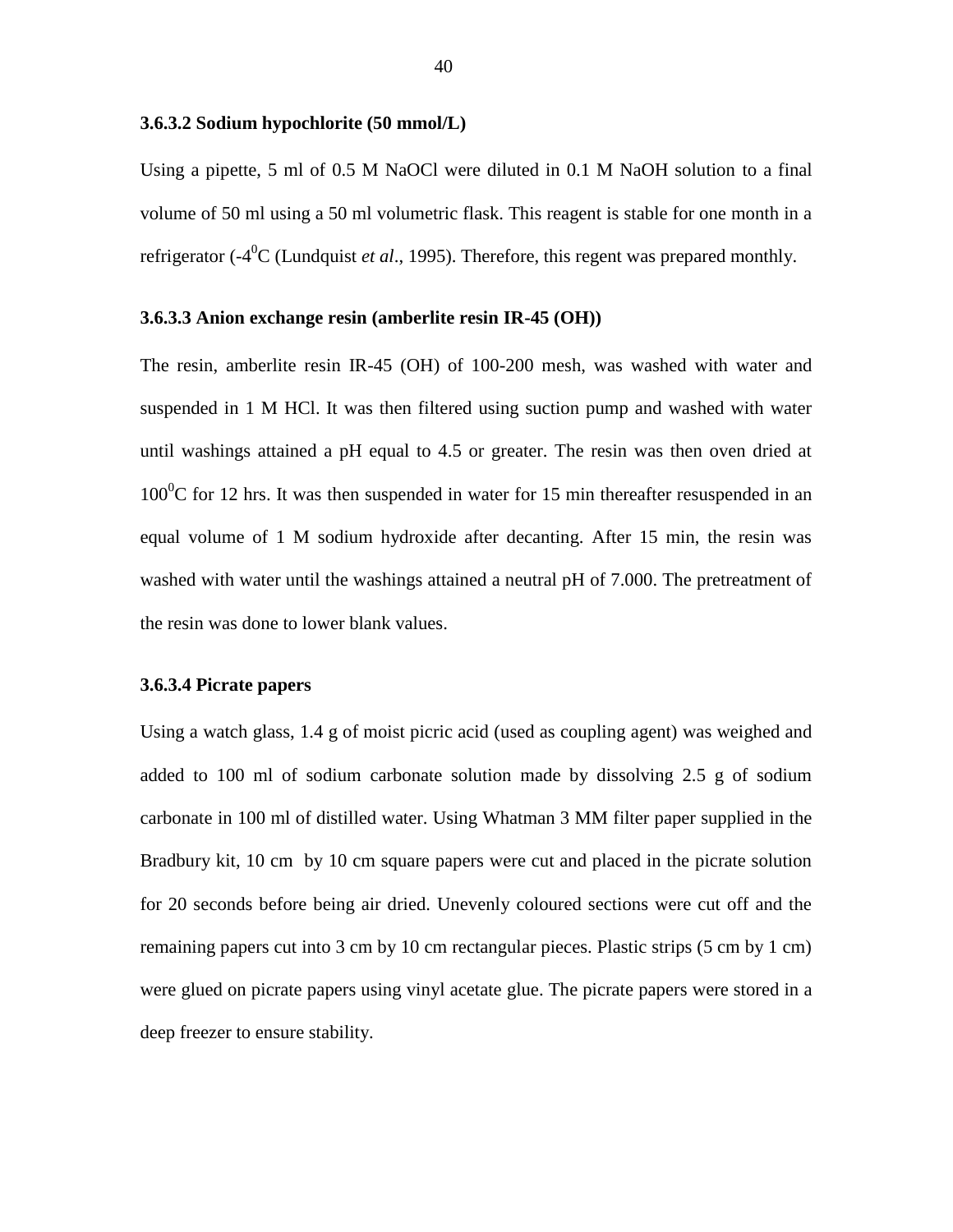# **3.6.3.2 Sodium hypochlorite (50 mmol/L)**

Using a pipette, 5 ml of 0.5 M NaOCl were diluted in 0.1 M NaOH solution to a final volume of 50 ml using a 50 ml volumetric flask. This reagent is stable for one month in a refrigerator (-4 <sup>0</sup>C (Lundquist *et al*., 1995). Therefore, this regent was prepared monthly.

# **3.6.3.3 Anion exchange resin (amberlite resin IR-45 (OH))**

The resin, amberlite resin IR-45 (OH) of 100-200 mesh, was washed with water and suspended in 1 M HCl. It was then filtered using suction pump and washed with water until washings attained a pH equal to 4.5 or greater. The resin was then oven dried at  $100^{\circ}$ C for 12 hrs. It was then suspended in water for 15 min thereafter resuspended in an equal volume of 1 M sodium hydroxide after decanting. After 15 min, the resin was washed with water until the washings attained a neutral pH of 7.000. The pretreatment of the resin was done to lower blank values.

# **3.6.3.4 Picrate papers**

Using a watch glass, 1.4 g of moist picric acid (used as coupling agent) was weighed and added to 100 ml of sodium carbonate solution made by dissolving 2.5 g of sodium carbonate in 100 ml of distilled water. Using Whatman 3 MM filter paper supplied in the Bradbury kit, 10 cm by 10 cm square papers were cut and placed in the picrate solution for 20 seconds before being air dried. Unevenly coloured sections were cut off and the remaining papers cut into 3 cm by 10 cm rectangular pieces. Plastic strips (5 cm by 1 cm) were glued on picrate papers using vinyl acetate glue. The picrate papers were stored in a deep freezer to ensure stability.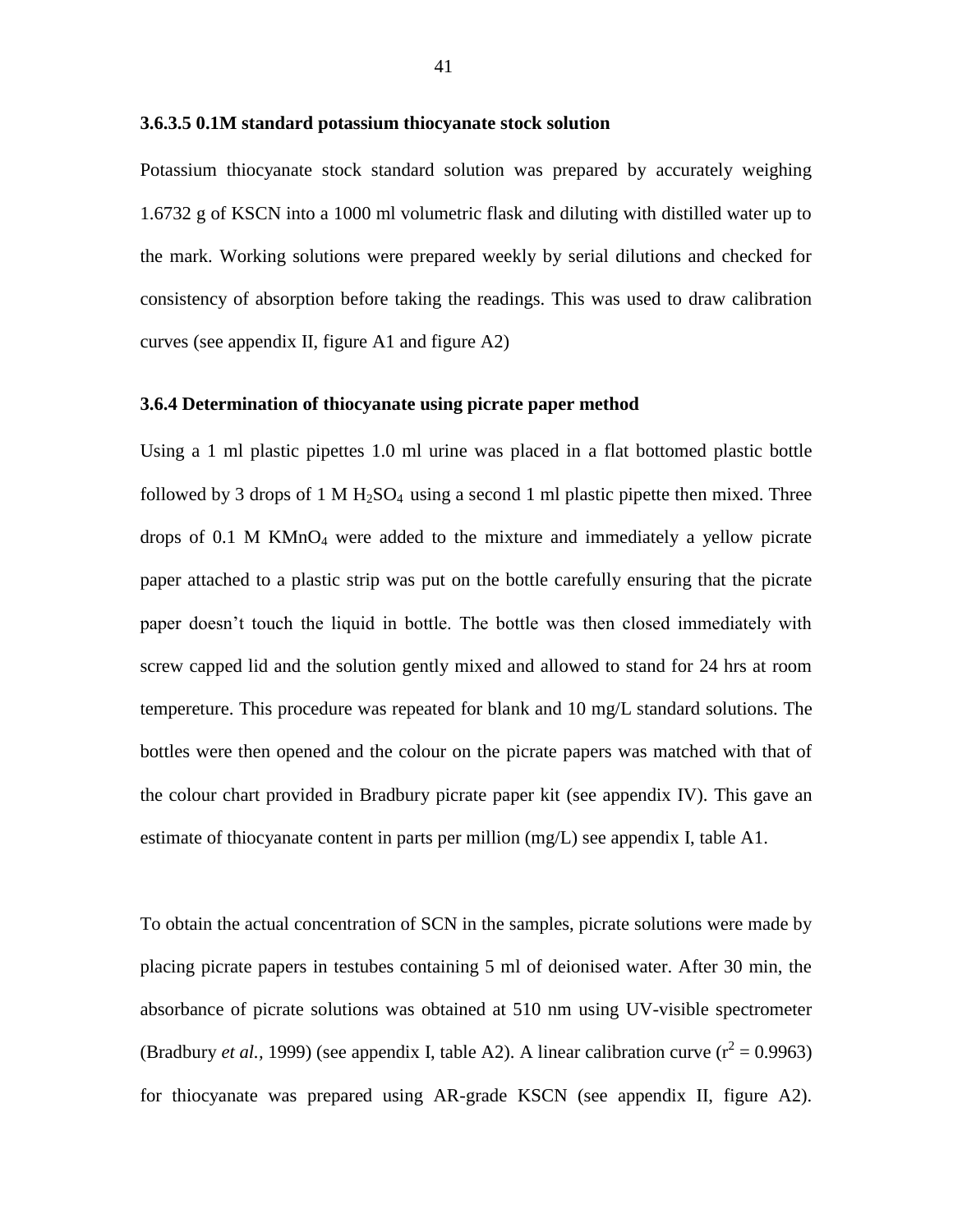# **3.6.3.5 0.1M standard potassium thiocyanate stock solution**

Potassium thiocyanate stock standard solution was prepared by accurately weighing 1.6732 g of KSCN into a 1000 ml volumetric flask and diluting with distilled water up to the mark. Working solutions were prepared weekly by serial dilutions and checked for consistency of absorption before taking the readings. This was used to draw calibration curves (see appendix II, figure A1 and figure A2)

# **3.6.4 Determination of thiocyanate using picrate paper method**

Using a 1 ml plastic pipettes 1.0 ml urine was placed in a flat bottomed plastic bottle followed by 3 drops of 1 M  $H<sub>2</sub>SO<sub>4</sub>$  using a second 1 ml plastic pipette then mixed. Three drops of  $0.1$  M KMnO<sub>4</sub> were added to the mixture and immediately a yellow picrate paper attached to a plastic strip was put on the bottle carefully ensuring that the picrate paper doesn"t touch the liquid in bottle. The bottle was then closed immediately with screw capped lid and the solution gently mixed and allowed to stand for 24 hrs at room tempereture. This procedure was repeated for blank and 10 mg/L standard solutions. The bottles were then opened and the colour on the picrate papers was matched with that of the colour chart provided in Bradbury picrate paper kit (see appendix IV). This gave an estimate of thiocyanate content in parts per million (mg/L) see appendix I, table A1.

To obtain the actual concentration of SCN in the samples, picrate solutions were made by placing picrate papers in testubes containing 5 ml of deionised water. After 30 min, the absorbance of picrate solutions was obtained at 510 nm using UV-visible spectrometer (Bradbury *et al.*, 1999) (see appendix I, table A2). A linear calibration curve  $(r^2 = 0.9963)$ for thiocyanate was prepared using AR-grade KSCN (see appendix II, figure A2).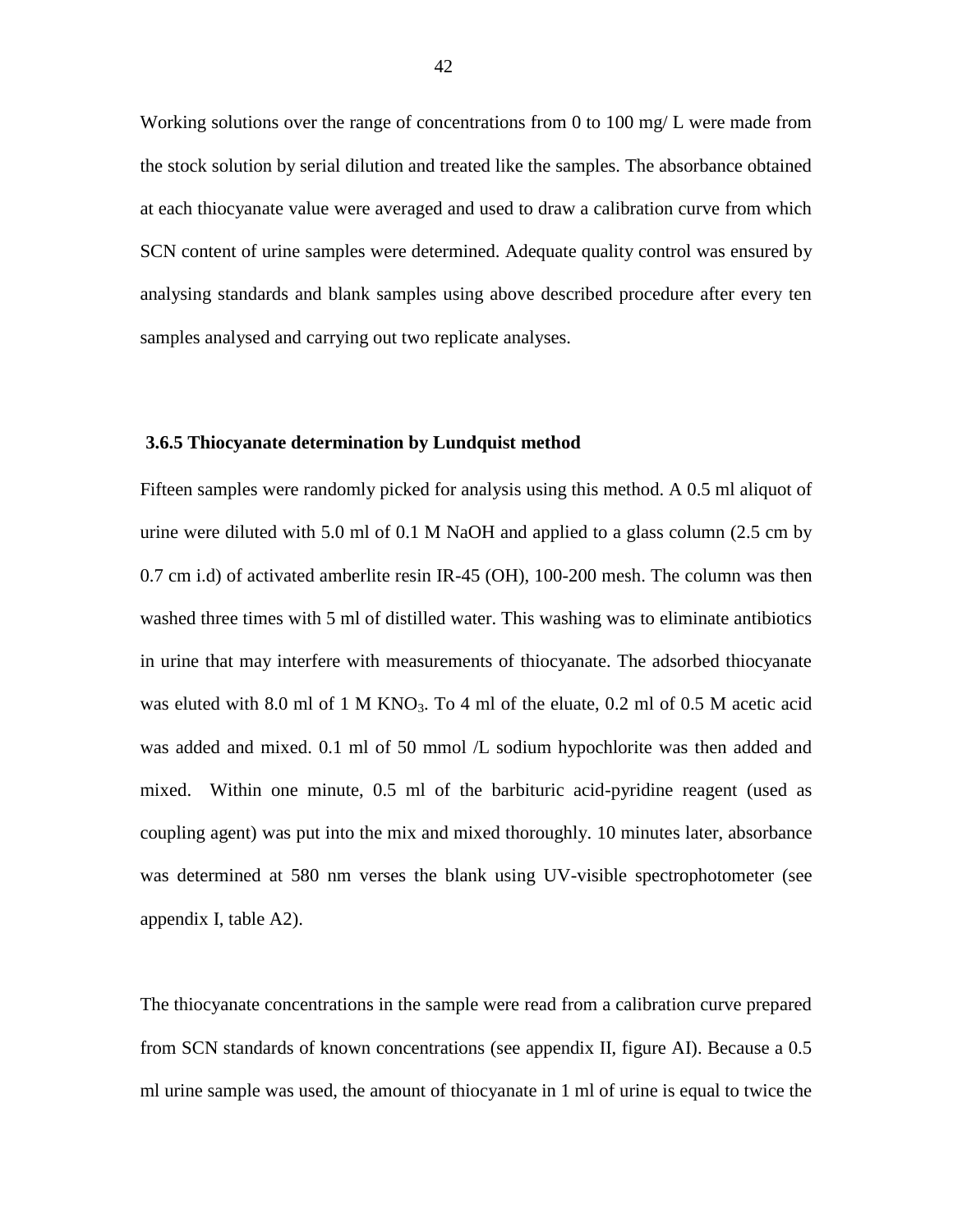Working solutions over the range of concentrations from 0 to 100 mg/ L were made from the stock solution by serial dilution and treated like the samples. The absorbance obtained at each thiocyanate value were averaged and used to draw a calibration curve from which SCN content of urine samples were determined. Adequate quality control was ensured by analysing standards and blank samples using above described procedure after every ten samples analysed and carrying out two replicate analyses.

# **3.6.5 Thiocyanate determination by Lundquist method**

Fifteen samples were randomly picked for analysis using this method. A 0.5 ml aliquot of urine were diluted with 5.0 ml of 0.1 M NaOH and applied to a glass column (2.5 cm by 0.7 cm i.d) of activated amberlite resin IR-45 (OH), 100-200 mesh. The column was then washed three times with 5 ml of distilled water. This washing was to eliminate antibiotics in urine that may interfere with measurements of thiocyanate. The adsorbed thiocyanate was eluted with 8.0 ml of 1 M KNO<sub>3</sub>. To 4 ml of the eluate, 0.2 ml of 0.5 M acetic acid was added and mixed. 0.1 ml of 50 mmol /L sodium hypochlorite was then added and mixed. Within one minute, 0.5 ml of the barbituric acid-pyridine reagent (used as coupling agent) was put into the mix and mixed thoroughly. 10 minutes later, absorbance was determined at 580 nm verses the blank using UV-visible spectrophotometer (see appendix I, table A2).

The thiocyanate concentrations in the sample were read from a calibration curve prepared from SCN standards of known concentrations (see appendix II, figure AI). Because a 0.5 ml urine sample was used, the amount of thiocyanate in 1 ml of urine is equal to twice the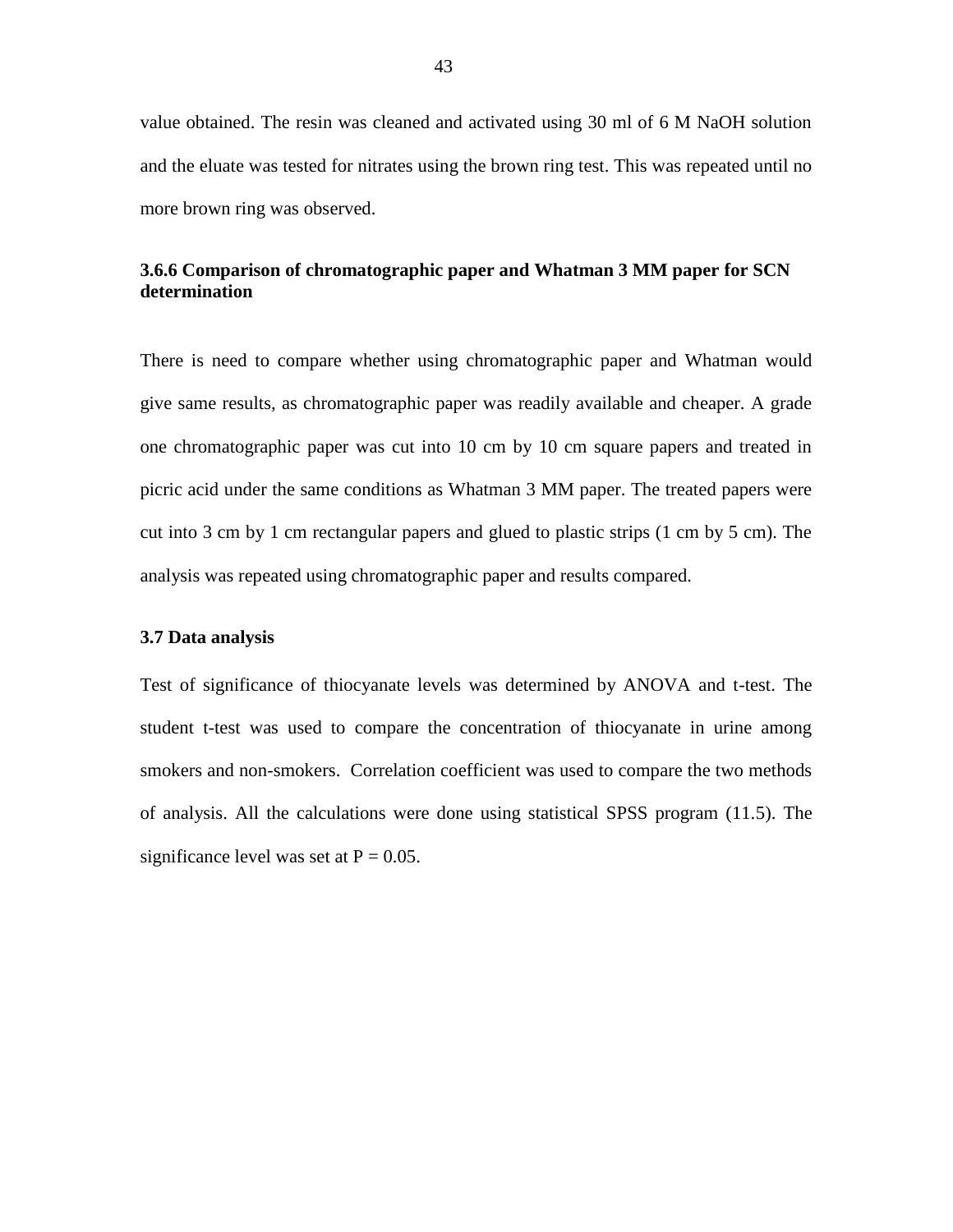value obtained. The resin was cleaned and activated using 30 ml of 6 M NaOH solution and the eluate was tested for nitrates using the brown ring test. This was repeated until no more brown ring was observed.

# **3.6.6 Comparison of chromatographic paper and Whatman 3 MM paper for SCN determination**

There is need to compare whether using chromatographic paper and Whatman would give same results, as chromatographic paper was readily available and cheaper. A grade one chromatographic paper was cut into 10 cm by 10 cm square papers and treated in picric acid under the same conditions as Whatman 3 MM paper. The treated papers were cut into 3 cm by 1 cm rectangular papers and glued to plastic strips (1 cm by 5 cm). The analysis was repeated using chromatographic paper and results compared.

# **3.7 Data analysis**

Test of significance of thiocyanate levels was determined by ANOVA and t-test. The student t-test was used to compare the concentration of thiocyanate in urine among smokers and non-smokers. Correlation coefficient was used to compare the two methods of analysis. All the calculations were done using statistical SPSS program (11.5). The significance level was set at  $P = 0.05$ .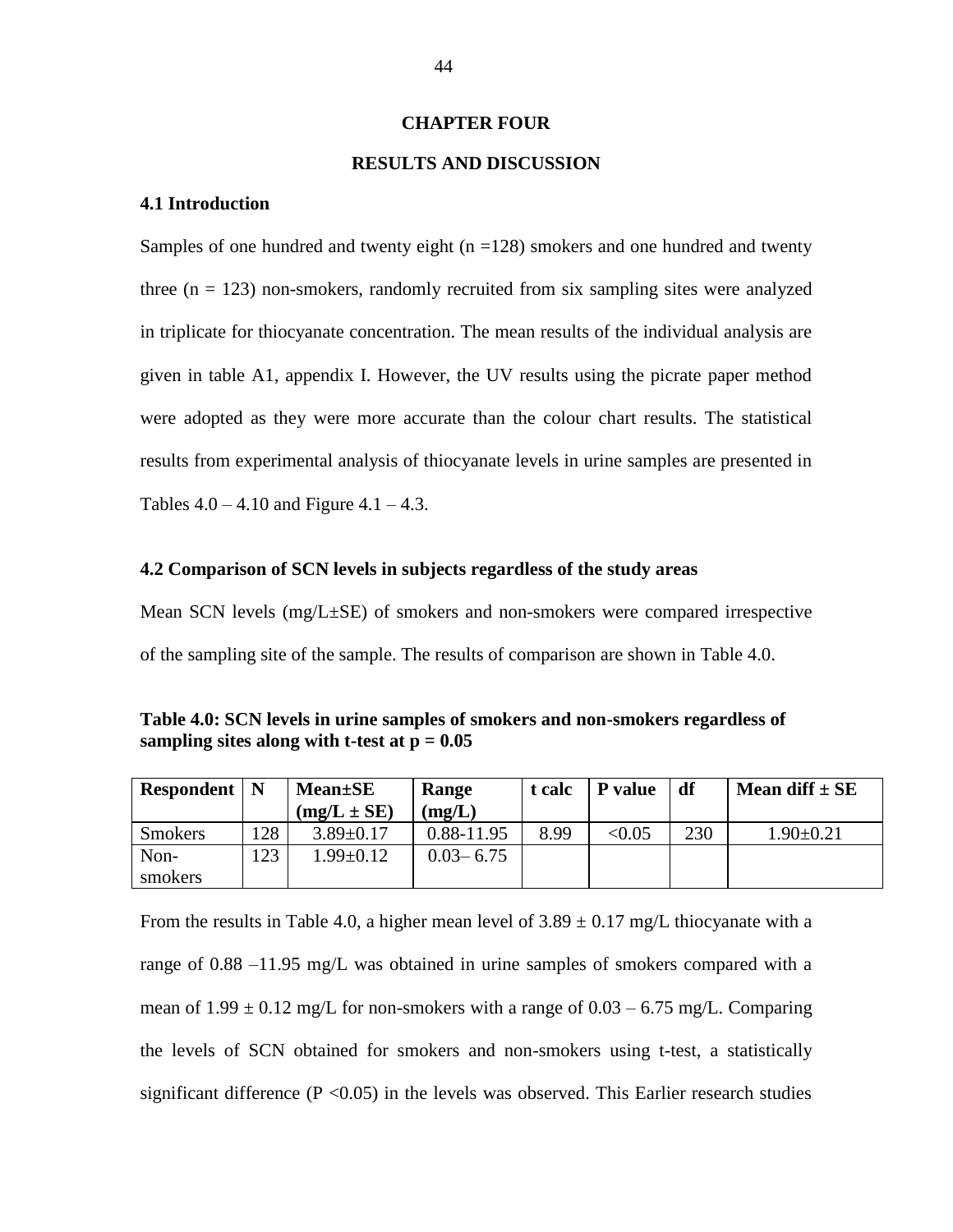# **CHAPTER FOUR**

# **RESULTS AND DISCUSSION**

# **4.1 Introduction**

Samples of one hundred and twenty eight  $(n = 128)$  smokers and one hundred and twenty three  $(n = 123)$  non-smokers, randomly recruited from six sampling sites were analyzed in triplicate for thiocyanate concentration. The mean results of the individual analysis are given in table A1, appendix I. However, the UV results using the picrate paper method were adopted as they were more accurate than the colour chart results. The statistical results from experimental analysis of thiocyanate levels in urine samples are presented in Tables  $4.0 - 4.10$  and Figure  $4.1 - 4.3$ .

## **4.2 Comparison of SCN levels in subjects regardless of the study areas**

Mean SCN levels (mg/L±SE) of smokers and non-smokers were compared irrespective of the sampling site of the sample. The results of comparison are shown in Table 4.0.

| Table 4.0: SCN levels in urine samples of smokers and non-smokers regardless of |
|---------------------------------------------------------------------------------|
| sampling sites along with t-test at $p = 0.05$                                  |

| <b>Respondent</b> | $\mathbf N$ | <b>Mean</b> +SE | Range         | t calc | <b>P</b> value | df  | Mean diff $\pm$ SE |
|-------------------|-------------|-----------------|---------------|--------|----------------|-----|--------------------|
|                   |             | $(mg/L \pm SE)$ | (mg/L)        |        |                |     |                    |
| <b>Smokers</b>    | 128         | $3.89 \pm 0.17$ | 0.88-11.95    | 8.99   | $< \!\! 0.05$  | 230 | $1.90 \pm 0.21$    |
| Non-              | 123         | $1.99 \pm 0.12$ | $0.03 - 6.75$ |        |                |     |                    |
| smokers           |             |                 |               |        |                |     |                    |

From the results in Table 4.0, a higher mean level of  $3.89 \pm 0.17$  mg/L thiocyanate with a range of 0.88 –11.95 mg/L was obtained in urine samples of smokers compared with a mean of  $1.99 \pm 0.12$  mg/L for non-smokers with a range of  $0.03 - 6.75$  mg/L. Comparing the levels of SCN obtained for smokers and non-smokers using t-test, a statistically significant difference ( $P < 0.05$ ) in the levels was observed. This Earlier research studies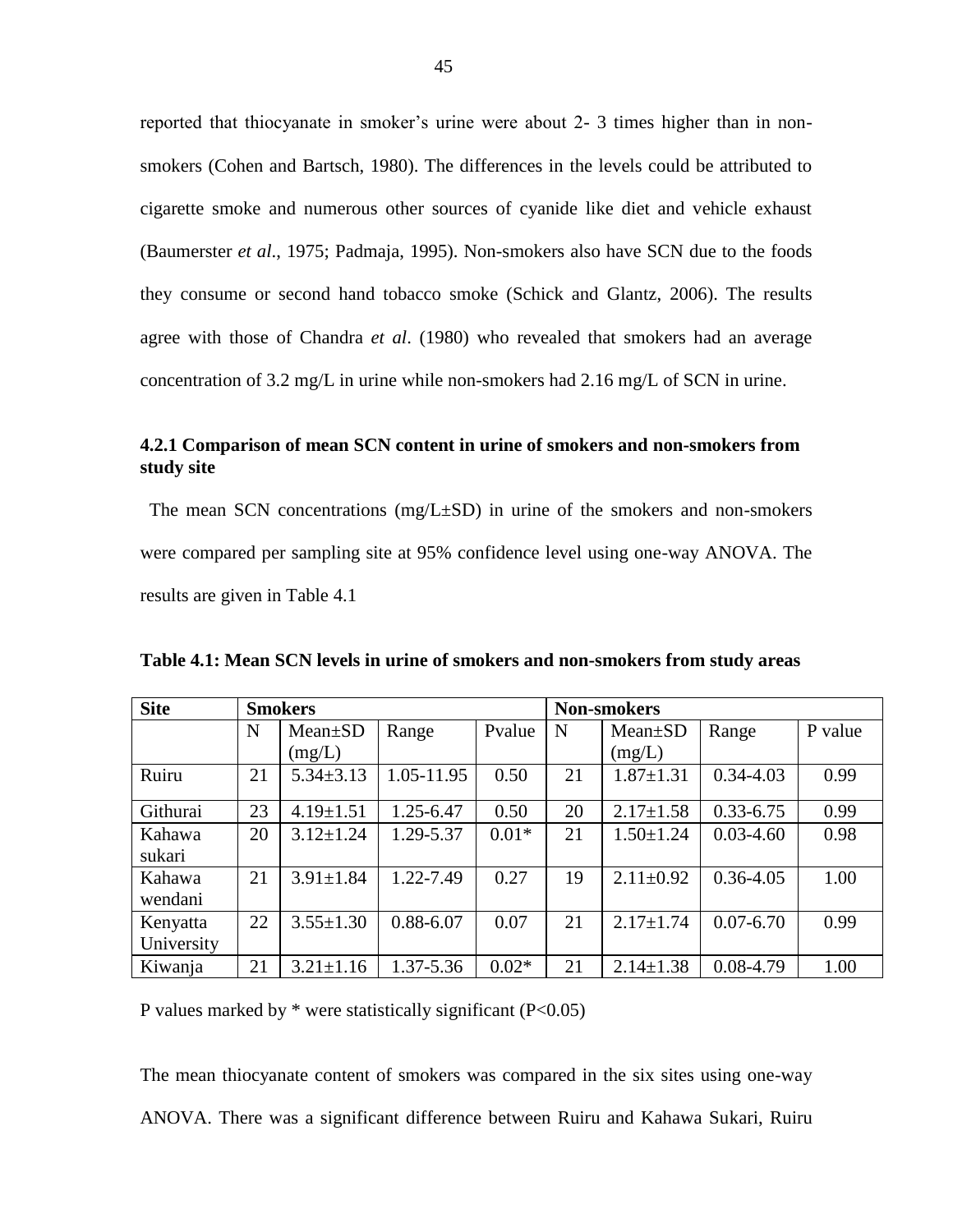reported that thiocyanate in smoker"s urine were about 2- 3 times higher than in nonsmokers (Cohen and Bartsch, 1980). The differences in the levels could be attributed to cigarette smoke and numerous other sources of cyanide like diet and vehicle exhaust (Baumerster *et al*., 1975; Padmaja, 1995). Non-smokers also have SCN due to the foods they consume or second hand tobacco smoke (Schick and Glantz, 2006). The results agree with those of Chandra *et al*. (1980) who revealed that smokers had an average concentration of 3.2 mg/L in urine while non-smokers had 2.16 mg/L of SCN in urine.

# **4.2.1 Comparison of mean SCN content in urine of smokers and non-smokers from study site**

The mean SCN concentrations  $(mg/L \pm SD)$  in urine of the smokers and non-smokers were compared per sampling site at 95% confidence level using one-way ANOVA. The results are given in Table 4.1

| <b>Site</b> |    | <b>Smokers</b>  |               |         | <b>Non-smokers</b> |                 |               |         |  |
|-------------|----|-----------------|---------------|---------|--------------------|-----------------|---------------|---------|--|
|             | N  | Mean±SD         | Range         | Pvalue  | N                  | $Mean \pm SD$   | Range         | P value |  |
|             |    | (mg/L)          |               |         |                    | (mg/L)          |               |         |  |
| Ruiru       | 21 | $5.34 \pm 3.13$ | 1.05-11.95    | 0.50    | 21                 | $1.87 \pm 1.31$ | $0.34 - 4.03$ | 0.99    |  |
| Githurai    | 23 | $4.19 \pm 1.51$ | 1.25-6.47     | 0.50    | 20                 | $2.17 \pm 1.58$ | $0.33 - 6.75$ | 0.99    |  |
| Kahawa      | 20 | $3.12 \pm 1.24$ | 1.29-5.37     | $0.01*$ | 21                 | $1.50 \pm 1.24$ | $0.03 - 4.60$ | 0.98    |  |
| sukari      |    |                 |               |         |                    |                 |               |         |  |
| Kahawa      | 21 | $3.91 \pm 1.84$ | 1.22-7.49     | 0.27    | 19                 | $2.11 \pm 0.92$ | $0.36 - 4.05$ | 1.00    |  |
| wendani     |    |                 |               |         |                    |                 |               |         |  |
| Kenyatta    | 22 | $3.55 \pm 1.30$ | $0.88 - 6.07$ | 0.07    | 21                 | $2.17 \pm 1.74$ | $0.07 - 6.70$ | 0.99    |  |
| University  |    |                 |               |         |                    |                 |               |         |  |
| Kiwanja     | 21 | $3.21 \pm 1.16$ | 1.37-5.36     | $0.02*$ | 21                 | $2.14 \pm 1.38$ | 0.08-4.79     | 1.00    |  |

|  |  |  |  |  |  | Table 4.1: Mean SCN levels in urine of smokers and non-smokers from study areas |
|--|--|--|--|--|--|---------------------------------------------------------------------------------|
|--|--|--|--|--|--|---------------------------------------------------------------------------------|

P values marked by  $*$  were statistically significant (P<0.05)

The mean thiocyanate content of smokers was compared in the six sites using one-way ANOVA. There was a significant difference between Ruiru and Kahawa Sukari, Ruiru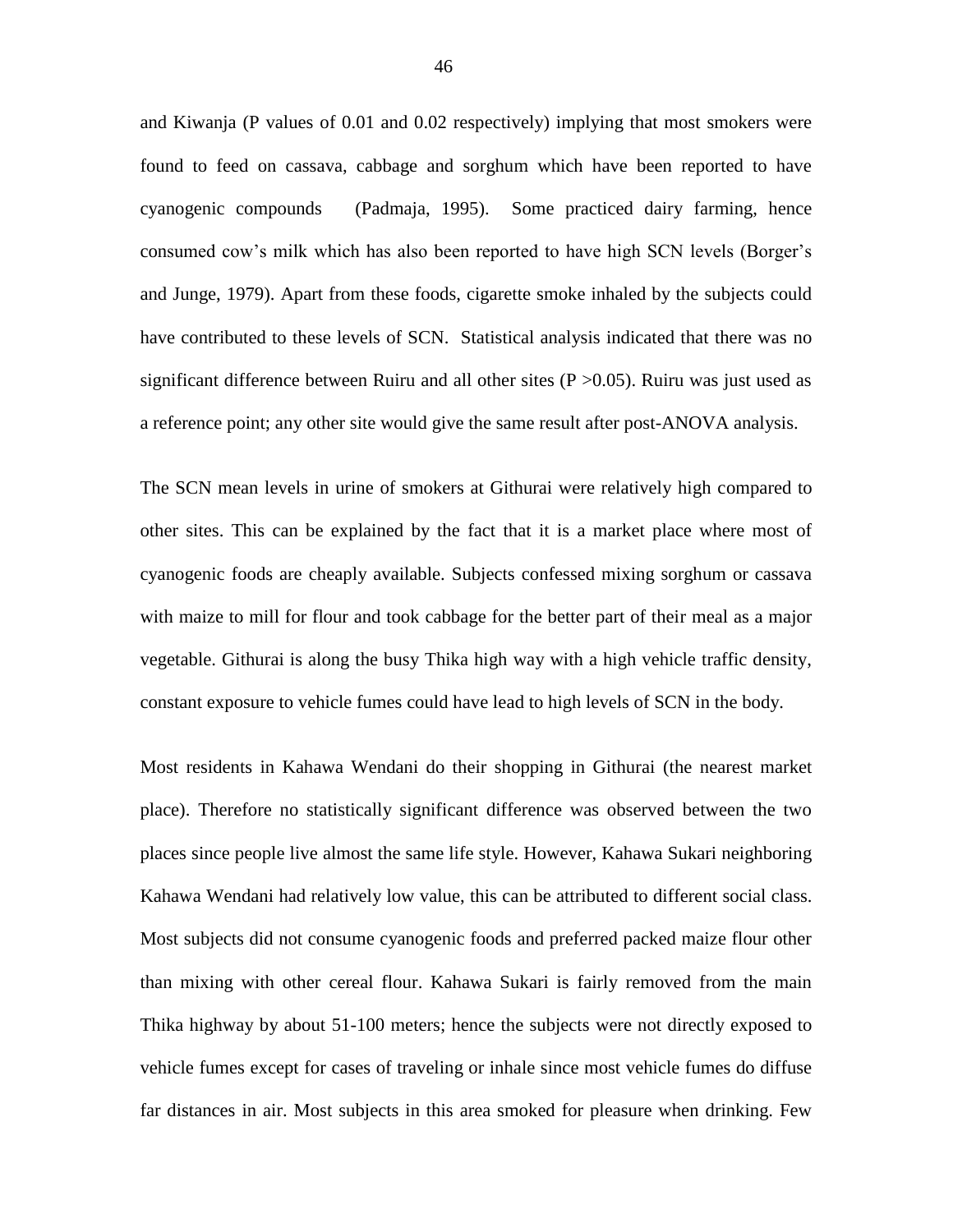and Kiwanja (P values of 0.01 and 0.02 respectively) implying that most smokers were found to feed on cassava, cabbage and sorghum which have been reported to have cyanogenic compounds (Padmaja, 1995). Some practiced dairy farming, hence consumed cow"s milk which has also been reported to have high SCN levels (Borger"s and Junge, 1979). Apart from these foods, cigarette smoke inhaled by the subjects could have contributed to these levels of SCN. Statistical analysis indicated that there was no significant difference between Ruiru and all other sites  $(P > 0.05)$ . Ruiru was just used as a reference point; any other site would give the same result after post-ANOVA analysis.

The SCN mean levels in urine of smokers at Githurai were relatively high compared to other sites. This can be explained by the fact that it is a market place where most of cyanogenic foods are cheaply available. Subjects confessed mixing sorghum or cassava with maize to mill for flour and took cabbage for the better part of their meal as a major vegetable. Githurai is along the busy Thika high way with a high vehicle traffic density, constant exposure to vehicle fumes could have lead to high levels of SCN in the body.

Most residents in Kahawa Wendani do their shopping in Githurai (the nearest market place). Therefore no statistically significant difference was observed between the two places since people live almost the same life style. However, Kahawa Sukari neighboring Kahawa Wendani had relatively low value, this can be attributed to different social class. Most subjects did not consume cyanogenic foods and preferred packed maize flour other than mixing with other cereal flour. Kahawa Sukari is fairly removed from the main Thika highway by about 51-100 meters; hence the subjects were not directly exposed to vehicle fumes except for cases of traveling or inhale since most vehicle fumes do diffuse far distances in air. Most subjects in this area smoked for pleasure when drinking. Few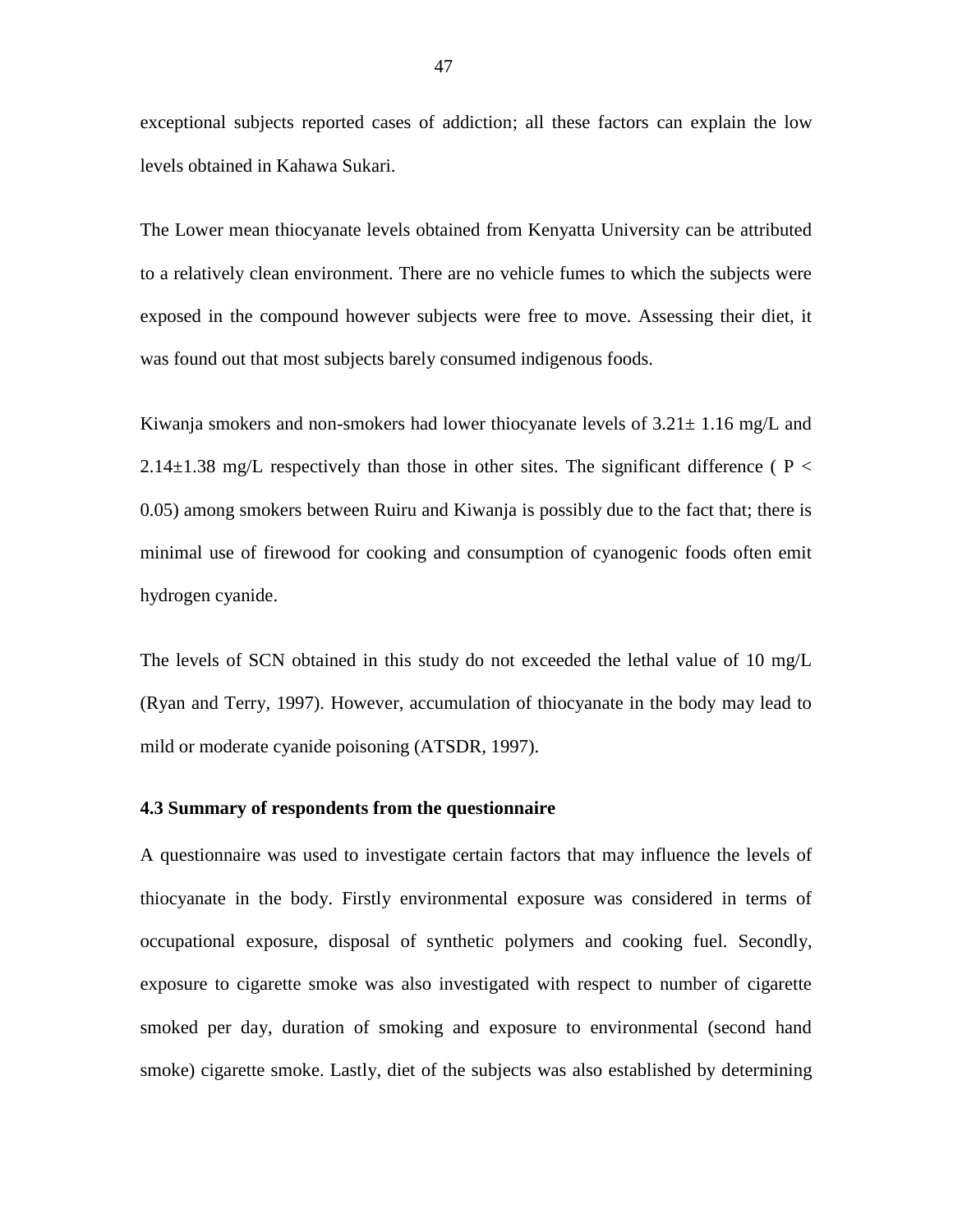exceptional subjects reported cases of addiction; all these factors can explain the low levels obtained in Kahawa Sukari.

The Lower mean thiocyanate levels obtained from Kenyatta University can be attributed to a relatively clean environment. There are no vehicle fumes to which the subjects were exposed in the compound however subjects were free to move. Assessing their diet, it was found out that most subjects barely consumed indigenous foods.

Kiwanja smokers and non-smokers had lower thiocyanate levels of  $3.21 \pm 1.16$  mg/L and 2.14 $\pm$ 1.38 mg/L respectively than those in other sites. The significant difference ( $P <$ 0.05) among smokers between Ruiru and Kiwanja is possibly due to the fact that; there is minimal use of firewood for cooking and consumption of cyanogenic foods often emit hydrogen cyanide.

The levels of SCN obtained in this study do not exceeded the lethal value of 10 mg/L (Ryan and Terry, 1997). However, accumulation of thiocyanate in the body may lead to mild or moderate cyanide poisoning (ATSDR, 1997).

# **4.3 Summary of respondents from the questionnaire**

A questionnaire was used to investigate certain factors that may influence the levels of thiocyanate in the body. Firstly environmental exposure was considered in terms of occupational exposure, disposal of synthetic polymers and cooking fuel. Secondly, exposure to cigarette smoke was also investigated with respect to number of cigarette smoked per day, duration of smoking and exposure to environmental (second hand smoke) cigarette smoke. Lastly, diet of the subjects was also established by determining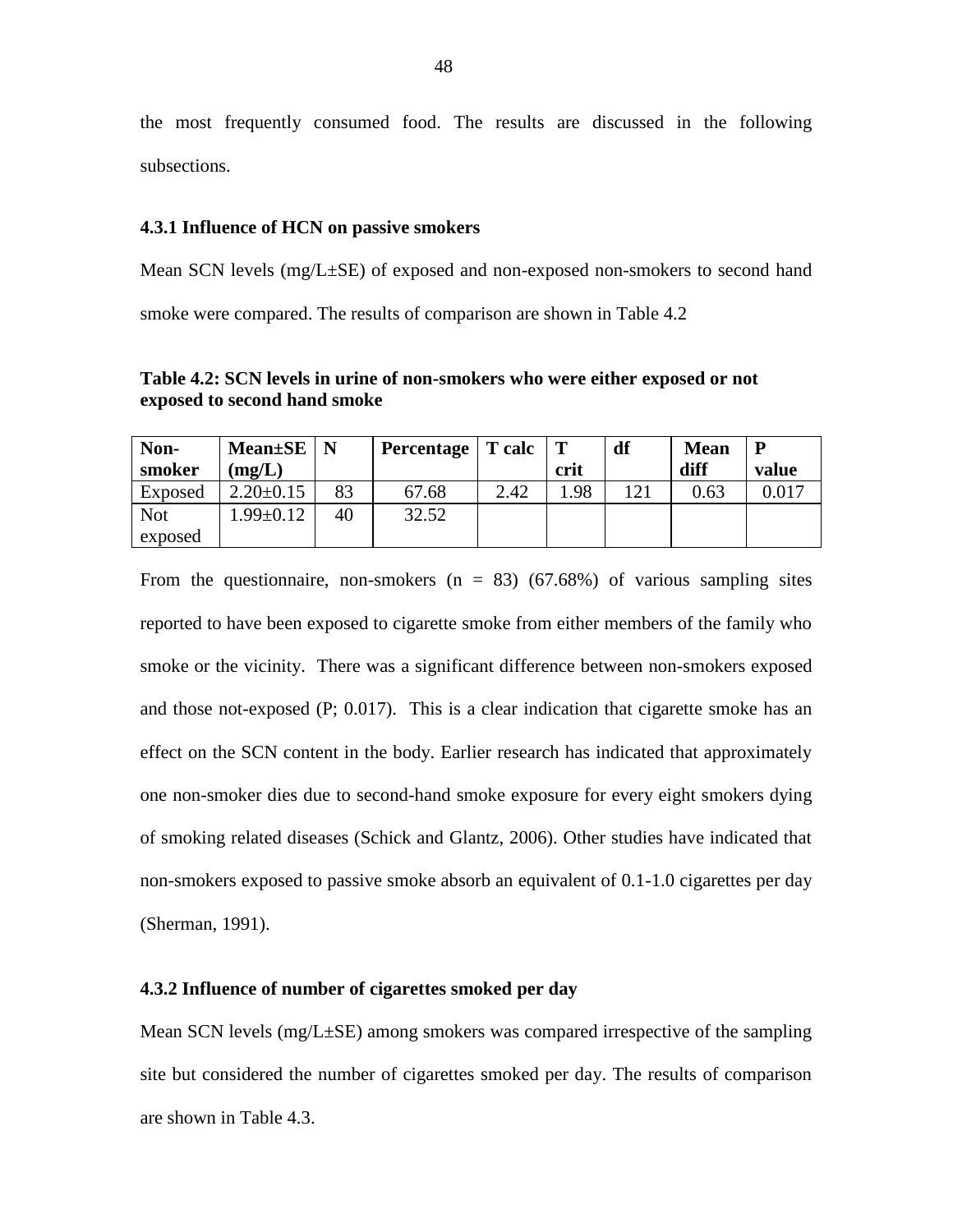the most frequently consumed food. The results are discussed in the following subsections.

#### **4.3.1 Influence of HCN on passive smokers**

Mean SCN levels (mg/L±SE) of exposed and non-exposed non-smokers to second hand smoke were compared. The results of comparison are shown in Table 4.2

**Table 4.2: SCN levels in urine of non-smokers who were either exposed or not exposed to second hand smoke**

| Non-       | <b>Mean</b> <sup>±</sup> SE | N  | Percentage | <b>T</b> calc | ா    | df  | <b>Mean</b> | P     |
|------------|-----------------------------|----|------------|---------------|------|-----|-------------|-------|
| smoker     | (mg/L)                      |    |            |               | crit |     | diff        | value |
| Exposed    | $2.20 \pm 0.15$             | 83 | 67.68      | 2.42          | .98  | 121 | 0.63        | 0.017 |
| <b>Not</b> | $.99 \pm 0.12$              | 40 | 32.52      |               |      |     |             |       |
| exposed    |                             |    |            |               |      |     |             |       |

From the questionnaire, non-smokers  $(n = 83)$  (67.68%) of various sampling sites reported to have been exposed to cigarette smoke from either members of the family who smoke or the vicinity. There was a significant difference between non-smokers exposed and those not-exposed (P; 0.017). This is a clear indication that cigarette smoke has an effect on the SCN content in the body. Earlier research has indicated that approximately one non-smoker dies due to second-hand smoke exposure for every eight smokers dying of smoking related diseases (Schick and Glantz, 2006). Other studies have indicated that non-smokers exposed to passive smoke absorb an equivalent of 0.1-1.0 cigarettes per day (Sherman, 1991).

#### **4.3.2 Influence of number of cigarettes smoked per day**

Mean SCN levels (mg/L±SE) among smokers was compared irrespective of the sampling site but considered the number of cigarettes smoked per day. The results of comparison are shown in Table 4.3.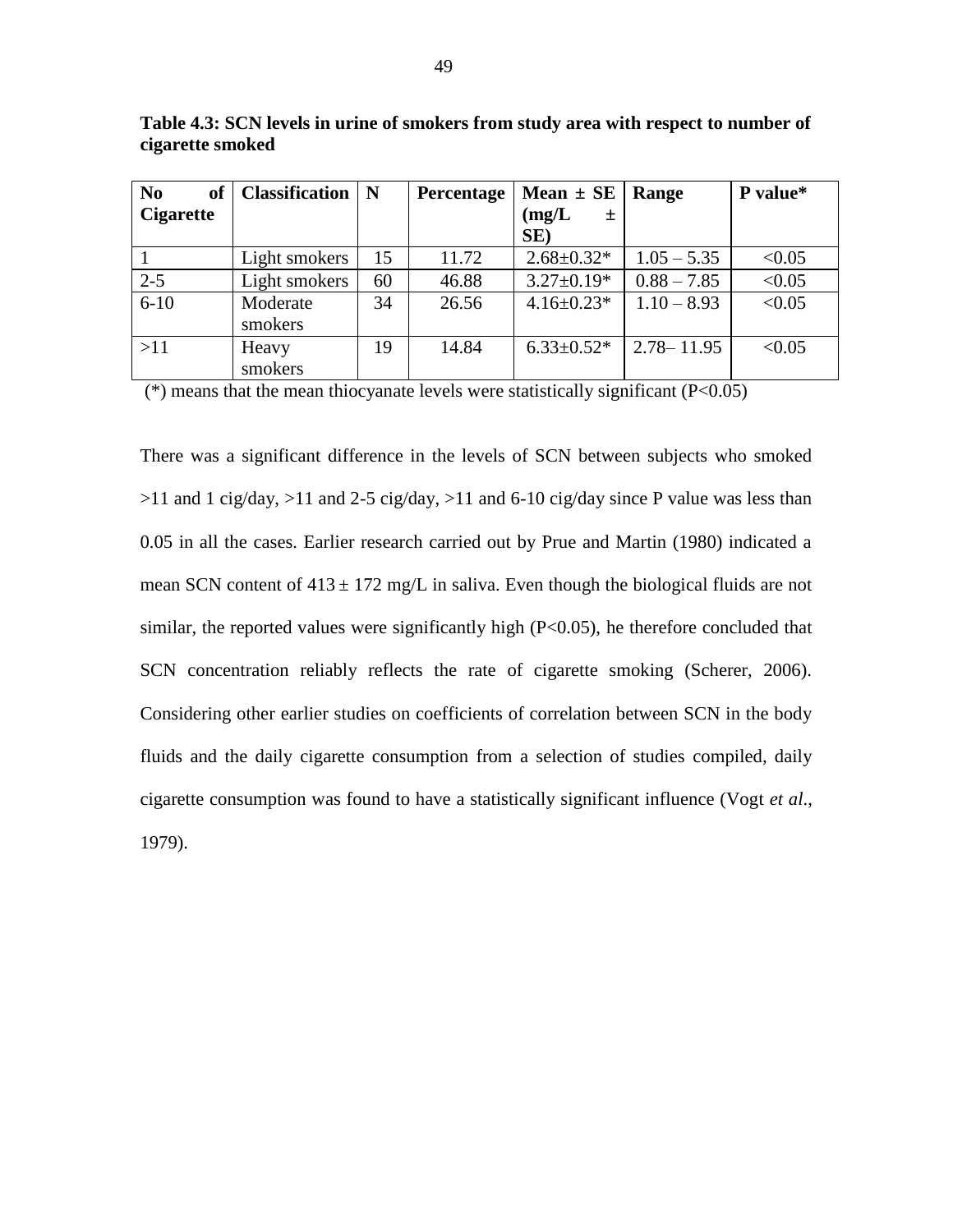| N <sub>0</sub><br>of | <b>Classification</b>   N |    | Percentage | Mean $\pm$ SE     | Range          | P value* |
|----------------------|---------------------------|----|------------|-------------------|----------------|----------|
| <b>Cigarette</b>     |                           |    |            | (mg/L)<br>土       |                |          |
|                      |                           |    |            | SE)               |                |          |
|                      | Light smokers             | 15 | 11.72      | $2.68 \pm 0.32*$  | $1.05 - 5.35$  | < 0.05   |
| $2 - 5$              | Light smokers             | 60 | 46.88      | $3.27 \pm 0.19*$  | $0.88 - 7.85$  | < 0.05   |
| $6 - 10$             | Moderate                  | 34 | 26.56      | $4.16 \pm 0.23*$  | $1.10 - 8.93$  | < 0.05   |
|                      | smokers                   |    |            |                   |                |          |
| >11                  | Heavy                     | 19 | 14.84      | $6.33 \pm 0.52^*$ | $2.78 - 11.95$ | < 0.05   |
|                      | smokers                   |    |            |                   |                |          |

**Table 4.3: SCN levels in urine of smokers from study area with respect to number of cigarette smoked**

(\*) means that the mean thiocyanate levels were statistically significant  $(P<0.05)$ 

There was a significant difference in the levels of SCN between subjects who smoked  $>11$  and 1 cig/day,  $>11$  and 2-5 cig/day,  $>11$  and 6-10 cig/day since P value was less than 0.05 in all the cases. Earlier research carried out by Prue and Martin (1980) indicated a mean SCN content of  $413 \pm 172$  mg/L in saliva. Even though the biological fluids are not similar, the reported values were significantly high  $(P<0.05)$ , he therefore concluded that SCN concentration reliably reflects the rate of cigarette smoking (Scherer, 2006). Considering other earlier studies on coefficients of correlation between SCN in the body fluids and the daily cigarette consumption from a selection of studies compiled, daily cigarette consumption was found to have a statistically significant influence (Vogt *et al*., 1979).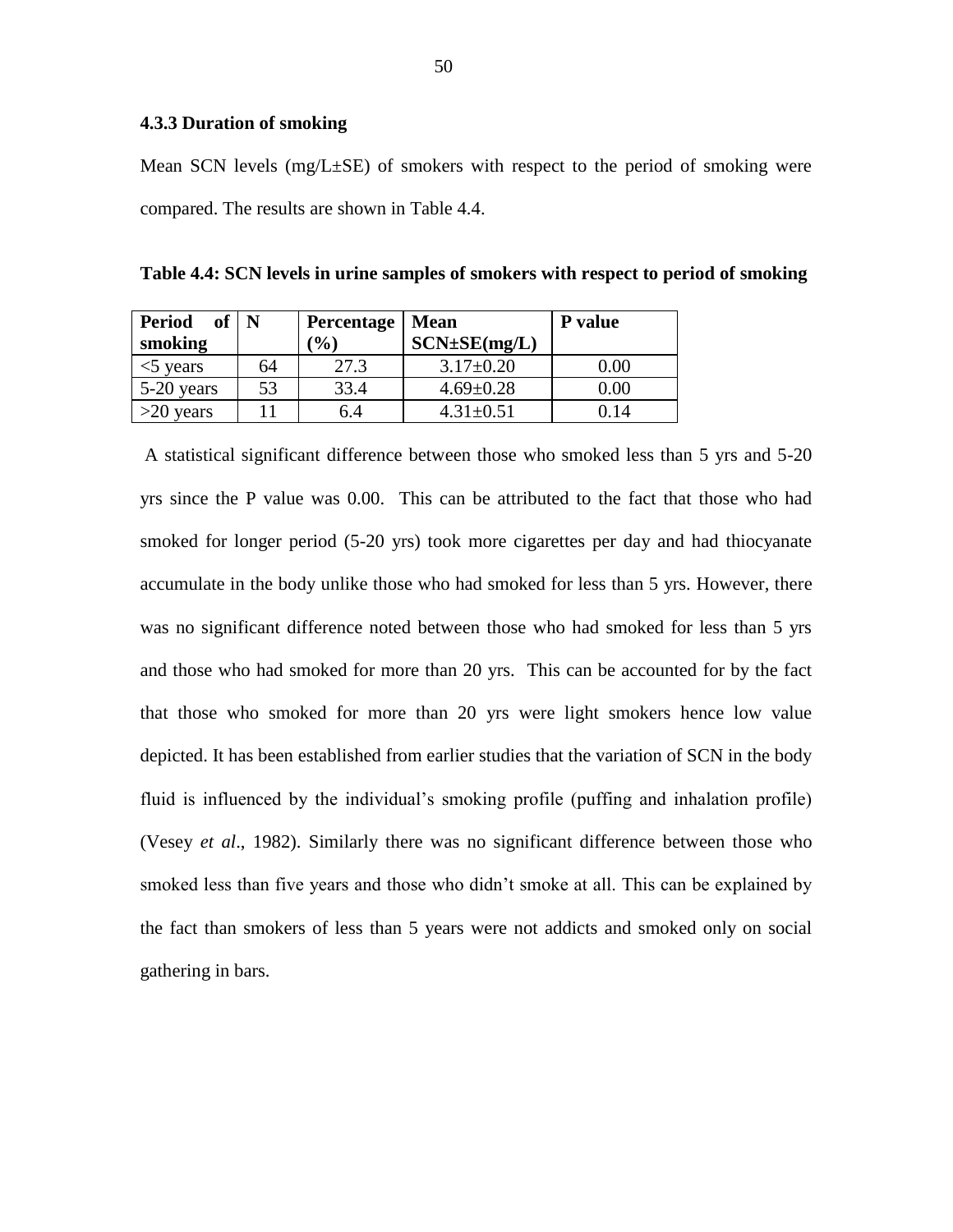# **4.3.3 Duration of smoking**

Mean SCN levels ( $mg/L\pm SE$ ) of smokers with respect to the period of smoking were compared. The results are shown in Table 4.4.

| <b>Period</b><br>of<br>N<br>smoking |    | Percentage<br>$\mathcal{O}_0$ | <b>Mean</b><br>$SCN \pm SE(mg/L)$ | P value |  |
|-------------------------------------|----|-------------------------------|-----------------------------------|---------|--|
| $<$ 5 years                         | 64 | 27.3                          | $3.17\pm0.20$                     | 0.00    |  |
| 5-20 years                          | 53 | 33.4                          | $4.69 \pm 0.28$                   | 0.00    |  |
| $>20$ years                         |    | 6.4                           | $4.31 + 0.51$                     | 0.14    |  |

**Table 4.4: SCN levels in urine samples of smokers with respect to period of smoking**

A statistical significant difference between those who smoked less than 5 yrs and 5-20 yrs since the P value was 0.00. This can be attributed to the fact that those who had smoked for longer period (5-20 yrs) took more cigarettes per day and had thiocyanate accumulate in the body unlike those who had smoked for less than 5 yrs. However, there was no significant difference noted between those who had smoked for less than 5 yrs and those who had smoked for more than 20 yrs. This can be accounted for by the fact that those who smoked for more than 20 yrs were light smokers hence low value depicted. It has been established from earlier studies that the variation of SCN in the body fluid is influenced by the individual's smoking profile (puffing and inhalation profile) (Vesey *et al*., 1982). Similarly there was no significant difference between those who smoked less than five years and those who didn"t smoke at all. This can be explained by the fact than smokers of less than 5 years were not addicts and smoked only on social gathering in bars.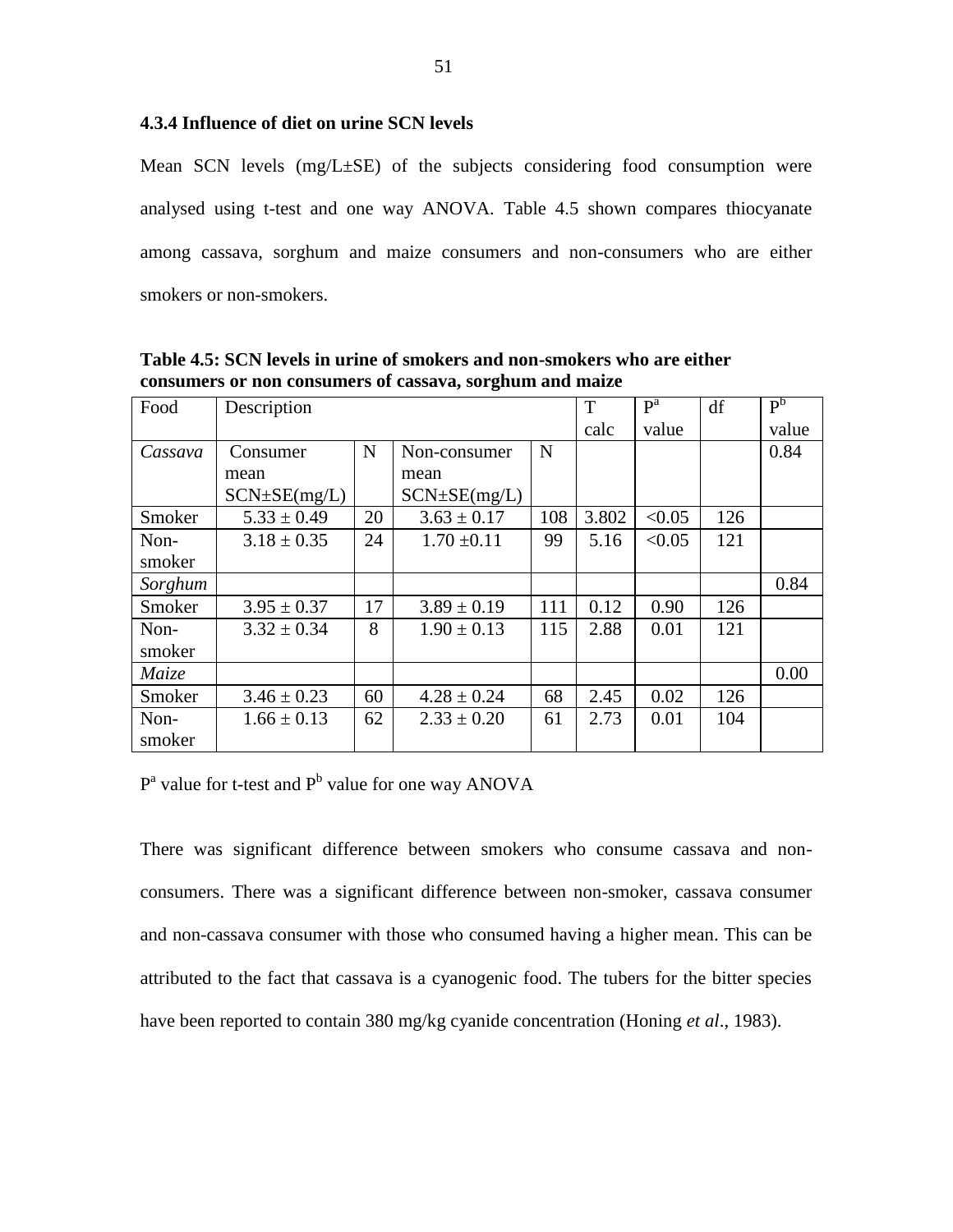## **4.3.4 Influence of diet on urine SCN levels**

Mean SCN levels (mg/L±SE) of the subjects considering food consumption were analysed using t-test and one way ANOVA. Table 4.5 shown compares thiocyanate among cassava, sorghum and maize consumers and non-consumers who are either smokers or non-smokers.

| Food    | Description        | T           | P <sup>a</sup>     | df   | $P^b$ |        |       |      |
|---------|--------------------|-------------|--------------------|------|-------|--------|-------|------|
|         |                    |             |                    | calc | value |        | value |      |
| Cassava | Consumer           | $\mathbf N$ | Non-consumer       | N    |       |        |       | 0.84 |
|         | mean               |             | mean               |      |       |        |       |      |
|         | $SCN \pm SE(mg/L)$ |             | $SCN \pm SE(mg/L)$ |      |       |        |       |      |
| Smoker  | $5.33 \pm 0.49$    | 20          | $3.63 \pm 0.17$    | 108  | 3.802 | < 0.05 | 126   |      |
| Non-    | $3.18 \pm 0.35$    | 24          | $1.70 \pm 0.11$    | 99   | 5.16  | < 0.05 | 121   |      |
| smoker  |                    |             |                    |      |       |        |       |      |
| Sorghum |                    |             |                    |      |       |        |       | 0.84 |
| Smoker  | $3.95 \pm 0.37$    | 17          | $3.89 \pm 0.19$    | 111  | 0.12  | 0.90   | 126   |      |
| Non-    | $3.32 \pm 0.34$    | 8           | $1.90 \pm 0.13$    | 115  | 2.88  | 0.01   | 121   |      |
| smoker  |                    |             |                    |      |       |        |       |      |
| Maize   |                    |             |                    |      |       |        |       | 0.00 |
| Smoker  | $3.46 \pm 0.23$    | 60          | $4.28 \pm 0.24$    | 68   | 2.45  | 0.02   | 126   |      |
| Non-    | $1.66 \pm 0.13$    | 62          | $2.33 \pm 0.20$    | 61   | 2.73  | 0.01   | 104   |      |
| smoker  |                    |             |                    |      |       |        |       |      |

**Table 4.5: SCN levels in urine of smokers and non-smokers who are either consumers or non consumers of cassava, sorghum and maize** 

 $P^a$  value for t-test and  $P^b$  value for one way ANOVA

There was significant difference between smokers who consume cassava and nonconsumers. There was a significant difference between non-smoker, cassava consumer and non-cassava consumer with those who consumed having a higher mean. This can be attributed to the fact that cassava is a cyanogenic food. The tubers for the bitter species have been reported to contain 380 mg/kg cyanide concentration (Honing *et al*., 1983).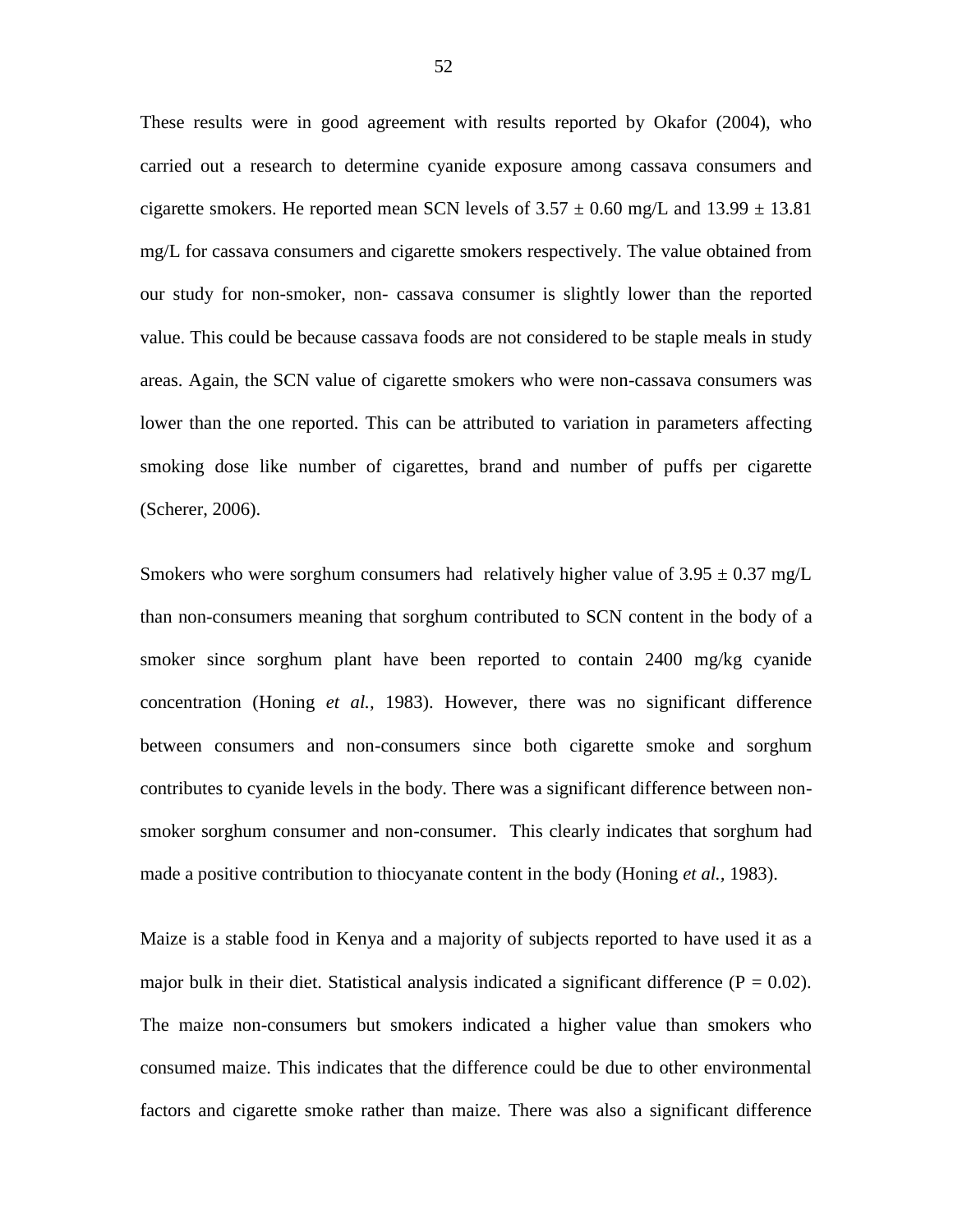These results were in good agreement with results reported by Okafor (2004), who carried out a research to determine cyanide exposure among cassava consumers and cigarette smokers. He reported mean SCN levels of  $3.57 \pm 0.60$  mg/L and  $13.99 \pm 13.81$ mg/L for cassava consumers and cigarette smokers respectively. The value obtained from our study for non-smoker, non- cassava consumer is slightly lower than the reported value. This could be because cassava foods are not considered to be staple meals in study areas. Again, the SCN value of cigarette smokers who were non-cassava consumers was lower than the one reported. This can be attributed to variation in parameters affecting smoking dose like number of cigarettes, brand and number of puffs per cigarette (Scherer, 2006).

Smokers who were sorghum consumers had relatively higher value of  $3.95 \pm 0.37$  mg/L than non-consumers meaning that sorghum contributed to SCN content in the body of a smoker since sorghum plant have been reported to contain 2400 mg/kg cyanide concentration (Honing *et al.,* 1983). However, there was no significant difference between consumers and non-consumers since both cigarette smoke and sorghum contributes to cyanide levels in the body. There was a significant difference between nonsmoker sorghum consumer and non-consumer. This clearly indicates that sorghum had made a positive contribution to thiocyanate content in the body (Honing *et al.,* 1983).

Maize is a stable food in Kenya and a majority of subjects reported to have used it as a major bulk in their diet. Statistical analysis indicated a significant difference ( $P = 0.02$ ). The maize non-consumers but smokers indicated a higher value than smokers who consumed maize. This indicates that the difference could be due to other environmental factors and cigarette smoke rather than maize. There was also a significant difference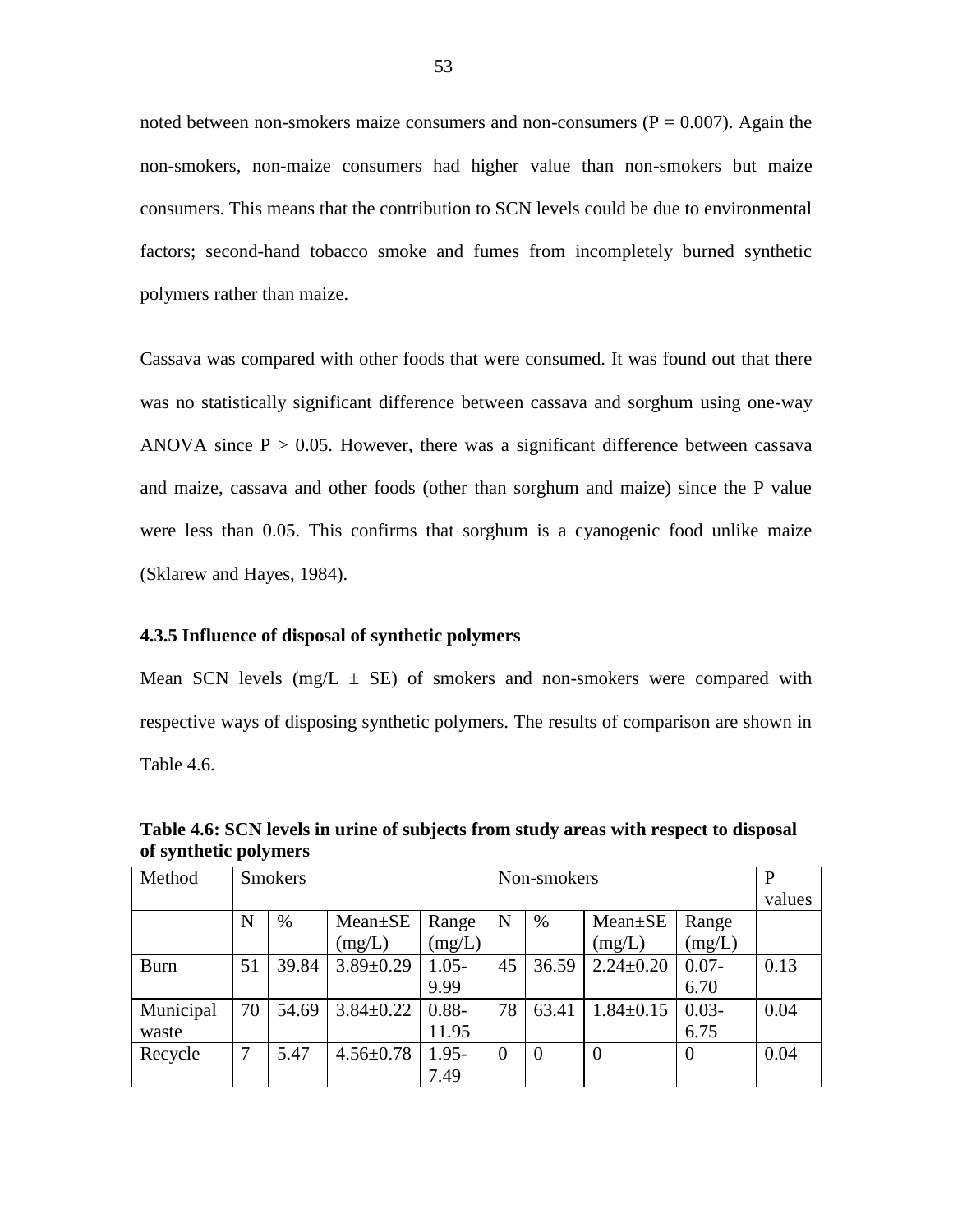noted between non-smokers maize consumers and non-consumers ( $P = 0.007$ ). Again the non-smokers, non-maize consumers had higher value than non-smokers but maize consumers. This means that the contribution to SCN levels could be due to environmental factors; second-hand tobacco smoke and fumes from incompletely burned synthetic polymers rather than maize.

Cassava was compared with other foods that were consumed. It was found out that there was no statistically significant difference between cassava and sorghum using one-way ANOVA since  $P > 0.05$ . However, there was a significant difference between cassava and maize, cassava and other foods (other than sorghum and maize) since the P value were less than 0.05. This confirms that sorghum is a cyanogenic food unlike maize (Sklarew and Hayes, 1984).

## **4.3.5 Influence of disposal of synthetic polymers**

Mean SCN levels (mg/L  $\pm$  SE) of smokers and non-smokers were compared with respective ways of disposing synthetic polymers. The results of comparison are shown in Table 4.6.

Method Smokers Non-smokers P values  $N \mid \% \mid$  Mean $\pm$ SE  $(mg/L)$ Range  $(mg/L)$  $N \mid \% \mid$  Mean $\pm$ SE  $(mg/L)$ Range  $(mg/L)$ Burn  $\vert 51 \vert 39.84 \vert 3.89 \pm 0.29 \vert 1.05$ 9.99 45 | 36.59 | 2.24 $\pm$ 0.20 | 0.07-6.70 0.13 Municipal waste  $70$  | 54.69 | 3.84 $\pm$ 0.22 | 0.88-11.95  $78 \mid 63.41 \mid 1.84 \pm 0.15 \mid 0.03$ 6.75 0.04 Recycle  $\begin{array}{|c|c|c|c|c|c|} \hline 7 & 5.47 & 4.56 \pm 0.78 & 1.95 \hline \end{array}$ 7.49  $0 \t 0 \t 0 \t 0$  0.04

**Table 4.6: SCN levels in urine of subjects from study areas with respect to disposal of synthetic polymers**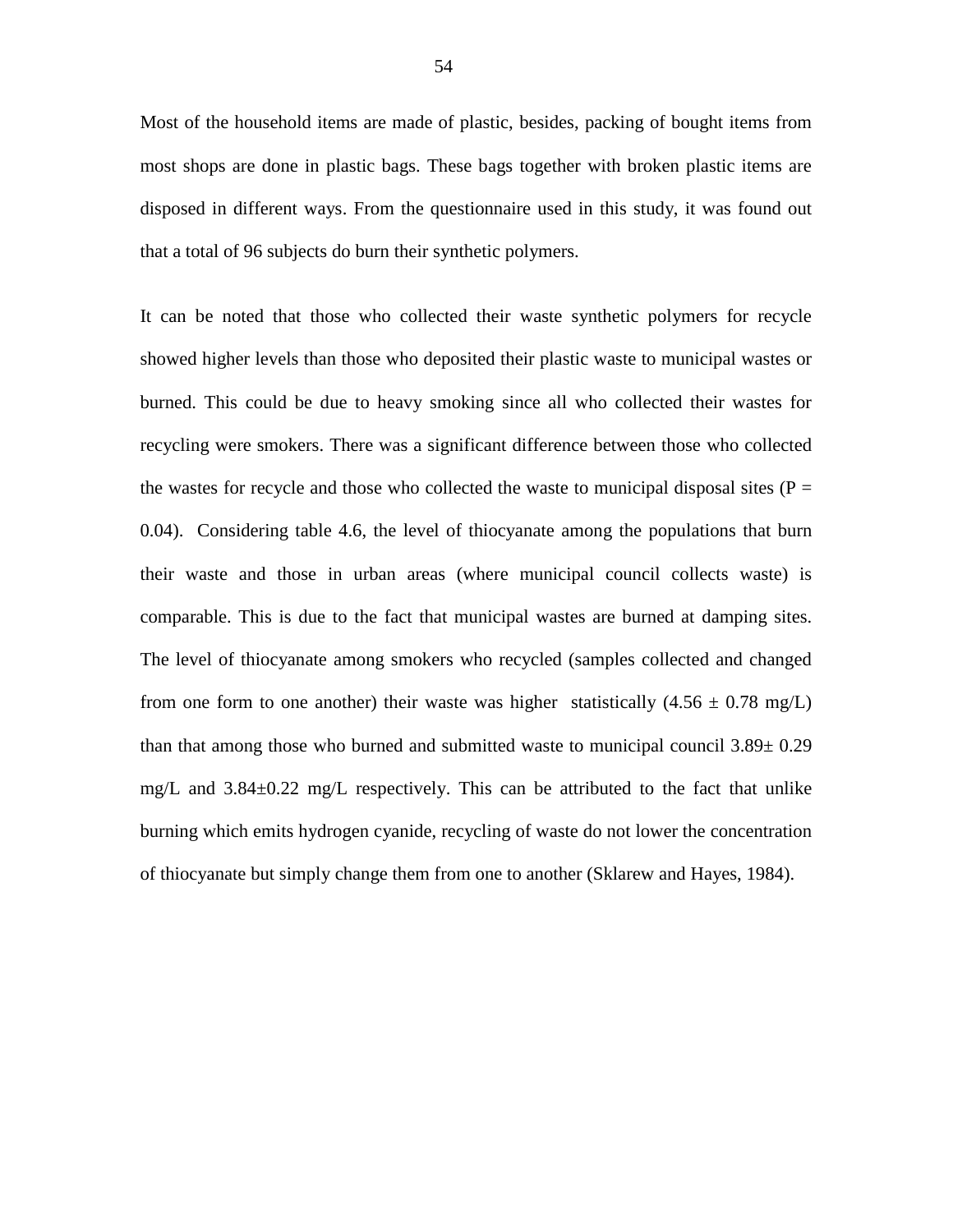Most of the household items are made of plastic, besides, packing of bought items from most shops are done in plastic bags. These bags together with broken plastic items are disposed in different ways. From the questionnaire used in this study, it was found out that a total of 96 subjects do burn their synthetic polymers.

It can be noted that those who collected their waste synthetic polymers for recycle showed higher levels than those who deposited their plastic waste to municipal wastes or burned. This could be due to heavy smoking since all who collected their wastes for recycling were smokers. There was a significant difference between those who collected the wastes for recycle and those who collected the waste to municipal disposal sites ( $P =$ 0.04). Considering table 4.6, the level of thiocyanate among the populations that burn their waste and those in urban areas (where municipal council collects waste) is comparable. This is due to the fact that municipal wastes are burned at damping sites. The level of thiocyanate among smokers who recycled (samples collected and changed from one form to one another) their waste was higher statistically  $(4.56 \pm 0.78 \text{ mg/L})$ than that among those who burned and submitted waste to municipal council 3.89± 0.29 mg/L and 3.84±0.22 mg/L respectively. This can be attributed to the fact that unlike burning which emits hydrogen cyanide, recycling of waste do not lower the concentration of thiocyanate but simply change them from one to another (Sklarew and Hayes, 1984).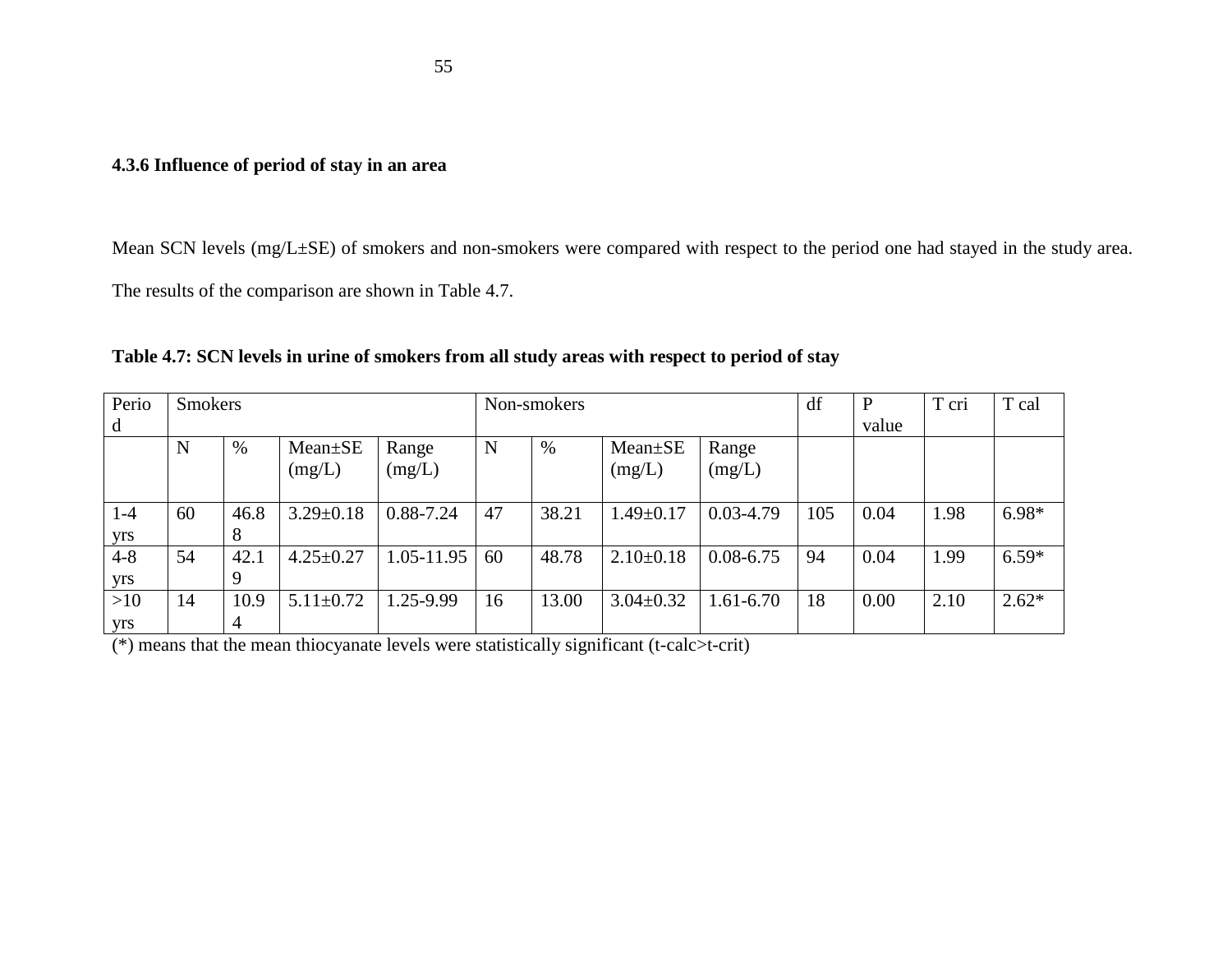# **4.3.6 Influence of period of stay in an area**

Mean SCN levels (mg/L±SE) of smokers and non-smokers were compared with respect to the period one had stayed in the study area. The results of the comparison are shown in Table 4.7.

**Table 4.7: SCN levels in urine of smokers from all study areas with respect to period of stay**

| Perio   | Smokers |      |                 |            | Non-smokers |       |                 |               | df  | P     | T cri | T cal   |
|---------|---------|------|-----------------|------------|-------------|-------|-----------------|---------------|-----|-------|-------|---------|
| d       |         |      |                 |            |             |       |                 |               |     | value |       |         |
|         | N       | %    | Mean±SE         | Range      | N           | %     | $Mean \pm SE$   | Range         |     |       |       |         |
|         |         |      | (mg/L)          | (mg/L)     |             |       | (mg/L)          | (mg/L)        |     |       |       |         |
|         |         |      |                 |            |             |       |                 |               |     |       |       |         |
| $1-4$   | 60      | 46.8 | $3.29 \pm 0.18$ | 0.88-7.24  | 47          | 38.21 | $1.49 \pm 0.17$ | $0.03 - 4.79$ | 105 | 0.04  | 1.98  | $6.98*$ |
| yrs     |         | 8    |                 |            |             |       |                 |               |     |       |       |         |
| $4 - 8$ | 54      | 42.1 | $4.25 \pm 0.27$ | 1.05-11.95 | 60          | 48.78 | $2.10\pm0.18$   | $0.08 - 6.75$ | 94  | 0.04  | 1.99  | $6.59*$ |
| yrs     |         | 9    |                 |            |             |       |                 |               |     |       |       |         |
| >10     | 14      | 10.9 | $5.11 \pm 0.72$ | 1.25-9.99  | 16          | 13.00 | $3.04 \pm 0.32$ | $1.61 - 6.70$ | 18  | 0.00  | 2.10  | $2.62*$ |
| yrs     |         | 4    |                 |            |             |       |                 |               |     |       |       |         |

(\*) means that the mean thiocyanate levels were statistically significant (t-calc>t-crit)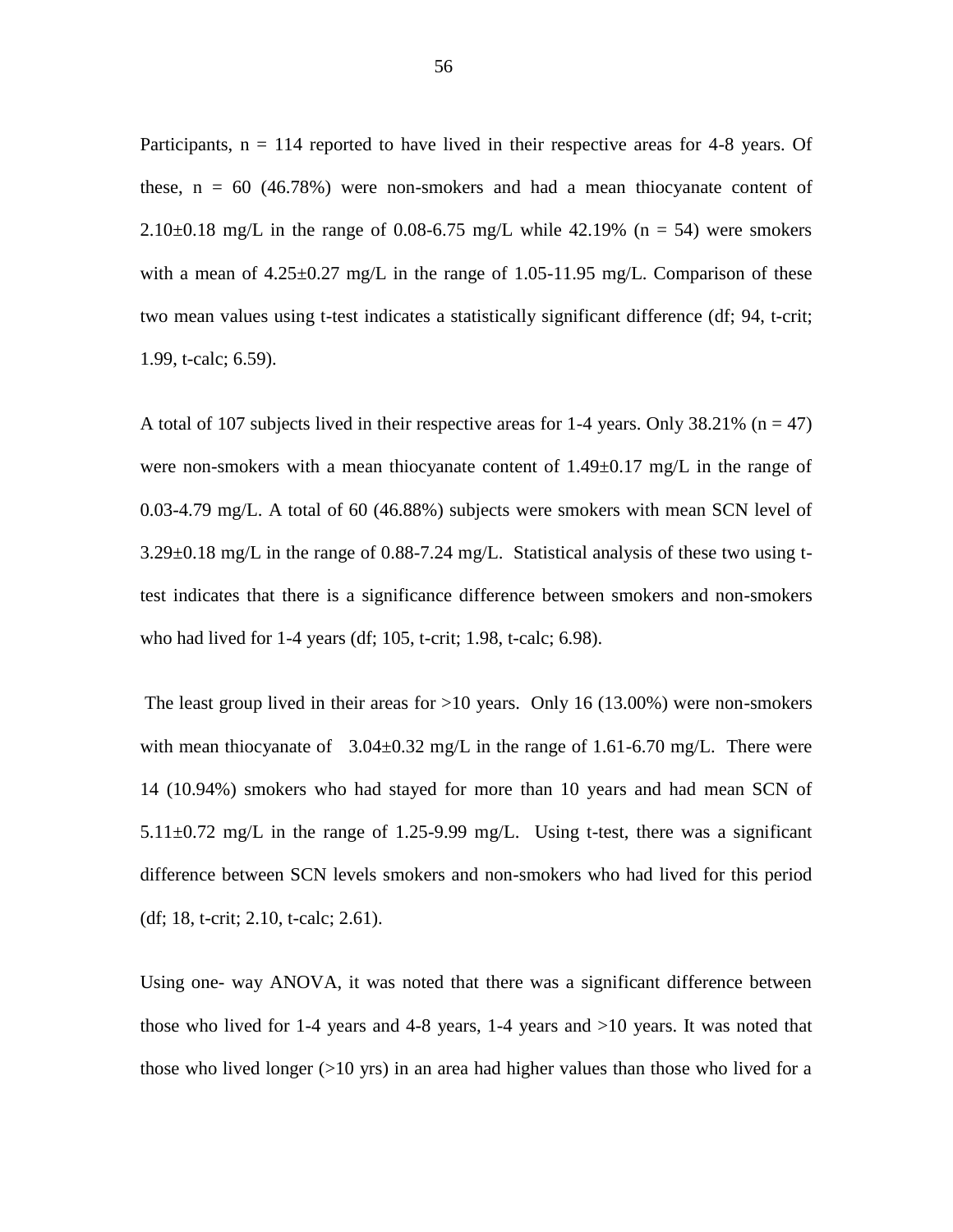Participants,  $n = 114$  reported to have lived in their respective areas for 4-8 years. Of these,  $n = 60$  (46.78%) were non-smokers and had a mean thiocyanate content of 2.10 $\pm$ 0.18 mg/L in the range of 0.08-6.75 mg/L while 42.19% (n = 54) were smokers with a mean of  $4.25 \pm 0.27$  mg/L in the range of 1.05-11.95 mg/L. Comparison of these two mean values using t-test indicates a statistically significant difference (df; 94, t-crit; 1.99, t-calc; 6.59).

A total of 107 subjects lived in their respective areas for 1-4 years. Only  $38.21\%$  (n = 47) were non-smokers with a mean thiocyanate content of  $1.49\pm0.17$  mg/L in the range of 0.03-4.79 mg/L. A total of 60 (46.88%) subjects were smokers with mean SCN level of 3.29±0.18 mg/L in the range of 0.88-7.24 mg/L. Statistical analysis of these two using ttest indicates that there is a significance difference between smokers and non-smokers who had lived for 1-4 years (df; 105, t-crit; 1.98, t-calc; 6.98).

The least group lived in their areas for  $>10$  years. Only 16 (13.00%) were non-smokers with mean thiocyanate of  $3.04 \pm 0.32$  mg/L in the range of 1.61-6.70 mg/L. There were 14 (10.94%) smokers who had stayed for more than 10 years and had mean SCN of 5.11 $\pm$ 0.72 mg/L in the range of 1.25-9.99 mg/L. Using t-test, there was a significant difference between SCN levels smokers and non-smokers who had lived for this period (df; 18, t-crit; 2.10, t-calc; 2.61).

Using one- way ANOVA, it was noted that there was a significant difference between those who lived for 1-4 years and 4-8 years, 1-4 years and >10 years. It was noted that those who lived longer  $(>10 \text{ yrs})$  in an area had higher values than those who lived for a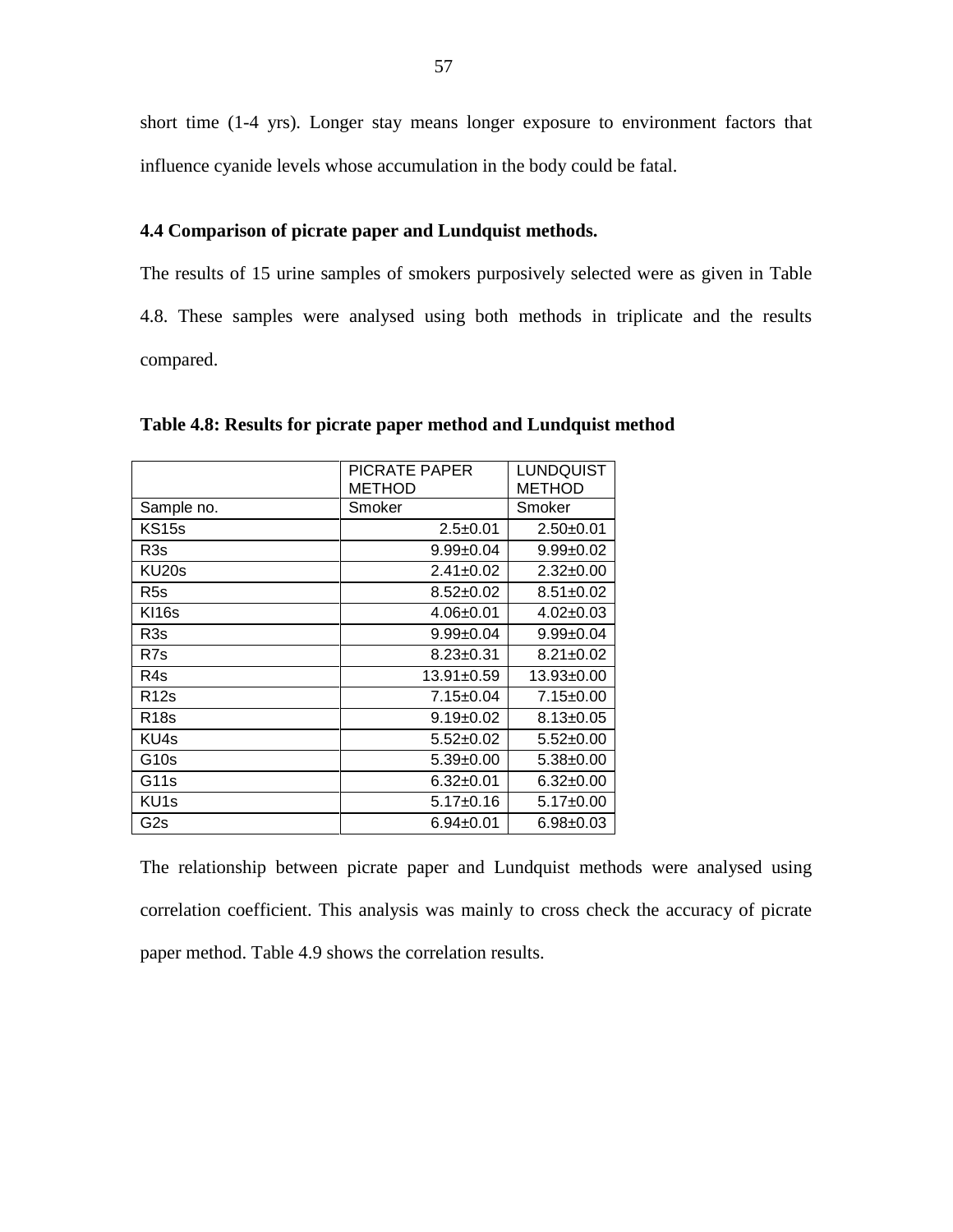short time (1-4 yrs). Longer stay means longer exposure to environment factors that influence cyanide levels whose accumulation in the body could be fatal.

# **4.4 Comparison of picrate paper and Lundquist methods.**

The results of 15 urine samples of smokers purposively selected were as given in Table 4.8. These samples were analysed using both methods in triplicate and the results compared.

|                   | PICRATE PAPER    | LUNDQUIST        |
|-------------------|------------------|------------------|
|                   | <b>METHOD</b>    | <b>METHOD</b>    |
| Sample no.        | Smoker           | Smoker           |
| KS <sub>15s</sub> | $2.5 \pm 0.01$   | $2.50+0.01$      |
| R <sub>3s</sub>   | $9.99 \pm 0.04$  | $9.99 \pm 0.02$  |
| KU20s             | $2.41 \pm 0.02$  | $2.32 \pm 0.00$  |
| R <sub>5s</sub>   | $8.52 \pm 0.02$  | $8.51 \pm 0.02$  |
| KI <sub>16s</sub> | $4.06 \pm 0.01$  | $4.02 \pm 0.03$  |
| R <sub>3s</sub>   | $9.99 \pm 0.04$  | $9.99 \pm 0.04$  |
| R7s               | $8.23 \pm 0.31$  | $8.21 \pm 0.02$  |
| R4s               | $13.91 \pm 0.59$ | $13.93 \pm 0.00$ |
| R <sub>12s</sub>  | $7.15 \pm 0.04$  | $7.15 \pm 0.00$  |
| R <sub>18s</sub>  | $9.19 \pm 0.02$  | $8.13 \pm 0.05$  |
| KU4s              | $5.52 \pm 0.02$  | $5.52 \pm 0.00$  |
| G <sub>10s</sub>  | $5.39 \pm 0.00$  | $5.38 \pm 0.00$  |
| G11s              | $6.32 \pm 0.01$  | $6.32 \pm 0.00$  |
| KU <sub>1s</sub>  | $5.17 \pm 0.16$  | $5.17 \pm 0.00$  |
| G2s               | 6.94±0.01        | $6.98 \pm 0.03$  |

**Table 4.8: Results for picrate paper method and Lundquist method**

The relationship between picrate paper and Lundquist methods were analysed using correlation coefficient. This analysis was mainly to cross check the accuracy of picrate paper method. Table 4.9 shows the correlation results.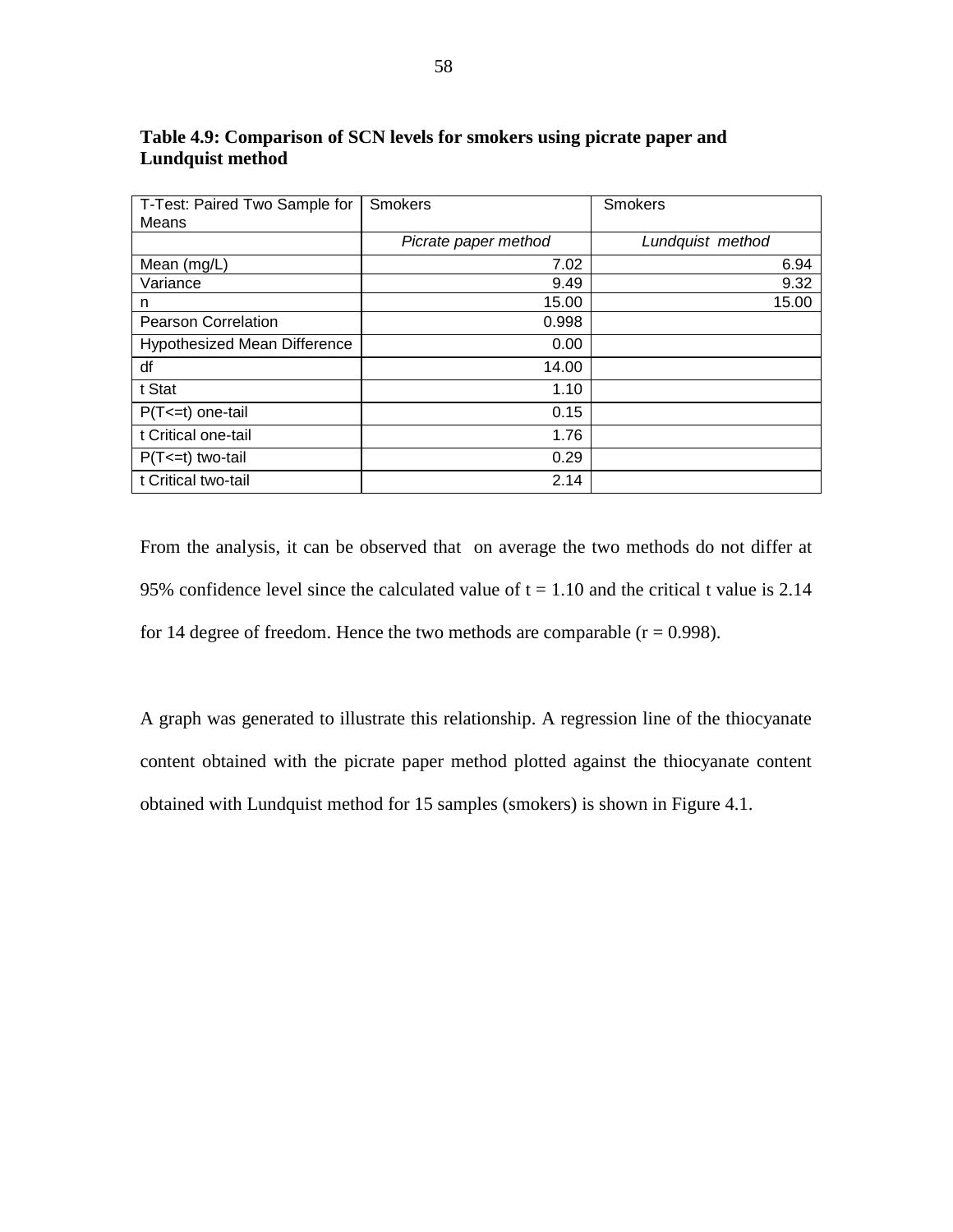| T-Test: Paired Two Sample for       | <b>Smokers</b>       | Smokers          |  |  |
|-------------------------------------|----------------------|------------------|--|--|
| Means                               |                      |                  |  |  |
|                                     | Picrate paper method | Lundquist method |  |  |
| Mean (mg/L)                         | 7.02                 | 6.94             |  |  |
| Variance                            | 9.49                 | 9.32             |  |  |
| n                                   | 15.00                | 15.00            |  |  |
| <b>Pearson Correlation</b>          | 0.998                |                  |  |  |
| <b>Hypothesized Mean Difference</b> | 0.00                 |                  |  |  |
| df                                  | 14.00                |                  |  |  |
| t Stat                              | 1.10                 |                  |  |  |
| $P(T \le t)$ one-tail               | 0.15                 |                  |  |  |
| t Critical one-tail                 | 1.76                 |                  |  |  |
| $P(T \le t)$ two-tail               | 0.29                 |                  |  |  |
| t Critical two-tail                 | 2.14                 |                  |  |  |

# **Table 4.9: Comparison of SCN levels for smokers using picrate paper and Lundquist method**

From the analysis, it can be observed that on average the two methods do not differ at 95% confidence level since the calculated value of  $t = 1.10$  and the critical t value is 2.14 for 14 degree of freedom. Hence the two methods are comparable  $(r = 0.998)$ .

A graph was generated to illustrate this relationship. A regression line of the thiocyanate content obtained with the picrate paper method plotted against the thiocyanate content obtained with Lundquist method for 15 samples (smokers) is shown in Figure 4.1.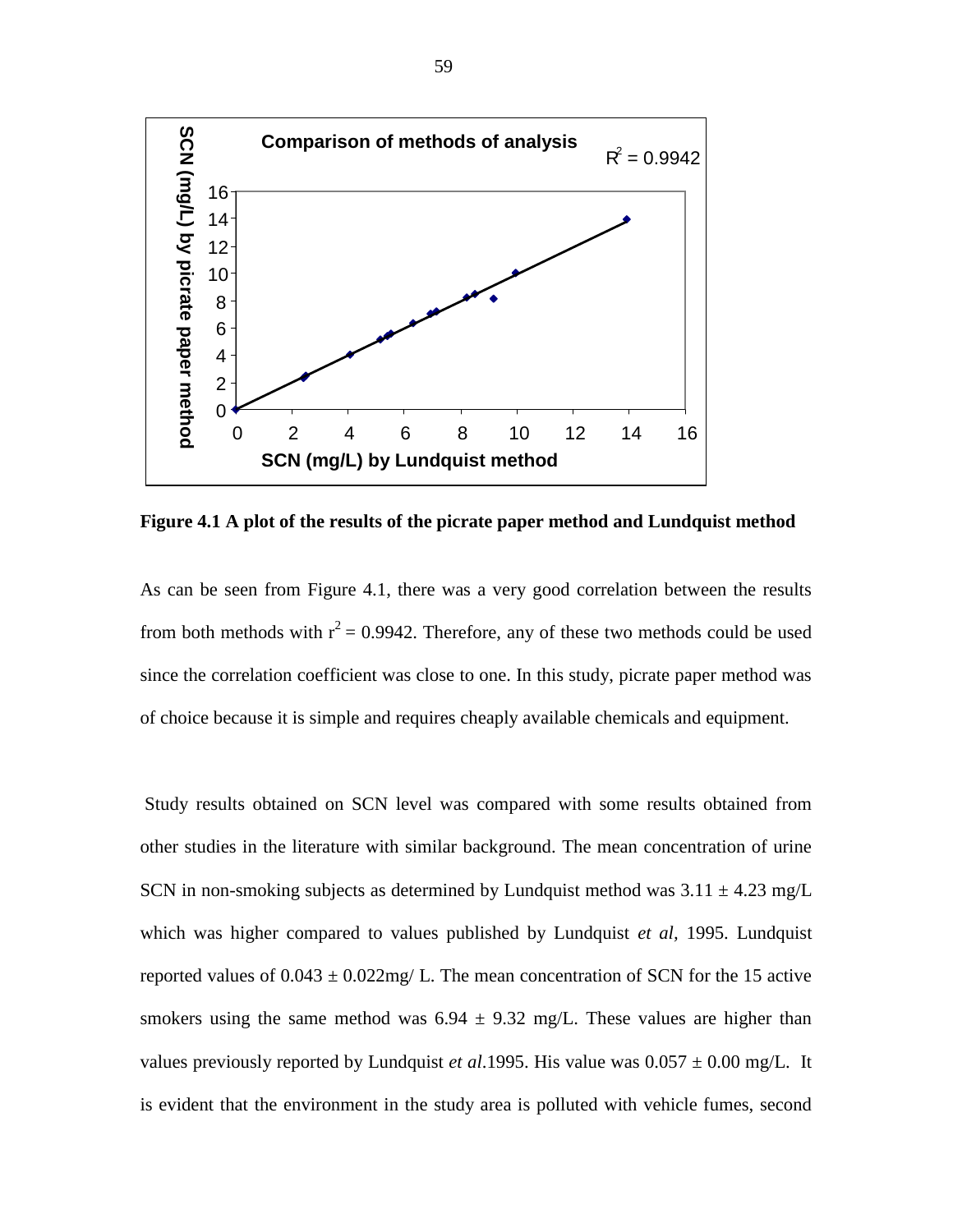

**Figure 4.1 A plot of the results of the picrate paper method and Lundquist method**

As can be seen from Figure 4.1, there was a very good correlation between the results from both methods with  $r^2 = 0.9942$ . Therefore, any of these two methods could be used since the correlation coefficient was close to one. In this study, picrate paper method was of choice because it is simple and requires cheaply available chemicals and equipment.

Study results obtained on SCN level was compared with some results obtained from other studies in the literature with similar background. The mean concentration of urine SCN in non-smoking subjects as determined by Lundquist method was  $3.11 \pm 4.23$  mg/L which was higher compared to values published by Lundquist *et al,* 1995. Lundquist reported values of  $0.043 \pm 0.022$  mg/ L. The mean concentration of SCN for the 15 active smokers using the same method was  $6.94 \pm 9.32$  mg/L. These values are higher than values previously reported by Lundquist *et al.*1995. His value was  $0.057 \pm 0.00$  mg/L. It is evident that the environment in the study area is polluted with vehicle fumes, second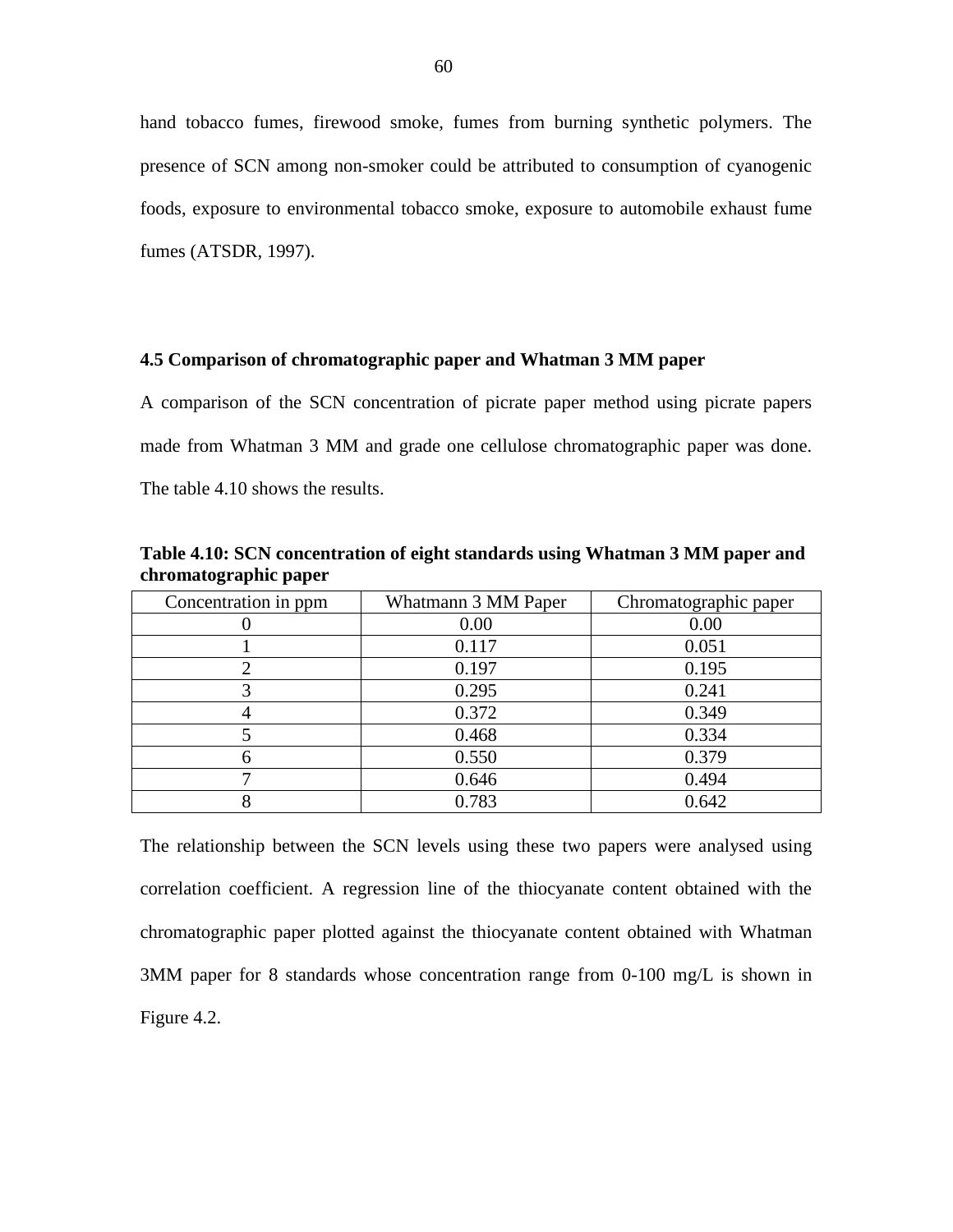hand tobacco fumes, firewood smoke, fumes from burning synthetic polymers. The presence of SCN among non-smoker could be attributed to consumption of cyanogenic foods, exposure to environmental tobacco smoke, exposure to automobile exhaust fume fumes (ATSDR, 1997).

#### **4.5 Comparison of chromatographic paper and Whatman 3 MM paper**

A comparison of the SCN concentration of picrate paper method using picrate papers made from Whatman 3 MM and grade one cellulose chromatographic paper was done. The table 4.10 shows the results.

**Table 4.10: SCN concentration of eight standards using Whatman 3 MM paper and chromatographic paper**

| Concentration in ppm | Whatmann 3 MM Paper | Chromatographic paper |
|----------------------|---------------------|-----------------------|
|                      | 0.00                | 0.00                  |
|                      | 0.117               | 0.051                 |
|                      | 0.197               | 0.195                 |
|                      | 0.295               | 0.241                 |
|                      | 0.372               | 0.349                 |
|                      | 0.468               | 0.334                 |
|                      | 0.550               | 0.379                 |
|                      | 0.646               | 0.494                 |
|                      | 0.783               | 0.642                 |

The relationship between the SCN levels using these two papers were analysed using correlation coefficient. A regression line of the thiocyanate content obtained with the chromatographic paper plotted against the thiocyanate content obtained with Whatman 3MM paper for 8 standards whose concentration range from 0-100 mg/L is shown in Figure 4.2.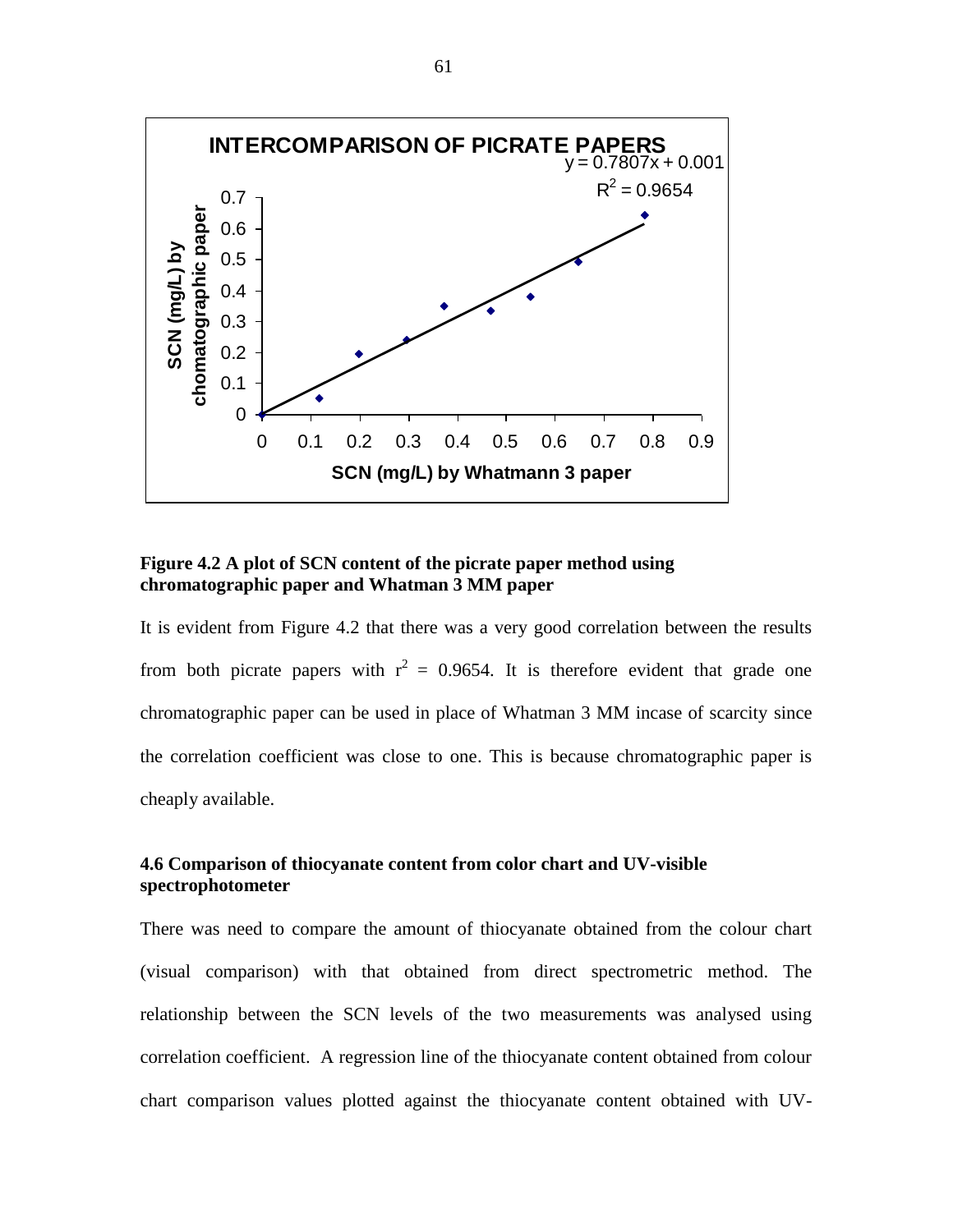

#### **Figure 4.2 A plot of SCN content of the picrate paper method using chromatographic paper and Whatman 3 MM paper**

It is evident from Figure 4.2 that there was a very good correlation between the results from both picrate papers with  $r^2 = 0.9654$ . It is therefore evident that grade one chromatographic paper can be used in place of Whatman 3 MM incase of scarcity since the correlation coefficient was close to one. This is because chromatographic paper is cheaply available.

# **4.6 Comparison of thiocyanate content from color chart and UV-visible spectrophotometer**

There was need to compare the amount of thiocyanate obtained from the colour chart (visual comparison) with that obtained from direct spectrometric method. The relationship between the SCN levels of the two measurements was analysed using correlation coefficient. A regression line of the thiocyanate content obtained from colour chart comparison values plotted against the thiocyanate content obtained with UV-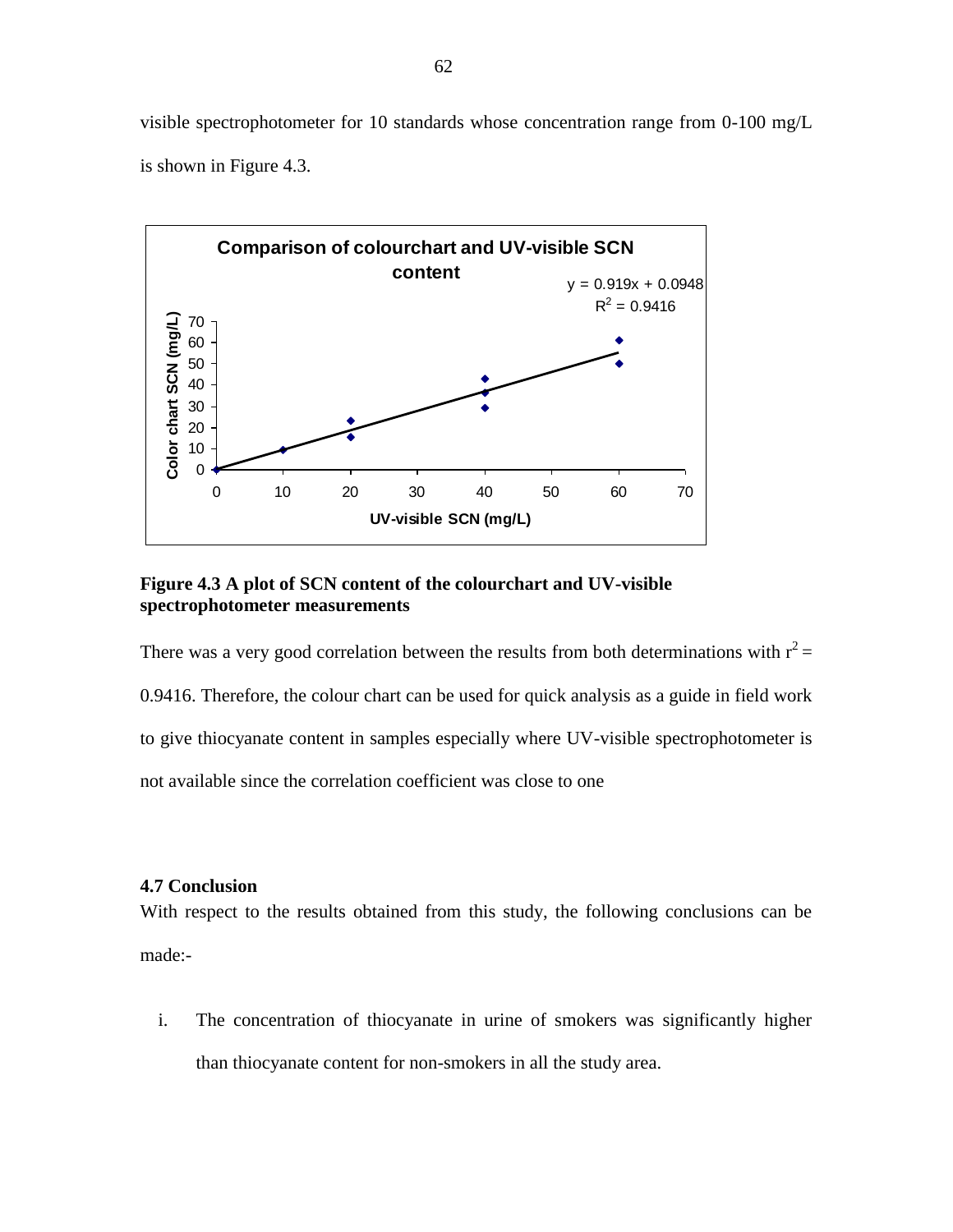visible spectrophotometer for 10 standards whose concentration range from 0-100 mg/L is shown in Figure 4.3.



## **Figure 4.3 A plot of SCN content of the colourchart and UV-visible spectrophotometer measurements**

There was a very good correlation between the results from both determinations with  $r^2 =$ 0.9416. Therefore, the colour chart can be used for quick analysis as a guide in field work to give thiocyanate content in samples especially where UV-visible spectrophotometer is not available since the correlation coefficient was close to one

#### **4.7 Conclusion**

With respect to the results obtained from this study, the following conclusions can be made:-

i. The concentration of thiocyanate in urine of smokers was significantly higher than thiocyanate content for non-smokers in all the study area.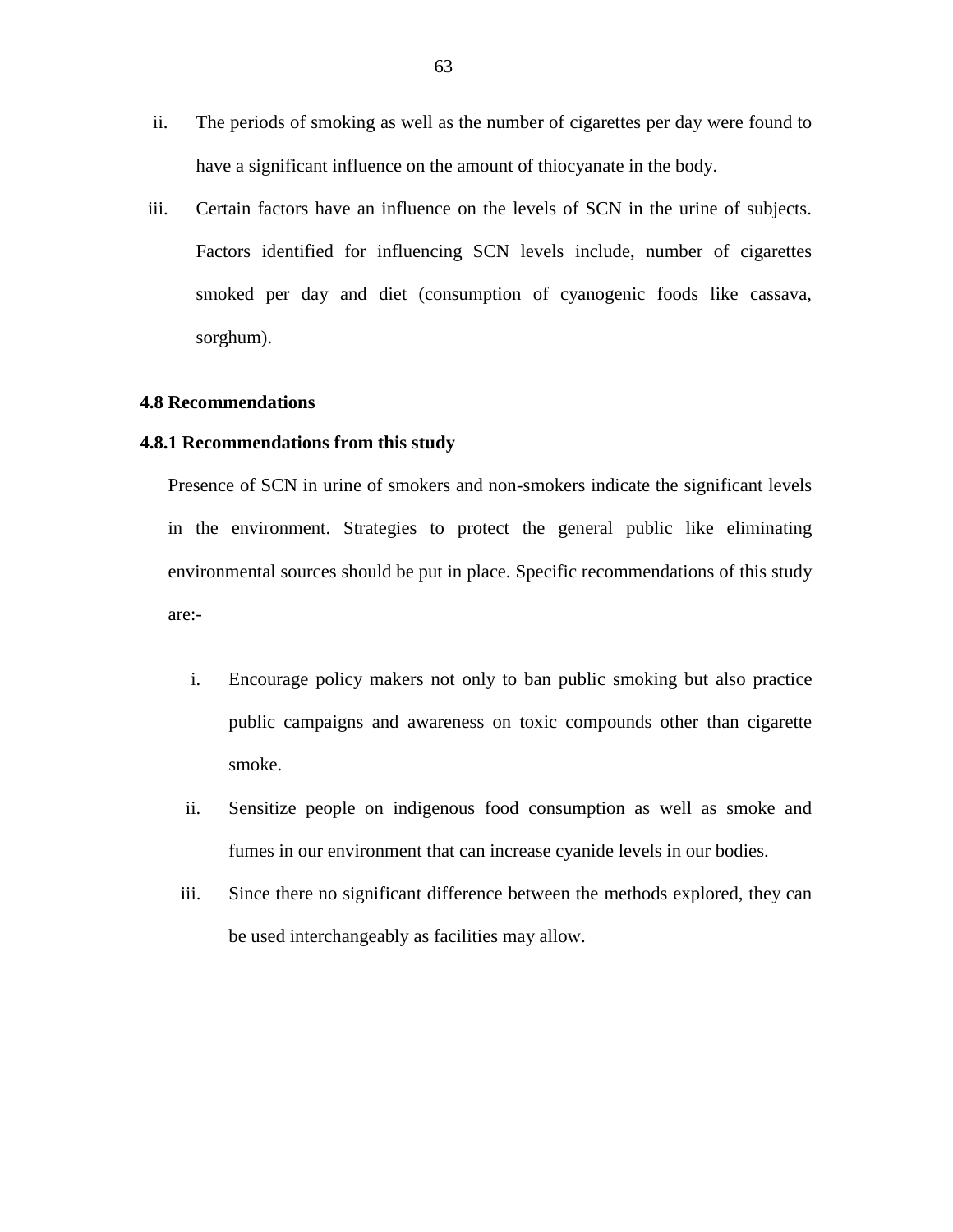- ii. The periods of smoking as well as the number of cigarettes per day were found to have a significant influence on the amount of thiocyanate in the body.
- iii. Certain factors have an influence on the levels of SCN in the urine of subjects. Factors identified for influencing SCN levels include, number of cigarettes smoked per day and diet (consumption of cyanogenic foods like cassava, sorghum).

#### **4.8 Recommendations**

#### **4.8.1 Recommendations from this study**

Presence of SCN in urine of smokers and non-smokers indicate the significant levels in the environment. Strategies to protect the general public like eliminating environmental sources should be put in place. Specific recommendations of this study are:-

- i. Encourage policy makers not only to ban public smoking but also practice public campaigns and awareness on toxic compounds other than cigarette smoke.
- ii. Sensitize people on indigenous food consumption as well as smoke and fumes in our environment that can increase cyanide levels in our bodies.
- iii. Since there no significant difference between the methods explored, they can be used interchangeably as facilities may allow.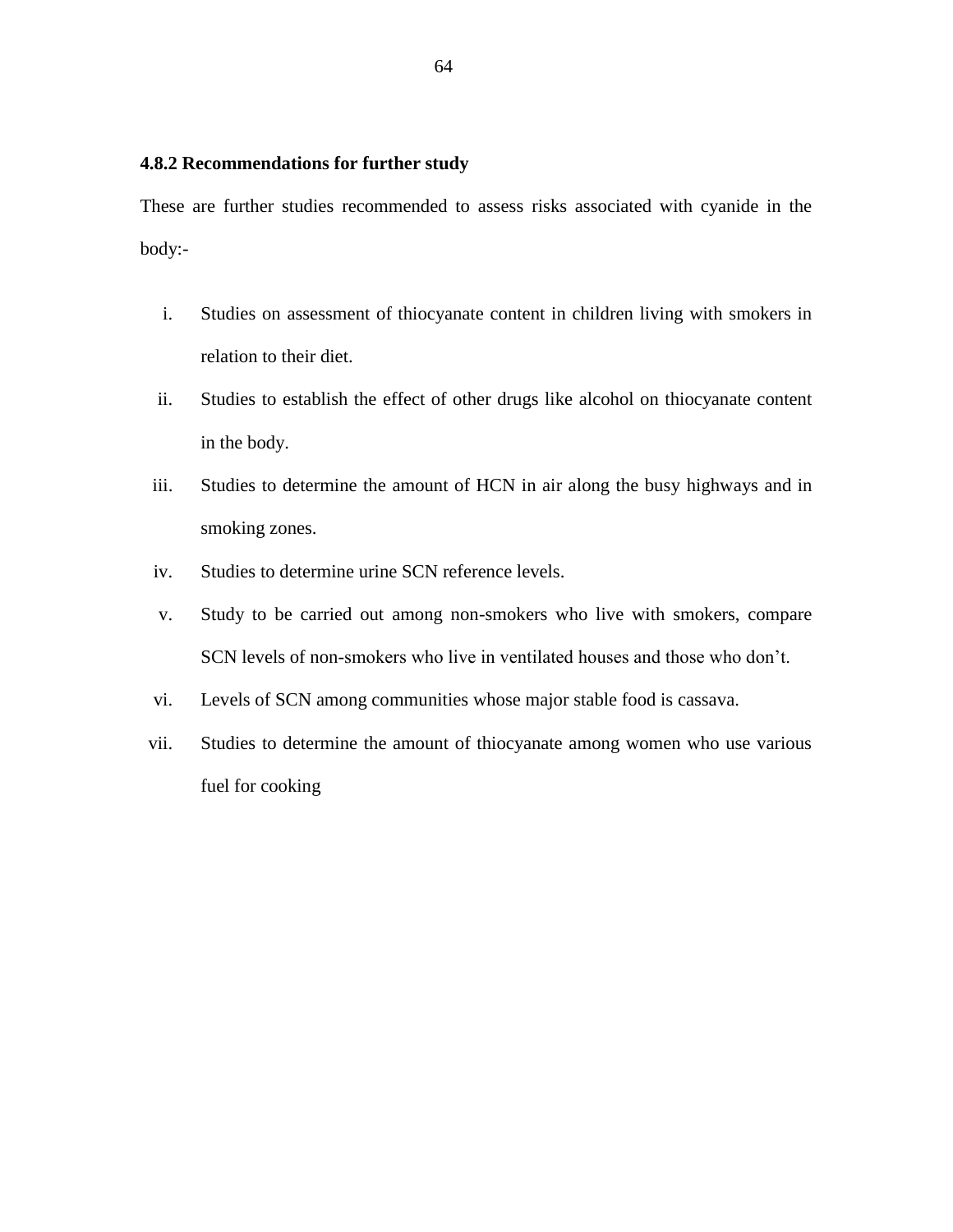# **4.8.2 Recommendations for further study**

These are further studies recommended to assess risks associated with cyanide in the body:-

- i. Studies on assessment of thiocyanate content in children living with smokers in relation to their diet.
- ii. Studies to establish the effect of other drugs like alcohol on thiocyanate content in the body.
- iii. Studies to determine the amount of HCN in air along the busy highways and in smoking zones.
- iv. Studies to determine urine SCN reference levels.
- v. Study to be carried out among non-smokers who live with smokers, compare SCN levels of non-smokers who live in ventilated houses and those who don"t.
- vi. Levels of SCN among communities whose major stable food is cassava.
- vii. Studies to determine the amount of thiocyanate among women who use various fuel for cooking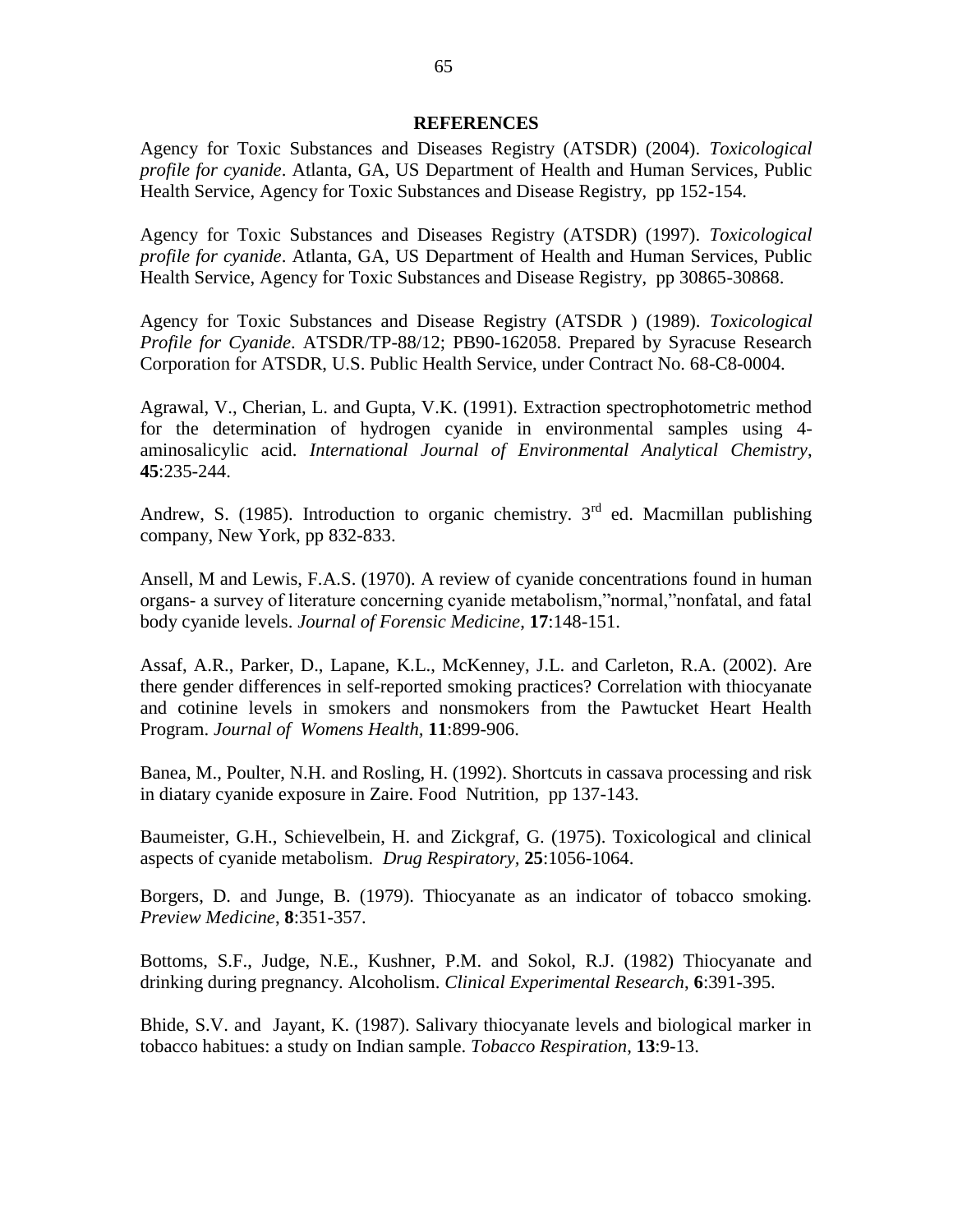#### **REFERENCES**

Agency for Toxic Substances and Diseases Registry (ATSDR) (2004). *Toxicological profile for cyanide*. Atlanta, GA, US Department of Health and Human Services, Public Health Service, Agency for Toxic Substances and Disease Registry, pp 152-154.

Agency for Toxic Substances and Diseases Registry (ATSDR) (1997). *Toxicological profile for cyanide*. Atlanta, GA, US Department of Health and Human Services, Public Health Service, Agency for Toxic Substances and Disease Registry, pp 30865-30868.

Agency for Toxic Substances and Disease Registry (ATSDR ) (1989). *Toxicological Profile for Cyanide*. ATSDR/TP-88/12; PB90-162058. Prepared by Syracuse Research Corporation for ATSDR, U.S. Public Health Service, under Contract No. 68-C8-0004.

Agrawal, V., Cherian, L. and Gupta, V.K. (1991). Extraction spectrophotometric method for the determination of hydrogen cyanide in environmental samples using 4 aminosalicylic acid. *International Journal of Environmental Analytical Chemistry*, **45**:235-244.

Andrew, S. (1985). Introduction to organic chemistry.  $3<sup>rd</sup>$  ed. Macmillan publishing company, New York, pp 832-833.

Ansell, M and Lewis, F.A.S. (1970). A review of cyanide concentrations found in human organs- a survey of literature concerning cyanide metabolism,"normal,"nonfatal, and fatal body cyanide levels. *Journal of Forensic Medicine*, **17**:148-151.

Assaf, A.R., Parker, D., Lapane, K.L., McKenney, J.L. and Carleton, R.A. (2002). Are there gender differences in self-reported smoking practices? Correlation with thiocyanate and cotinine levels in smokers and nonsmokers from the Pawtucket Heart Health Program. *Journal of Womens Health,* **11**:899-906.

Banea, M., Poulter, N.H. and Rosling, H. (1992). Shortcuts in cassava processing and risk in diatary cyanide exposure in Zaire. Food Nutrition, pp 137-143.

Baumeister, G.H., Schievelbein, H. and Zickgraf, G. (1975). Toxicological and clinical aspects of cyanide metabolism. *Drug Respiratory,* **25**:1056-1064.

Borgers, D. and Junge, B. (1979). Thiocyanate as an indicator of tobacco smoking. *Preview Medicine*, **8**:351-357.

Bottoms, S.F., Judge, N.E., Kushner, P.M. and Sokol, R.J. (1982) Thiocyanate and drinking during pregnancy. Alcoholism. *Clinical Experimental Research*, **6**:391-395.

Bhide, S.V. and Jayant, K. (1987). Salivary thiocyanate levels and biological marker in tobacco habitues: a study on Indian sample. *Tobacco Respiration*, **13**:9-13.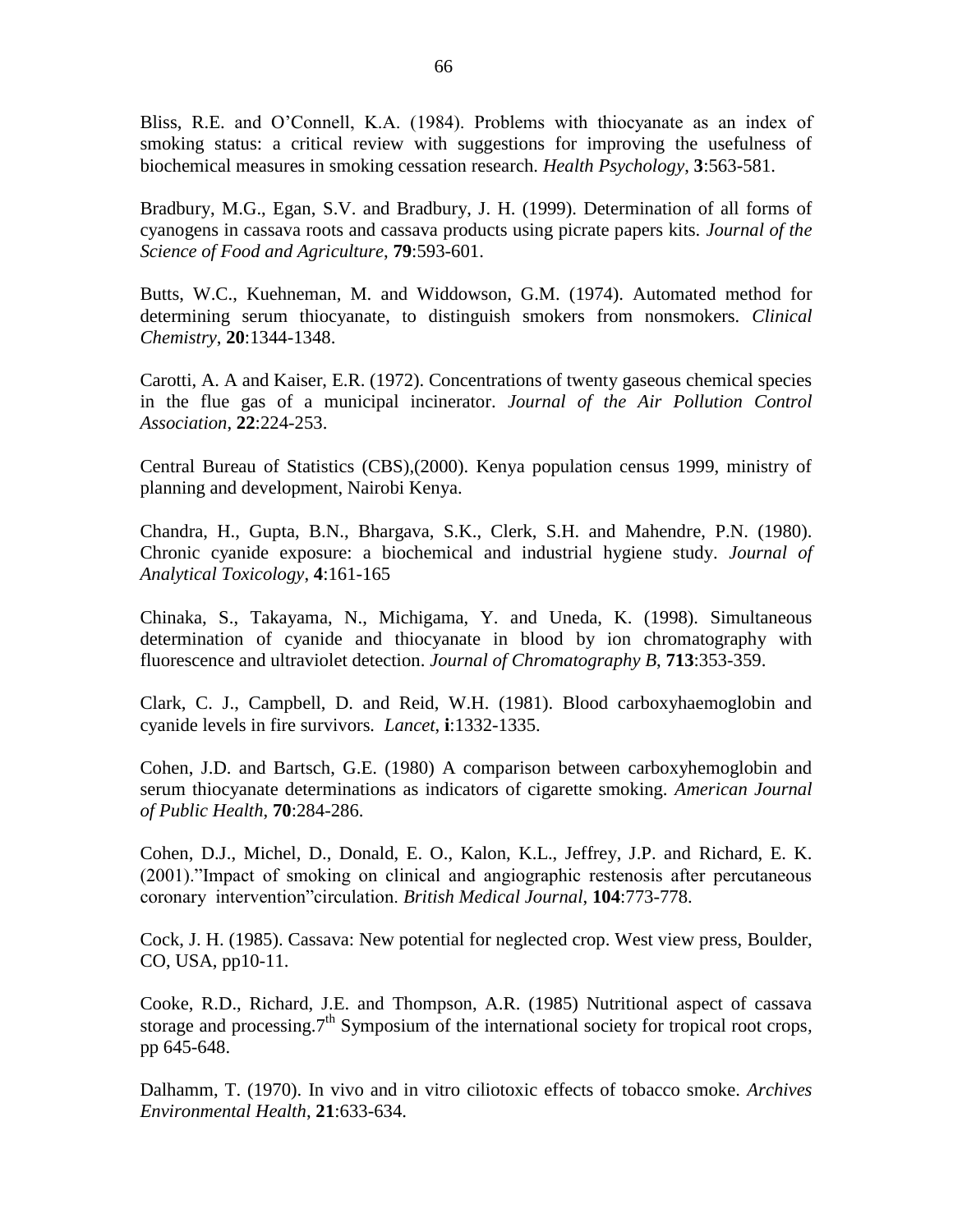Bliss, R.E. and O"Connell, K.A. (1984). Problems with thiocyanate as an index of smoking status: a critical review with suggestions for improving the usefulness of biochemical measures in smoking cessation research. *Health Psychology*, **3**:563-581.

Bradbury, M.G., Egan, S.V. and Bradbury, J. H. (1999). Determination of all forms of cyanogens in cassava roots and cassava products using picrate papers kits. *Journal of the Science of Food and Agriculture*, **79**:593-601.

Butts, W.C., Kuehneman, M. and Widdowson, G.M. (1974). Automated method for determining serum thiocyanate, to distinguish smokers from nonsmokers*. Clinical Chemistry*, **20**:1344-1348.

Carotti, A. A and Kaiser, E.R. (1972). Concentrations of twenty gaseous chemical species in the flue gas of a municipal incinerator. *Journal of the Air Pollution Control Association*, **22**:224-253.

Central Bureau of Statistics (CBS),(2000). Kenya population census 1999, ministry of planning and development, Nairobi Kenya.

Chandra, H., Gupta, B.N., Bhargava, S.K., Clerk, S.H. and Mahendre, P.N. (1980). Chronic cyanide exposure: a biochemical and industrial hygiene study. *Journal of Analytical Toxicology*, **4**:161-165

Chinaka, S., Takayama, N., Michigama, Y. and Uneda, K. (1998). Simultaneous determination of cyanide and thiocyanate in blood by ion chromatography with fluorescence and ultraviolet detection. *Journal of Chromatography B*, **713**:353-359.

Clark, C. J., Campbell, D. and Reid, W.H. (1981). Blood carboxyhaemoglobin and cyanide levels in fire survivors*. Lancet*, **i**:1332-1335.

Cohen, J.D. and Bartsch, G.E. (1980) A comparison between carboxyhemoglobin and serum thiocyanate determinations as indicators of cigarette smoking. *American Journal of Public Health*, **70**:284-286.

Cohen, D.J., Michel, D., Donald, E. O., Kalon, K.L., Jeffrey, J.P. and Richard, E. K. (2001)."Impact of smoking on clinical and angiographic restenosis after percutaneous coronary intervention"circulation. *British Medical Journal*, **104**:773-778.

Cock, J. H. (1985). Cassava: New potential for neglected crop. West view press, Boulder, CO, USA, pp10-11.

Cooke, R.D., Richard, J.E. and Thompson, A.R. (1985) Nutritional aspect of cassava storage and processing.<sup>7th</sup> Symposium of the international society for tropical root crops, pp 645-648.

Dalhamm, T. (1970). In vivo and in vitro ciliotoxic effects of tobacco smoke. *Archives Environmental Health*, **21**:633-634.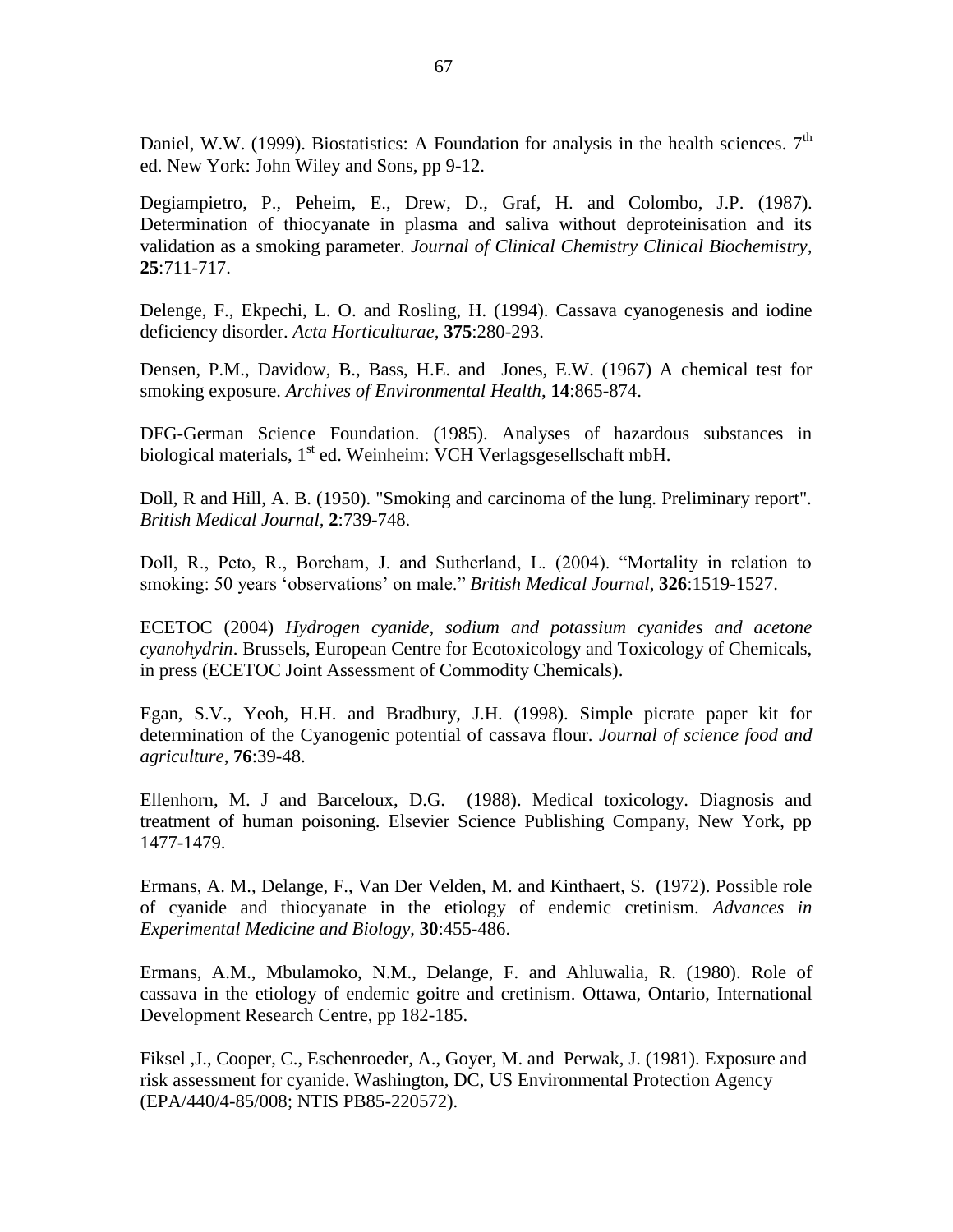Daniel, W.W. (1999). Biostatistics: A Foundation for analysis in the health sciences.  $7<sup>th</sup>$ ed. New York: John Wiley and Sons, pp 9-12.

Degiampietro, P., Peheim, E., Drew, D., Graf, H. and Colombo, J.P. (1987). Determination of thiocyanate in plasma and saliva without deproteinisation and its validation as a smoking parameter. *Journal of Clinical Chemistry Clinical Biochemistry,*  **25**:711-717.

Delenge, F., Ekpechi, L. O. and Rosling, H. (1994). Cassava cyanogenesis and iodine deficiency disorder. *Acta Horticulturae,* **375**:280-293.

Densen, P.M., Davidow, B., Bass, H.E. and Jones, E.W. (1967) A chemical test for smoking exposure. *Archives of Environmental Health*, **14**:865-874.

DFG-German Science Foundation. (1985). Analyses of hazardous substances in biological materials,  $1<sup>st</sup>$  ed. Weinheim: VCH Verlagsgesellschaft mbH.

Doll, R and Hill, A. B. (1950). "Smoking and carcinoma of the lung. Preliminary report". *British Medical Journal,* **2**:739-748.

Doll, R., Peto, R., Boreham, J. and Sutherland, L. (2004). "Mortality in relation to smoking: 50 years "observations" on male." *British Medical Journal*, **326**:1519-1527.

ECETOC (2004) *Hydrogen cyanide, sodium and potassium cyanides and acetone cyanohydrin*. Brussels, European Centre for Ecotoxicology and Toxicology of Chemicals, in press (ECETOC Joint Assessment of Commodity Chemicals).

Egan, S.V., Yeoh, H.H. and Bradbury, J.H. (1998). Simple picrate paper kit for determination of the Cyanogenic potential of cassava flour. *Journal of science food and agriculture*, **76**:39-48.

Ellenhorn, M. J and Barceloux, D.G. (1988). Medical toxicology. Diagnosis and treatment of human poisoning. Elsevier Science Publishing Company, New York, pp 1477-1479.

Ermans, A. M., Delange, F., Van Der Velden, M. and Kinthaert, S. (1972). Possible role of cyanide and thiocyanate in the etiology of endemic cretinism. *Advances in Experimental Medicine and Biology*, **30**:455-486.

Ermans, A.M., Mbulamoko, N.M., Delange, F. and Ahluwalia, R. (1980). Role of cassava in the etiology of endemic goitre and cretinism. Ottawa, Ontario, International Development Research Centre, pp 182-185.

Fiksel ,J., Cooper, C., Eschenroeder, A., Goyer, M. and Perwak, J. (1981). Exposure and risk assessment for cyanide. Washington, DC, US Environmental Protection Agency (EPA/440/4-85/008; NTIS PB85-220572).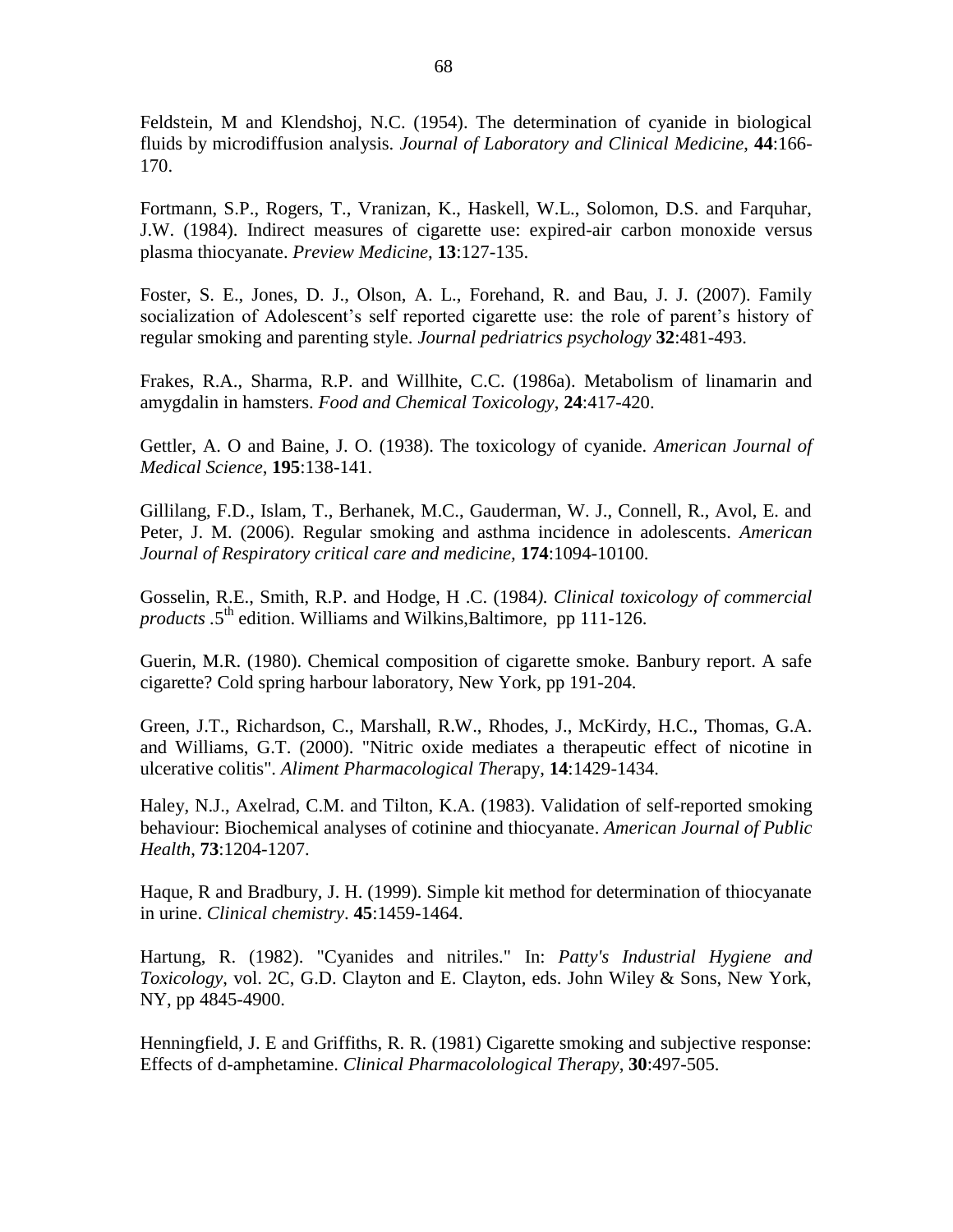Feldstein, M and Klendshoj, N.C. (1954). The determination of cyanide in biological fluids by microdiffusion analysis. *Journal of Laboratory and Clinical Medicine*, **44**:166- 170.

Fortmann, S.P., Rogers, T., Vranizan, K., Haskell, W.L., Solomon, D.S. and Farquhar, J.W. (1984). Indirect measures of cigarette use: expired-air carbon monoxide versus plasma thiocyanate. *Preview Medicine*, **13**:127-135.

Foster, S. E., Jones, D. J., Olson, A. L., Forehand, R. and Bau, J. J. (2007). Family socialization of Adolescent's self reported cigarette use: the role of parent's history of regular smoking and parenting style. *Journal pedriatrics psychology* **32**:481-493.

Frakes, R.A., Sharma, R.P. and Willhite, C.C. (1986a). Metabolism of linamarin and amygdalin in hamsters. *Food and Chemical Toxicology*, **24**:417-420.

Gettler, A. O and Baine, J. O. (1938). The toxicology of cyanide. *American Journal of Medical Science*, **195**:138-141.

Gillilang, F.D., Islam, T., Berhanek, M.C., Gauderman, W. J., Connell, R., Avol, E. and Peter, J. M. (2006). Regular smoking and asthma incidence in adolescents. *American Journal of Respiratory critical care and medicine,* **174**:1094-10100.

Gosselin, R.E., Smith, R.P. and Hodge, H .C. (1984*). Clinical toxicology of commercial*  products .5<sup>th</sup> edition. Williams and Wilkins, Baltimore, pp 111-126.

Guerin, M.R. (1980). Chemical composition of cigarette smoke. Banbury report. A safe cigarette? Cold spring harbour laboratory, New York, pp 191-204.

Green, J.T., Richardson, C., Marshall, R.W., Rhodes, J., McKirdy, H.C., Thomas, G.A. and Williams, G.T. (2000). ["Nitric oxide mediates a therapeutic effect of nicotine in](http://www.data-yard.net/22/ncbi.htm)  [ulcerative colitis"](http://www.data-yard.net/22/ncbi.htm). *Aliment Pharmacological Ther*apy, **14**:1429-1434.

Haley, N.J., Axelrad, C.M. and Tilton, K.A. (1983). Validation of self-reported smoking behaviour: Biochemical analyses of cotinine and thiocyanate. *American Journal of Public Health*, **73**:1204-1207.

Haque, R and Bradbury, J. H. (1999). Simple kit method for determination of thiocyanate in urine. *Clinical chemistry*. **45**:1459-1464.

Hartung, R. (1982). "Cyanides and nitriles." In: *Patty's Industrial Hygiene and Toxicology*, vol. 2C, G.D. Clayton and E. Clayton, eds. John Wiley & Sons, New York, NY, pp 4845-4900.

Henningfield, J. E and Griffiths, R. R. (1981) Cigarette smoking and subjective response: Effects of d-amphetamine. *Clinical Pharmacolological Therapy*, **30**:497-505.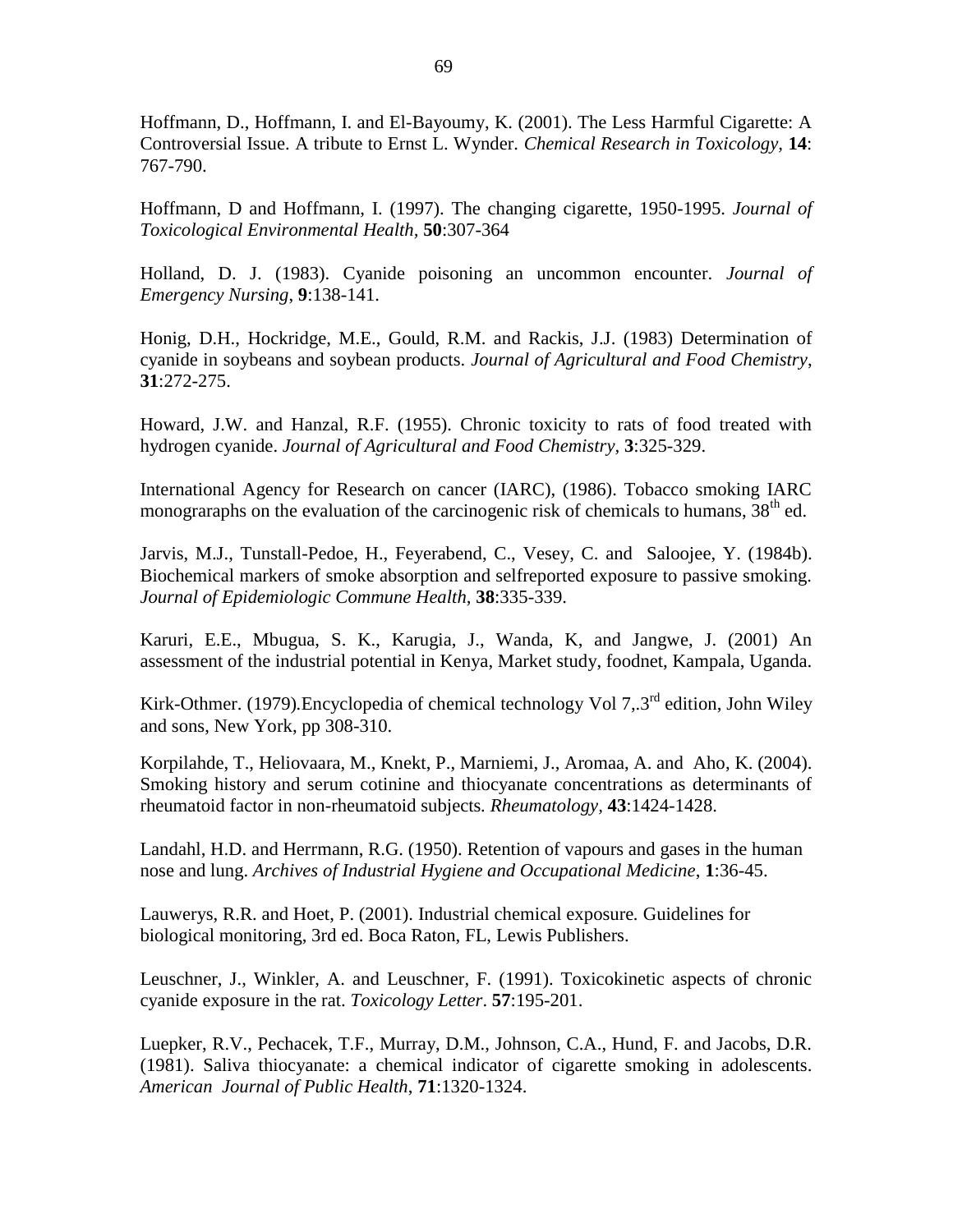Hoffmann, D., Hoffmann, I. and El-Bayoumy, K. (2001). The Less Harmful Cigarette: A Controversial Issue. A tribute to Ernst L. Wynder. *Chemical Research in Toxicology,* **14**: 767-790.

Hoffmann, D and Hoffmann, I. (1997). The changing cigarette, 1950-1995. *Journal of Toxicological Environmental Health,* **50**:307-364

Holland, D. J. (1983). Cyanide poisoning an uncommon encounter. *Journal of Emergency Nursing*, **9**:138-141.

Honig, D.H., Hockridge, M.E., Gould, R.M. and Rackis, J.J. (1983) Determination of cyanide in soybeans and soybean products. *Journal of Agricultural and Food Chemistry*, **31**:272-275.

Howard, J.W. and Hanzal, R.F. (1955). Chronic toxicity to rats of food treated with hydrogen cyanide. *Journal of Agricultural and Food Chemistry,* **3**:325-329.

International Agency for Research on cancer (IARC), (1986). Tobacco smoking IARC monograraphs on the evaluation of the carcinogenic risk of chemicals to humans,  $38<sup>th</sup>$  ed.

Jarvis, M.J., Tunstall-Pedoe, H., Feyerabend, C., Vesey, C. and Saloojee, Y. (1984b). Biochemical markers of smoke absorption and selfreported exposure to passive smoking. *Journal of Epidemiologic Commune Health,* **38**:335-339.

Karuri, E.E., Mbugua, S. K., Karugia, J., Wanda, K, and Jangwe, J. (2001) An assessment of the industrial potential in Kenya, Market study, foodnet, Kampala, Uganda.

Kirk-Othmer. (1979)*.*Encyclopedia of chemical technology Vol 7,.3rd edition, John Wiley and sons, New York, pp 308-310.

Korpilahde, T., Heliovaara, M., Knekt, P., Marniemi, J., Aromaa, A. and Aho, K. (2004). Smoking history and serum cotinine and thiocyanate concentrations as determinants of rheumatoid factor in non-rheumatoid subjects*. Rheumatology,* **43**:1424-1428.

Landahl, H.D. and Herrmann, R.G. (1950). Retention of vapours and gases in the human nose and lung. *Archives of Industrial Hygiene and Occupational Medicine*, **1**:36-45.

Lauwerys, R.R. and Hoet, P. (2001). Industrial chemical exposure*.* Guidelines for biological monitoring, 3rd ed. Boca Raton, FL, Lewis Publishers.

Leuschner, J., Winkler, A. and Leuschner, F. (1991). Toxicokinetic aspects of chronic cyanide exposure in the rat. *Toxicology Letter*. **57**:195-201.

Luepker, R.V., Pechacek, T.F., Murray, D.M., Johnson, C.A., Hund, F. and Jacobs, D.R. (1981). Saliva thiocyanate: a chemical indicator of cigarette smoking in adolescents. *American Journal of Public Health*, **71**:1320-1324.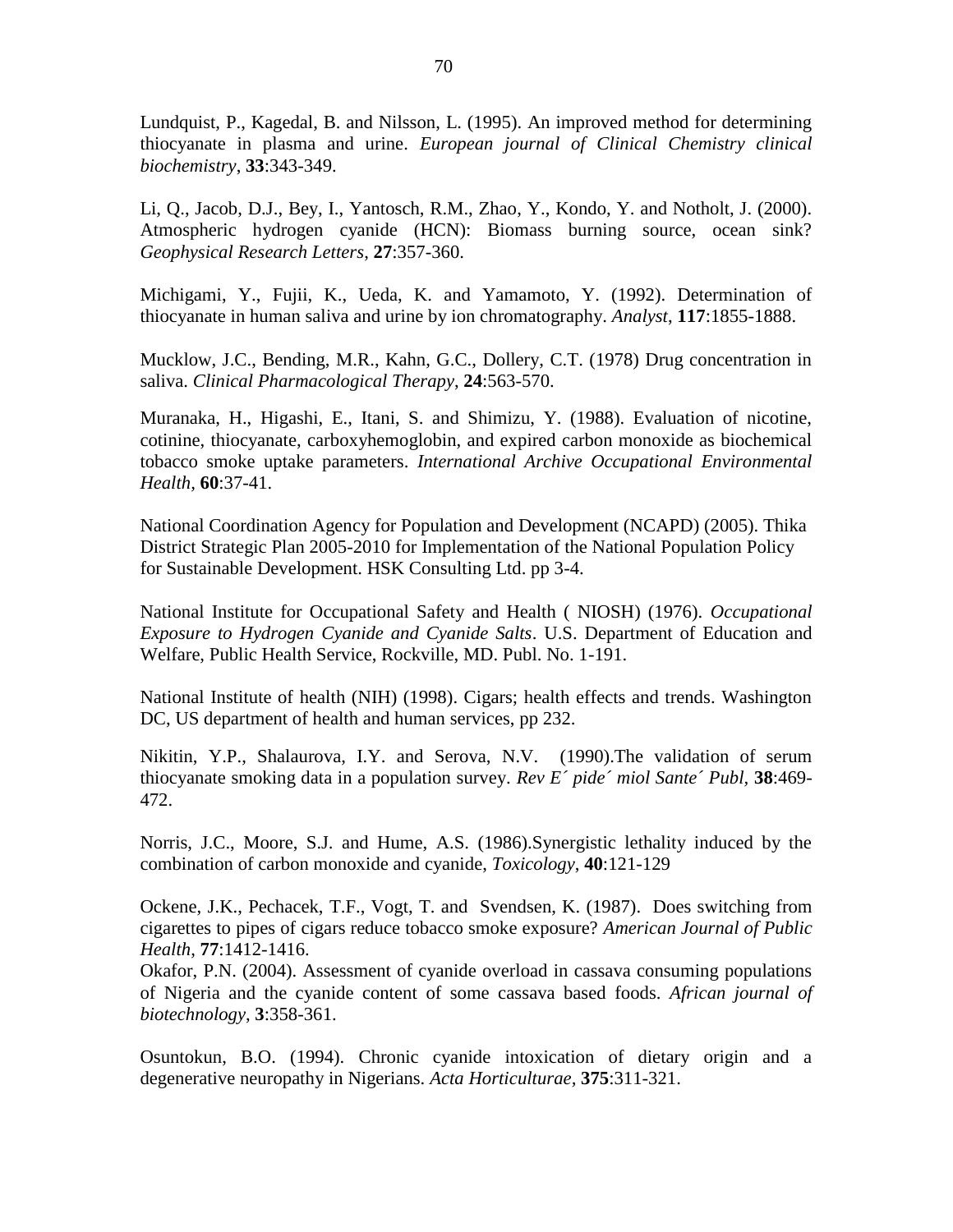Lundquist, P., Kagedal, B. and Nilsson, L. (1995). An improved method for determining thiocyanate in plasma and urine. *European journal of Clinical Chemistry clinical biochemistry*, **33**:343-349.

Li, Q., Jacob, D.J., Bey, I., Yantosch, R.M., Zhao, Y., Kondo, Y. and Notholt, J. (2000). Atmospheric hydrogen cyanide (HCN): Biomass burning source, ocean sink? *Geophysical Research Letters*, **27**:357-360.

Michigami, Y., Fujii, K., Ueda, K. and Yamamoto, Y. (1992). Determination of thiocyanate in human saliva and urine by ion chromatography. *Analyst*, **117**:1855-1888.

Mucklow, J.C., Bending, M.R., Kahn, G.C., Dollery, C.T. (1978) Drug concentration in saliva. *Clinical Pharmacological Therapy*, **24**:563-570.

Muranaka, H., Higashi, E., Itani, S. and Shimizu, Y. (1988). Evaluation of nicotine, cotinine, thiocyanate, carboxyhemoglobin, and expired carbon monoxide as biochemical tobacco smoke uptake parameters. *International Archive Occupational Environmental Health,* **60**:37-41.

National Coordination Agency for Population and Development (NCAPD) (2005). Thika District Strategic Plan 2005-2010 for Implementation of the National Population Policy for Sustainable Development. HSK Consulting Ltd. pp 3-4.

National Institute for Occupational Safety and Health ( NIOSH) (1976). *Occupational Exposure to Hydrogen Cyanide and Cyanide Salts*. U.S. Department of Education and Welfare, Public Health Service, Rockville, MD. Publ. No. 1-191.

National Institute of health (NIH) (1998). Cigars; health effects and trends. Washington DC, US department of health and human services, pp 232.

Nikitin, Y.P., Shalaurova, I.Y. and Serova, N.V. (1990).The validation of serum thiocyanate smoking data in a population survey. *Rev E´ pide´ miol Sante´ Publ,* **38**:469- 472.

Norris, J.C., Moore, S.J. and Hume, A.S. (1986).Synergistic lethality induced by the combination of carbon monoxide and cyanide, *Toxicology*, **40**:121-129

Ockene, J.K., Pechacek, T.F., Vogt, T. and Svendsen, K. (1987). Does switching from cigarettes to pipes of cigars reduce tobacco smoke exposure? *American Journal of Public Health*, **77**:1412-1416.

Okafor, P.N. (2004). Assessment of cyanide overload in cassava consuming populations of Nigeria and the cyanide content of some cassava based foods. *African journal of biotechnology*, **3**:358-361.

Osuntokun, B.O. (1994). Chronic cyanide intoxication of dietary origin and a degenerative neuropathy in Nigerians. *Acta Horticulturae,* **375**:311-321.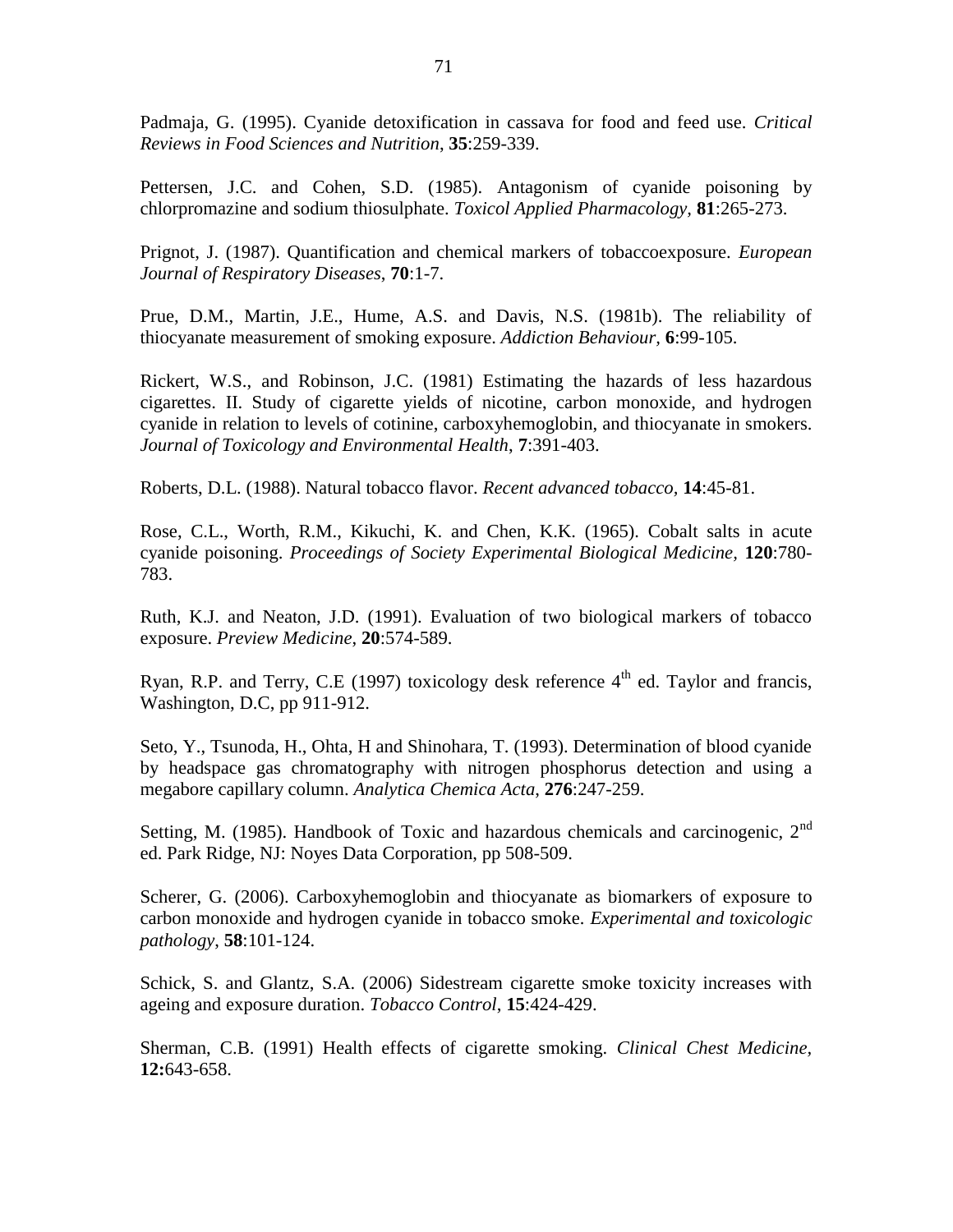Padmaja, G. (1995). Cyanide detoxification in cassava for food and feed use. *Critical Reviews in Food Sciences and Nutrition*, **35**:259-339.

Pettersen, J.C. and Cohen, S.D. (1985). Antagonism of cyanide poisoning by chlorpromazine and sodium thiosulphate. *Toxicol Applied Pharmacology,* **81**:265-273.

Prignot, J. (1987). Quantification and chemical markers of tobaccoexposure. *European Journal of Respiratory Diseases*, **70**:1-7.

Prue, D.M., Martin, J.E., Hume, A.S. and Davis, N.S. (1981b). The reliability of thiocyanate measurement of smoking exposure. *Addiction Behaviour,* **6**:99-105.

Rickert, W.S., and Robinson, J.C. (1981) Estimating the hazards of less hazardous cigarettes. II. Study of cigarette yields of nicotine, carbon monoxide, and hydrogen cyanide in relation to levels of cotinine, carboxyhemoglobin, and thiocyanate in smokers. *Journal of Toxicology and Environmental Health*, **7**:391-403.

Roberts, D.L. (1988). Natural tobacco flavor. *Recent advanced tobacco,* **14**:45-81.

Rose, C.L., Worth, R.M., Kikuchi, K. and Chen, K.K. (1965). Cobalt salts in acute cyanide poisoning. *Proceedings of Society Experimental Biological Medicine,* **120**:780- 783.

Ruth, K.J. and Neaton, J.D. (1991). Evaluation of two biological markers of tobacco exposure. *Preview Medicine*, **20**:574-589.

Ryan, R.P. and Terry, C.E (1997) toxicology desk reference  $4<sup>th</sup>$  ed. Taylor and francis. Washington, D.C, pp 911-912.

Seto, Y., Tsunoda, H., Ohta, H and Shinohara, T. (1993). Determination of blood cyanide by headspace gas chromatography with nitrogen phosphorus detection and using a megabore capillary column. *Analytica Chemica Acta*, **276**:247-259.

Setting, M. (1985). Handbook of Toxic and hazardous chemicals and carcinogenic, 2<sup>nd</sup> ed. Park Ridge, NJ: Noyes Data Corporation, pp 508-509.

Scherer, G. (2006). Carboxyhemoglobin and thiocyanate as biomarkers of exposure to carbon monoxide and hydrogen cyanide in tobacco smoke*. Experimental and toxicologic pathology*, **58**:101-124.

Schick, S. and Glantz, S.A. (2006) Sidestream cigarette smoke toxicity increases with ageing and exposure duration. *Tobacco Control*, **15**:424-429.

Sherman, C.B. (1991) Health effects of cigarette smoking. *Clinical Chest Medicine,* **12:**643-658.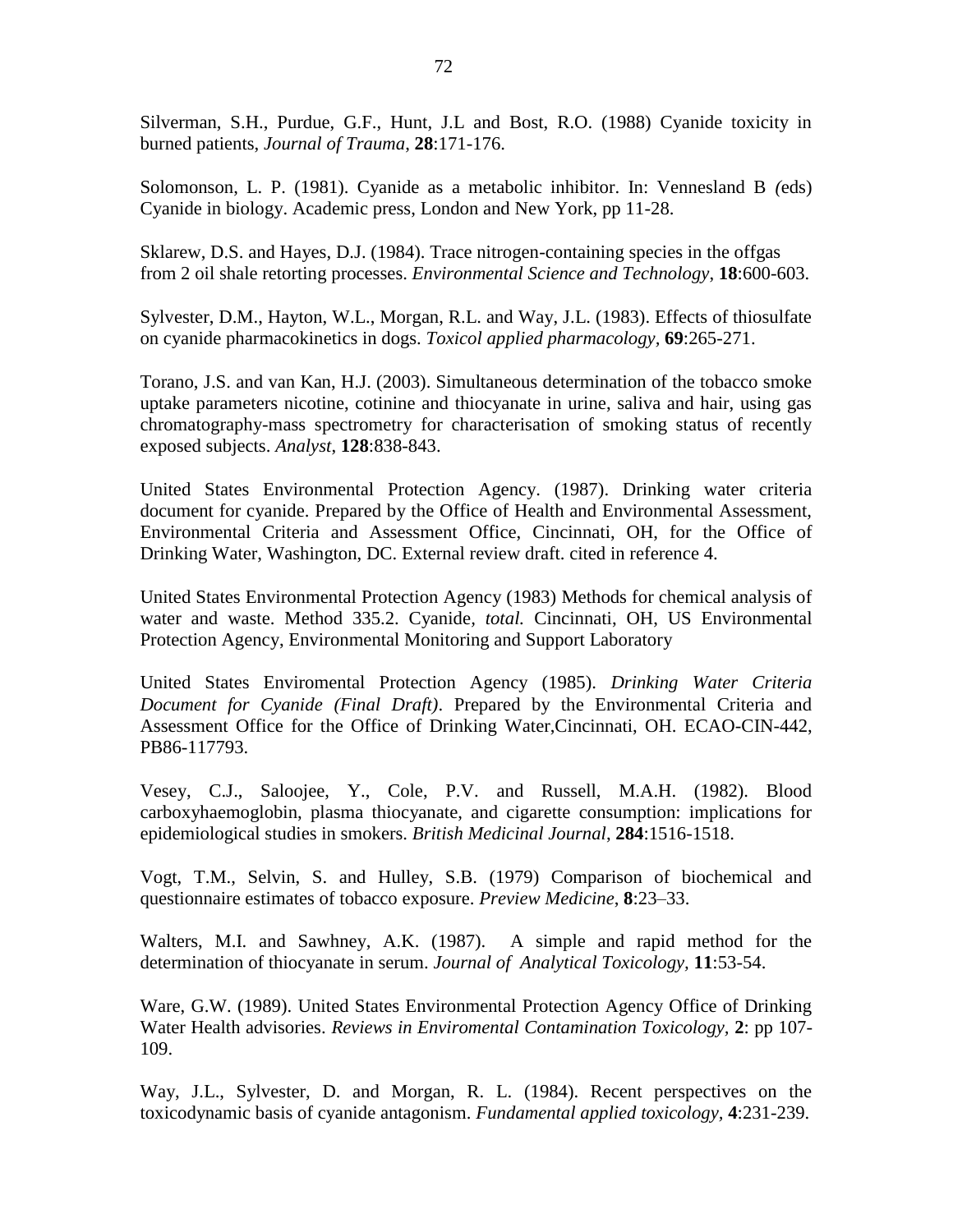Silverman, S.H., Purdue, G.F., Hunt, J.L and Bost, R.O. (1988) Cyanide toxicity in burned patients, *Journal of Trauma*, **28**:171-176.

Solomonson, L. P. (1981). Cyanide as a metabolic inhibitor. In: Vennesland B *(*eds) Cyanide in biology. Academic press, London and New York, pp 11-28.

Sklarew, D.S. and Hayes, D.J. (1984). Trace nitrogen-containing species in the offgas from 2 oil shale retorting processes. *Environmental Science and Technology*, **18**:600-603.

Sylvester, D.M., Hayton, W.L., Morgan, R.L. and Way, J.L. (1983). Effects of thiosulfate on cyanide pharmacokinetics in dogs. *Toxicol applied pharmacology,* **69**:265-271.

Torano, J.S. and van Kan, H.J. (2003). Simultaneous determination of the tobacco smoke uptake parameters nicotine, cotinine and thiocyanate in urine, saliva and hair, using gas chromatography-mass spectrometry for characterisation of smoking status of recently exposed subjects. *Analyst*, **128**:838-843.

United States Environmental Protection Agency. (1987). Drinking water criteria document for cyanide. Prepared by the Office of Health and Environmental Assessment, Environmental Criteria and Assessment Office, Cincinnati, OH, for the Office of Drinking Water, Washington, DC. External review draft. cited in reference 4.

United States Environmental Protection Agency (1983) Methods for chemical analysis of water and waste. Method 335.2. Cyanide*, total.* Cincinnati, OH, US Environmental Protection Agency, Environmental Monitoring and Support Laboratory

United States Enviromental Protection Agency (1985). *Drinking Water Criteria Document for Cyanide (Final Draft)*. Prepared by the Environmental Criteria and Assessment Office for the Office of Drinking Water,Cincinnati, OH. ECAO-CIN-442, PB86-117793.

Vesey, C.J., Saloojee, Y., Cole, P.V. and Russell, M.A.H. (1982). Blood carboxyhaemoglobin, plasma thiocyanate, and cigarette consumption: implications for epidemiological studies in smokers. *British Medicinal Journal*, **284**:1516-1518.

Vogt, T.M., Selvin, S. and Hulley, S.B. (1979) Comparison of biochemical and questionnaire estimates of tobacco exposure. *Preview Medicine*, **8**:23–33.

Walters, M.I. and Sawhney, A.K. (1987). A simple and rapid method for the determination of thiocyanate in serum. *Journal of Analytical Toxicology,* **11**:53-54.

Ware, G.W. (1989). United States Environmental Protection Agency Office of Drinking Water Health advisories. *Reviews in Enviromental Contamination Toxicology,* **2**: pp 107- 109.

Way, J.L., Sylvester, D. and Morgan, R. L. (1984). Recent perspectives on the toxicodynamic basis of cyanide antagonism. *Fundamental applied toxicology,* **4**:231-239.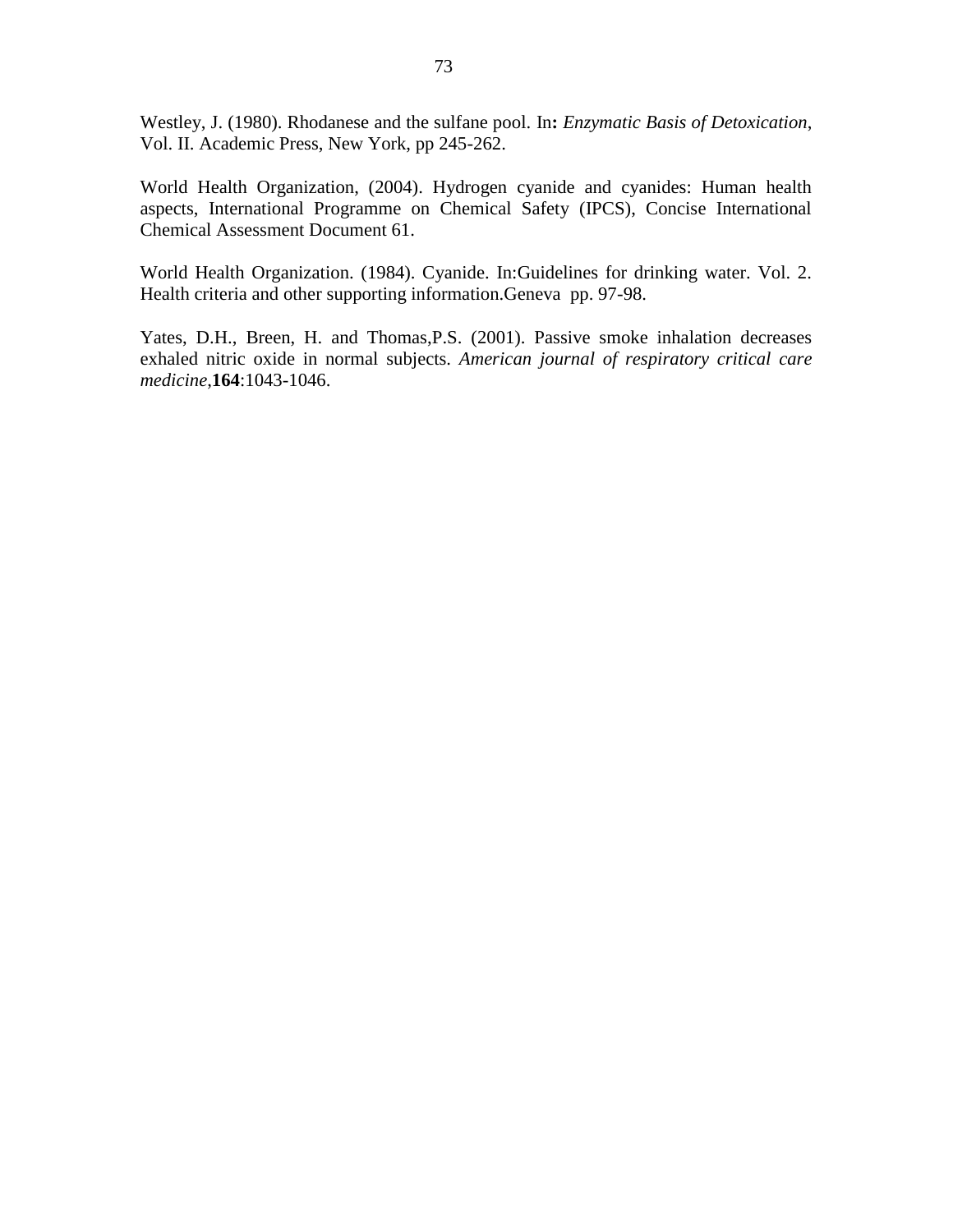Westley, J. (1980). Rhodanese and the sulfane pool. In**:** *Enzymatic Basis of Detoxication*, Vol. II. Academic Press, New York, pp 245-262.

World Health Organization, (2004). Hydrogen cyanide and cyanides: Human health aspects, International Programme on Chemical Safety (IPCS), Concise International Chemical Assessment Document 61.

World Health Organization. (1984). Cyanide. In:Guidelines for drinking water. Vol. 2. Health criteria and other supporting information.Geneva pp. 97-98.

Yates, D.H., Breen, H. and Thomas,P.S. (2001). Passive smoke inhalation decreases exhaled nitric oxide in normal subjects. *American journal of respiratory critical care medicine*,**164**:1043-1046.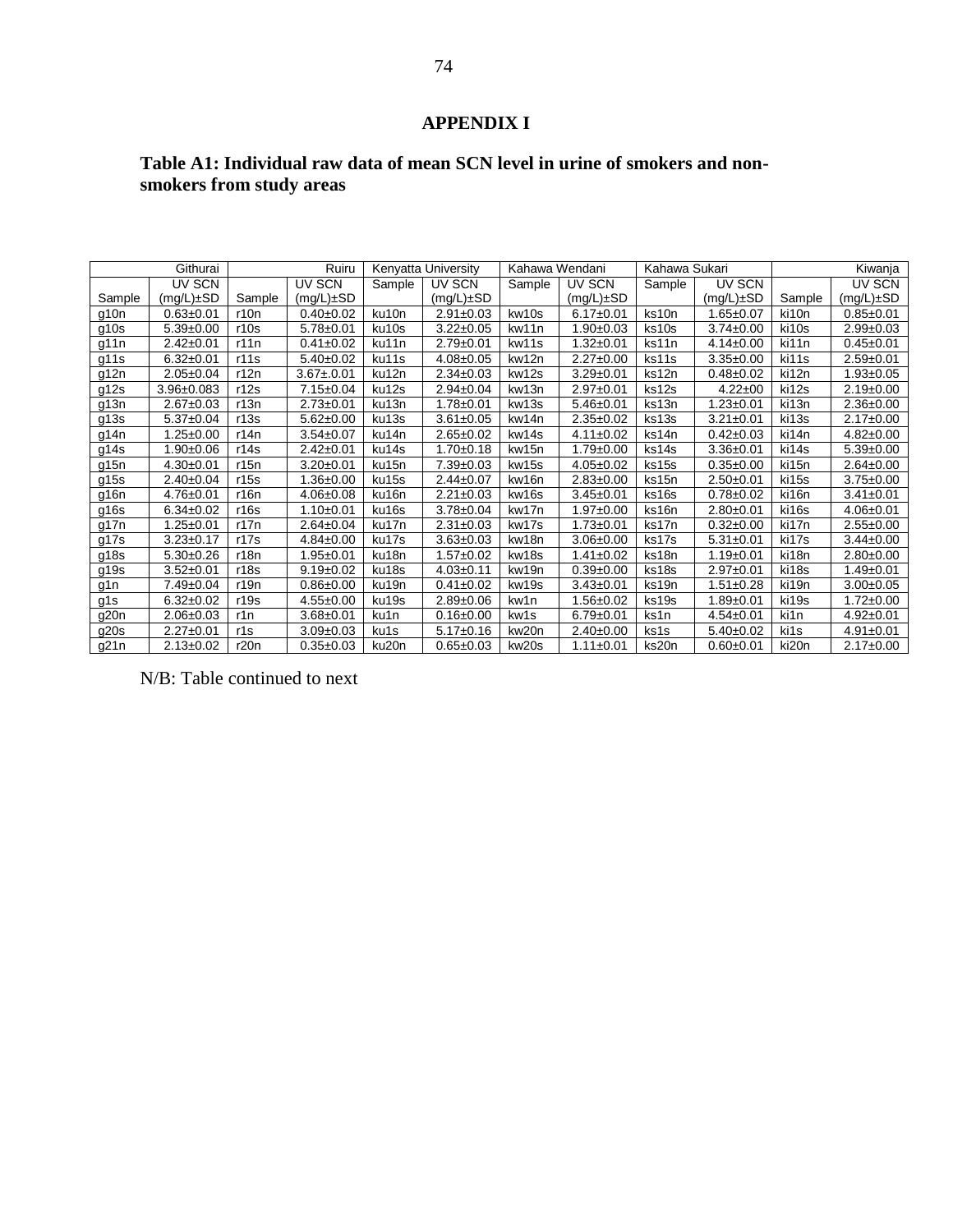# **APPENDIX I**

# **Table A1: Individual raw data of mean SCN level in urine of smokers and nonsmokers from study areas**

|        | Githurai         |        | Ruiru           |        | Kenyatta University | Kahawa Wendani |                 | Kahawa Sukari |                 |        | Kiwanja         |
|--------|------------------|--------|-----------------|--------|---------------------|----------------|-----------------|---------------|-----------------|--------|-----------------|
|        | UV SCN           |        | UV SCN          | Sample | UV SCN              | Sample         | UV SCN          | Sample        | UV SCN          |        | UV SCN          |
| Sample | $(mg/L) \pm SD$  | Sample | $(mg/L) \pm SD$ |        | $(mg/L) \pm SD$     |                | $(mg/L) \pm SD$ |               | $(mg/L) \pm SD$ | Sample | $(mg/L) \pm SD$ |
| g10n   | $0.63 \pm 0.01$  | r10n   | $0.40 + 0.02$   | ku10n  | $2.91 \pm 0.03$     | kw10s          | $6.17 \pm 0.01$ | ks10n         | $1.65 \pm 0.07$ | ki10n  | $0.85 + 0.01$   |
| g10s   | $5.39+0.00$      | r10s   | $5.78 \pm 0.01$ | ku10s  | $3.22 \pm 0.05$     | kw11n          | $1.90 + 0.03$   | ks10s         | $3.74 \pm 0.00$ | ki10s  | $2.99 \pm 0.03$ |
| g11n   | $2.42 \pm 0.01$  | r11n   | $0.41 \pm 0.02$ | ku11n  | $2.79 \pm 0.01$     | kw11s          | $1.32 \pm 0.01$ | ks11n         | $4.14 \pm 0.00$ | ki11n  | $0.45 \pm 0.01$ |
| q11s   | $6.32 \pm 0.01$  | r11s   | $5.40 \pm 0.02$ | ku11s  | $4.08 \pm 0.05$     | kw12n          | $2.27 \pm 0.00$ | ks11s         | $3.35 \pm 0.00$ | ki11s  | $2.59 \pm 0.01$ |
| g12n   | $2.05 \pm 0.04$  | r12n   | $3.67 \pm 0.01$ | ku12n  | $2.34 \pm 0.03$     | kw12s          | $3.29 \pm 0.01$ | ks12n         | $0.48 + 0.02$   | ki12n  | $1.93 \pm 0.05$ |
| g12s   | $3.96 \pm 0.083$ | r12s   | $7.15 \pm 0.04$ | ku12s  | $2.94 \pm 0.04$     | kw13n          | $2.97 \pm 0.01$ | ks12s         | $4.22 \pm 00$   | ki12s  | $2.19 \pm 0.00$ |
| g13n   | $2.67 \pm 0.03$  | r13n   | $2.73 \pm 0.01$ | ku13n  | $1.78 \pm 0.01$     | kw13s          | $5.46 \pm 0.01$ | ks13n         | $1.23 \pm 0.01$ | ki13n  | $2.36 \pm 0.00$ |
| g13s   | $5.37+0.04$      | r13s   | $5.62 \pm 0.00$ | ku13s  | $3.61 \pm 0.05$     | kw14n          | $2.35 \pm 0.02$ | ks13s         | $3.21 \pm 0.01$ | ki13s  | $2.17 \pm 0.00$ |
| g14n   | $1.25 \pm 0.00$  | r14n   | $3.54 \pm 0.07$ | ku14n  | $2.65 \pm 0.02$     | kw14s          | $4.11 \pm 0.02$ | ks14n         | $0.42 \pm 0.03$ | ki14n  | $4.82 \pm 0.00$ |
| g14s   | $1.90 \pm 0.06$  | r14s   | $2.42 \pm 0.01$ | ku14s  | $1.70 \pm 0.18$     | kw15n          | $1.79 \pm 0.00$ | ks14s         | $3.36 \pm 0.01$ | ki14s  | $5.39 \pm 0.00$ |
| g15n   | $4.30 \pm 0.01$  | r15n   | $3.20 \pm 0.01$ | ku15n  | $7.39 \pm 0.03$     | kw15s          | $4.05 \pm 0.02$ | ks15s         | $0.35 + 0.00$   | ki15n  | $2.64 \pm 0.00$ |
| g15s   | $2.40+0.04$      | r15s   | $1.36 \pm 0.00$ | ku15s  | $2.44 \pm 0.07$     | kw16n          | $2.83 \pm 0.00$ | ks15n         | $2.50+0.01$     | ki15s  | $3.75 \pm 0.00$ |
| g16n   | $4.76 \pm 0.01$  | r16n   | $4.06 \pm 0.08$ | ku16n  | $2.21 \pm 0.03$     | kw16s          | $3.45 \pm 0.01$ | ks16s         | $0.78 + 0.02$   | ki16n  | $3.41 \pm 0.01$ |
| g16s   | $6.34 \pm 0.02$  | r16s   | $1.10+0.01$     | ku16s  | $3.78 \pm 0.04$     | kw17n          | $1.97 \pm 0.00$ | ks16n         | $2.80+0.01$     | ki16s  | $4.06 \pm 0.01$ |
| g17n   | $1.25 \pm 0.01$  | r17n   | $2.64 \pm 0.04$ | ku17n  | $2.31 \pm 0.03$     | kw17s          | $1.73 \pm 0.01$ | ks17n         | $0.32 \pm 0.00$ | ki17n  | $2.55 \pm 0.00$ |
| g17s   | $3.23 \pm 0.17$  | r17s   | $4.84 \pm 0.00$ | ku17s  | $3.63 \pm 0.03$     | kw18n          | $3.06 \pm 0.00$ | ks17s         | $5.31 \pm 0.01$ | ki17s  | $3.44 \pm 0.00$ |
| g18s   | $5.30+0.26$      | r18n   | $1.95 \pm 0.01$ | ku18n  | $1.57 + 0.02$       | kw18s          | $1.41 \pm 0.02$ | ks18n         | $1.19 \pm 0.01$ | ki18n  | $2.80 \pm 0.00$ |
| g19s   | $3.52 \pm 0.01$  | r18s   | $9.19 \pm 0.02$ | ku18s  | $4.03 \pm 0.11$     | kw19n          | $0.39 + 0.00$   | ks18s         | $2.97 \pm 0.01$ | ki18s  | $1.49 \pm 0.01$ |
| g1n    | $7.49 \pm 0.04$  | r19n   | $0.86 \pm 0.00$ | ku19n  | $0.41 \pm 0.02$     | kw19s          | $3.43 \pm 0.01$ | ks19n         | $1.51 \pm 0.28$ | ki19n  | $3.00+0.05$     |
| g1s    | $6.32 \pm 0.02$  | r19s   | $4.55 \pm 0.00$ | ku19s  | $2.89 \pm 0.06$     | kw1n           | $1.56 \pm 0.02$ | ks19s         | $1.89 + 0.01$   | ki19s  | $1.72 \pm 0.00$ |
| g20n   | $2.06 \pm 0.03$  | r1n    | $3.68 + 0.01$   | ku1n   | $0.16 \pm 0.00$     | kw1s           | $6.79 \pm 0.01$ | ks1n          | $4.54 \pm 0.01$ | ki1n   | $4.92 \pm 0.01$ |
| g20s   | $2.27 \pm 0.01$  | r1s    | $3.09 \pm 0.03$ | ku1s   | $5.17 \pm 0.16$     | kw20n          | $2.40\pm0.00$   | ks1s          | $5.40+0.02$     | ki1s   | $4.91 \pm 0.01$ |
| g21n   | $2.13 \pm 0.02$  | r20n   | $0.35 \pm 0.03$ | ku20n  | $0.65 \pm 0.03$     | kw20s          | $1.11 \pm 0.01$ | ks20n         | $0.60 + 0.01$   | ki20n  | $2.17 \pm 0.00$ |

N/B: Table continued to next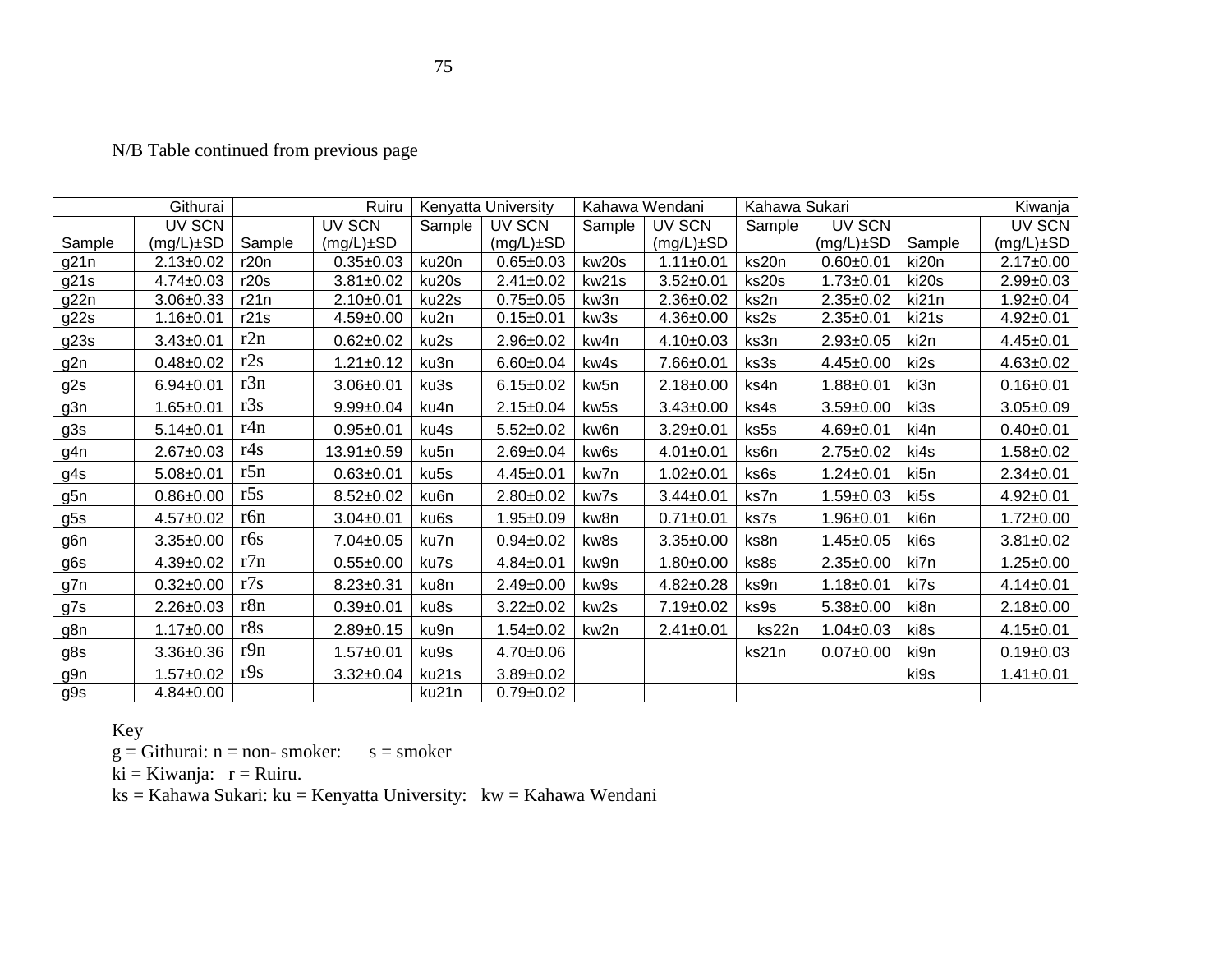| N/B Table continued from previous page |  |  |
|----------------------------------------|--|--|
|                                        |  |  |

|        | Githurai        |        | Ruiru           |                  | <b>Kenyatta University</b> | Kahawa Wendani   |                 | Kahawa Sukari |                 |                  | Kiwanja         |
|--------|-----------------|--------|-----------------|------------------|----------------------------|------------------|-----------------|---------------|-----------------|------------------|-----------------|
|        | UV SCN          |        | <b>UV SCN</b>   | Sample           | <b>UV SCN</b>              | Sample           | UV SCN          | Sample        | UV SCN          |                  | UV SCN          |
| Sample | $(mg/L) \pm SD$ | Sample | $(mg/L) \pm SD$ |                  | $(mg/L) \pm SD$            |                  | $(mg/L) \pm SD$ |               | $(mg/L) \pm SD$ | Sample           | $(mg/L) \pm SD$ |
| g21n   | $2.13 \pm 0.02$ | r20n   | $0.35 + 0.03$   | ku20n            | $0.65 \pm 0.03$            | kw20s            | $1.11 \pm 0.01$ | ks20n         | $0.60 + 0.01$   | ki20n            | $2.17 \pm 0.00$ |
| g21s   | $4.74 \pm 0.03$ | r20s   | $3.81 \pm 0.02$ | ku20s            | $2.41 \pm 0.02$            | kw21s            | $3.52 \pm 0.01$ | ks20s         | $1.73 + 0.01$   | ki20s            | $2.99 \pm 0.03$ |
| g22n   | $3.06 \pm 0.33$ | r21n   | $2.10+0.01$     | ku22s            | $0.75 \pm 0.05$            | kw3n             | $2.36 \pm 0.02$ | ks2n          | $2.35 \pm 0.02$ | ki21n            | $1.92 \pm 0.04$ |
| g22s   | $1.16 \pm 0.01$ | r21s   | $4.59 \pm 0.00$ | ku2n             | $0.15 \pm 0.01$            | kw3s             | $4.36 \pm 0.00$ | ks2s          | $2.35 \pm 0.01$ | ki21s            | $4.92 \pm 0.01$ |
| g23s   | $3.43 \pm 0.01$ | r2n    | $0.62 \pm 0.02$ | ku <sub>2s</sub> | $2.96 \pm 0.02$            | kw4n             | $4.10 \pm 0.03$ | ks3n          | $2.93 \pm 0.05$ | ki2n             | $4.45 \pm 0.01$ |
| g2n    | $0.48 \pm 0.02$ | r2s    | $1.21 \pm 0.12$ | ku3n             | $6.60 \pm 0.04$            | kw4s             | 7.66±0.01       | ks3s          | $4.45 \pm 0.00$ | ki <sub>2s</sub> | $4.63 \pm 0.02$ |
| g2s    | $6.94 \pm 0.01$ | r3n    | $3.06 \pm 0.01$ | ku3s             | $6.15 \pm 0.02$            | kw5n             | $2.18 \pm 0.00$ | ks4n          | $1.88 + 0.01$   | ki3n             | $0.16 \pm 0.01$ |
| g3n    | $1.65 \pm 0.01$ | r3s    | $9.99 \pm 0.04$ | ku4n             | $2.15 \pm 0.04$            | kw5s             | $3.43 \pm 0.00$ | ks4s          | $3.59 \pm 0.00$ | ki3s             | $3.05 \pm 0.09$ |
| g3s    | $5.14 \pm 0.01$ | r4n    | $0.95 + 0.01$   | ku4s             | $5.52 \pm 0.02$            | kw6n             | $3.29 \pm 0.01$ | ks5s          | $4.69 + 0.01$   | ki4n             | $0.40 \pm 0.01$ |
| g4n    | $2.67 \pm 0.03$ | r4s    | 13.91±0.59      | ku <sub>5n</sub> | $2.69 \pm 0.04$            | kw6s             | $4.01 \pm 0.01$ | ks6n          | $2.75 \pm 0.02$ | ki4s             | $1.58 + 0.02$   |
| g4s    | $5.08 \pm 0.01$ | r5n    | $0.63 \pm 0.01$ | ku <sub>5s</sub> | $4.45 \pm 0.01$            | kw7n             | $1.02 + 0.01$   | ks6s          | $1.24 \pm 0.01$ | ki5n             | $2.34 \pm 0.01$ |
| g5n    | $0.86 \pm 0.00$ | r5s    | $8.52 \pm 0.02$ | ku6n             | $2.80 \pm 0.02$            | kw7s             | $3.44 \pm 0.01$ | ks7n          | $1.59 + 0.03$   | ki <sub>5s</sub> | $4.92 \pm 0.01$ |
| g5s    | $4.57 \pm 0.02$ | r6n    | $3.04 \pm 0.01$ | ku6s             | $1.95 \pm 0.09$            | kw8n             | $0.71 \pm 0.01$ | ks7s          | $1.96 \pm 0.01$ | ki6n             | $1.72 \pm 0.00$ |
| g6n    | $3.35 \pm 0.00$ | r6s    | $7.04 \pm 0.05$ | ku7n             | $0.94 \pm 0.02$            | kw8s             | $3.35 + 0.00$   | ks8n          | $1.45 \pm 0.05$ | ki6s             | $3.81 \pm 0.02$ |
| g6s    | $4.39 \pm 0.02$ | r7n    | $0.55 \pm 0.00$ | ku7s             | $4.84 \pm 0.01$            | kw9n             | $1.80 + 0.00$   | ks8s          | $2.35 \pm 0.00$ | ki7n             | $1.25 \pm 0.00$ |
| g7n    | $0.32 \pm 0.00$ | r7s    | $8.23 \pm 0.31$ | ku8n             | $2.49 \pm 0.00$            | kw9s             | $4.82 \pm 0.28$ | ks9n          | $1.18 + 0.01$   | ki7s             | $4.14 \pm 0.01$ |
| g7s    | $2.26 \pm 0.03$ | r8n    | $0.39 + 0.01$   | ku8s             | $3.22 \pm 0.02$            | kw <sub>2s</sub> | $7.19 \pm 0.02$ | ks9s          | $5.38 \pm 0.00$ | ki8n             | $2.18 \pm 0.00$ |
| g8n    | $1.17 \pm 0.00$ | r8s    | $2.89 \pm 0.15$ | ku9n             | $1.54 \pm 0.02$            | kw2n             | $2.41 \pm 0.01$ | ks22n         | $1.04 \pm 0.03$ | ki8s             | $4.15 \pm 0.01$ |
| g8s    | $3.36 \pm 0.36$ | r9n    | $1.57 + 0.01$   | ku9s             | $4.70 \pm 0.06$            |                  |                 | ks21n         | $0.07 + 0.00$   | ki9n             | $0.19 \pm 0.03$ |
| g9n    | $1.57 + 0.02$   | r9s    | $3.32 \pm 0.04$ | ku21s            | $3.89 \pm 0.02$            |                  |                 |               |                 | ki9s             | $1.41 \pm 0.01$ |
| $g$ 9s | $4.84 \pm 0.00$ |        |                 | ku21n            | $0.79 \pm 0.02$            |                  |                 |               |                 |                  |                 |

Key

 $g = G$ ithurai:  $n = non$ - smoker:  $s =$  smoker

 $ki = Kiwanja: r = Ruiru.$ 

ks = Kahawa Sukari: ku = Kenyatta University: kw = Kahawa Wendani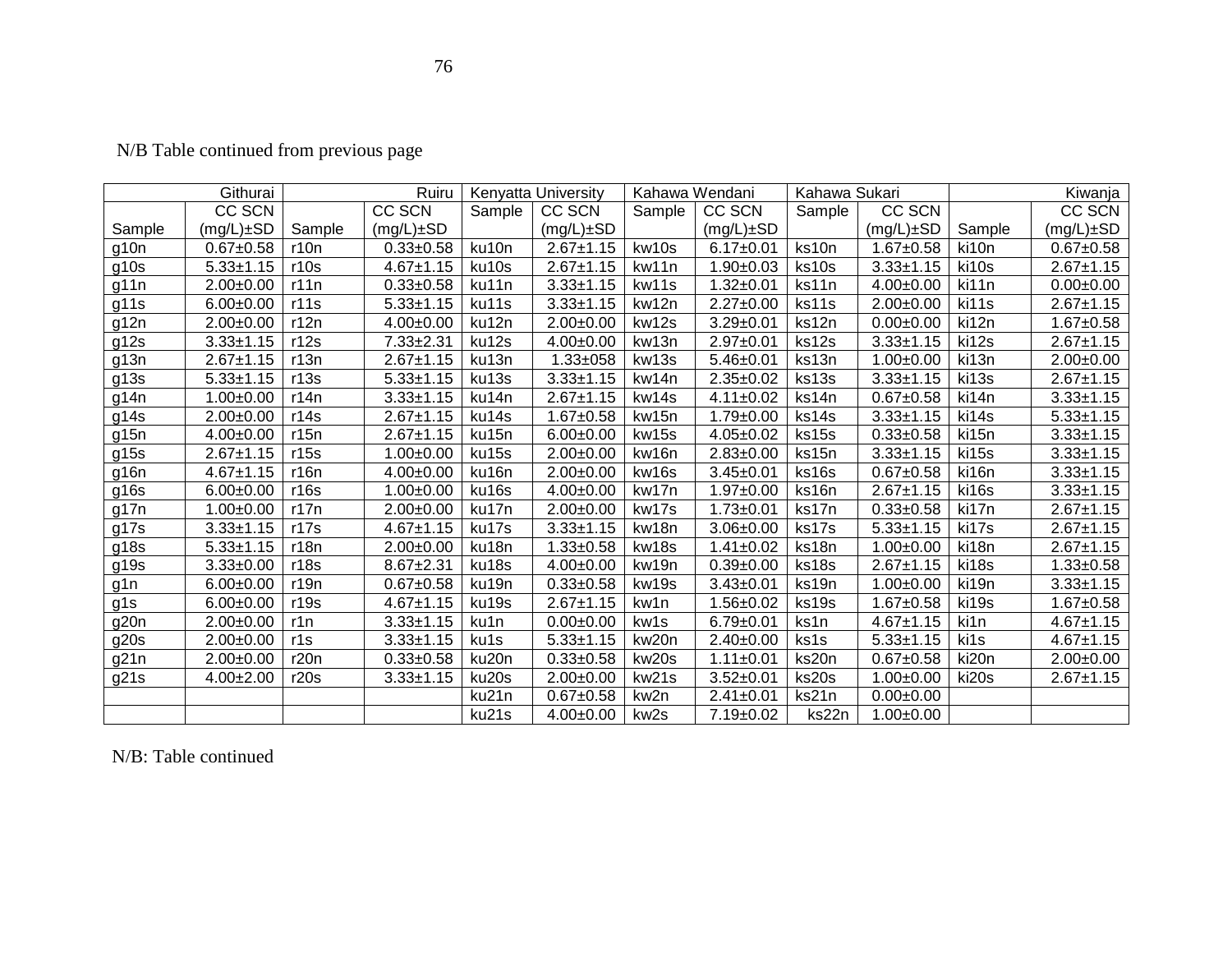|        | Githurai        |        | Ruiru           |        | Kenyatta University | Kahawa Wendani   |                 | Kahawa Sukari |                 |        | Kiwanja         |
|--------|-----------------|--------|-----------------|--------|---------------------|------------------|-----------------|---------------|-----------------|--------|-----------------|
|        | CC SCN          |        | CC SCN          | Sample | <b>CC SCN</b>       | Sample           | <b>CC SCN</b>   | Sample        | <b>CC SCN</b>   |        | CC SCN          |
| Sample | $(mg/L) \pm SD$ | Sample | $(mg/L) \pm SD$ |        | $(mg/L) \pm SD$     |                  | $(mg/L) \pm SD$ |               | $(mg/L) \pm SD$ | Sample | $(mg/L) \pm SD$ |
| g10n   | $0.67 + 0.58$   | r10n   | $0.33 + 0.58$   | ku10n  | $2.67 \pm 1.15$     | kw10s            | $6.17 \pm 0.01$ | ks10n         | $1.67 + 0.58$   | ki10n  | $0.67 \pm 0.58$ |
| g10s   | $5.33 \pm 1.15$ | r10s   | $4.67 \pm 1.15$ | ku10s  | $2.67 \pm 1.15$     | kw11n            | $1.90 \pm 0.03$ | ks10s         | $3.33 \pm 1.15$ | ki10s  | $2.67 \pm 1.15$ |
| g11n   | $2.00+0.00$     | r11n   | $0.33 \pm 0.58$ | ku11n  | $3.33 \pm 1.15$     | kw11s            | $1.32 + 0.01$   | ks11n         | $4.00 \pm 0.00$ | ki11n  | $0.00 \pm 0.00$ |
| g11s   | $6.00 \pm 0.00$ | r11s   | $5.33 + 1.15$   | ku11s  | $3.33 \pm 1.15$     | kw12n            | $2.27 \pm 0.00$ | ks11s         | $2.00+0.00$     | ki11s  | $2.67 \pm 1.15$ |
| g12n   | $2.00 \pm 0.00$ | r12n   | $4.00 \pm 0.00$ | ku12n  | $2.00 \pm 0.00$     | kw12s            | $3.29 \pm 0.01$ | ks12n         | $0.00 + 0.00$   | ki12n  | $1.67 + 0.58$   |
| g12s   | $3.33 \pm 1.15$ | r12s   | $7.33 \pm 2.31$ | ku12s  | $4.00 \pm 0.00$     | kw13n            | $2.97+0.01$     | ks12s         | $3.33 \pm 1.15$ | ki12s  | $2.67 \pm 1.15$ |
| g13n   | $2.67 \pm 1.15$ | r13n   | $2.67 + 1.15$   | ku13n  | $1.33 \pm 058$      | kw13s            | $5.46 \pm 0.01$ | ks13n         | $1.00 + 0.00$   | ki13n  | $2.00+0.00$     |
| g13s   | $5.33 + 1.15$   | r13s   | $5.33 \pm 1.15$ | ku13s  | $3.33 \pm 1.15$     | kw14n            | $2.35 \pm 0.02$ | ks13s         | $3.33 \pm 1.15$ | ki13s  | $2.67 \pm 1.15$ |
| g14n   | $1.00 \pm 0.00$ | r14n   | $3.33 + 1.15$   | ku14n  | $2.67 \pm 1.15$     | kw14s            | $4.11 \pm 0.02$ | ks14n         | $0.67 + 0.58$   | ki14n  | $3.33 \pm 1.15$ |
| g14s   | $2.00 \pm 0.00$ | r14s   | $2.67 + 1.15$   | ku14s  | $1.67 \pm 0.58$     | kw15n            | $1.79 \pm 0.00$ | ks14s         | $3.33 + 1.15$   | ki14s  | $5.33 \pm 1.15$ |
| g15n   | $4.00 \pm 0.00$ | r15n   | $2.67 + 1.15$   | ku15n  | $6.00 \pm 0.00$     | kw15s            | $4.05 \pm 0.02$ | ks15s         | $0.33 + 0.58$   | ki15n  | $3.33 \pm 1.15$ |
| g15s   | $2.67 \pm 1.15$ | r15s   | $1.00+0.00$     | ku15s  | $2.00 \pm 0.00$     | kw16n            | $2.83 \pm 0.00$ | ks15n         | $3.33 \pm 1.15$ | ki15s  | $3.33 \pm 1.15$ |
| g16n   | $4.67 \pm 1.15$ | r16n   | $4.00 \pm 0.00$ | ku16n  | $2.00 \pm 0.00$     | kw16s            | $3.45 \pm 0.01$ | ks16s         | $0.67 + 0.58$   | ki16n  | $3.33 \pm 1.15$ |
| g16s   | $6.00 \pm 0.00$ | r16s   | $1.00 + 0.00$   | ku16s  | $4.00 \pm 0.00$     | kw17n            | $1.97 + 0.00$   | ks16n         | $2.67 + 1.15$   | ki16s  | $3.33 \pm 1.15$ |
| g17n   | $1.00 + 0.00$   | r17n   | $2.00+0.00$     | ku17n  | $2.00 \pm 0.00$     | kw17s            | $1.73 + 0.01$   | ks17n         | $0.33 + 0.58$   | ki17n  | $2.67 \pm 1.15$ |
| g17s   | $3.33 \pm 1.15$ | r17s   | $4.67 + 1.15$   | ku17s  | $3.33 \pm 1.15$     | kw18n            | $3.06 \pm 0.00$ | ks17s         | $5.33 \pm 1.15$ | ki17s  | $2.67 \pm 1.15$ |
| g18s   | $5.33 \pm 1.15$ | r18n   | $2.00+0.00$     | ku18n  | $1.33 \pm 0.58$     | kw18s            | $1.41 \pm 0.02$ | ks18n         | $1.00 + 0.00$   | ki18n  | $2.67 \pm 1.15$ |
| g19s   | $3.33 \pm 0.00$ | r18s   | $8.67 \pm 2.31$ | ku18s  | $4.00 \pm 0.00$     | kw19n            | $0.39 + 0.00$   | ks18s         | $2.67 + 1.15$   | ki18s  | $1.33 \pm 0.58$ |
| g1n    | $6.00 \pm 0.00$ | r19n   | $0.67 + 0.58$   | ku19n  | $0.33 \pm 0.58$     | kw19s            | $3.43 \pm 0.01$ | ks19n         | $1.00 + 0.00$   | ki19n  | $3.33 \pm 1.15$ |
| g1s    | $6.00 \pm 0.00$ | r19s   | $4.67 + 1.15$   | ku19s  | $2.67 \pm 1.15$     | kw1n             | $1.56 \pm 0.02$ | ks19s         | $1.67 + 0.58$   | ki19s  | $1.67 + 0.58$   |
| g20n   | $2.00 \pm 0.00$ | r1n    | $3.33 \pm 1.15$ | ku1n   | $0.00 + 0.00$       | kw1s             | $6.79 \pm 0.01$ | ks1n          | $4.67 + 1.15$   | ki1n   | $4.67 \pm 1.15$ |
| g20s   | $2.00 \pm 0.00$ | r1s    | $3.33 + 1.15$   | ku1s   | $5.33 \pm 1.15$     | kw20n            | $2.40+0.00$     | ks1s          | $5.33 \pm 1.15$ | ki1s   | $4.67 \pm 1.15$ |
| g21n   | $2.00 \pm 0.00$ | r20n   | $0.33 + 0.58$   | ku20n  | $0.33 \pm 0.58$     | kw20s            | $1.11 \pm 0.01$ | ks20n         | $0.67 + 0.58$   | ki20n  | $2.00 \pm 0.00$ |
| g21s   | $4.00 \pm 2.00$ | r20s   | $3.33 + 1.15$   | ku20s  | $2.00 \pm 0.00$     | kw21s            | $3.52 \pm 0.01$ | ks20s         | $1.00 + 0.00$   | ki20s  | $2.67 \pm 1.15$ |
|        |                 |        |                 | ku21n  | $0.67 + 0.58$       | kw2n             | $2.41 \pm 0.01$ | ks21n         | $0.00 + 0.00$   |        |                 |
|        |                 |        |                 | ku21s  | $4.00 \pm 0.00$     | kw <sub>2s</sub> | $7.19 \pm 0.02$ | ks22n         | $1.00 + 0.00$   |        |                 |

N/B Table continued from previous page

N/B: Table continued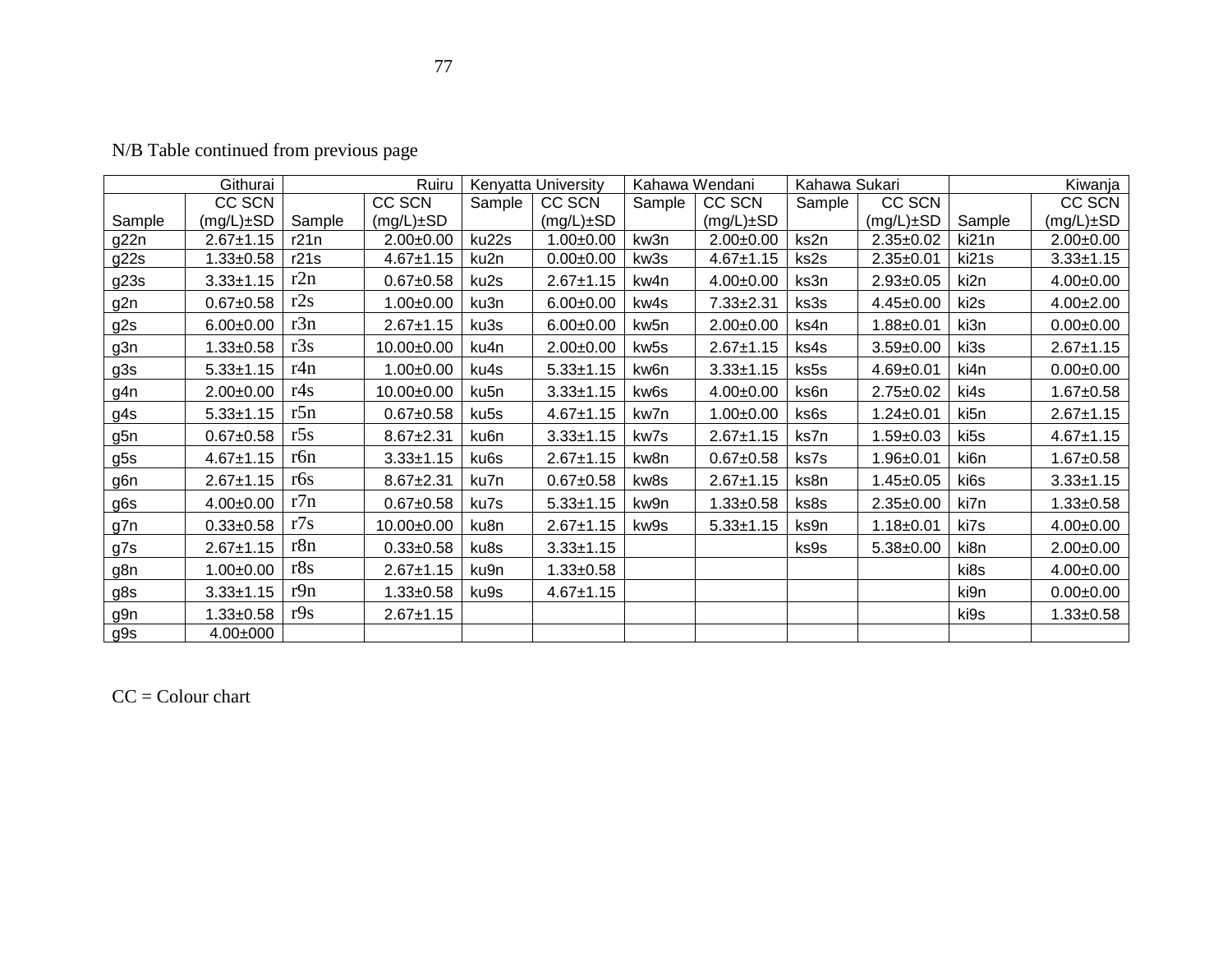|        | Githurai        |        | Ruiru           |        | Kenyatta University |        | Kahawa Wendani  | Kahawa Sukari |                 |        | Kiwanja         |
|--------|-----------------|--------|-----------------|--------|---------------------|--------|-----------------|---------------|-----------------|--------|-----------------|
|        | CC SCN          |        | <b>CC SCN</b>   | Sample | <b>CC SCN</b>       | Sample | <b>CC SCN</b>   | Sample        | <b>CC SCN</b>   |        | <b>CC SCN</b>   |
| Sample | $(mg/L) \pm SD$ | Sample | $(mg/L) \pm SD$ |        | $(mg/L) \pm SD$     |        | $(mg/L) \pm SD$ |               | $(mg/L) \pm SD$ | Sample | $(mg/L) \pm SD$ |
| g22n   | $2.67 + 1.15$   | r21n   | $2.00 \pm 0.00$ | ku22s  | $1.00 \pm 0.00$     | kw3n   | $2.00+0.00$     | ks2n          | $2.35 \pm 0.02$ | ki21n  | $2.00 \pm 0.00$ |
| g22s   | $1.33 \pm 0.58$ | r21s   | $4.67 \pm 1.15$ | ku2n   | $0.00 + 0.00$       | kw3s   | $4.67 \pm 1.15$ | ks2s          | $2.35 \pm 0.01$ | ki21s  | $3.33 \pm 1.15$ |
| g23s   | $3.33 \pm 1.15$ | r2n    | $0.67 + 0.58$   | ku2s   | $2.67 \pm 1.15$     | kw4n   | $4.00 \pm 0.00$ | ks3n          | $2.93 + 0.05$   | ki2n   | $4.00 \pm 0.00$ |
| g2n    | $0.67 + 0.58$   | r2s    | $1.00 \pm 0.00$ | ku3n   | $6.00 \pm 0.00$     | kw4s   | $7.33 \pm 2.31$ | ks3s          | $4.45 \pm 0.00$ | ki2s   | $4.00 \pm 2.00$ |
| g2s    | $6.00 \pm 0.00$ | r3n    | $2.67 \pm 1.15$ | ku3s   | $6.00 \pm 0.00$     | kw5n   | $2.00 \pm 0.00$ | ks4n          | $1.88 + 0.01$   | ki3n   | $0.00 + 0.00$   |
| g3n    | $1.33 \pm 0.58$ | r3s    | 10.00±0.00      | ku4n   | $2.00 \pm 0.00$     | kw5s   | $2.67 \pm 1.15$ | ks4s          | $3.59 + 0.00$   | ki3s   | $2.67 \pm 1.15$ |
| g3s    | $5.33 \pm 1.15$ | r4n    | $1.00 \pm 0.00$ | ku4s   | $5.33 \pm 1.15$     | kw6n   | $3.33 \pm 1.15$ | ks5s          | $4.69 + 0.01$   | ki4n   | $0.00 + 0.00$   |
| g4n    | $2.00+0.00$     | r4s    | 10.00±0.00      | ku5n   | $3.33 \pm 1.15$     | kw6s   | $4.00 \pm 0.00$ | ks6n          | $2.75 \pm 0.02$ | ki4s   | $1.67 + 0.58$   |
| g4s    | $5.33 \pm 1.15$ | r5n    | $0.67 + 0.58$   | ku5s   | $4.67 \pm 1.15$     | kw7n   | $1.00 \pm 0.00$ | ks6s          | $1.24 \pm 0.01$ | ki5n   | $2.67 \pm 1.15$ |
| g5n    | $0.67 \pm 0.58$ | r5s    | $8.67 \pm 2.31$ | ku6n   | $3.33 \pm 1.15$     | kw7s   | $2.67 \pm 1.15$ | ks7n          | $1.59 + 0.03$   | ki5s   | $4.67 \pm 1.15$ |
| g5s    | $4.67 \pm 1.15$ | r6n    | $3.33 \pm 1.15$ | ku6s   | $2.67 \pm 1.15$     | kw8n   | $0.67 \pm 0.58$ | ks7s          | $1.96 + 0.01$   | ki6n   | $1.67 + 0.58$   |
| g6n    | $2.67 \pm 1.15$ | r6s    | $8.67 \pm 2.31$ | ku7n   | $0.67 \pm 0.58$     | kw8s   | $2.67 \pm 1.15$ | ks8n          | $1.45 \pm 0.05$ | ki6s   | $3.33 \pm 1.15$ |
| g6s    | $4.00 \pm 0.00$ | r7n    | $0.67 + 0.58$   | ku7s   | $5.33 \pm 1.15$     | kw9n   | $1.33 + 0.58$   | ks8s          | $2.35 \pm 0.00$ | ki7n   | $1.33 + 0.58$   |
| g7n    | $0.33 \pm 0.58$ | r7s    | 10.00±0.00      | ku8n   | $2.67 \pm 1.15$     | kw9s   | $5.33 \pm 1.15$ | ks9n          | $1.18 + 0.01$   | ki7s   | $4.00 \pm 0.00$ |
| g7s    | $2.67 \pm 1.15$ | r8n    | $0.33 \pm 0.58$ | ku8s   | $3.33 \pm 1.15$     |        |                 | ks9s          | $5.38 + 0.00$   | ki8n   | $2.00 \pm 0.00$ |
| g8n    | $1.00 + 0.00$   | r8s    | $2.67 \pm 1.15$ | ku9n   | $1.33 \pm 0.58$     |        |                 |               |                 | ki8s   | $4.00 \pm 0.00$ |
| g8s    | $3.33 \pm 1.15$ | r9n    | $1.33 + 0.58$   | ku9s   | $4.67 \pm 1.15$     |        |                 |               |                 | ki9n   | $0.00 \pm 0.00$ |
| g9n    | $1.33 \pm 0.58$ | r9s    | $2.67 \pm 1.15$ |        |                     |        |                 |               |                 | ki9s   | $1.33 + 0.58$   |
| g9s    | $4.00 \pm 000$  |        |                 |        |                     |        |                 |               |                 |        |                 |

N/B Table continued from previous page

 $CC =$  Colour chart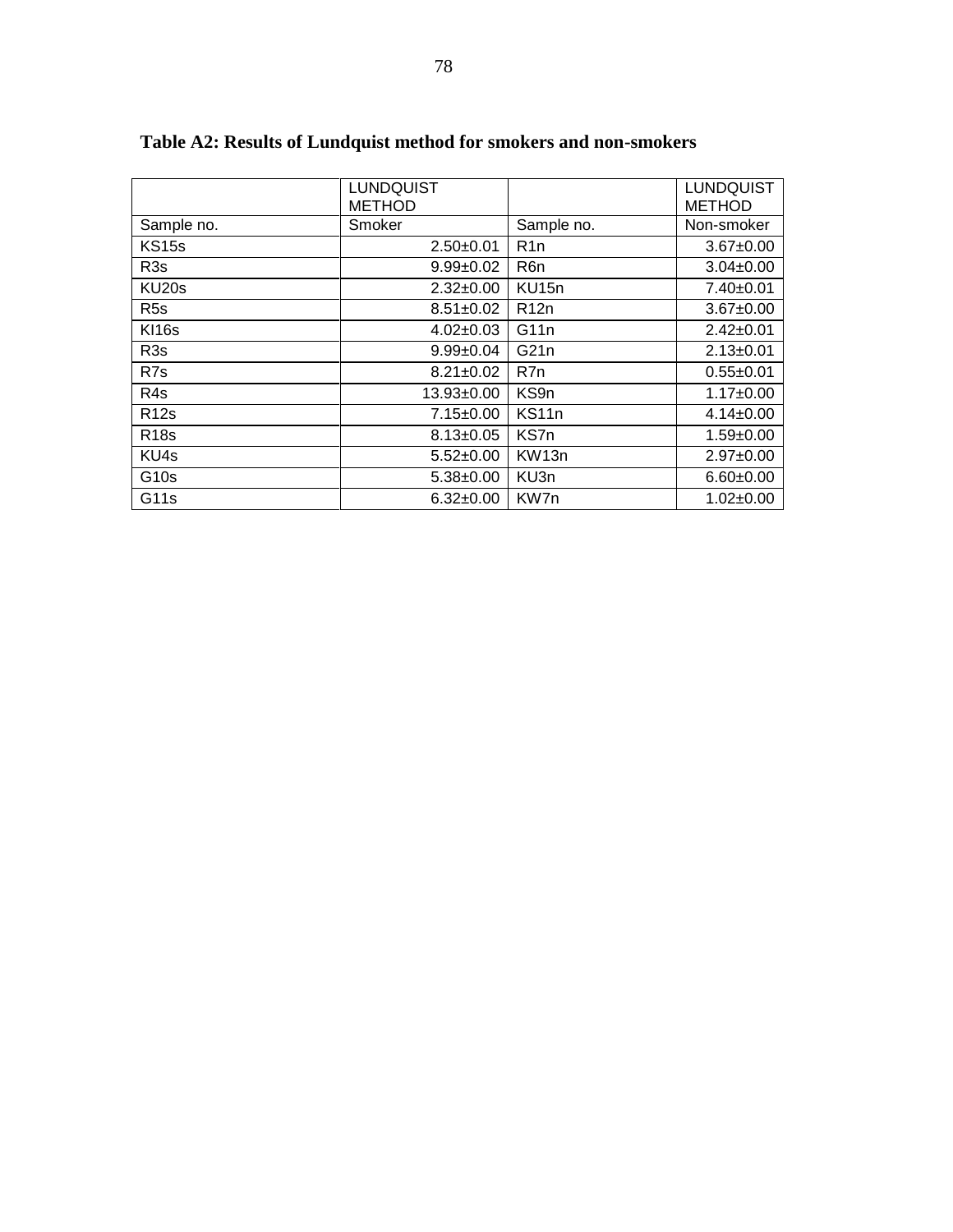|                   | <b>LUNDQUIST</b><br><b>METHOD</b> |                   | <b>LUNDQUIST</b><br><b>METHOD</b> |
|-------------------|-----------------------------------|-------------------|-----------------------------------|
| Sample no.        | Smoker                            | Sample no.        | Non-smoker                        |
| <b>KS15s</b>      | $2.50+0.01$                       | R <sub>1</sub> n  | $3.67 \pm 0.00$                   |
| R <sub>3</sub> s  | $9.99 \pm 0.02$                   | R <sub>6</sub> n  | $3.04 \pm 0.00$                   |
| KU20s             | $2.32 \pm 0.00$                   | KU15n             | $7.40 \pm 0.01$                   |
| R <sub>5s</sub>   | $8.51 \pm 0.02$                   | R12n              | $3.67 \pm 0.00$                   |
| <b>KI16s</b>      | $4.02 \pm 0.03$                   | G11n              | $2.42 \pm 0.01$                   |
| R <sub>3</sub> s  | $9.99 \pm 0.04$                   | G21n              | $2.13 \pm 0.01$                   |
| R7s               | $8.21 \pm 0.02$                   | R7n               | $0.55 + 0.01$                     |
| R <sub>4</sub> s  | $13.93 \pm 0.00$                  | KS9n              | $1.17 \pm 0.00$                   |
| <b>R12s</b>       | $7.15 \pm 0.00$                   | KS11n             | $4.14 \pm 0.00$                   |
| <b>R18s</b>       | $8.13 \pm 0.05$                   | KS7n              | $1.59 \pm 0.00$                   |
| KU <sub>4</sub> s | $5.52 \pm 0.00$                   | KW <sub>13n</sub> | $2.97 \pm 0.00$                   |
| G <sub>10s</sub>  | $5.38 \pm 0.00$                   | KU3n              | $6.60 \pm 0.00$                   |
| G <sub>11s</sub>  | $6.32 \pm 0.00$                   | KW7n              | $1.02 \pm 0.00$                   |

# **Table A2: Results of Lundquist method for smokers and non-smokers**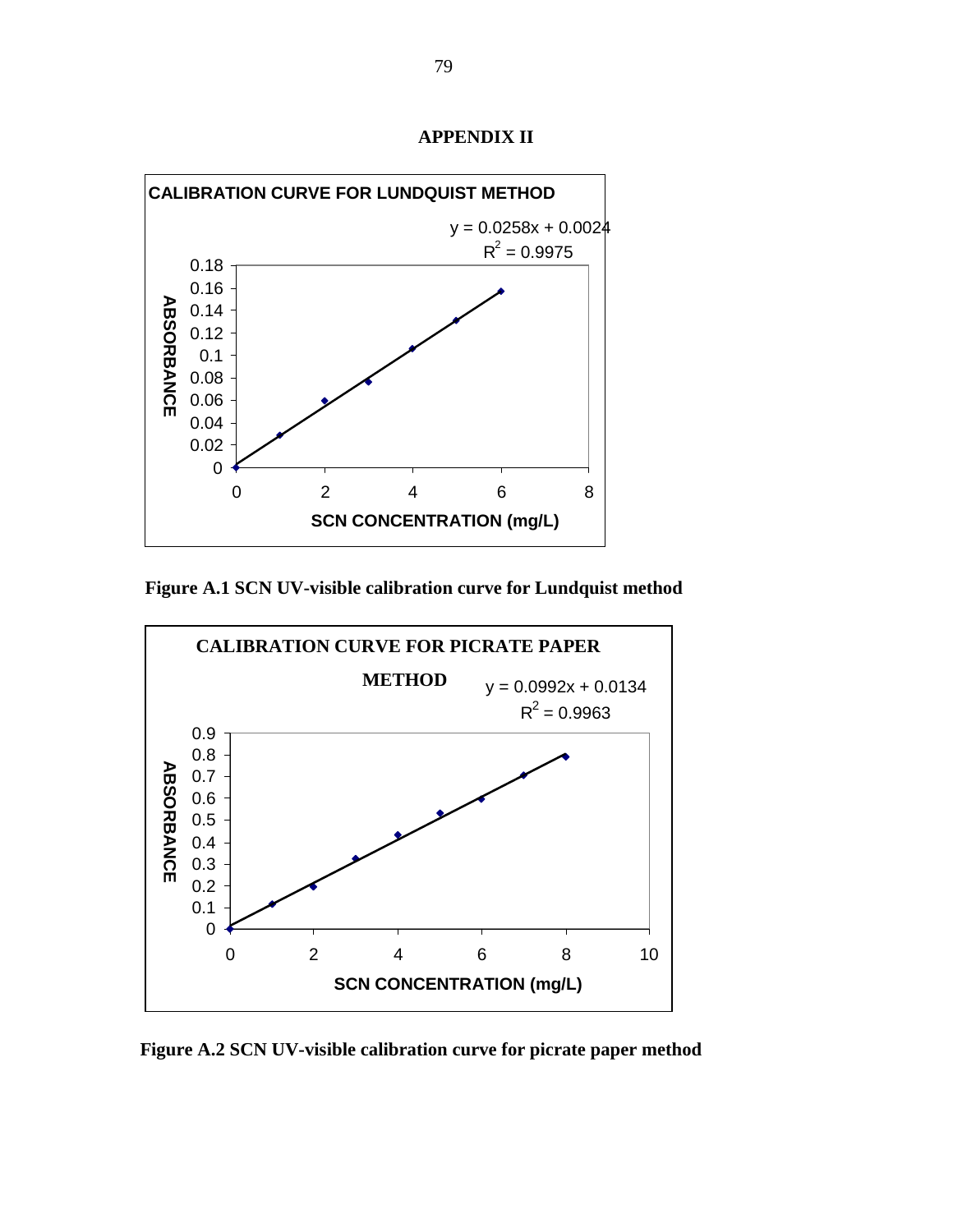



**Figure A.1 SCN UV-visible calibration curve for Lundquist method** 



**Figure A.2 SCN UV-visible calibration curve for picrate paper method**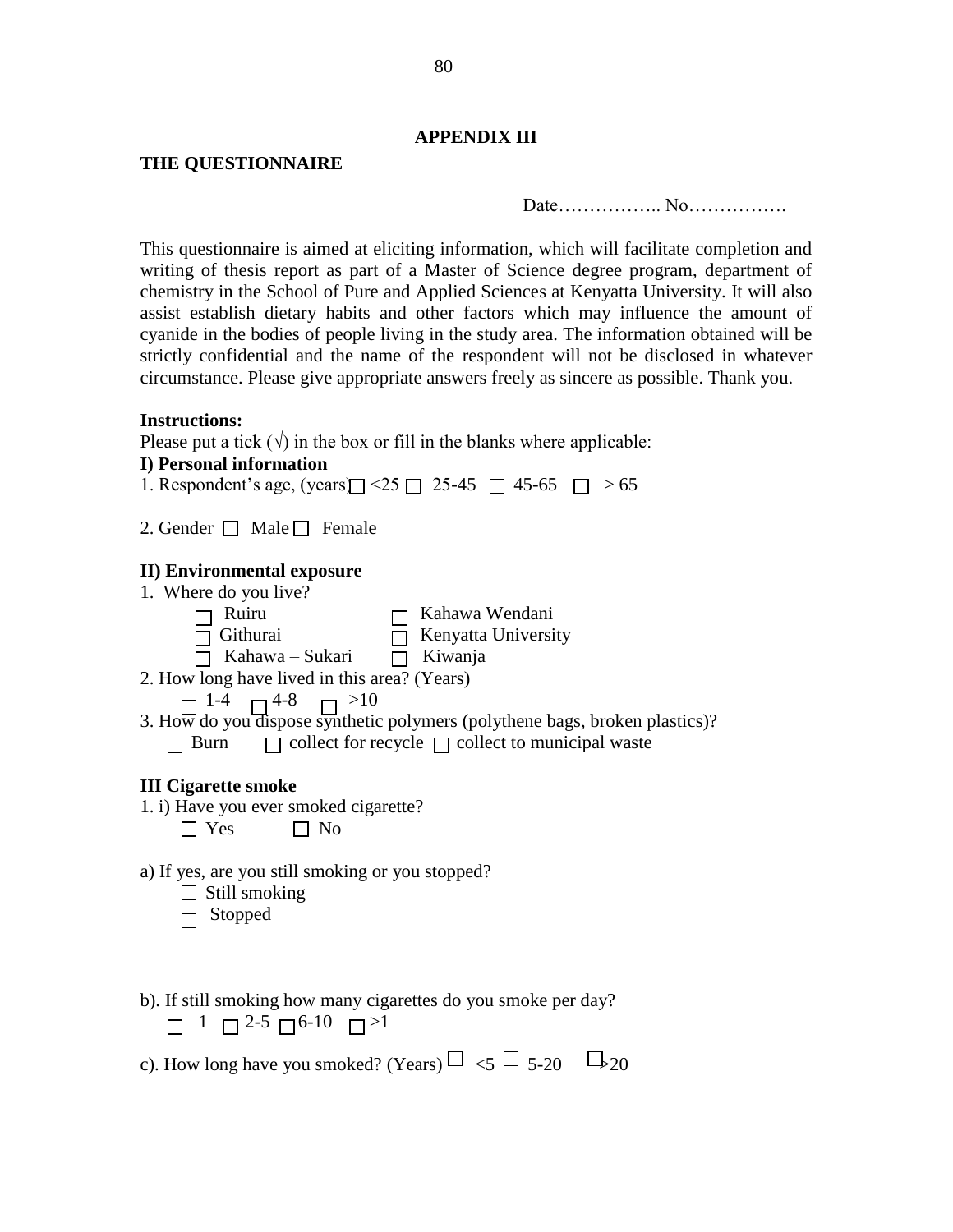#### **APPENDIX III**

## **THE QUESTIONNAIRE**

Date…………….. No…………….

This questionnaire is aimed at eliciting information, which will facilitate completion and writing of thesis report as part of a Master of Science degree program, department of chemistry in the School of Pure and Applied Sciences at Kenyatta University. It will also assist establish dietary habits and other factors which may influence the amount of cyanide in the bodies of people living in the study area. The information obtained will be strictly confidential and the name of the respondent will not be disclosed in whatever circumstance. Please give appropriate answers freely as sincere as possible. Thank you.

#### **Instructions:**

Please put a tick  $(\sqrt{})$  in the box or fill in the blanks where applicable:

## **I) Personal information**

|  | 1. Respondent's age, (years) $\Box$ <25 $\Box$ 25-45 $\Box$ 45-65 $\Box$ > 65 |  |  |  |  |  |  |  |  |
|--|-------------------------------------------------------------------------------|--|--|--|--|--|--|--|--|
|--|-------------------------------------------------------------------------------|--|--|--|--|--|--|--|--|

2. Gender  $\Box$  Male  $\Box$  Female

## **II) Environmental exposure**

| 1. Where do you live?                                                                                                                              |
|----------------------------------------------------------------------------------------------------------------------------------------------------|
| Kahawa Wendani<br>Ruiru                                                                                                                            |
| $\Box$ Githurai<br>$\Box$ Kenyatta University                                                                                                      |
| Kahawa – Sukari<br>$\Box$ Kiwanja                                                                                                                  |
| 2. How long have lived in this area? (Years)                                                                                                       |
| $\Box$ 1-4 $\Box$ 4-8 $\Box$ >10                                                                                                                   |
| 3. How do you dispose synthetic polymers (polythene bags, broken plastics)?                                                                        |
| $\Box$ collect for recycle $\Box$ collect to municipal waste<br>$\Box$ Burn                                                                        |
| <b>III Cigarette smoke</b><br>1. i) Have you ever smoked cigarette?<br>$\Box$ No<br>$\Box$ Yes<br>a) If yes, are you still smoking or you stopped? |
| $\Box$ Still smoking<br>Stopped                                                                                                                    |
| b). If still smoking how many cigarettes do you smoke per day?<br>$\Box$ 1 $\Box$ 2-5 $\Box$ 6-10 $\Box$ >1                                        |
| c). How long have you smoked? (Years) $\Box$ <5 $\Box$ 5-20 $\Box$ >20                                                                             |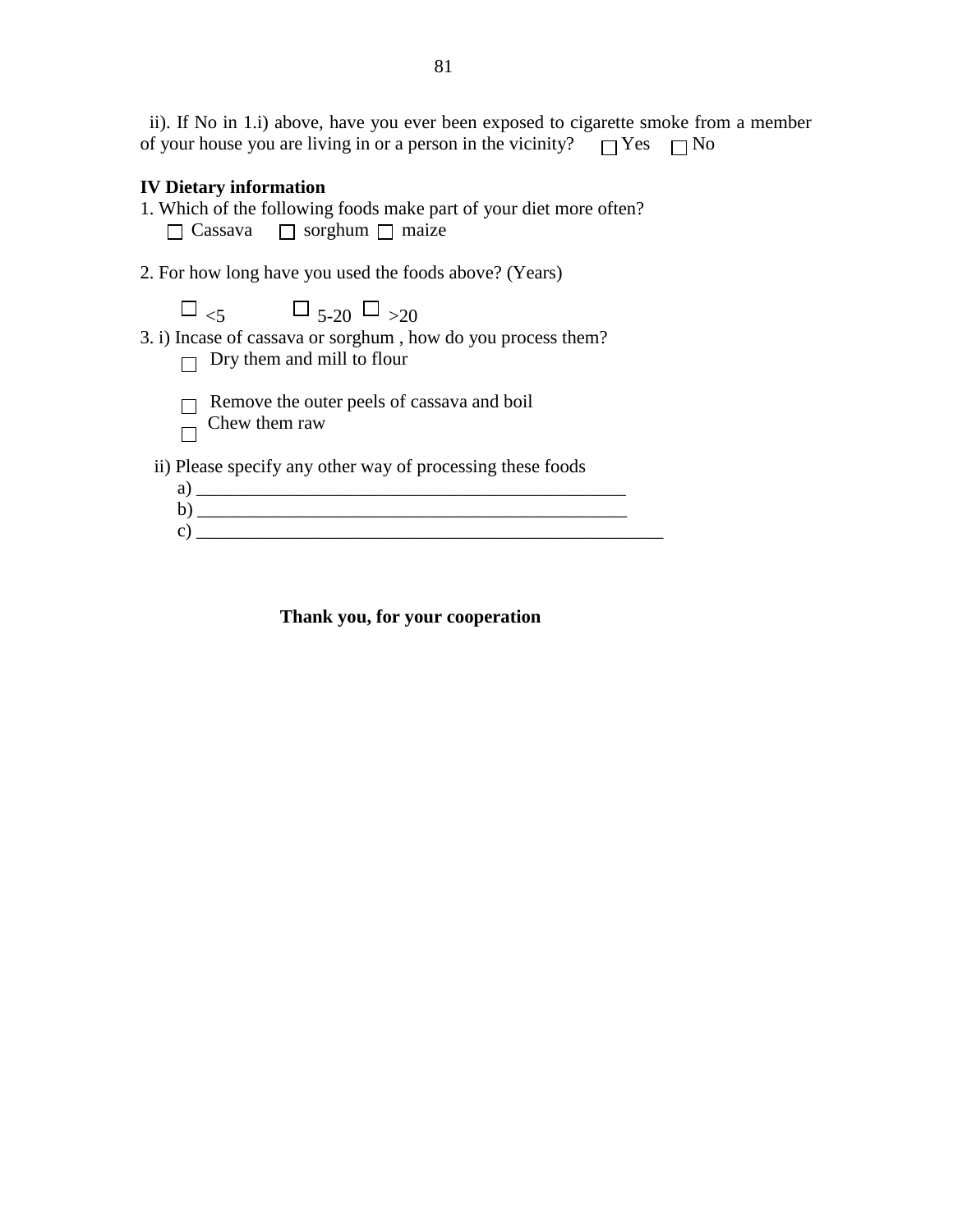ii). If No in 1.i) above, have you ever been exposed to cigarette smoke from a member of your house you are living in or a person in the vicinity?  $\Box$  Yes  $\Box$  No

## **IV Dietary information**

|                | 1. Which of the following foods make part of your diet more often? |
|----------------|--------------------------------------------------------------------|
| $\Box$ Cassava | $\Box$ sorghum $\Box$ maize                                        |

2. For how long have you used the foods above? (Years)

 $\Box_{5-20} \Box_{5-20} \Box_{>20}$ 

3. i) Incase of cassava or sorghum , how do you process them?

 $\Box$  Dry them and mill to flour

 $\Box$  Remove the outer peels of cassava and boil  $\overline{\Box}$  Chew them raw

ii) Please specify any other way of processing these foods

| w |  |  |
|---|--|--|
|   |  |  |
|   |  |  |

**Thank you, for your cooperation**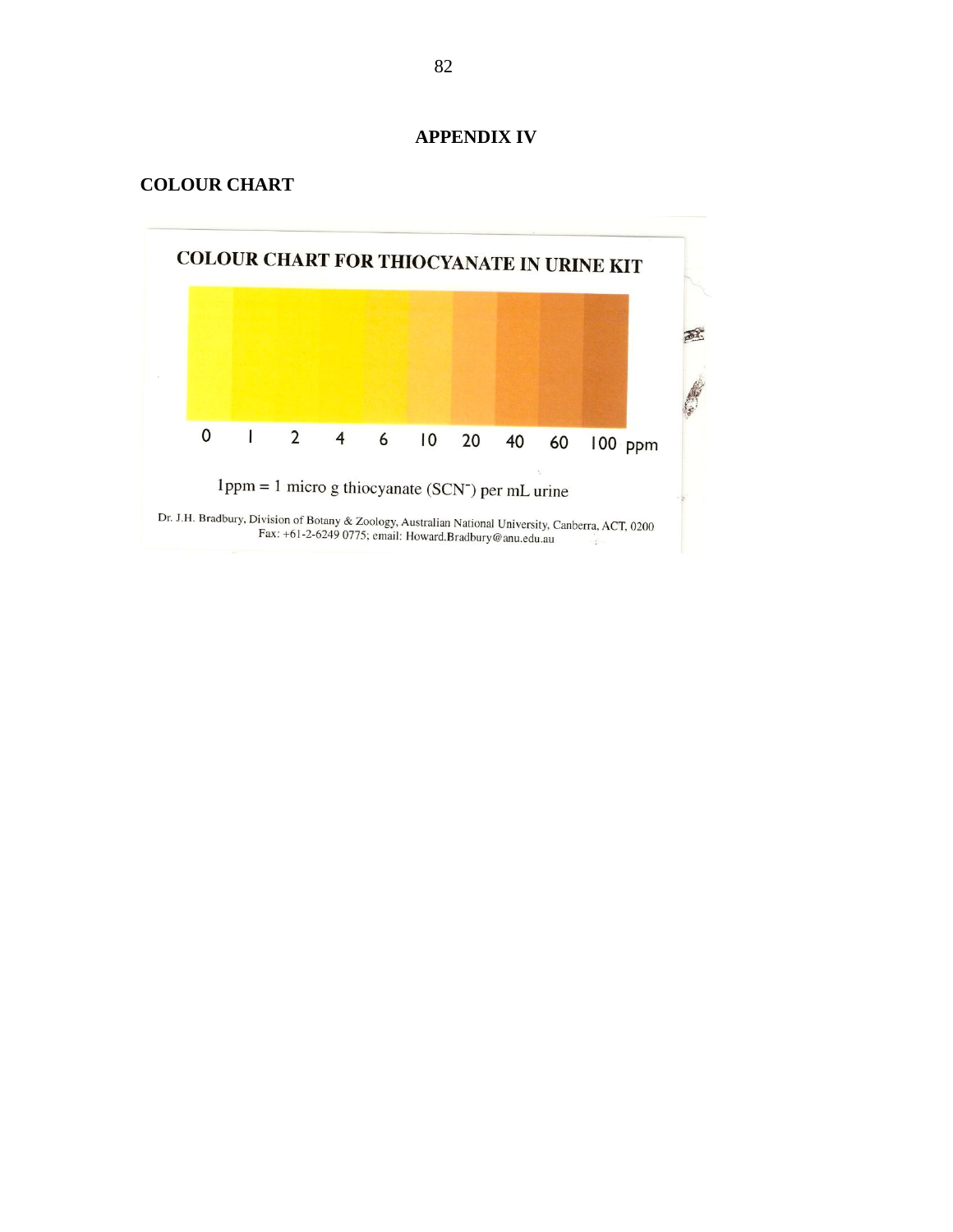#### **APPENDIX IV**

# **COLOUR CHART**